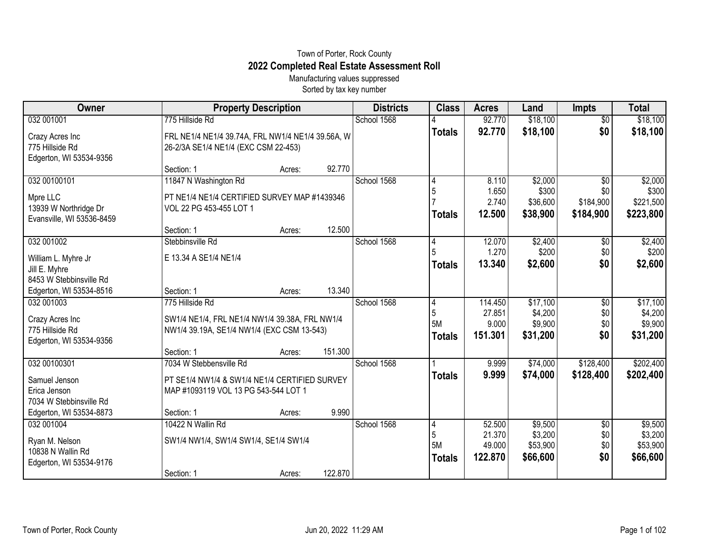## Town of Porter, Rock County **2022 Completed Real Estate Assessment Roll**

Manufacturing values suppressed Sorted by tax key number

| Owner                                                                               | <b>Property Description</b>                                                                                                   |        |         | <b>Districts</b> | <b>Class</b>                    | <b>Acres</b>                          | Land                                       | <b>Impts</b>                                     | <b>Total</b>                               |
|-------------------------------------------------------------------------------------|-------------------------------------------------------------------------------------------------------------------------------|--------|---------|------------------|---------------------------------|---------------------------------------|--------------------------------------------|--------------------------------------------------|--------------------------------------------|
| 032 001001                                                                          | 775 Hillside Rd                                                                                                               |        |         | School 1568      |                                 | 92.770                                | \$18,100                                   | $\overline{50}$                                  | \$18,100                                   |
| Crazy Acres Inc<br>775 Hillside Rd<br>Edgerton, WI 53534-9356                       | FRL NE1/4 NE1/4 39.74A, FRL NW1/4 NE1/4 39.56A, W<br>26-2/3A SE1/4 NE1/4 (EXC CSM 22-453)                                     |        |         |                  | <b>Totals</b>                   | 92.770                                | \$18,100                                   | \$0                                              | \$18,100                                   |
|                                                                                     | Section: 1                                                                                                                    | Acres: | 92.770  |                  |                                 |                                       |                                            |                                                  |                                            |
| 032 00100101<br>Mpre LLC<br>13939 W Northridge Dr<br>Evansville, WI 53536-8459      | 11847 N Washington Rd<br>PT NE1/4 NE1/4 CERTIFIED SURVEY MAP #1439346<br>VOL 22 PG 453-455 LOT 1<br>Section: 1                |        | 12.500  | School 1568      | 4<br>5<br><b>Totals</b>         | 8.110<br>1.650<br>2.740<br>12.500     | \$2,000<br>\$300<br>\$36,600<br>\$38,900   | $\overline{50}$<br>\$0<br>\$184,900<br>\$184,900 | \$2,000<br>\$300<br>\$221,500<br>\$223,800 |
| 032 001002                                                                          | Stebbinsville Rd                                                                                                              | Acres: |         | School 1568      | 4                               | 12.070                                | \$2,400                                    | \$0                                              | \$2,400                                    |
| William L. Myhre Jr<br>Jill E. Myhre<br>8453 W Stebbinsville Rd                     | E 13.34 A SE1/4 NE1/4                                                                                                         |        |         |                  | <b>Totals</b>                   | 1.270<br>13.340                       | \$200<br>\$2,600                           | \$0<br>\$0                                       | \$200<br>\$2,600                           |
| Edgerton, WI 53534-8516                                                             | Section: 1                                                                                                                    | Acres: | 13.340  |                  |                                 |                                       |                                            |                                                  |                                            |
| 032 001003<br>Crazy Acres Inc<br>775 Hillside Rd<br>Edgerton, WI 53534-9356         | 775 Hillside Rd<br>SW1/4 NE1/4, FRL NE1/4 NW1/4 39.38A, FRL NW1/4<br>NW1/4 39.19A, SE1/4 NW1/4 (EXC CSM 13-543)<br>Section: 1 | Acres: | 151.300 | School 1568      | 4<br>5<br>5M<br><b>Totals</b>   | 114.450<br>27.851<br>9.000<br>151.301 | \$17,100<br>\$4,200<br>\$9,900<br>\$31,200 | \$0<br>\$0<br>\$0<br>\$0                         | \$17,100<br>\$4,200<br>\$9,900<br>\$31,200 |
| 032 00100301                                                                        | 7034 W Stebbensville Rd                                                                                                       |        |         | School 1568      |                                 | 9.999                                 | \$74,000                                   | \$128,400                                        | \$202,400                                  |
| Samuel Jenson<br>Erica Jenson<br>7034 W Stebbinsville Rd<br>Edgerton, WI 53534-8873 | PT SE1/4 NW1/4 & SW1/4 NE1/4 CERTIFIED SURVEY<br>MAP #1093119 VOL 13 PG 543-544 LOT 1<br>Section: 1                           | Acres: | 9.990   |                  | <b>Totals</b>                   | 9.999                                 | \$74,000                                   | \$128,400                                        | \$202,400                                  |
| 032 001004                                                                          | 10422 N Wallin Rd                                                                                                             |        |         | School 1568      | 4                               | 52.500                                | \$9,500                                    | \$0                                              | \$9,500                                    |
| Ryan M. Nelson<br>10838 N Wallin Rd<br>Edgerton, WI 53534-9176                      | SW1/4 NW1/4, SW1/4 SW1/4, SE1/4 SW1/4                                                                                         |        |         |                  | 5<br><b>5M</b><br><b>Totals</b> | 21.370<br>49.000<br>122.870           | \$3,200<br>\$53,900<br>\$66,600            | \$0<br>\$0<br>\$0                                | \$3,200<br>\$53,900<br>\$66,600            |
|                                                                                     | Section: 1                                                                                                                    | Acres: | 122.870 |                  |                                 |                                       |                                            |                                                  |                                            |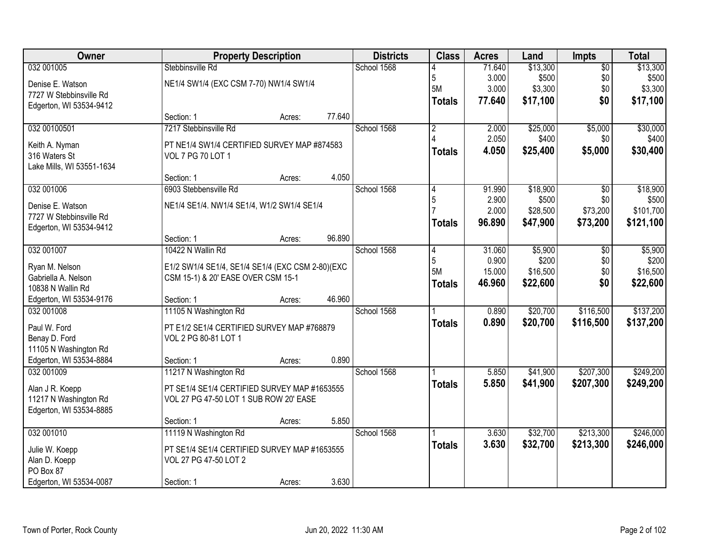| Owner                     |                                                  | <b>Property Description</b> |        | <b>Districts</b> | <b>Class</b>   | <b>Acres</b> | Land     | Impts           | <b>Total</b> |
|---------------------------|--------------------------------------------------|-----------------------------|--------|------------------|----------------|--------------|----------|-----------------|--------------|
| 032 001005                | Stebbinsville Rd                                 |                             |        | School 1568      |                | 71.640       | \$13,300 | $\overline{50}$ | \$13,300     |
| Denise E. Watson          | NE1/4 SW1/4 (EXC CSM 7-70) NW1/4 SW1/4           |                             |        |                  | 5              | 3.000        | \$500    | \$0             | \$500        |
| 7727 W Stebbinsville Rd   |                                                  |                             |        |                  | 5M             | 3.000        | \$3,300  | \$0             | \$3,300      |
| Edgerton, WI 53534-9412   |                                                  |                             |        |                  | <b>Totals</b>  | 77.640       | \$17,100 | \$0             | \$17,100     |
|                           | Section: 1                                       | Acres:                      | 77.640 |                  |                |              |          |                 |              |
| 032 00100501              | 7217 Stebbinsville Rd                            |                             |        | School 1568      | $\overline{2}$ | 2.000        | \$25,000 | \$5,000         | \$30,000     |
| Keith A. Nyman            | PT NE1/4 SW1/4 CERTIFIED SURVEY MAP #874583      |                             |        |                  |                | 2.050        | \$400    | \$0             | \$400        |
| 316 Waters St             | <b>VOL 7 PG 70 LOT 1</b>                         |                             |        |                  | <b>Totals</b>  | 4.050        | \$25,400 | \$5,000         | \$30,400     |
| Lake Mills, WI 53551-1634 |                                                  |                             |        |                  |                |              |          |                 |              |
|                           | Section: 1                                       | Acres:                      | 4.050  |                  |                |              |          |                 |              |
| 032 001006                | 6903 Stebbensville Rd                            |                             |        | School 1568      |                | 91.990       | \$18,900 | $\overline{50}$ | \$18,900     |
| Denise E. Watson          | NE1/4 SE1/4. NW1/4 SE1/4, W1/2 SW1/4 SE1/4       |                             |        |                  | 5              | 2.900        | \$500    | \$0             | \$500        |
| 7727 W Stebbinsville Rd   |                                                  |                             |        |                  |                | 2.000        | \$28,500 | \$73,200        | \$101,700    |
| Edgerton, WI 53534-9412   |                                                  |                             |        |                  | <b>Totals</b>  | 96.890       | \$47,900 | \$73,200        | \$121,100    |
|                           | Section: 1                                       | Acres:                      | 96.890 |                  |                |              |          |                 |              |
| 032 001007                | 10422 N Wallin Rd                                |                             |        | School 1568      | 4              | 31.060       | \$5,900  | \$0             | \$5,900      |
| Ryan M. Nelson            | E1/2 SW1/4 SE1/4, SE1/4 SE1/4 (EXC CSM 2-80)(EXC |                             |        |                  | 5              | 0.900        | \$200    | \$0             | \$200        |
| Gabriella A. Nelson       | CSM 15-1) & 20' EASE OVER CSM 15-1               |                             |        |                  | <b>5M</b>      | 15.000       | \$16,500 | \$0             | \$16,500     |
| 10838 N Wallin Rd         |                                                  |                             |        |                  | <b>Totals</b>  | 46.960       | \$22,600 | \$0             | \$22,600     |
| Edgerton, WI 53534-9176   | Section: 1                                       | Acres:                      | 46.960 |                  |                |              |          |                 |              |
| 032 001008                | 11105 N Washington Rd                            |                             |        | School 1568      |                | 0.890        | \$20,700 | \$116,500       | \$137,200    |
| Paul W. Ford              | PT E1/2 SE1/4 CERTIFIED SURVEY MAP #768879       |                             |        |                  | <b>Totals</b>  | 0.890        | \$20,700 | \$116,500       | \$137,200    |
| Benay D. Ford             | VOL 2 PG 80-81 LOT 1                             |                             |        |                  |                |              |          |                 |              |
| 11105 N Washington Rd     |                                                  |                             |        |                  |                |              |          |                 |              |
| Edgerton, WI 53534-8884   | Section: 1                                       | Acres:                      | 0.890  |                  |                |              |          |                 |              |
| 032 001009                | 11217 N Washington Rd                            |                             |        | School 1568      |                | 5.850        | \$41,900 | \$207,300       | \$249,200    |
| Alan J R. Koepp           | PT SE1/4 SE1/4 CERTIFIED SURVEY MAP #1653555     |                             |        |                  | <b>Totals</b>  | 5.850        | \$41,900 | \$207,300       | \$249,200    |
| 11217 N Washington Rd     | VOL 27 PG 47-50 LOT 1 SUB ROW 20' EASE           |                             |        |                  |                |              |          |                 |              |
| Edgerton, WI 53534-8885   |                                                  |                             |        |                  |                |              |          |                 |              |
|                           | Section: 1                                       | Acres:                      | 5.850  |                  |                |              |          |                 |              |
| 032 001010                | 11119 N Washington Rd                            |                             |        | School 1568      |                | 3.630        | \$32,700 | \$213,300       | \$246,000    |
| Julie W. Koepp            | PT SE1/4 SE1/4 CERTIFIED SURVEY MAP #1653555     |                             |        |                  | <b>Totals</b>  | 3.630        | \$32,700 | \$213,300       | \$246,000    |
| Alan D. Koepp             | VOL 27 PG 47-50 LOT 2                            |                             |        |                  |                |              |          |                 |              |
| PO Box 87                 |                                                  |                             |        |                  |                |              |          |                 |              |
| Edgerton, WI 53534-0087   | Section: 1                                       | Acres:                      | 3.630  |                  |                |              |          |                 |              |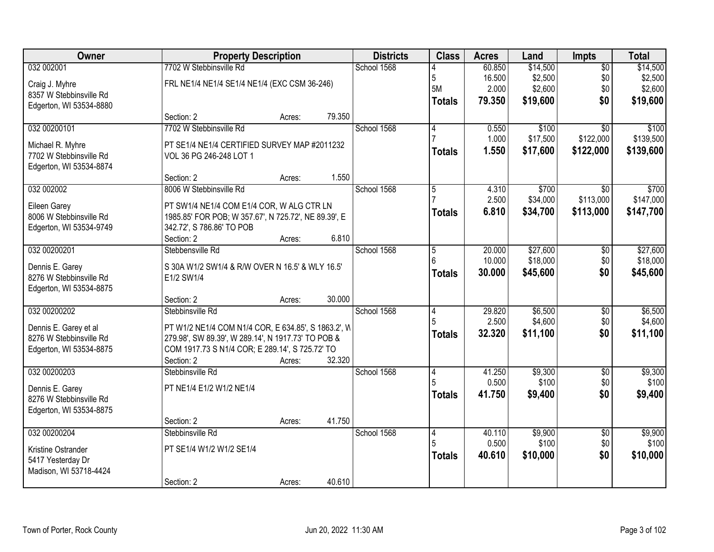| Owner                   |                                                      | <b>Property Description</b> |        | <b>Districts</b> | <b>Class</b>   | <b>Acres</b>     | Land                 | Impts                  | <b>Total</b>         |
|-------------------------|------------------------------------------------------|-----------------------------|--------|------------------|----------------|------------------|----------------------|------------------------|----------------------|
| 032 002001              | 7702 W Stebbinsville Rd                              |                             |        | School 1568      |                | 60.850           | \$14,500             | $\overline{50}$        | \$14,500             |
| Craig J. Myhre          | FRL NE1/4 NE1/4 SE1/4 NE1/4 (EXC CSM 36-246)         |                             |        |                  | 5              | 16.500           | \$2,500              | \$0                    | \$2,500              |
| 8357 W Stebbinsville Rd |                                                      |                             |        |                  | 5M             | 2.000            | \$2,600              | \$0                    | \$2,600              |
| Edgerton, WI 53534-8880 |                                                      |                             |        |                  | <b>Totals</b>  | 79.350           | \$19,600             | \$0                    | \$19,600             |
|                         | Section: 2                                           | Acres:                      | 79.350 |                  |                |                  |                      |                        |                      |
| 032 00200101            | 7702 W Stebbinsville Rd                              |                             |        | School 1568      | 4              | 0.550            | \$100                | $\overline{50}$        | \$100                |
| Michael R. Myhre        | PT SE1/4 NE1/4 CERTIFIED SURVEY MAP #2011232         |                             |        |                  |                | 1.000            | \$17,500             | \$122,000              | \$139,500            |
| 7702 W Stebbinsville Rd | VOL 36 PG 246-248 LOT 1                              |                             |        |                  | <b>Totals</b>  | 1.550            | \$17,600             | \$122,000              | \$139,600            |
| Edgerton, WI 53534-8874 |                                                      |                             |        |                  |                |                  |                      |                        |                      |
|                         | Section: 2                                           | Acres:                      | 1.550  |                  |                |                  |                      |                        |                      |
| 032 002002              | 8006 W Stebbinsville Rd                              |                             |        | School 1568      | $\overline{5}$ | 4.310            | \$700                | \$0                    | \$700                |
| Eileen Garey            | PT SW1/4 NE1/4 COM E1/4 COR, W ALG CTR LN            |                             |        |                  |                | 2.500            | \$34,000             | \$113,000              | \$147,000            |
| 8006 W Stebbinsville Rd | 1985.85' FOR POB; W 357.67', N 725.72', NE 89.39', E |                             |        |                  | <b>Totals</b>  | 6.810            | \$34,700             | \$113,000              | \$147,700            |
| Edgerton, WI 53534-9749 | 342.72', S 786.86' TO POB                            |                             |        |                  |                |                  |                      |                        |                      |
|                         | Section: 2                                           | Acres:                      | 6.810  |                  |                |                  |                      |                        |                      |
| 032 00200201            | Stebbensville Rd                                     |                             |        | School 1568      | 5<br>6         | 20.000<br>10.000 | \$27,600             | \$0                    | \$27,600             |
| Dennis E. Garey         | S 30A W1/2 SW1/4 & R/W OVER N 16.5' & WLY 16.5'      |                             |        |                  |                | 30.000           | \$18,000<br>\$45,600 | \$0<br>\$0             | \$18,000<br>\$45,600 |
| 8276 W Stebbinsville Rd | E1/2 SW1/4                                           |                             |        |                  | <b>Totals</b>  |                  |                      |                        |                      |
| Edgerton, WI 53534-8875 |                                                      |                             |        |                  |                |                  |                      |                        |                      |
|                         | Section: 2                                           | Acres:                      | 30.000 |                  |                |                  |                      |                        |                      |
| 032 00200202            | Stebbinsville Rd                                     |                             |        | School 1568      | $\overline{4}$ | 29.820<br>2.500  | \$6,500<br>\$4,600   | $\overline{50}$<br>\$0 | \$6,500<br>\$4,600   |
| Dennis E. Garey et al   | PT W1/2 NE1/4 COM N1/4 COR, E 634.85', S 1863.2', W  |                             |        |                  | <b>Totals</b>  | 32.320           | \$11,100             | \$0                    | \$11,100             |
| 8276 W Stebbinsville Rd | 279.98', SW 89.39', W 289.14', N 1917.73' TO POB &   |                             |        |                  |                |                  |                      |                        |                      |
| Edgerton, WI 53534-8875 | COM 1917.73 S N1/4 COR; E 289.14', S 725.72' TO      |                             |        |                  |                |                  |                      |                        |                      |
|                         | Section: 2                                           | Acres:                      | 32.320 |                  |                |                  |                      |                        |                      |
| 032 00200203            | Stebbinsville Rd                                     |                             |        | School 1568      | $\vert 4$<br>5 | 41.250<br>0.500  | \$9,300<br>\$100     | $\overline{50}$<br>\$0 | \$9,300<br>\$100     |
| Dennis E. Garey         | PT NE1/4 E1/2 W1/2 NE1/4                             |                             |        |                  | <b>Totals</b>  | 41.750           | \$9,400              | \$0                    | \$9,400              |
| 8276 W Stebbinsville Rd |                                                      |                             |        |                  |                |                  |                      |                        |                      |
| Edgerton, WI 53534-8875 |                                                      |                             |        |                  |                |                  |                      |                        |                      |
|                         | Section: 2                                           | Acres:                      | 41.750 |                  |                |                  |                      |                        |                      |
| 032 00200204            | Stebbinsville Rd                                     |                             |        | School 1568      | $\overline{4}$ | 40.110<br>0.500  | \$9,900<br>\$100     | $\overline{50}$<br>\$0 | \$9,900<br>\$100     |
| Kristine Ostrander      | PT SE1/4 W1/2 W1/2 SE1/4                             |                             |        |                  | <b>Totals</b>  | 40.610           | \$10,000             | \$0                    | \$10,000             |
| 5417 Yesterday Dr       |                                                      |                             |        |                  |                |                  |                      |                        |                      |
| Madison, WI 53718-4424  |                                                      |                             |        |                  |                |                  |                      |                        |                      |
|                         | Section: 2                                           | Acres:                      | 40.610 |                  |                |                  |                      |                        |                      |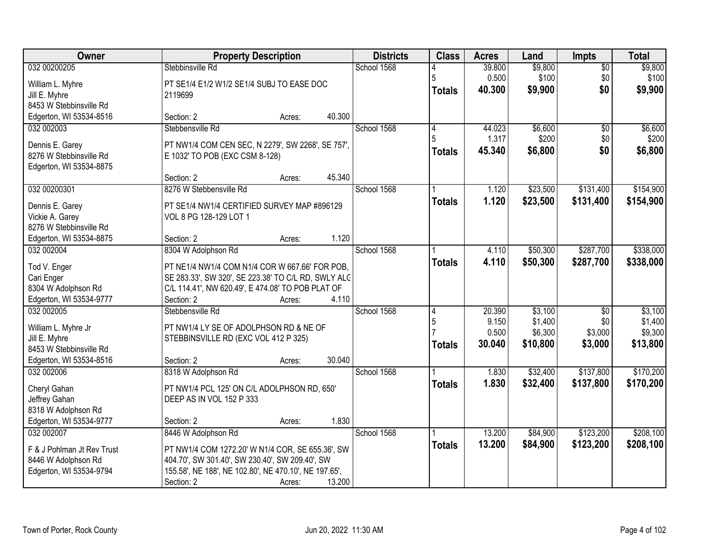| Owner                                | <b>Property Description</b>                                                                           |        | <b>Districts</b> | <b>Class</b>  | <b>Acres</b> | Land     | <b>Impts</b>    | <b>Total</b> |
|--------------------------------------|-------------------------------------------------------------------------------------------------------|--------|------------------|---------------|--------------|----------|-----------------|--------------|
| 032 00200205                         | Stebbinsville Rd                                                                                      |        | School 1568      |               | 39.800       | \$9,800  | $\overline{50}$ | \$9,800      |
| William L. Myhre                     | PT SE1/4 E1/2 W1/2 SE1/4 SUBJ TO EASE DOC                                                             |        |                  | 5             | 0.500        | \$100    | \$0             | \$100        |
| Jill E. Myhre                        | 2119699                                                                                               |        |                  | <b>Totals</b> | 40,300       | \$9,900  | \$0             | \$9,900      |
| 8453 W Stebbinsville Rd              |                                                                                                       |        |                  |               |              |          |                 |              |
| Edgerton, WI 53534-8516              | Section: 2<br>Acres:                                                                                  | 40.300 |                  |               |              |          |                 |              |
| 032 002003                           | Stebbensville Rd                                                                                      |        | School 1568      | 4             | 44.023       | \$6,600  | $\overline{50}$ | \$6,600      |
| Dennis E. Garey                      | PT NW1/4 COM CEN SEC, N 2279', SW 2268', SE 757',                                                     |        |                  | 5             | 1.317        | \$200    | \$0             | \$200        |
| 8276 W Stebbinsville Rd              | E 1032' TO POB (EXC CSM 8-128)                                                                        |        |                  | <b>Totals</b> | 45.340       | \$6,800  | \$0             | \$6,800      |
| Edgerton, WI 53534-8875              |                                                                                                       |        |                  |               |              |          |                 |              |
|                                      | Section: 2<br>Acres:                                                                                  | 45.340 |                  |               |              |          |                 |              |
| 032 00200301                         | 8276 W Stebbensville Rd                                                                               |        | School 1568      |               | 1.120        | \$23,500 | \$131,400       | \$154,900    |
| Dennis E. Garey                      | PT SE1/4 NW1/4 CERTIFIED SURVEY MAP #896129                                                           |        |                  | <b>Totals</b> | 1.120        | \$23,500 | \$131,400       | \$154,900    |
| Vickie A. Garey                      | VOL 8 PG 128-129 LOT 1                                                                                |        |                  |               |              |          |                 |              |
| 8276 W Stebbinsville Rd              |                                                                                                       |        |                  |               |              |          |                 |              |
| Edgerton, WI 53534-8875              | Section: 2<br>Acres:                                                                                  | 1.120  |                  |               |              |          |                 |              |
| 032 002004                           | 8304 W Adolphson Rd                                                                                   |        | School 1568      |               | 4.110        | \$50,300 | \$287,700       | \$338,000    |
|                                      |                                                                                                       |        |                  | <b>Totals</b> | 4.110        | \$50,300 | \$287,700       | \$338,000    |
| Tod V. Enger<br>Cari Enger           | PT NE1/4 NW1/4 COM N1/4 COR W 667.66' FOR POB,<br>SE 283.33', SW 320', SE 223.38' TO C/L RD, SWLY ALC |        |                  |               |              |          |                 |              |
| 8304 W Adolphson Rd                  | C/L 114.41', NW 620.49', E 474.08' TO POB PLAT OF                                                     |        |                  |               |              |          |                 |              |
| Edgerton, WI 53534-9777              | Section: 2<br>Acres:                                                                                  | 4.110  |                  |               |              |          |                 |              |
| 032 002005                           | Stebbensville Rd                                                                                      |        | School 1568      | 14            | 20.390       | \$3,100  | $\overline{50}$ | \$3,100      |
|                                      |                                                                                                       |        |                  | 5             | 9.150        | \$1,400  | \$0             | \$1,400      |
| William L. Myhre Jr<br>Jill E. Myhre | PT NW1/4 LY SE OF ADOLPHSON RD & NE OF<br>STEBBINSVILLE RD (EXC VOL 412 P 325)                        |        |                  |               | 0.500        | \$6,300  | \$3,000         | \$9,300      |
| 8453 W Stebbinsville Rd              |                                                                                                       |        |                  | <b>Totals</b> | 30.040       | \$10,800 | \$3,000         | \$13,800     |
| Edgerton, WI 53534-8516              | Section: 2<br>Acres:                                                                                  | 30.040 |                  |               |              |          |                 |              |
| 032 002006                           | 8318 W Adolphson Rd                                                                                   |        | School 1568      |               | 1.830        | \$32,400 | \$137,800       | \$170,200    |
|                                      |                                                                                                       |        |                  | <b>Totals</b> | 1.830        | \$32,400 | \$137,800       | \$170,200    |
| Cheryl Gahan                         | PT NW1/4 PCL 125' ON C/L ADOLPHSON RD, 650'<br>DEEP AS IN VOL 152 P 333                               |        |                  |               |              |          |                 |              |
| Jeffrey Gahan<br>8318 W Adolphson Rd |                                                                                                       |        |                  |               |              |          |                 |              |
| Edgerton, WI 53534-9777              | Section: 2<br>Acres:                                                                                  | 1.830  |                  |               |              |          |                 |              |
| 032 002007                           | 8446 W Adolphson Rd                                                                                   |        | School 1568      |               | 13.200       | \$84,900 | \$123,200       | \$208,100    |
|                                      |                                                                                                       |        |                  | <b>Totals</b> | 13.200       | \$84,900 | \$123,200       | \$208,100    |
| F & J Pohlman Jt Rev Trust           | PT NW1/4 COM 1272.20' W N1/4 COR, SE 655.36', SW                                                      |        |                  |               |              |          |                 |              |
| 8446 W Adolphson Rd                  | 404.70', SW 301.40', SW 230.40', SW 209.40', SW                                                       |        |                  |               |              |          |                 |              |
| Edgerton, WI 53534-9794              | 155.58', NE 188', NE 102.80', NE 470.10', NE 197.65',                                                 | 13.200 |                  |               |              |          |                 |              |
|                                      | Section: 2<br>Acres:                                                                                  |        |                  |               |              |          |                 |              |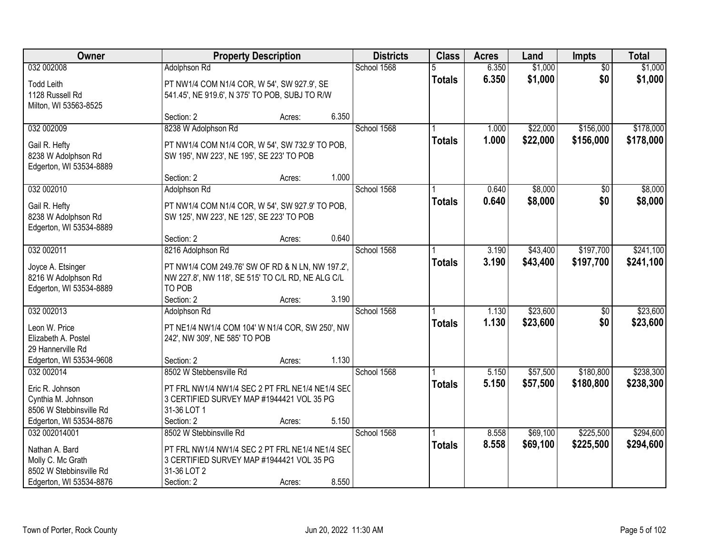| Owner                   |                                                   | <b>Property Description</b> |       | <b>Districts</b> | <b>Class</b>  | <b>Acres</b> | Land     | <b>Impts</b>    | <b>Total</b> |
|-------------------------|---------------------------------------------------|-----------------------------|-------|------------------|---------------|--------------|----------|-----------------|--------------|
| 032 002008              | Adolphson Rd                                      |                             |       | School 1568      |               | 6.350        | \$1,000  | $\overline{50}$ | \$1,000      |
| <b>Todd Leith</b>       | PT NW1/4 COM N1/4 COR, W 54', SW 927.9', SE       |                             |       |                  | <b>Totals</b> | 6.350        | \$1,000  | \$0             | \$1,000      |
| 1128 Russell Rd         | 541.45', NE 919.6', N 375' TO POB, SUBJ TO R/W    |                             |       |                  |               |              |          |                 |              |
| Milton, WI 53563-8525   |                                                   |                             |       |                  |               |              |          |                 |              |
|                         | Section: 2                                        | Acres:                      | 6.350 |                  |               |              |          |                 |              |
| 032 002009              | 8238 W Adolphson Rd                               |                             |       | School 1568      |               | 1.000        | \$22,000 | \$156,000       | \$178,000    |
| Gail R. Hefty           | PT NW1/4 COM N1/4 COR, W 54', SW 732.9' TO POB,   |                             |       |                  | <b>Totals</b> | 1.000        | \$22,000 | \$156,000       | \$178,000    |
| 8238 W Adolphson Rd     | SW 195', NW 223', NE 195', SE 223' TO POB         |                             |       |                  |               |              |          |                 |              |
| Edgerton, WI 53534-8889 |                                                   |                             |       |                  |               |              |          |                 |              |
|                         | Section: 2                                        | Acres:                      | 1.000 |                  |               |              |          |                 |              |
| 032 002010              | Adolphson Rd                                      |                             |       | School 1568      |               | 0.640        | \$8,000  | \$0             | \$8,000      |
| Gail R. Hefty           | PT NW1/4 COM N1/4 COR, W 54', SW 927.9' TO POB,   |                             |       |                  | <b>Totals</b> | 0.640        | \$8,000  | \$0             | \$8,000      |
| 8238 W Adolphson Rd     | SW 125', NW 223', NE 125', SE 223' TO POB         |                             |       |                  |               |              |          |                 |              |
| Edgerton, WI 53534-8889 |                                                   |                             |       |                  |               |              |          |                 |              |
|                         | Section: 2                                        | Acres:                      | 0.640 |                  |               |              |          |                 |              |
| 032 002011              | 8216 Adolphson Rd                                 |                             |       | School 1568      |               | 3.190        | \$43,400 | \$197,700       | \$241,100    |
| Joyce A. Etsinger       | PT NW1/4 COM 249.76' SW OF RD & N LN, NW 197.2',  |                             |       |                  | <b>Totals</b> | 3.190        | \$43,400 | \$197,700       | \$241,100    |
| 8216 W Adolphson Rd     | NW 227.8', NW 118', SE 515' TO C/L RD, NE ALG C/L |                             |       |                  |               |              |          |                 |              |
| Edgerton, WI 53534-8889 | TO POB                                            |                             |       |                  |               |              |          |                 |              |
|                         | Section: 2                                        | Acres:                      | 3.190 |                  |               |              |          |                 |              |
| 032 002013              | Adolphson Rd                                      |                             |       | School 1568      |               | 1.130        | \$23,600 | $\overline{50}$ | \$23,600     |
| Leon W. Price           | PT NE1/4 NW1/4 COM 104' W N1/4 COR, SW 250', NW   |                             |       |                  | <b>Totals</b> | 1.130        | \$23,600 | \$0             | \$23,600     |
| Elizabeth A. Postel     | 242', NW 309', NE 585' TO POB                     |                             |       |                  |               |              |          |                 |              |
| 29 Hannerville Rd       |                                                   |                             |       |                  |               |              |          |                 |              |
| Edgerton, WI 53534-9608 | Section: 2                                        | Acres:                      | 1.130 |                  |               |              |          |                 |              |
| 032 002014              | 8502 W Stebbensville Rd                           |                             |       | School 1568      |               | 5.150        | \$57,500 | \$180,800       | \$238,300    |
| Eric R. Johnson         | PT FRL NW1/4 NW1/4 SEC 2 PT FRL NE1/4 NE1/4 SEC   |                             |       |                  | <b>Totals</b> | 5.150        | \$57,500 | \$180,800       | \$238,300    |
| Cynthia M. Johnson      | 3 CERTIFIED SURVEY MAP #1944421 VOL 35 PG         |                             |       |                  |               |              |          |                 |              |
| 8506 W Stebbinsville Rd | 31-36 LOT 1                                       |                             |       |                  |               |              |          |                 |              |
| Edgerton, WI 53534-8876 | Section: 2                                        | Acres:                      | 5.150 |                  |               |              |          |                 |              |
| 032 002014001           | 8502 W Stebbinsville Rd                           |                             |       | School 1568      |               | 8.558        | \$69,100 | \$225,500       | \$294,600    |
| Nathan A. Bard          | PT FRL NW1/4 NW1/4 SEC 2 PT FRL NE1/4 NE1/4 SEC   |                             |       |                  | <b>Totals</b> | 8.558        | \$69,100 | \$225,500       | \$294,600    |
| Molly C. Mc Grath       | 3 CERTIFIED SURVEY MAP #1944421 VOL 35 PG         |                             |       |                  |               |              |          |                 |              |
| 8502 W Stebbinsville Rd | 31-36 LOT 2                                       |                             |       |                  |               |              |          |                 |              |
| Edgerton, WI 53534-8876 | Section: 2                                        | Acres:                      | 8.550 |                  |               |              |          |                 |              |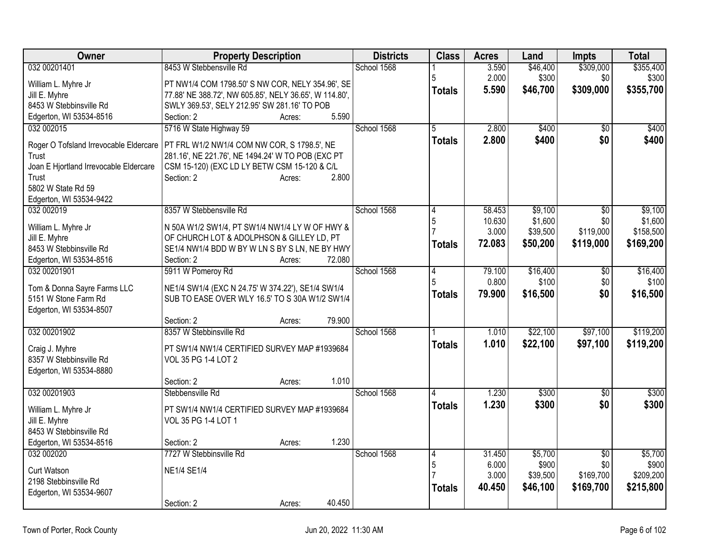| Owner                                                                                                                                                             | <b>Property Description</b>                                                                                                                                                                                  | <b>Districts</b> | <b>Class</b>                         | <b>Acres</b>                        | Land                                       | <b>Impts</b>                                     | <b>Total</b>                                 |
|-------------------------------------------------------------------------------------------------------------------------------------------------------------------|--------------------------------------------------------------------------------------------------------------------------------------------------------------------------------------------------------------|------------------|--------------------------------------|-------------------------------------|--------------------------------------------|--------------------------------------------------|----------------------------------------------|
| 032 00201401                                                                                                                                                      | 8453 W Stebbensville Rd                                                                                                                                                                                      | School 1568      |                                      | 3.590                               | \$46,400                                   | \$309,000                                        | \$355,400                                    |
| William L. Myhre Jr<br>Jill E. Myhre<br>8453 W Stebbinsville Rd<br>Edgerton, WI 53534-8516                                                                        | PT NW1/4 COM 1798.50' S NW COR, NELY 354.96', SE<br>77.88' NE 388.72', NW 605.85', NELY 36.65', W 114.80',<br>SWLY 369.53', SELY 212.95' SW 281.16' TO POB<br>5.590<br>Section: 2<br>Acres:                  |                  | <b>Totals</b>                        | 2.000<br>5.590                      | \$300<br>\$46,700                          | \$0<br>\$309,000                                 | \$300<br>\$355,700                           |
| 032 002015<br>Roger O Tofsland Irrevocable Eldercare<br>Trust<br>Joan E Hjortland Irrevocable Eldercare<br>Trust<br>5802 W State Rd 59<br>Edgerton, WI 53534-9422 | 5716 W State Highway 59<br>PT FRL W1/2 NW1/4 COM NW COR, S 1798.5', NE<br>281.16', NE 221.76', NE 1494.24' W TO POB (EXC PT<br>CSM 15-120) (EXC LD LY BETW CSM 15-120 & C/L<br>2.800<br>Section: 2<br>Acres: | School 1568      | 5<br><b>Totals</b>                   | 2.800<br>2.800                      | \$400<br>\$400                             | $\overline{50}$<br>\$0                           | \$400<br>\$400                               |
| 032 002019<br>William L. Myhre Jr<br>Jill E. Myhre<br>8453 W Stebbinsville Rd<br>Edgerton, WI 53534-8516                                                          | 8357 W Stebbensville Rd<br>N 50A W1/2 SW1/4, PT SW1/4 NW1/4 LY W OF HWY &<br>OF CHURCH LOT & ADOLPHSON & GILLEY LD, PT<br>SE1/4 NW1/4 BDD W BY W LN S BY S LN, NE BY HWY<br>72.080<br>Section: 2<br>Acres:   | School 1568      | 5<br><b>Totals</b>                   | 58.453<br>10.630<br>3.000<br>72.083 | \$9,100<br>\$1,600<br>\$39,500<br>\$50,200 | \$0<br>\$0<br>\$119,000<br>\$119,000             | \$9,100<br>\$1,600<br>\$158,500<br>\$169,200 |
| 032 00201901<br>Tom & Donna Sayre Farms LLC<br>5151 W Stone Farm Rd<br>Edgerton, WI 53534-8507                                                                    | 5911 W Pomeroy Rd<br>NE1/4 SW1/4 (EXC N 24.75' W 374.22'), SE1/4 SW1/4<br>SUB TO EASE OVER WLY 16.5' TO S 30A W1/2 SW1/4<br>79.900<br>Section: 2<br>Acres:                                                   | School 1568      | $\overline{4}$<br>5<br><b>Totals</b> | 79.100<br>0.800<br>79,900           | \$16,400<br>\$100<br>\$16,500              | $\overline{50}$<br>\$0<br>\$0                    | \$16,400<br>\$100<br>\$16,500                |
| 032 00201902<br>Craig J. Myhre<br>8357 W Stebbinsville Rd<br>Edgerton, WI 53534-8880                                                                              | 8357 W Stebbinsville Rd<br>PT SW1/4 NW1/4 CERTIFIED SURVEY MAP #1939684<br>VOL 35 PG 1-4 LOT 2<br>1.010<br>Section: 2<br>Acres:                                                                              | School 1568      | <b>Totals</b>                        | 1.010<br>1.010                      | \$22,100<br>\$22,100                       | \$97,100<br>\$97,100                             | \$119,200<br>\$119,200                       |
| 032 00201903<br>William L. Myhre Jr<br>Jill E. Myhre<br>8453 W Stebbinsville Rd<br>Edgerton, WI 53534-8516                                                        | Stebbensville Rd<br>PT SW1/4 NW1/4 CERTIFIED SURVEY MAP #1939684<br>VOL 35 PG 1-4 LOT 1<br>1.230<br>Section: 2<br>Acres:                                                                                     | School 1568      | <b>Totals</b>                        | 1.230<br>1.230                      | \$300<br>\$300                             | $\overline{50}$<br>\$0                           | \$300<br>\$300                               |
| 032 002020<br>Curt Watson<br>2198 Stebbinsville Rd<br>Edgerton, WI 53534-9607                                                                                     | 7727 W Stebbinsville Rd<br><b>NE1/4 SE1/4</b><br>40.450<br>Section: 2<br>Acres:                                                                                                                              | School 1568      | 4<br>5<br><b>Totals</b>              | 31.450<br>6.000<br>3.000<br>40.450  | \$5,700<br>\$900<br>\$39,500<br>\$46,100   | $\overline{30}$<br>\$0<br>\$169,700<br>\$169,700 | \$5,700<br>\$900<br>\$209,200<br>\$215,800   |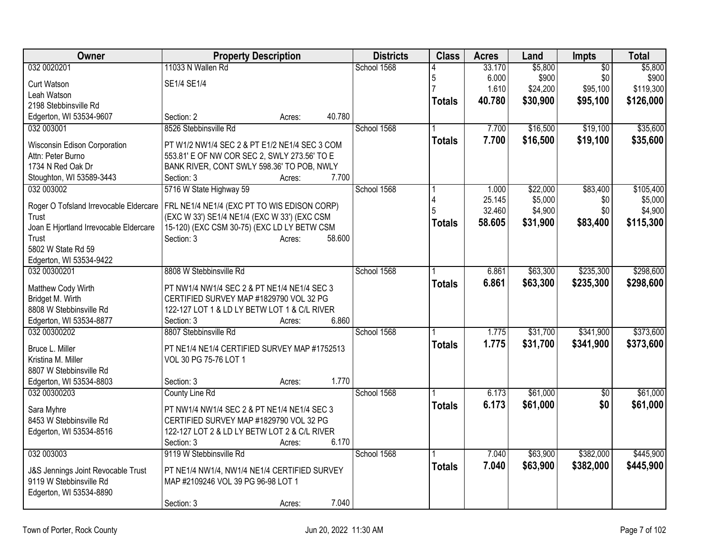| Owner                                                         | <b>Property Description</b>                                                        | <b>Districts</b> | <b>Class</b>  | <b>Acres</b> | Land     | Impts           | <b>Total</b> |
|---------------------------------------------------------------|------------------------------------------------------------------------------------|------------------|---------------|--------------|----------|-----------------|--------------|
| 032 0020201                                                   | 11033 N Wallen Rd                                                                  | School 1568      |               | 33.170       | \$5,800  | $\overline{50}$ | \$5,800      |
| Curt Watson                                                   | SE1/4 SE1/4                                                                        |                  | 5             | 6.000        | \$900    | \$0             | \$900        |
| Leah Watson                                                   |                                                                                    |                  |               | 1.610        | \$24,200 | \$95,100        | \$119,300    |
| 2198 Stebbinsville Rd                                         |                                                                                    |                  | <b>Totals</b> | 40.780       | \$30,900 | \$95,100        | \$126,000    |
| Edgerton, WI 53534-9607                                       | 40.780<br>Section: 2<br>Acres:                                                     |                  |               |              |          |                 |              |
| 032 003001                                                    | 8526 Stebbinsville Rd                                                              | School 1568      |               | 7.700        | \$16,500 | \$19,100        | \$35,600     |
| Wisconsin Edison Corporation                                  | PT W1/2 NW1/4 SEC 2 & PT E1/2 NE1/4 SEC 3 COM                                      |                  | <b>Totals</b> | 7.700        | \$16,500 | \$19,100        | \$35,600     |
| Attn: Peter Burno                                             | 553.81' E OF NW COR SEC 2, SWLY 273.56' TO E                                       |                  |               |              |          |                 |              |
| 1734 N Red Oak Dr                                             | BANK RIVER, CONT SWLY 598.36' TO POB, NWLY                                         |                  |               |              |          |                 |              |
| Stoughton, WI 53589-3443                                      | 7.700<br>Section: 3<br>Acres:                                                      |                  |               |              |          |                 |              |
| 032 003002                                                    | 5716 W State Highway 59                                                            | School 1568      |               | 1.000        | \$22,000 | \$83,400        | \$105,400    |
|                                                               |                                                                                    |                  |               | 25.145       | \$5,000  | \$0             | \$5,000      |
| Roger O Tofsland Irrevocable Eldercare                        | FRL NE1/4 NE1/4 (EXC PT TO WIS EDISON CORP)                                        |                  | 5             | 32.460       | \$4,900  | \$0             | \$4,900      |
| Trust                                                         | (EXC W 33') SE1/4 NE1/4 (EXC W 33') (EXC CSM                                       |                  | <b>Totals</b> | 58.605       | \$31,900 | \$83,400        | \$115,300    |
| Joan E Hjortland Irrevocable Eldercare                        | 15-120) (EXC CSM 30-75) (EXC LD LY BETW CSM                                        |                  |               |              |          |                 |              |
| Trust                                                         | Section: 3<br>58.600<br>Acres:                                                     |                  |               |              |          |                 |              |
| 5802 W State Rd 59                                            |                                                                                    |                  |               |              |          |                 |              |
| Edgerton, WI 53534-9422                                       |                                                                                    |                  |               |              |          |                 |              |
| 032 00300201                                                  | 8808 W Stebbinsville Rd                                                            | School 1568      |               | 6.861        | \$63,300 | \$235,300       | \$298,600    |
| Matthew Cody Wirth                                            | PT NW1/4 NW1/4 SEC 2 & PT NE1/4 NE1/4 SEC 3                                        |                  | <b>Totals</b> | 6.861        | \$63,300 | \$235,300       | \$298,600    |
| Bridget M. Wirth                                              | CERTIFIED SURVEY MAP #1829790 VOL 32 PG                                            |                  |               |              |          |                 |              |
| 8808 W Stebbinsville Rd                                       | 122-127 LOT 1 & LD LY BETW LOT 1 & C/L RIVER                                       |                  |               |              |          |                 |              |
| Edgerton, WI 53534-8877                                       | 6.860<br>Section: 3<br>Acres:                                                      |                  |               |              |          |                 |              |
| 032 00300202                                                  | 8807 Stebbinsville Rd                                                              | School 1568      |               | 1.775        | \$31,700 | \$341,900       | \$373,600    |
|                                                               |                                                                                    |                  | <b>Totals</b> | 1.775        | \$31,700 | \$341,900       | \$373,600    |
| Bruce L. Miller                                               | PT NE1/4 NE1/4 CERTIFIED SURVEY MAP #1752513                                       |                  |               |              |          |                 |              |
| Kristina M. Miller                                            | VOL 30 PG 75-76 LOT 1                                                              |                  |               |              |          |                 |              |
| 8807 W Stebbinsville Rd                                       |                                                                                    |                  |               |              |          |                 |              |
| Edgerton, WI 53534-8803                                       | 1.770<br>Section: 3<br>Acres:                                                      |                  |               |              |          |                 |              |
| 032 00300203                                                  | County Line Rd                                                                     | School 1568      |               | 6.173        | \$61,000 | $\overline{60}$ | \$61,000     |
| Sara Myhre                                                    | PT NW1/4 NW1/4 SEC 2 & PT NE1/4 NE1/4 SEC 3                                        |                  | <b>Totals</b> | 6.173        | \$61,000 | \$0             | \$61,000     |
| 8453 W Stebbinsville Rd                                       | CERTIFIED SURVEY MAP #1829790 VOL 32 PG                                            |                  |               |              |          |                 |              |
| Edgerton, WI 53534-8516                                       | 122-127 LOT 2 & LD LY BETW LOT 2 & C/L RIVER                                       |                  |               |              |          |                 |              |
|                                                               | 6.170<br>Section: 3<br>Acres:                                                      |                  |               |              |          |                 |              |
| 032 003003                                                    | 9119 W Stebbinsville Rd                                                            | School 1568      |               | 7.040        | \$63,900 | \$382,000       | \$445,900    |
|                                                               |                                                                                    |                  | <b>Totals</b> | 7.040        | \$63,900 | \$382,000       | \$445,900    |
| J&S Jennings Joint Revocable Trust<br>9119 W Stebbinsville Rd | PT NE1/4 NW1/4, NW1/4 NE1/4 CERTIFIED SURVEY<br>MAP #2109246 VOL 39 PG 96-98 LOT 1 |                  |               |              |          |                 |              |
| Edgerton, WI 53534-8890                                       |                                                                                    |                  |               |              |          |                 |              |
|                                                               | 7.040<br>Section: 3<br>Acres:                                                      |                  |               |              |          |                 |              |
|                                                               |                                                                                    |                  |               |              |          |                 |              |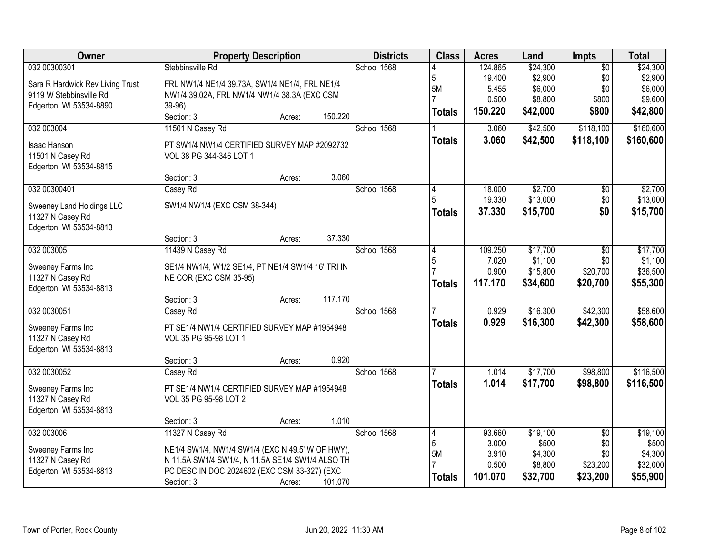| Owner                            |                                                    | <b>Property Description</b> |         | <b>Districts</b> | <b>Class</b>  | <b>Acres</b> | Land     | Impts           | <b>Total</b> |
|----------------------------------|----------------------------------------------------|-----------------------------|---------|------------------|---------------|--------------|----------|-----------------|--------------|
| 032 00300301                     | Stebbinsville Rd                                   |                             |         | School 1568      |               | 124.865      | \$24,300 | $\overline{50}$ | \$24,300     |
| Sara R Hardwick Rev Living Trust | FRL NW1/4 NE1/4 39.73A, SW1/4 NE1/4, FRL NE1/4     |                             |         |                  | 5             | 19.400       | \$2,900  | \$0             | \$2,900      |
| 9119 W Stebbinsville Rd          | NW1/4 39.02A, FRL NW1/4 NW1/4 38.3A (EXC CSM       |                             |         |                  | 5M            | 5.455        | \$6,000  | \$0             | \$6,000      |
| Edgerton, WI 53534-8890          | 39-96)                                             |                             |         |                  |               | 0.500        | \$8,800  | \$800           | \$9,600      |
|                                  | Section: 3                                         | Acres:                      | 150.220 |                  | <b>Totals</b> | 150.220      | \$42,000 | \$800           | \$42,800     |
| 032 003004                       | 11501 N Casey Rd                                   |                             |         | School 1568      |               | 3.060        | \$42,500 | \$118,100       | \$160,600    |
| Isaac Hanson                     | PT SW1/4 NW1/4 CERTIFIED SURVEY MAP #2092732       |                             |         |                  | <b>Totals</b> | 3.060        | \$42,500 | \$118,100       | \$160,600    |
| 11501 N Casey Rd                 | VOL 38 PG 344-346 LOT 1                            |                             |         |                  |               |              |          |                 |              |
| Edgerton, WI 53534-8815          |                                                    |                             |         |                  |               |              |          |                 |              |
|                                  | Section: 3                                         | Acres:                      | 3.060   |                  |               |              |          |                 |              |
| 032 00300401                     | Casey Rd                                           |                             |         | School 1568      |               | 18.000       | \$2,700  | $\overline{50}$ | \$2,700      |
| Sweeney Land Holdings LLC        | SW1/4 NW1/4 (EXC CSM 38-344)                       |                             |         |                  |               | 19.330       | \$13,000 | \$0             | \$13,000     |
| 11327 N Casey Rd                 |                                                    |                             |         |                  | <b>Totals</b> | 37.330       | \$15,700 | \$0             | \$15,700     |
| Edgerton, WI 53534-8813          |                                                    |                             |         |                  |               |              |          |                 |              |
|                                  | Section: 3                                         | Acres:                      | 37.330  |                  |               |              |          |                 |              |
| 032 003005                       | 11439 N Casey Rd                                   |                             |         | School 1568      | 4             | 109.250      | \$17,700 | \$0             | \$17,700     |
| Sweeney Farms Inc                | SE1/4 NW1/4, W1/2 SE1/4, PT NE1/4 SW1/4 16' TRI IN |                             |         |                  | 5             | 7.020        | \$1,100  | \$0             | \$1,100      |
| 11327 N Casey Rd                 | NE COR (EXC CSM 35-95)                             |                             |         |                  |               | 0.900        | \$15,800 | \$20,700        | \$36,500     |
| Edgerton, WI 53534-8813          |                                                    |                             |         |                  | <b>Totals</b> | 117.170      | \$34,600 | \$20,700        | \$55,300     |
|                                  | Section: 3                                         | Acres:                      | 117.170 |                  |               |              |          |                 |              |
| 032 0030051                      | Casey Rd                                           |                             |         | School 1568      |               | 0.929        | \$16,300 | \$42,300        | \$58,600     |
| Sweeney Farms Inc                | PT SE1/4 NW1/4 CERTIFIED SURVEY MAP #1954948       |                             |         |                  | <b>Totals</b> | 0.929        | \$16,300 | \$42,300        | \$58,600     |
| 11327 N Casey Rd                 | VOL 35 PG 95-98 LOT 1                              |                             |         |                  |               |              |          |                 |              |
| Edgerton, WI 53534-8813          |                                                    |                             |         |                  |               |              |          |                 |              |
|                                  | Section: 3                                         | Acres:                      | 0.920   |                  |               |              |          |                 |              |
| 032 0030052                      | Casey Rd                                           |                             |         | School 1568      |               | 1.014        | \$17,700 | \$98,800        | \$116,500    |
| Sweeney Farms Inc                | PT SE1/4 NW1/4 CERTIFIED SURVEY MAP #1954948       |                             |         |                  | <b>Totals</b> | 1.014        | \$17,700 | \$98,800        | \$116,500    |
| 11327 N Casey Rd                 | VOL 35 PG 95-98 LOT 2                              |                             |         |                  |               |              |          |                 |              |
| Edgerton, WI 53534-8813          |                                                    |                             |         |                  |               |              |          |                 |              |
|                                  | Section: 3                                         | Acres:                      | 1.010   |                  |               |              |          |                 |              |
| 032 003006                       | 11327 N Casey Rd                                   |                             |         | School 1568      | 4             | 93.660       | \$19,100 | $\overline{50}$ | \$19,100     |
| Sweeney Farms Inc                | NE1/4 SW1/4, NW1/4 SW1/4 (EXC N 49.5' W OF HWY),   |                             |         |                  | 5             | 3.000        | \$500    | \$0             | \$500        |
| 11327 N Casey Rd                 | N 11.5A SW1/4 SW1/4, N 11.5A SE1/4 SW1/4 ALSO TH   |                             |         |                  | 5M            | 3.910        | \$4,300  | \$0             | \$4,300      |
| Edgerton, WI 53534-8813          | PC DESC IN DOC 2024602 (EXC CSM 33-327) (EXC       |                             |         |                  |               | 0.500        | \$8,800  | \$23,200        | \$32,000     |
|                                  | Section: 3                                         | Acres:                      | 101.070 |                  | <b>Totals</b> | 101.070      | \$32,700 | \$23,200        | \$55,900     |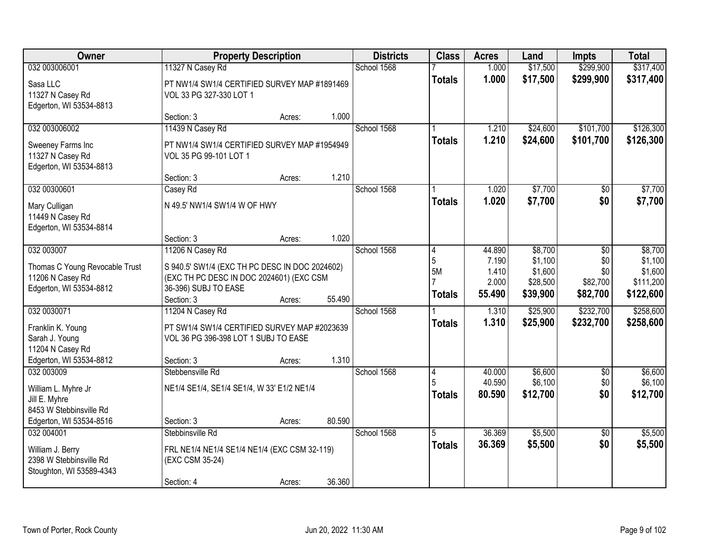| Owner                                                            |                                                                        | <b>Property Description</b> |        | <b>Districts</b> | <b>Class</b>  | <b>Acres</b>   | Land                 | <b>Impts</b>           | <b>Total</b>           |
|------------------------------------------------------------------|------------------------------------------------------------------------|-----------------------------|--------|------------------|---------------|----------------|----------------------|------------------------|------------------------|
| 032 003006001<br>Sasa LLC                                        | 11327 N Casey Rd<br>PT NW1/4 SW1/4 CERTIFIED SURVEY MAP #1891469       |                             |        | School 1568      | <b>Totals</b> | 1.000<br>1.000 | \$17,500<br>\$17,500 | \$299,900<br>\$299,900 | \$317,400<br>\$317,400 |
| 11327 N Casey Rd<br>Edgerton, WI 53534-8813                      | VOL 33 PG 327-330 LOT 1                                                |                             |        |                  |               |                |                      |                        |                        |
|                                                                  | Section: 3                                                             | Acres:                      | 1.000  |                  |               |                |                      |                        |                        |
| 032 003006002                                                    | 11439 N Casey Rd                                                       |                             |        | School 1568      |               | 1.210          | \$24,600             | \$101,700              | \$126,300              |
| Sweeney Farms Inc<br>11327 N Casey Rd<br>Edgerton, WI 53534-8813 | PT NW1/4 SW1/4 CERTIFIED SURVEY MAP #1954949<br>VOL 35 PG 99-101 LOT 1 |                             |        |                  | <b>Totals</b> | 1.210          | \$24,600             | \$101,700              | \$126,300              |
|                                                                  | Section: 3                                                             | Acres:                      | 1.210  |                  |               |                |                      |                        |                        |
| 032 00300601                                                     | Casey Rd                                                               |                             |        | School 1568      |               | 1.020          | \$7,700              | \$0                    | \$7,700                |
| Mary Culligan<br>11449 N Casey Rd<br>Edgerton, WI 53534-8814     | N 49.5' NW1/4 SW1/4 W OF HWY                                           |                             |        |                  | <b>Totals</b> | 1.020          | \$7,700              | \$0                    | \$7,700                |
|                                                                  | Section: 3                                                             | Acres:                      | 1.020  |                  |               |                |                      |                        |                        |
| 032 003007                                                       | 11206 N Casey Rd                                                       |                             |        | School 1568      | 4             | 44.890         | \$8,700              | $\sqrt[6]{3}$          | \$8,700                |
| Thomas C Young Revocable Trust                                   | S 940.5' SW1/4 (EXC TH PC DESC IN DOC 2024602)                         |                             |        |                  | 5             | 7.190          | \$1,100              | \$0                    | \$1,100                |
| 11206 N Casey Rd                                                 | (EXC TH PC DESC IN DOC 2024601) (EXC CSM                               |                             |        |                  | <b>5M</b>     | 1.410<br>2.000 | \$1,600<br>\$28,500  | \$0<br>\$82,700        | \$1,600<br>\$111,200   |
| Edgerton, WI 53534-8812                                          | 36-396) SUBJ TO EASE                                                   |                             |        |                  | <b>Totals</b> | 55.490         | \$39,900             | \$82,700               | \$122,600              |
|                                                                  | Section: 3                                                             | Acres:                      | 55.490 |                  |               |                |                      |                        |                        |
| 032 0030071                                                      | 11204 N Casey Rd                                                       |                             |        | School 1568      |               | 1.310          | \$25,900             | \$232,700              | \$258,600              |
| Franklin K. Young                                                | PT SW1/4 SW1/4 CERTIFIED SURVEY MAP #2023639                           |                             |        |                  | <b>Totals</b> | 1.310          | \$25,900             | \$232,700              | \$258,600              |
| Sarah J. Young                                                   | VOL 36 PG 396-398 LOT 1 SUBJ TO EASE                                   |                             |        |                  |               |                |                      |                        |                        |
| 11204 N Casey Rd<br>Edgerton, WI 53534-8812                      | Section: 3                                                             |                             | 1.310  |                  |               |                |                      |                        |                        |
| 032 003009                                                       | Stebbensville Rd                                                       | Acres:                      |        | School 1568      | 4             | 40.000         | \$6,600              | $\sqrt{6}$             | \$6,600                |
|                                                                  |                                                                        |                             |        |                  |               | 40.590         | \$6,100              | \$0                    | \$6,100                |
| William L. Myhre Jr                                              | NE1/4 SE1/4, SE1/4 SE1/4, W 33' E1/2 NE1/4                             |                             |        |                  | <b>Totals</b> | 80.590         | \$12,700             | \$0                    | \$12,700               |
| Jill E. Myhre<br>8453 W Stebbinsville Rd                         |                                                                        |                             |        |                  |               |                |                      |                        |                        |
| Edgerton, WI 53534-8516                                          | Section: 3                                                             | Acres:                      | 80.590 |                  |               |                |                      |                        |                        |
| 032 004001                                                       | Stebbinsville Rd                                                       |                             |        | School 1568      | 5             | 36.369         | \$5,500              | $\overline{30}$        | \$5,500                |
| William J. Berry                                                 | FRL NE1/4 NE1/4 SE1/4 NE1/4 (EXC CSM 32-119)                           |                             |        |                  | <b>Totals</b> | 36.369         | \$5,500              | \$0                    | \$5,500                |
| 2398 W Stebbinsville Rd                                          | (EXC CSM 35-24)                                                        |                             |        |                  |               |                |                      |                        |                        |
| Stoughton, WI 53589-4343                                         |                                                                        |                             |        |                  |               |                |                      |                        |                        |
|                                                                  | Section: 4                                                             | Acres:                      | 36.360 |                  |               |                |                      |                        |                        |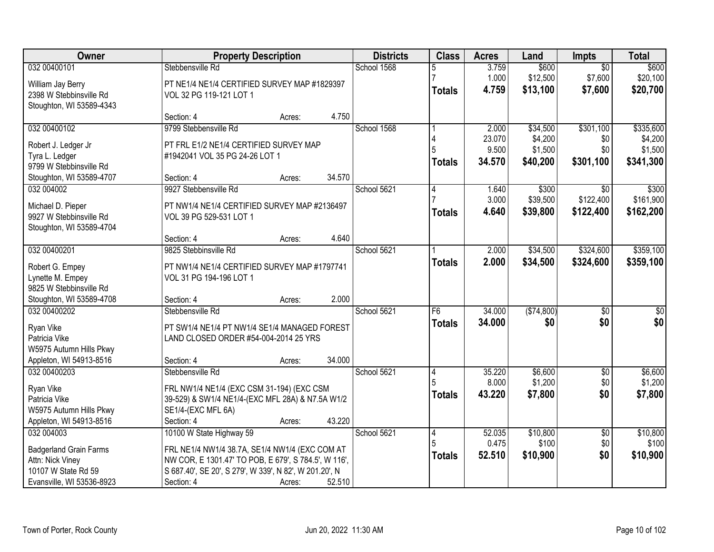| Owner                                       | <b>Property Description</b>                            | <b>Districts</b> | <b>Class</b>  | <b>Acres</b>    | Land               | <b>Impts</b>      | <b>Total</b>       |
|---------------------------------------------|--------------------------------------------------------|------------------|---------------|-----------------|--------------------|-------------------|--------------------|
| 032 00400101                                | Stebbensville Rd                                       | School 1568      | 5             | 3.759           | \$600              | $\overline{50}$   | \$600              |
| William Jay Berry                           | PT NE1/4 NE1/4 CERTIFIED SURVEY MAP #1829397           |                  |               | 1.000           | \$12,500           | \$7,600           | \$20,100           |
| 2398 W Stebbinsville Rd                     | VOL 32 PG 119-121 LOT 1                                |                  | <b>Totals</b> | 4.759           | \$13,100           | \$7,600           | \$20,700           |
| Stoughton, WI 53589-4343                    |                                                        |                  |               |                 |                    |                   |                    |
|                                             | 4.750<br>Section: 4<br>Acres:                          |                  |               |                 |                    |                   |                    |
| 032 00400102                                | 9799 Stebbensville Rd                                  | School 1568      |               | 2.000           | \$34,500           | \$301,100         | \$335,600          |
| Robert J. Ledger Jr                         | PT FRL E1/2 NE1/4 CERTIFIED SURVEY MAP                 |                  |               | 23.070          | \$4,200            | \$0               | \$4,200            |
| Tyra L. Ledger                              | #1942041 VOL 35 PG 24-26 LOT 1                         |                  |               | 9.500           | \$1,500            | \$0               | \$1,500            |
| 9799 W Stebbinsville Rd                     |                                                        |                  | <b>Totals</b> | 34.570          | \$40,200           | \$301,100         | \$341,300          |
| Stoughton, WI 53589-4707                    | 34.570<br>Section: 4<br>Acres:                         |                  |               |                 |                    |                   |                    |
| 032 004002                                  | 9927 Stebbensville Rd                                  | School 5621      | 4             | 1.640           | \$300              | \$0               | \$300              |
| Michael D. Pieper                           | PT NW1/4 NE1/4 CERTIFIED SURVEY MAP #2136497           |                  |               | 3.000           | \$39,500           | \$122,400         | \$161,900          |
| 9927 W Stebbinsville Rd                     | VOL 39 PG 529-531 LOT 1                                |                  | Totals        | 4.640           | \$39,800           | \$122,400         | \$162,200          |
| Stoughton, WI 53589-4704                    |                                                        |                  |               |                 |                    |                   |                    |
|                                             | 4.640<br>Section: 4<br>Acres:                          |                  |               |                 |                    |                   |                    |
| 032 00400201                                | 9825 Stebbinsville Rd                                  | School 5621      |               | 2.000           | \$34,500           | \$324,600         | \$359,100          |
|                                             |                                                        |                  | <b>Totals</b> | 2.000           | \$34,500           | \$324,600         | \$359,100          |
| Robert G. Empey                             | PT NW1/4 NE1/4 CERTIFIED SURVEY MAP #1797741           |                  |               |                 |                    |                   |                    |
| Lynette M. Empey<br>9825 W Stebbinsville Rd | VOL 31 PG 194-196 LOT 1                                |                  |               |                 |                    |                   |                    |
| Stoughton, WI 53589-4708                    | 2.000<br>Section: 4<br>Acres:                          |                  |               |                 |                    |                   |                    |
| 032 00400202                                | Stebbensville Rd                                       | School 5621      | F6            | 34.000          | (\$74,800)         | $\overline{30}$   | $\overline{30}$    |
|                                             |                                                        |                  | <b>Totals</b> | 34.000          | \$0                | \$0               | \$0                |
| Ryan Vike                                   | PT SW1/4 NE1/4 PT NW1/4 SE1/4 MANAGED FOREST           |                  |               |                 |                    |                   |                    |
| Patricia Vike                               | LAND CLOSED ORDER #54-004-2014 25 YRS                  |                  |               |                 |                    |                   |                    |
| W5975 Autumn Hills Pkwy                     |                                                        |                  |               |                 |                    |                   |                    |
| Appleton, WI 54913-8516<br>032 00400203     | 34.000<br>Section: 4<br>Acres:                         | School 5621      |               |                 |                    |                   |                    |
|                                             | Stebbensville Rd                                       |                  | 4             | 35.220<br>8.000 | \$6,600<br>\$1,200 | $\sqrt{6}$<br>\$0 | \$6,600<br>\$1,200 |
| Ryan Vike                                   | FRL NW1/4 NE1/4 (EXC CSM 31-194) (EXC CSM              |                  | <b>Totals</b> | 43.220          | \$7,800            | \$0               | \$7,800            |
| Patricia Vike                               | 39-529) & SW1/4 NE1/4-(EXC MFL 28A) & N7.5A W1/2       |                  |               |                 |                    |                   |                    |
| W5975 Autumn Hills Pkwy                     | SE1/4-(EXC MFL 6A)                                     |                  |               |                 |                    |                   |                    |
| Appleton, WI 54913-8516                     | 43.220<br>Section: 4<br>Acres:                         |                  |               |                 |                    |                   |                    |
| 032 004003                                  | 10100 W State Highway 59                               | School 5621      | 4             | 52.035          | \$10,800           | $\overline{50}$   | \$10,800           |
| <b>Badgerland Grain Farms</b>               | FRL NE1/4 NW1/4 38.7A, SE1/4 NW1/4 (EXC COM AT         |                  | 5             | 0.475           | \$100              | \$0               | \$100              |
| Attn: Nick Viney                            | NW COR, E 1301.47' TO POB, E 679', S 784.5', W 116',   |                  | <b>Totals</b> | 52.510          | \$10,900           | \$0               | \$10,900           |
| 10107 W State Rd 59                         | S 687.40', SE 20', S 279', W 339', N 82', W 201.20', N |                  |               |                 |                    |                   |                    |
| Evansville, WI 53536-8923                   | Section: 4<br>52.510<br>Acres:                         |                  |               |                 |                    |                   |                    |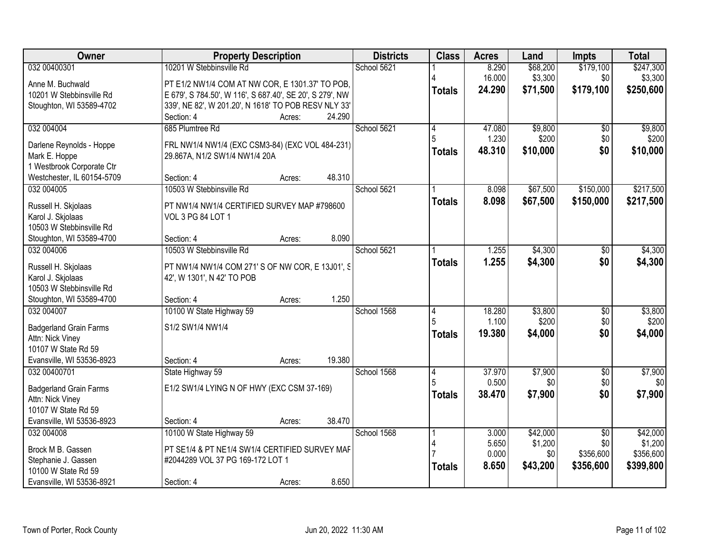| <b>Owner</b>                                     | <b>Property Description</b>                                                    | <b>Districts</b> | <b>Class</b>  | <b>Acres</b> | Land     | <b>Impts</b>    | <b>Total</b> |
|--------------------------------------------------|--------------------------------------------------------------------------------|------------------|---------------|--------------|----------|-----------------|--------------|
| 032 00400301                                     | 10201 W Stebbinsville Rd                                                       | School 5621      |               | 8.290        | \$68,200 | \$179,100       | \$247,300    |
| Anne M. Buchwald                                 | PT E1/2 NW1/4 COM AT NW COR, E 1301.37' TO POB,                                |                  |               | 16.000       | \$3,300  | \$0             | \$3,300      |
| 10201 W Stebbinsville Rd                         | E 679', S 784.50', W 116', S 687.40', SE 20', S 279', NW                       |                  | <b>Totals</b> | 24.290       | \$71,500 | \$179,100       | \$250,600    |
| Stoughton, WI 53589-4702                         | 339', NE 82', W 201.20', N 1618' TO POB RESV NLY 33'                           |                  |               |              |          |                 |              |
|                                                  | Section: 4<br>24.290<br>Acres:                                                 |                  |               |              |          |                 |              |
| 032 004004                                       | 685 Plumtree Rd                                                                | School 5621      | 4             | 47.080       | \$9,800  | \$0             | \$9,800      |
| Darlene Reynolds - Hoppe                         | FRL NW1/4 NW1/4 (EXC CSM3-84) (EXC VOL 484-231)                                |                  |               | 1.230        | \$200    | \$0             | \$200        |
| Mark E. Hoppe                                    | 29.867A, N1/2 SW1/4 NW1/4 20A                                                  |                  | <b>Totals</b> | 48.310       | \$10,000 | \$0             | \$10,000     |
| 1 Westbrook Corporate Ctr                        |                                                                                |                  |               |              |          |                 |              |
| Westchester, IL 60154-5709                       | 48.310<br>Section: 4<br>Acres:                                                 |                  |               |              |          |                 |              |
| 032 004005                                       | 10503 W Stebbinsville Rd                                                       | School 5621      |               | 8.098        | \$67,500 | \$150,000       | \$217,500    |
| Russell H. Skjolaas                              | PT NW1/4 NW1/4 CERTIFIED SURVEY MAP #798600                                    |                  | <b>Totals</b> | 8.098        | \$67,500 | \$150,000       | \$217,500    |
| Karol J. Skjolaas                                | VOL 3 PG 84 LOT 1                                                              |                  |               |              |          |                 |              |
| 10503 W Stebbinsville Rd                         |                                                                                |                  |               |              |          |                 |              |
| Stoughton, WI 53589-4700                         | 8.090<br>Section: 4<br>Acres:                                                  |                  |               |              |          |                 |              |
| 032 004006                                       | 10503 W Stebbinsville Rd                                                       | School 5621      |               | 1.255        | \$4,300  | $\sqrt[6]{}$    | \$4,300      |
|                                                  |                                                                                |                  | <b>Totals</b> | 1.255        | \$4,300  | \$0             | \$4,300      |
| Russell H. Skjolaas<br>Karol J. Skjolaas         | PT NW1/4 NW1/4 COM 271' S OF NW COR, E 13J01', S<br>42', W 1301', N 42' TO POB |                  |               |              |          |                 |              |
| 10503 W Stebbinsville Rd                         |                                                                                |                  |               |              |          |                 |              |
| Stoughton, WI 53589-4700                         | 1.250<br>Section: 4<br>Acres:                                                  |                  |               |              |          |                 |              |
| 032 004007                                       | 10100 W State Highway 59                                                       | School 1568      | 4             | 18.280       | \$3,800  | $\overline{50}$ | \$3,800      |
|                                                  |                                                                                |                  |               | 1.100        | \$200    | \$0             | \$200        |
| <b>Badgerland Grain Farms</b>                    | S1/2 SW1/4 NW1/4                                                               |                  | <b>Totals</b> | 19.380       | \$4,000  | \$0             | \$4,000      |
| Attn: Nick Viney<br>10107 W State Rd 59          |                                                                                |                  |               |              |          |                 |              |
| Evansville, WI 53536-8923                        | 19.380<br>Section: 4<br>Acres:                                                 |                  |               |              |          |                 |              |
| 032 00400701                                     | State Highway 59                                                               | School 1568      | 4             | 37.970       | \$7,900  | $\overline{60}$ | \$7,900      |
|                                                  |                                                                                |                  |               | 0.500        | \$0      | \$0             | \$0          |
| <b>Badgerland Grain Farms</b>                    | E1/2 SW1/4 LYING N OF HWY (EXC CSM 37-169)                                     |                  | <b>Totals</b> | 38.470       | \$7,900  | \$0             | \$7,900      |
| Attn: Nick Viney<br>10107 W State Rd 59          |                                                                                |                  |               |              |          |                 |              |
| Evansville, WI 53536-8923                        | 38.470<br>Section: 4<br>Acres:                                                 |                  |               |              |          |                 |              |
| 032 004008                                       | 10100 W State Highway 59                                                       | School 1568      |               | 3.000        | \$42,000 | $\overline{50}$ | \$42,000     |
|                                                  |                                                                                |                  | 4             | 5.650        | \$1,200  | \$0             | \$1,200      |
| Brock M B. Gassen                                | PT SE1/4 & PT NE1/4 SW1/4 CERTIFIED SURVEY MAF                                 |                  |               | 0.000        | \$0      | \$356,600       | \$356,600    |
| Stephanie J. Gassen                              | #2044289 VOL 37 PG 169-172 LOT 1                                               |                  | <b>Totals</b> | 8.650        | \$43,200 | \$356,600       | \$399,800    |
| 10100 W State Rd 59<br>Evansville, WI 53536-8921 | 8.650<br>Section: 4<br>Acres:                                                  |                  |               |              |          |                 |              |
|                                                  |                                                                                |                  |               |              |          |                 |              |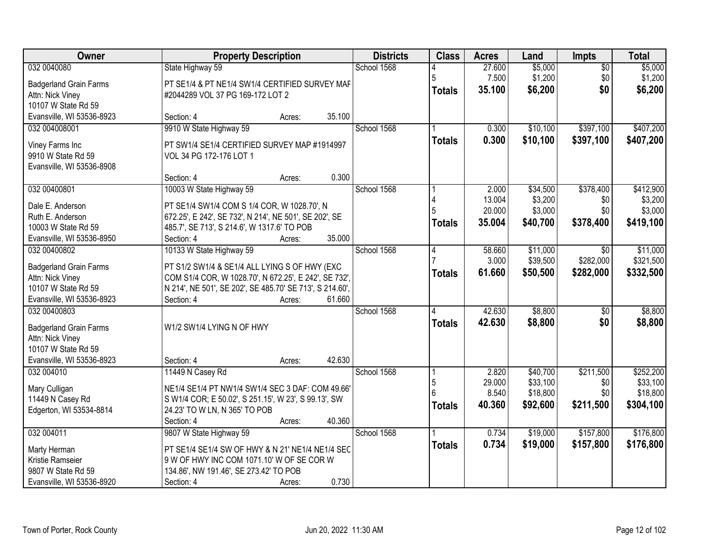| Owner                             | <b>Property Description</b>                                                                              | <b>Districts</b> | <b>Class</b>   | <b>Acres</b> | Land     | Impts           | <b>Total</b> |
|-----------------------------------|----------------------------------------------------------------------------------------------------------|------------------|----------------|--------------|----------|-----------------|--------------|
| 032 0040080                       | State Highway 59                                                                                         | School 1568      |                | 27.600       | \$5,000  | $\overline{50}$ | \$5,000      |
| <b>Badgerland Grain Farms</b>     | PT SE1/4 & PT NE1/4 SW1/4 CERTIFIED SURVEY MAF                                                           |                  | 5              | 7.500        | \$1,200  | \$0             | \$1,200      |
| Attn: Nick Viney                  | #2044289 VOL 37 PG 169-172 LOT 2                                                                         |                  | <b>Totals</b>  | 35.100       | \$6,200  | \$0             | \$6,200      |
| 10107 W State Rd 59               |                                                                                                          |                  |                |              |          |                 |              |
| Evansville, WI 53536-8923         | 35.100<br>Section: 4<br>Acres:                                                                           |                  |                |              |          |                 |              |
| 032 004008001                     | 9910 W State Highway 59                                                                                  | School 1568      |                | 0.300        | \$10,100 | \$397,100       | \$407,200    |
| Viney Farms Inc                   | PT SW1/4 SE1/4 CERTIFIED SURVEY MAP #1914997                                                             |                  | <b>Totals</b>  | 0.300        | \$10,100 | \$397,100       | \$407,200    |
| 9910 W State Rd 59                | VOL 34 PG 172-176 LOT 1                                                                                  |                  |                |              |          |                 |              |
| Evansville, WI 53536-8908         |                                                                                                          |                  |                |              |          |                 |              |
|                                   | 0.300<br>Section: 4<br>Acres:                                                                            |                  |                |              |          |                 |              |
| 032 00400801                      | 10003 W State Highway 59                                                                                 | School 1568      |                | 2.000        | \$34,500 | \$378,400       | \$412,900    |
| Dale E. Anderson                  | PT SE1/4 SW1/4 COM S 1/4 COR, W 1028.70', N                                                              |                  |                | 13.004       | \$3,200  | \$0             | \$3,200      |
| Ruth E. Anderson                  | 672.25', E 242', SE 732', N 214', NE 501', SE 202', SE                                                   |                  |                | 20.000       | \$3,000  | \$0             | \$3,000      |
| 10003 W State Rd 59               | 485.7', SE 713', S 214.6', W 1317.6' TO POB                                                              |                  | <b>Totals</b>  | 35.004       | \$40,700 | \$378,400       | \$419,100    |
| Evansville, WI 53536-8950         | Section: 4<br>35.000<br>Acres:                                                                           |                  |                |              |          |                 |              |
| 032 00400802                      | 10133 W State Highway 59                                                                                 | School 1568      | $\overline{4}$ | 58.660       | \$11,000 | $\sqrt{6}$      | \$11,000     |
| <b>Badgerland Grain Farms</b>     | PT S1/2 SW1/4 & SE1/4 ALL LYING S OF HWY (EXC                                                            |                  |                | 3.000        | \$39,500 | \$282,000       | \$321,500    |
| Attn: Nick Viney                  | COM S1/4 COR, W 1028.70', N 672.25', E 242', SE 732',                                                    |                  | <b>Totals</b>  | 61.660       | \$50,500 | \$282,000       | \$332,500    |
| 10107 W State Rd 59               | N 214', NE 501', SE 202', SE 485.70' SE 713', S 214.60',                                                 |                  |                |              |          |                 |              |
| Evansville, WI 53536-8923         | 61.660<br>Section: 4<br>Acres:                                                                           |                  |                |              |          |                 |              |
| 032 00400803                      |                                                                                                          | School 1568      | 4              | 42.630       | \$8,800  | $\overline{50}$ | \$8,800      |
| <b>Badgerland Grain Farms</b>     | W1/2 SW1/4 LYING N OF HWY                                                                                |                  | <b>Totals</b>  | 42.630       | \$8,800  | \$0             | \$8,800      |
| Attn: Nick Viney                  |                                                                                                          |                  |                |              |          |                 |              |
| 10107 W State Rd 59               |                                                                                                          |                  |                |              |          |                 |              |
| Evansville, WI 53536-8923         | 42.630<br>Section: 4<br>Acres:                                                                           |                  |                |              |          |                 |              |
| 032 004010                        | 11449 N Casey Rd                                                                                         | School 1568      |                | 2.820        | \$40,700 | \$211,500       | \$252,200    |
|                                   |                                                                                                          |                  | 5              | 29.000       | \$33,100 | \$0             | \$33,100     |
| Mary Culligan<br>11449 N Casey Rd | NE1/4 SE1/4 PT NW1/4 SW1/4 SEC 3 DAF: COM 49.66'<br>S W1/4 COR; E 50.02', S 251.15', W 23', S 99.13', SW |                  |                | 8.540        | \$18,800 | \$0             | \$18,800     |
| Edgerton, WI 53534-8814           | 24.23' TO W LN, N 365' TO POB                                                                            |                  | <b>Totals</b>  | 40.360       | \$92,600 | \$211,500       | \$304,100    |
|                                   | 40.360<br>Section: 4<br>Acres:                                                                           |                  |                |              |          |                 |              |
| 032 004011                        | 9807 W State Highway 59                                                                                  | School 1568      |                | 0.734        | \$19,000 | \$157,800       | \$176,800    |
|                                   |                                                                                                          |                  | <b>Totals</b>  | 0.734        | \$19,000 | \$157,800       | \$176,800    |
| Marty Herman<br>Kristie Ramseier  | PT SE1/4 SE1/4 SW OF HWY & N 21' NE1/4 NE1/4 SEC<br>9 W OF HWY INC COM 1071.10' W OF SE COR W            |                  |                |              |          |                 |              |
| 9807 W State Rd 59                | 134.86', NW 191.46', SE 273.42' TO POB                                                                   |                  |                |              |          |                 |              |
| Evansville, WI 53536-8920         | 0.730<br>Section: 4<br>Acres:                                                                            |                  |                |              |          |                 |              |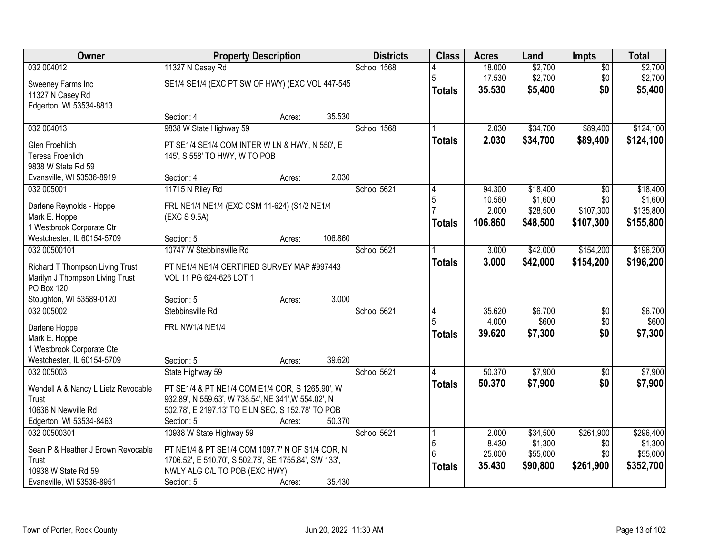| Owner                               | <b>Property Description</b>                           |        |         | <b>Districts</b> | <b>Class</b>   | <b>Acres</b> | Land     | Impts           | <b>Total</b> |
|-------------------------------------|-------------------------------------------------------|--------|---------|------------------|----------------|--------------|----------|-----------------|--------------|
| 032 004012                          | 11327 N Casey Rd                                      |        |         | School 1568      |                | 18.000       | \$2,700  | $\overline{50}$ | \$2,700      |
| Sweeney Farms Inc                   | SE1/4 SE1/4 (EXC PT SW OF HWY) (EXC VOL 447-545       |        |         |                  | 5              | 17.530       | \$2,700  | \$0             | \$2,700      |
| 11327 N Casey Rd                    |                                                       |        |         |                  | <b>Totals</b>  | 35.530       | \$5,400  | \$0             | \$5,400      |
| Edgerton, WI 53534-8813             |                                                       |        |         |                  |                |              |          |                 |              |
|                                     | Section: 4                                            | Acres: | 35.530  |                  |                |              |          |                 |              |
| 032 004013                          | 9838 W State Highway 59                               |        |         | School 1568      |                | 2.030        | \$34,700 | \$89,400        | \$124,100    |
| Glen Froehlich                      | PT SE1/4 SE1/4 COM INTER W LN & HWY, N 550', E        |        |         |                  | <b>Totals</b>  | 2.030        | \$34,700 | \$89,400        | \$124,100    |
| Teresa Froehlich                    | 145', S 558' TO HWY, W TO POB                         |        |         |                  |                |              |          |                 |              |
| 9838 W State Rd 59                  |                                                       |        |         |                  |                |              |          |                 |              |
| Evansville, WI 53536-8919           | Section: 4                                            | Acres: | 2.030   |                  |                |              |          |                 |              |
| 032 005001                          | 11715 N Riley Rd                                      |        |         | School 5621      |                | 94.300       | \$18,400 | \$0             | \$18,400     |
| Darlene Reynolds - Hoppe            | FRL NE1/4 NE1/4 (EXC CSM 11-624) (S1/2 NE1/4          |        |         |                  | 5              | 10.560       | \$1,600  | \$0             | \$1,600      |
| Mark E. Hoppe                       | (EXC S 9.5A)                                          |        |         |                  |                | 2.000        | \$28,500 | \$107,300       | \$135,800    |
| 1 Westbrook Corporate Ctr           |                                                       |        |         |                  | <b>Totals</b>  | 106.860      | \$48,500 | \$107,300       | \$155,800    |
| Westchester, IL 60154-5709          | Section: 5                                            | Acres: | 106.860 |                  |                |              |          |                 |              |
| 032 00500101                        | 10747 W Stebbinsville Rd                              |        |         | School 5621      |                | 3.000        | \$42,000 | \$154,200       | \$196,200    |
| Richard T Thompson Living Trust     | PT NE1/4 NE1/4 CERTIFIED SURVEY MAP #997443           |        |         |                  | <b>Totals</b>  | 3.000        | \$42,000 | \$154,200       | \$196,200    |
| Marilyn J Thompson Living Trust     | VOL 11 PG 624-626 LOT 1                               |        |         |                  |                |              |          |                 |              |
| PO Box 120                          |                                                       |        |         |                  |                |              |          |                 |              |
| Stoughton, WI 53589-0120            | Section: 5                                            | Acres: | 3.000   |                  |                |              |          |                 |              |
| 032 005002                          | Stebbinsville Rd                                      |        |         | School 5621      | $\overline{4}$ | 35.620       | \$6,700  | $\overline{50}$ | \$6,700      |
| Darlene Hoppe                       | FRL NW1/4 NE1/4                                       |        |         |                  | 5              | 4.000        | \$600    | \$0             | \$600        |
| Mark E. Hoppe                       |                                                       |        |         |                  | <b>Totals</b>  | 39.620       | \$7,300  | \$0             | \$7,300      |
| 1 Westbrook Corporate Cte           |                                                       |        |         |                  |                |              |          |                 |              |
| Westchester, IL 60154-5709          | Section: 5                                            | Acres: | 39.620  |                  |                |              |          |                 |              |
| 032 005003                          | State Highway 59                                      |        |         | School 5621      |                | 50.370       | \$7,900  | $\overline{60}$ | \$7,900      |
| Wendell A & Nancy L Lietz Revocable | PT SE1/4 & PT NE1/4 COM E1/4 COR, S 1265.90', W       |        |         |                  | <b>Totals</b>  | 50.370       | \$7,900  | \$0             | \$7,900      |
| Trust                               | 932.89', N 559.63', W 738.54', NE 341', W 554.02', N  |        |         |                  |                |              |          |                 |              |
| 10636 N Newville Rd                 | 502.78', E 2197.13' TO E LN SEC, S 152.78' TO POB     |        |         |                  |                |              |          |                 |              |
| Edgerton, WI 53534-8463             | Section: 5                                            | Acres: | 50.370  |                  |                |              |          |                 |              |
| 032 00500301                        | 10938 W State Highway 59                              |        |         | School 5621      |                | 2.000        | \$34,500 | \$261,900       | \$296,400    |
| Sean P & Heather J Brown Revocable  | PT NE1/4 & PT SE1/4 COM 1097.7' N OF S1/4 COR, N      |        |         |                  | 5              | 8.430        | \$1,300  | \$0             | \$1,300      |
| Trust                               | 1706.52', E 510.70', S 502.78', SE 1755.84', SW 133', |        |         |                  | 6              | 25.000       | \$55,000 | \$0             | \$55,000     |
| 10938 W State Rd 59                 | NWLY ALG C/L TO POB (EXC HWY)                         |        |         |                  | <b>Totals</b>  | 35.430       | \$90,800 | \$261,900       | \$352,700    |
| Evansville, WI 53536-8951           | Section: 5                                            | Acres: | 35.430  |                  |                |              |          |                 |              |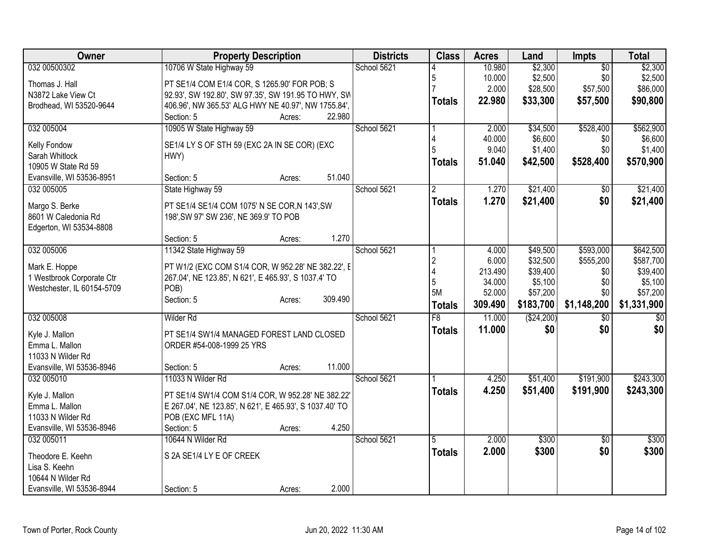| Owner                            | <b>Property Description</b>                             | <b>Districts</b> | <b>Class</b>   | <b>Acres</b> | Land         | <b>Impts</b>    | <b>Total</b> |
|----------------------------------|---------------------------------------------------------|------------------|----------------|--------------|--------------|-----------------|--------------|
| 032 00500302                     | 10706 W State Highway 59                                | School 5621      |                | 10.980       | \$2,300      | $\overline{50}$ | \$2,300      |
| Thomas J. Hall                   | PT SE1/4 COM E1/4 COR, S 1265.90' FOR POB; S            |                  | 5              | 10.000       | \$2,500      | \$0             | \$2,500      |
| N3872 Lake View Ct               | 92.93', SW 192.80', SW 97.35', SW 191.95 TO HWY, SW     |                  |                | 2.000        | \$28,500     | \$57,500        | \$86,000     |
| Brodhead, WI 53520-9644          | 406.96', NW 365.53' ALG HWY NE 40.97', NW 1755.84',     |                  | <b>Totals</b>  | 22.980       | \$33,300     | \$57,500        | \$90,800     |
|                                  | 22.980<br>Section: 5<br>Acres:                          |                  |                |              |              |                 |              |
| 032 005004                       | 10905 W State Highway 59                                | School 5621      |                | 2.000        | \$34,500     | \$528,400       | \$562,900    |
|                                  |                                                         |                  |                | 40.000       | \$6,600      | \$0             | \$6,600      |
| Kelly Fondow                     | SE1/4 LY S OF STH 59 (EXC 2A IN SE COR) (EXC            |                  | 5              | 9.040        | \$1,400      | \$0             | \$1,400      |
| Sarah Whitlock                   | HWY)                                                    |                  | <b>Totals</b>  | 51.040       | \$42,500     | \$528,400       | \$570,900    |
| 10905 W State Rd 59              |                                                         |                  |                |              |              |                 |              |
| Evansville, WI 53536-8951        | 51.040<br>Section: 5<br>Acres:                          |                  |                |              |              |                 |              |
| 032 005005                       | State Highway 59                                        | School 5621      | $\mathfrak{p}$ | 1.270        | \$21,400     | $\sqrt{6}$      | \$21,400     |
| Margo S. Berke                   | PT SE1/4 SE1/4 COM 1075' N SE COR, N 143', SW           |                  | <b>Totals</b>  | 1.270        | \$21,400     | \$0             | \$21,400     |
| 8601 W Caledonia Rd              | 198', SW 97' SW 236', NE 369.9' TO POB                  |                  |                |              |              |                 |              |
| Edgerton, WI 53534-8808          |                                                         |                  |                |              |              |                 |              |
|                                  | 1.270<br>Section: 5<br>Acres:                           |                  |                |              |              |                 |              |
| 032 005006                       | 11342 State Highway 59                                  | School 5621      |                | 4.000        | \$49,500     | \$593,000       | \$642,500    |
| Mark E. Hoppe                    | PT W1/2 (EXC COM S1/4 COR, W 952.28' NE 382.22', E      |                  | $\overline{2}$ | 6.000        | \$32,500     | \$555,200       | \$587,700    |
| 1 Westbrook Corporate Ctr        | 267.04', NE 123.85', N 621', E 465.93', S 1037.4' TO    |                  |                | 213.490      | \$39,400     | \$0             | \$39,400     |
| Westchester, IL 60154-5709       | POB)                                                    |                  | 5              | 34.000       | \$5,100      | \$0             | \$5,100      |
|                                  | Section: 5<br>309.490<br>Acres:                         |                  | <b>5M</b>      | 52.000       | \$57,200     | \$0             | \$57,200     |
|                                  |                                                         |                  | <b>Totals</b>  | 309.490      | \$183,700    | \$1,148,200     | \$1,331,900  |
| 032 005008                       | Wilder Rd                                               | School 5621      | F8             | 11.000       | ( \$24, 200) | $\overline{30}$ | \$0          |
| Kyle J. Mallon                   | PT SE1/4 SW1/4 MANAGED FOREST LAND CLOSED               |                  | <b>Totals</b>  | 11.000       | \$0          | \$0             | \$0          |
| Emma L. Mallon                   | ORDER #54-008-1999 25 YRS                               |                  |                |              |              |                 |              |
| 11033 N Wilder Rd                |                                                         |                  |                |              |              |                 |              |
| Evansville, WI 53536-8946        | 11.000<br>Section: 5<br>Acres:                          |                  |                |              |              |                 |              |
| 032 005010                       | 11033 N Wilder Rd                                       | School 5621      |                | 4.250        | \$51,400     | \$191,900       | \$243,300    |
|                                  |                                                         |                  | <b>Totals</b>  | 4.250        | \$51,400     | \$191,900       | \$243,300    |
| Kyle J. Mallon<br>Emma L. Mallon | PT SE1/4 SW1/4 COM S1/4 COR, W 952.28' NE 382.22'       |                  |                |              |              |                 |              |
| 11033 N Wilder Rd                | E 267.04', NE 123.85', N 621', E 465.93', S 1037.40' TO |                  |                |              |              |                 |              |
| Evansville, WI 53536-8946        | POB (EXC MFL 11A)<br>4.250<br>Section: 5<br>Acres:      |                  |                |              |              |                 |              |
| 032 005011                       | 10644 N Wilder Rd                                       | School 5621      | 5              | 2.000        | \$300        | \$0             | \$300        |
|                                  |                                                         |                  |                | 2.000        | \$300        | \$0             | \$300        |
| Theodore E. Keehn                | S 2A SE1/4 LY E OF CREEK                                |                  | <b>Totals</b>  |              |              |                 |              |
| Lisa S. Keehn                    |                                                         |                  |                |              |              |                 |              |
| 10644 N Wilder Rd                |                                                         |                  |                |              |              |                 |              |
| Evansville, WI 53536-8944        | 2.000<br>Section: 5<br>Acres:                           |                  |                |              |              |                 |              |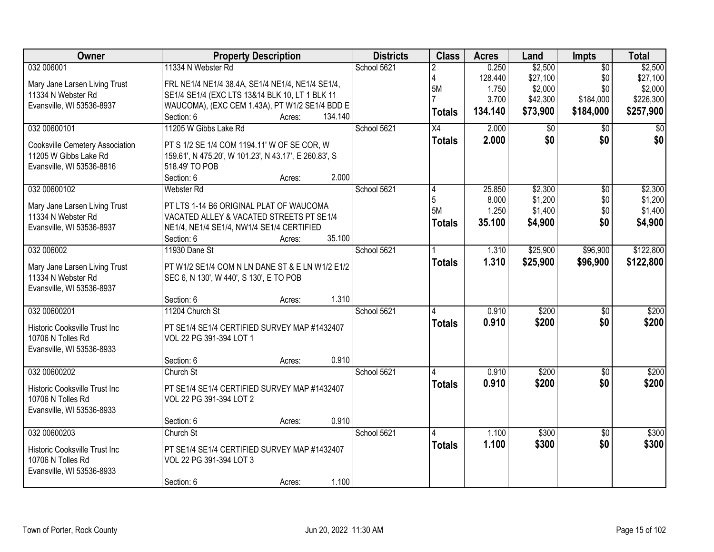| Owner                                           | <b>Property Description</b>                                                 | <b>Districts</b> | <b>Class</b>    | <b>Acres</b> | Land     | <b>Impts</b>    | <b>Total</b> |
|-------------------------------------------------|-----------------------------------------------------------------------------|------------------|-----------------|--------------|----------|-----------------|--------------|
| 032 006001                                      | 11334 N Webster Rd                                                          | School 5621      |                 | 0.250        | \$2,500  | $\overline{50}$ | \$2,500      |
| Mary Jane Larsen Living Trust                   | FRL NE1/4 NE1/4 38.4A, SE1/4 NE1/4, NE1/4 SE1/4,                            |                  | 4               | 128.440      | \$27,100 | \$0             | \$27,100     |
| 11334 N Webster Rd                              | SE1/4 SE1/4 (EXC LTS 13&14 BLK 10, LT 1 BLK 11                              |                  | 5M              | 1.750        | \$2,000  | \$0             | \$2,000      |
| Evansville, WI 53536-8937                       | WAUCOMA), (EXC CEM 1.43A), PT W1/2 SE1/4 BDD E                              |                  |                 | 3.700        | \$42,300 | \$184,000       | \$226,300    |
|                                                 | 134.140<br>Section: 6<br>Acres:                                             |                  | <b>Totals</b>   | 134.140      | \$73,900 | \$184,000       | \$257,900    |
| 032 00600101                                    | 11205 W Gibbs Lake Rd                                                       | School 5621      | $\overline{X4}$ | 2.000        | \$0      | $\overline{50}$ | \$0          |
| Cooksville Cemetery Association                 | PT S 1/2 SE 1/4 COM 1194.11' W OF SE COR, W                                 |                  | <b>Totals</b>   | 2.000        | \$0      | \$0             | \$0          |
| 11205 W Gibbs Lake Rd                           | 159.61', N 475.20', W 101.23', N 43.17', E 260.83', S                       |                  |                 |              |          |                 |              |
| Evansville, WI 53536-8816                       | 518.49' TO POB                                                              |                  |                 |              |          |                 |              |
|                                                 | 2.000<br>Section: 6<br>Acres:                                               |                  |                 |              |          |                 |              |
| 032 00600102                                    | Webster Rd                                                                  | School 5621      |                 | 25.850       | \$2,300  | \$0             | \$2,300      |
|                                                 |                                                                             |                  | 5               | 8.000        | \$1,200  | \$0             | \$1,200      |
| Mary Jane Larsen Living Trust                   | PT LTS 1-14 B6 ORIGINAL PLAT OF WAUCOMA                                     |                  | 5M              | 1.250        | \$1,400  | \$0             | \$1,400      |
| 11334 N Webster Rd<br>Evansville, WI 53536-8937 | VACATED ALLEY & VACATED STREETS PT SE1/4                                    |                  | <b>Totals</b>   | 35.100       | \$4,900  | \$0             | \$4,900      |
|                                                 | NE1/4, NE1/4 SE1/4, NW1/4 SE1/4 CERTIFIED<br>35.100<br>Section: 6<br>Acres: |                  |                 |              |          |                 |              |
| 032 006002                                      | 11930 Dane St                                                               | School 5621      |                 | 1.310        | \$25,900 | \$96,900        | \$122,800    |
|                                                 |                                                                             |                  |                 | 1.310        |          |                 |              |
| Mary Jane Larsen Living Trust                   | PT W1/2 SE1/4 COM N LN DANE ST & E LN W1/2 E1/2                             |                  | <b>Totals</b>   |              | \$25,900 | \$96,900        | \$122,800    |
| 11334 N Webster Rd                              | SEC 6, N 130', W 440', S 130', E TO POB                                     |                  |                 |              |          |                 |              |
| Evansville, WI 53536-8937                       |                                                                             |                  |                 |              |          |                 |              |
|                                                 | 1.310<br>Section: 6<br>Acres:                                               |                  |                 |              |          |                 |              |
| 032 00600201                                    | 11204 Church St                                                             | School 5621      |                 | 0.910        | \$200    | $\overline{50}$ | \$200        |
| Historic Cooksville Trust Inc                   | PT SE1/4 SE1/4 CERTIFIED SURVEY MAP #1432407                                |                  | <b>Totals</b>   | 0.910        | \$200    | \$0             | \$200        |
| 10706 N Tolles Rd                               | VOL 22 PG 391-394 LOT 1                                                     |                  |                 |              |          |                 |              |
| Evansville, WI 53536-8933                       |                                                                             |                  |                 |              |          |                 |              |
|                                                 | 0.910<br>Section: 6<br>Acres:                                               |                  |                 |              |          |                 |              |
| 032 00600202                                    | Church St                                                                   | School 5621      |                 | 0.910        | \$200    | $\overline{50}$ | \$200        |
| Historic Cooksville Trust Inc                   | PT SE1/4 SE1/4 CERTIFIED SURVEY MAP #1432407                                |                  | <b>Totals</b>   | 0.910        | \$200    | \$0             | \$200        |
| 10706 N Tolles Rd                               | VOL 22 PG 391-394 LOT 2                                                     |                  |                 |              |          |                 |              |
| Evansville, WI 53536-8933                       |                                                                             |                  |                 |              |          |                 |              |
|                                                 | 0.910<br>Section: 6<br>Acres:                                               |                  |                 |              |          |                 |              |
| 032 00600203                                    | Church St                                                                   | School 5621      |                 | 1.100        | \$300    | $\overline{30}$ | \$300        |
|                                                 |                                                                             |                  | <b>Totals</b>   | 1.100        | \$300    | \$0             | \$300        |
| Historic Cooksville Trust Inc                   | PT SE1/4 SE1/4 CERTIFIED SURVEY MAP #1432407                                |                  |                 |              |          |                 |              |
| 10706 N Tolles Rd<br>Evansville, WI 53536-8933  | VOL 22 PG 391-394 LOT 3                                                     |                  |                 |              |          |                 |              |
|                                                 | 1.100<br>Section: 6<br>Acres:                                               |                  |                 |              |          |                 |              |
|                                                 |                                                                             |                  |                 |              |          |                 |              |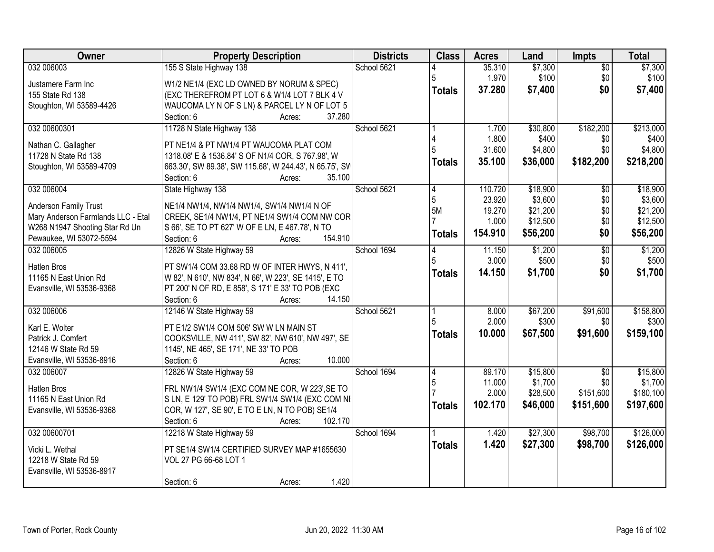| Owner                                | <b>Property Description</b>                                                                 | <b>Districts</b> | <b>Class</b>  | <b>Acres</b> | Land     | <b>Impts</b>    | <b>Total</b> |
|--------------------------------------|---------------------------------------------------------------------------------------------|------------------|---------------|--------------|----------|-----------------|--------------|
| 032 006003                           | 155 S State Highway 138                                                                     | School 5621      |               | 35.310       | \$7,300  | $\overline{30}$ | \$7,300      |
| Justamere Farm Inc                   | W1/2 NE1/4 (EXC LD OWNED BY NORUM & SPEC)                                                   |                  | 5             | 1.970        | \$100    | \$0             | \$100        |
| 155 State Rd 138                     | (EXC THEREFROM PT LOT 6 & W1/4 LOT 7 BLK 4 V                                                |                  | <b>Totals</b> | 37.280       | \$7,400  | \$0             | \$7,400      |
| Stoughton, WI 53589-4426             | WAUCOMA LY N OF S LN) & PARCEL LY N OF LOT 5                                                |                  |               |              |          |                 |              |
|                                      | 37.280<br>Section: 6<br>Acres:                                                              |                  |               |              |          |                 |              |
| 032 00600301                         | 11728 N State Highway 138                                                                   | School 5621      |               | 1.700        | \$30,800 | \$182,200       | \$213,000    |
|                                      |                                                                                             |                  |               | 1.800        | \$400    | \$0             | \$400        |
| Nathan C. Gallagher                  | PT NE1/4 & PT NW1/4 PT WAUCOMA PLAT COM                                                     |                  |               | 31.600       | \$4,800  | \$0             | \$4,800      |
| 11728 N State Rd 138                 | 1318.08' E & 1536.84' S OF N1/4 COR, S 767.98', W                                           |                  | <b>Totals</b> | 35.100       | \$36,000 | \$182,200       | \$218,200    |
| Stoughton, WI 53589-4709             | 663.30', SW 89.38', SW 115.68', W 244.43', N 65.75', SV<br>35.100<br>Section: 6<br>Acres:   |                  |               |              |          |                 |              |
| 032 006004                           | State Highway 138                                                                           | School 5621      | 4             | 110.720      | \$18,900 | \$0             | \$18,900     |
|                                      |                                                                                             |                  | 5             | 23.920       | \$3,600  | \$0             | \$3,600      |
| Anderson Family Trust                | NE1/4 NW1/4, NW1/4 NW1/4, SW1/4 NW1/4 N OF                                                  |                  | 5M            | 19.270       | \$21,200 | \$0             | \$21,200     |
| Mary Anderson Farmlands LLC - Etal   | CREEK, SE1/4 NW1/4, PT NE1/4 SW1/4 COM NW COR                                               |                  |               | 1.000        | \$12,500 | \$0             | \$12,500     |
| W268 N1947 Shooting Star Rd Un       | S 66', SE TO PT 627' W OF E LN, E 467.78', N TO                                             |                  | <b>Totals</b> | 154.910      | \$56,200 | \$0             | \$56,200     |
| Pewaukee, WI 53072-5594              | 154.910<br>Section: 6<br>Acres:                                                             |                  |               |              |          |                 |              |
| 032 006005                           | 12826 W State Highway 59                                                                    | School 1694      | 4             | 11.150       | \$1,200  | \$0             | \$1,200      |
| <b>Hatlen Bros</b>                   | PT SW1/4 COM 33.68 RD W OF INTER HWYS, N 411',                                              |                  |               | 3.000        | \$500    | \$0             | \$500        |
| 11165 N East Union Rd                | W 82', N 610', NW 834', N 66', W 223', SE 1415', E TO                                       |                  | <b>Totals</b> | 14.150       | \$1,700  | \$0             | \$1,700      |
| Evansville, WI 53536-9368            | PT 200' N OF RD, E 858', S 171' E 33' TO POB (EXC                                           |                  |               |              |          |                 |              |
|                                      | Section: 6<br>14.150<br>Acres:                                                              |                  |               |              |          |                 |              |
| 032 006006                           | 12146 W State Highway 59                                                                    | School 5621      |               | 8.000        | \$67,200 | \$91,600        | \$158,800    |
|                                      |                                                                                             |                  |               | 2.000        | \$300    | \$0             | \$300        |
| Karl E. Wolter<br>Patrick J. Comfert | PT E1/2 SW1/4 COM 506' SW W LN MAIN ST<br>COOKSVILLE, NW 411', SW 82', NW 610', NW 497', SE |                  | <b>Totals</b> | 10.000       | \$67,500 | \$91,600        | \$159,100    |
| 12146 W State Rd 59                  | 1145', NE 465', SE 171', NE 33' TO POB                                                      |                  |               |              |          |                 |              |
| Evansville, WI 53536-8916            | Section: 6<br>10.000<br>Acres:                                                              |                  |               |              |          |                 |              |
| 032 006007                           | 12826 W State Highway 59                                                                    | School 1694      | 4             | 89.170       | \$15,800 | $\overline{50}$ | \$15,800     |
|                                      |                                                                                             |                  | 5             | 11.000       | \$1,700  | \$0             | \$1,700      |
| <b>Hatlen Bros</b>                   | FRL NW1/4 SW1/4 (EXC COM NE COR, W 223', SE TO                                              |                  |               | 2.000        | \$28,500 | \$151,600       | \$180,100    |
| 11165 N East Union Rd                | S LN, E 129' TO POB) FRL SW1/4 SW1/4 (EXC COM NI                                            |                  | <b>Totals</b> | 102.170      | \$46,000 | \$151,600       | \$197,600    |
| Evansville, WI 53536-9368            | COR, W 127', SE 90', E TO E LN, N TO POB) SE1/4                                             |                  |               |              |          |                 |              |
|                                      | 102.170<br>Section: 6<br>Acres:                                                             |                  |               |              |          |                 |              |
| 032 00600701                         | 12218 W State Highway 59                                                                    | School 1694      |               | 1.420        | \$27,300 | \$98,700        | \$126,000    |
| Vicki L. Wethal                      | PT SE1/4 SW1/4 CERTIFIED SURVEY MAP #1655630                                                |                  | Totals        | 1.420        | \$27,300 | \$98,700        | \$126,000    |
| 12218 W State Rd 59                  | VOL 27 PG 66-68 LOT 1                                                                       |                  |               |              |          |                 |              |
| Evansville, WI 53536-8917            |                                                                                             |                  |               |              |          |                 |              |
|                                      | 1.420<br>Section: 6<br>Acres:                                                               |                  |               |              |          |                 |              |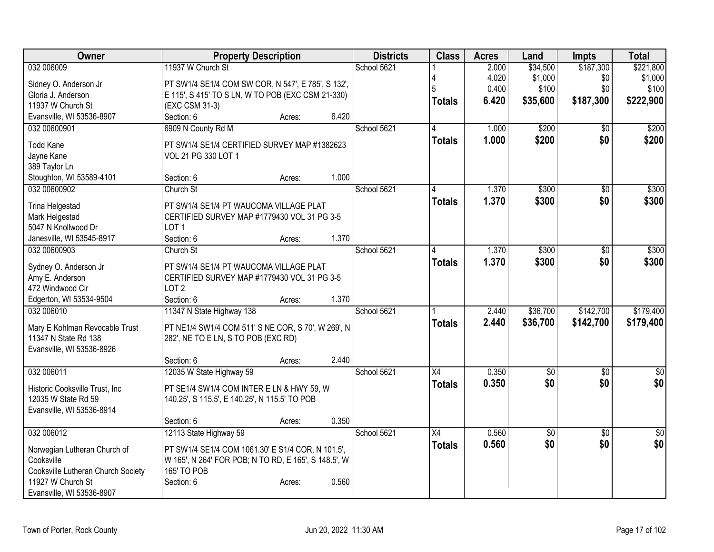| Owner                              | <b>Property Description</b>                                         |        |       | <b>Districts</b> | <b>Class</b>    | <b>Acres</b> | Land            | Impts           | <b>Total</b>    |
|------------------------------------|---------------------------------------------------------------------|--------|-------|------------------|-----------------|--------------|-----------------|-----------------|-----------------|
| 032 006009                         | 11937 W Church St                                                   |        |       | School 5621      |                 | 2.000        | \$34,500        | \$187,300       | \$221,800       |
| Sidney O. Anderson Jr              | PT SW1/4 SE1/4 COM SW COR, N 547', E 785', S 132',                  |        |       |                  |                 | 4.020        | \$1,000         | \$0             | \$1,000         |
| Gloria J. Anderson                 | E 115', S 415' TO S LN, W TO POB (EXC CSM 21-330)                   |        |       |                  |                 | 0.400        | \$100           | \$0             | \$100           |
| 11937 W Church St                  | (EXC CSM 31-3)                                                      |        |       |                  | <b>Totals</b>   | 6.420        | \$35,600        | \$187,300       | \$222,900       |
| Evansville, WI 53536-8907          | Section: 6                                                          | Acres: | 6.420 |                  |                 |              |                 |                 |                 |
| 032 00600901                       | 6909 N County Rd M                                                  |        |       | School 5621      | 4               | 1.000        | \$200           | $\overline{50}$ | \$200           |
|                                    |                                                                     |        |       |                  | <b>Totals</b>   | 1.000        | \$200           | \$0             | \$200           |
| <b>Todd Kane</b>                   | PT SW1/4 SE1/4 CERTIFIED SURVEY MAP #1382623<br>VOL 21 PG 330 LOT 1 |        |       |                  |                 |              |                 |                 |                 |
| Jayne Kane<br>389 Taylor Ln        |                                                                     |        |       |                  |                 |              |                 |                 |                 |
| Stoughton, WI 53589-4101           | Section: 6                                                          | Acres: | 1.000 |                  |                 |              |                 |                 |                 |
| 032 00600902                       | Church St                                                           |        |       | School 5621      |                 | 1.370        | \$300           | \$0             | \$300           |
|                                    |                                                                     |        |       |                  | <b>Totals</b>   | 1.370        | \$300           | \$0             | \$300           |
| Trina Helgestad                    | PT SW1/4 SE1/4 PT WAUCOMA VILLAGE PLAT                              |        |       |                  |                 |              |                 |                 |                 |
| Mark Helgestad                     | CERTIFIED SURVEY MAP #1779430 VOL 31 PG 3-5                         |        |       |                  |                 |              |                 |                 |                 |
| 5047 N Knollwood Dr                | LOT <sub>1</sub>                                                    |        |       |                  |                 |              |                 |                 |                 |
| Janesville, WI 53545-8917          | Section: 6                                                          | Acres: | 1.370 |                  |                 |              |                 |                 |                 |
| 032 00600903                       | Church St                                                           |        |       | School 5621      | 4               | 1.370        | \$300           | \$0             | \$300           |
| Sydney O. Anderson Jr              | PT SW1/4 SE1/4 PT WAUCOMA VILLAGE PLAT                              |        |       |                  | <b>Totals</b>   | 1.370        | \$300           | \$0             | \$300           |
| Amy E. Anderson                    | CERTIFIED SURVEY MAP #1779430 VOL 31 PG 3-5                         |        |       |                  |                 |              |                 |                 |                 |
| 472 Windwood Cir                   | LOT <sub>2</sub>                                                    |        |       |                  |                 |              |                 |                 |                 |
| Edgerton, WI 53534-9504            | Section: 6                                                          | Acres: | 1.370 |                  |                 |              |                 |                 |                 |
| 032 006010                         | 11347 N State Highway 138                                           |        |       | School 5621      |                 | 2.440        | \$36,700        | \$142,700       | \$179,400       |
| Mary E Kohlman Revocable Trust     | PT NE1/4 SW1/4 COM 511' S NE COR, S 70', W 269', N                  |        |       |                  | <b>Totals</b>   | 2.440        | \$36,700        | \$142,700       | \$179,400       |
| 11347 N State Rd 138               | 282', NE TO E LN, S TO POB (EXC RD)                                 |        |       |                  |                 |              |                 |                 |                 |
| Evansville, WI 53536-8926          |                                                                     |        |       |                  |                 |              |                 |                 |                 |
|                                    | Section: 6                                                          | Acres: | 2.440 |                  |                 |              |                 |                 |                 |
| 032 006011                         | 12035 W State Highway 59                                            |        |       | School 5621      | $\overline{X4}$ | 0.350        | $\overline{50}$ | $\overline{30}$ | $\overline{30}$ |
|                                    |                                                                     |        |       |                  | <b>Totals</b>   | 0.350        | \$0             | \$0             | \$0             |
| Historic Cooksville Trust, Inc     | PT SE1/4 SW1/4 COM INTER E LN & HWY 59, W                           |        |       |                  |                 |              |                 |                 |                 |
| 12035 W State Rd 59                | 140.25', S 115.5', E 140.25', N 115.5' TO POB                       |        |       |                  |                 |              |                 |                 |                 |
| Evansville, WI 53536-8914          | Section: 6                                                          | Acres: | 0.350 |                  |                 |              |                 |                 |                 |
| 032 006012                         | 12113 State Highway 59                                              |        |       | School 5621      | X4              | 0.560        | $\overline{50}$ | $\overline{30}$ | $\frac{1}{30}$  |
|                                    |                                                                     |        |       |                  | <b>Totals</b>   | 0.560        | \$0             | \$0             | \$0             |
| Norwegian Lutheran Church of       | PT SW1/4 SE1/4 COM 1061.30' E S1/4 COR, N 101.5',                   |        |       |                  |                 |              |                 |                 |                 |
| Cooksville                         | W 165', N 264' FOR POB; N TO RD, E 165', S 148.5', W                |        |       |                  |                 |              |                 |                 |                 |
| Cooksville Lutheran Church Society | 165' TO POB                                                         |        |       |                  |                 |              |                 |                 |                 |
| 11927 W Church St                  | Section: 6                                                          | Acres: | 0.560 |                  |                 |              |                 |                 |                 |
| Evansville, WI 53536-8907          |                                                                     |        |       |                  |                 |              |                 |                 |                 |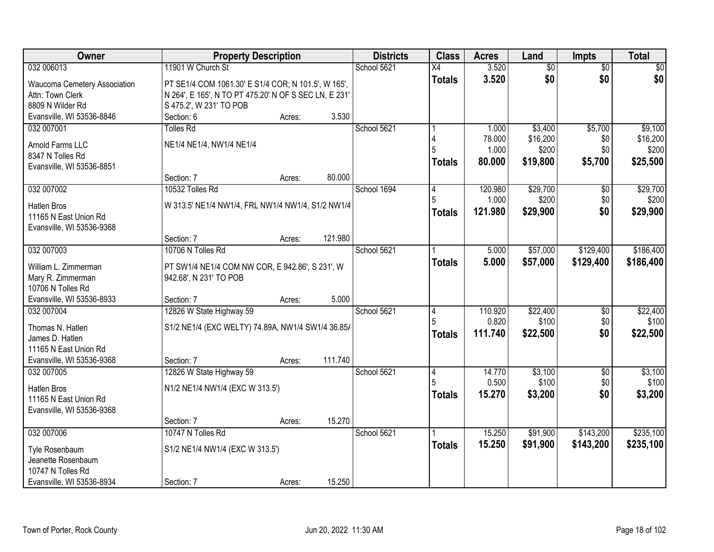| Owner                        | <b>Property Description</b>                           |        |         | <b>Districts</b> | <b>Class</b>    | <b>Acres</b> | Land            | <b>Impts</b>    | <b>Total</b> |
|------------------------------|-------------------------------------------------------|--------|---------|------------------|-----------------|--------------|-----------------|-----------------|--------------|
| 032 006013                   | 11901 W Church St                                     |        |         | School 5621      | $\overline{X4}$ | 3.520        | $\overline{50}$ | $\overline{50}$ | \$0          |
| Waucoma Cemetery Association | PT SE1/4 COM 1061.30' E S1/4 COR; N 101.5', W 165',   |        |         |                  | <b>Totals</b>   | 3.520        | \$0             | \$0             | \$0          |
| Attn: Town Clerk             | N 264', E 165', N TO PT 475.20' N OF S SEC LN, E 231' |        |         |                  |                 |              |                 |                 |              |
| 8809 N Wilder Rd             | S 475.2', W 231' TO POB                               |        |         |                  |                 |              |                 |                 |              |
| Evansville, WI 53536-8846    | Section: 6                                            | Acres: | 3.530   |                  |                 |              |                 |                 |              |
| 032 007001                   | <b>Tolles Rd</b>                                      |        |         | School 5621      |                 | 1.000        | \$3,400         | \$5,700         | \$9,100      |
| Arnold Farms LLC             | NE1/4 NE1/4, NW1/4 NE1/4                              |        |         |                  |                 | 78.000       | \$16,200        | \$0             | \$16,200     |
| 8347 N Tolles Rd             |                                                       |        |         |                  |                 | 1.000        | \$200           | \$0             | \$200        |
| Evansville, WI 53536-8851    |                                                       |        |         |                  | <b>Totals</b>   | 80.000       | \$19,800        | \$5,700         | \$25,500     |
|                              | Section: 7                                            | Acres: | 80.000  |                  |                 |              |                 |                 |              |
| 032 007002                   | 10532 Tolles Rd                                       |        |         | School 1694      | 14              | 120.980      | \$29,700        | \$0             | \$29,700     |
| <b>Hatlen Bros</b>           | W 313.5' NE1/4 NW1/4, FRL NW1/4 NW1/4, S1/2 NW1/4     |        |         |                  |                 | 1.000        | \$200           | \$0             | \$200        |
| 11165 N East Union Rd        |                                                       |        |         |                  | <b>Totals</b>   | 121.980      | \$29,900        | \$0             | \$29,900     |
| Evansville, WI 53536-9368    |                                                       |        |         |                  |                 |              |                 |                 |              |
|                              | Section: 7                                            | Acres: | 121.980 |                  |                 |              |                 |                 |              |
| 032 007003                   | 10706 N Tolles Rd                                     |        |         | School 5621      |                 | 5.000        | \$57,000        | \$129,400       | \$186,400    |
| William L. Zimmerman         | PT SW1/4 NE1/4 COM NW COR, E 942.86', S 231', W       |        |         |                  | <b>Totals</b>   | 5.000        | \$57,000        | \$129,400       | \$186,400    |
| Mary R. Zimmerman            | 942.68', N 231' TO POB                                |        |         |                  |                 |              |                 |                 |              |
| 10706 N Tolles Rd            |                                                       |        |         |                  |                 |              |                 |                 |              |
| Evansville, WI 53536-8933    | Section: 7                                            | Acres: | 5.000   |                  |                 |              |                 |                 |              |
| 032 007004                   | 12826 W State Highway 59                              |        |         | School 5621      | 4               | 110.920      | \$22,400        | \$0             | \$22,400     |
| Thomas N. Hatlen             | S1/2 NE1/4 (EXC WELTY) 74.89A, NW1/4 SW1/4 36.85/     |        |         |                  |                 | 0.820        | \$100           | \$0             | \$100        |
| James D. Hatlen              |                                                       |        |         |                  | <b>Totals</b>   | 111.740      | \$22,500        | \$0             | \$22,500     |
| 11165 N East Union Rd        |                                                       |        |         |                  |                 |              |                 |                 |              |
| Evansville, WI 53536-9368    | Section: 7                                            | Acres: | 111.740 |                  |                 |              |                 |                 |              |
| 032 007005                   | 12826 W State Highway 59                              |        |         | School 5621      | 4               | 14.770       | \$3,100         | \$0             | \$3,100      |
| Hatlen Bros                  | N1/2 NE1/4 NW1/4 (EXC W 313.5')                       |        |         |                  | 5               | 0.500        | \$100           | \$0             | \$100        |
| 11165 N East Union Rd        |                                                       |        |         |                  | <b>Totals</b>   | 15.270       | \$3,200         | \$0             | \$3,200      |
| Evansville, WI 53536-9368    |                                                       |        |         |                  |                 |              |                 |                 |              |
|                              | Section: 7                                            | Acres: | 15.270  |                  |                 |              |                 |                 |              |
| 032 007006                   | 10747 N Tolles Rd                                     |        |         | School 5621      |                 | 15.250       | \$91,900        | \$143,200       | \$235,100    |
| Tyle Rosenbaum               | S1/2 NE1/4 NW1/4 (EXC W 313.5')                       |        |         |                  | <b>Totals</b>   | 15.250       | \$91,900        | \$143,200       | \$235,100    |
| Jeanette Rosenbaum           |                                                       |        |         |                  |                 |              |                 |                 |              |
| 10747 N Tolles Rd            |                                                       |        |         |                  |                 |              |                 |                 |              |
| Evansville, WI 53536-8934    | Section: 7                                            | Acres: | 15.250  |                  |                 |              |                 |                 |              |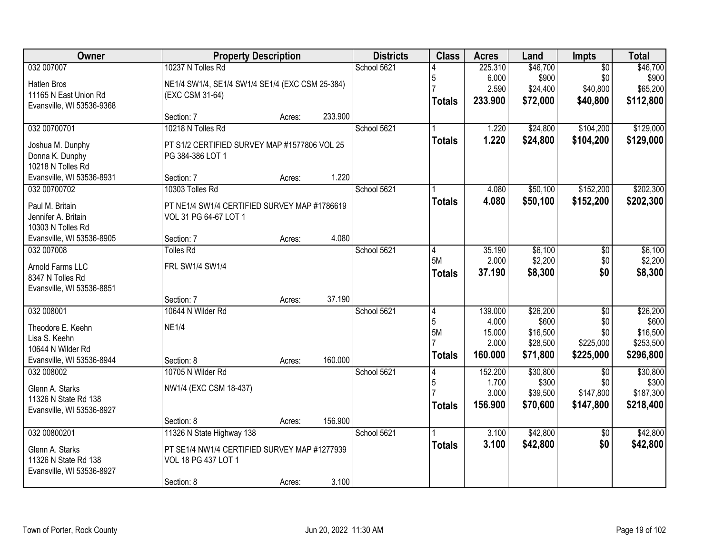| Owner                     | <b>Property Description</b>                     |        |         | <b>Districts</b> | <b>Class</b>   | <b>Acres</b>    | Land                 | Impts            | <b>Total</b>          |
|---------------------------|-------------------------------------------------|--------|---------|------------------|----------------|-----------------|----------------------|------------------|-----------------------|
| 032 007007                | 10237 N Tolles Rd                               |        |         | School 5621      |                | 225.310         | \$46,700             | $\overline{50}$  | \$46,700              |
| <b>Hatlen Bros</b>        | NE1/4 SW1/4, SE1/4 SW1/4 SE1/4 (EXC CSM 25-384) |        |         |                  | 5              | 6.000           | \$900                | \$0              | \$900                 |
| 11165 N East Union Rd     | (EXC CSM 31-64)                                 |        |         |                  |                | 2.590           | \$24,400             | \$40,800         | \$65,200              |
| Evansville, WI 53536-9368 |                                                 |        |         |                  | <b>Totals</b>  | 233.900         | \$72,000             | \$40,800         | \$112,800             |
|                           | Section: 7                                      | Acres: | 233.900 |                  |                |                 |                      |                  |                       |
| 032 00700701              | 10218 N Tolles Rd                               |        |         | School 5621      |                | 1.220           | \$24,800             | \$104,200        | \$129,000             |
| Joshua M. Dunphy          | PT S1/2 CERTIFIED SURVEY MAP #1577806 VOL 25    |        |         |                  | <b>Totals</b>  | 1.220           | \$24,800             | \$104,200        | \$129,000             |
| Donna K. Dunphy           | PG 384-386 LOT 1                                |        |         |                  |                |                 |                      |                  |                       |
| 10218 N Tolles Rd         |                                                 |        |         |                  |                |                 |                      |                  |                       |
| Evansville, WI 53536-8931 | Section: 7                                      | Acres: | 1.220   |                  |                |                 |                      |                  |                       |
| 032 00700702              | 10303 Tolles Rd                                 |        |         | School 5621      |                | 4.080           | \$50,100             | \$152,200        | \$202,300             |
| Paul M. Britain           | PT NE1/4 SW1/4 CERTIFIED SURVEY MAP #1786619    |        |         |                  | <b>Totals</b>  | 4.080           | \$50,100             | \$152,200        | \$202,300             |
| Jennifer A. Britain       | VOL 31 PG 64-67 LOT 1                           |        |         |                  |                |                 |                      |                  |                       |
| 10303 N Tolles Rd         |                                                 |        |         |                  |                |                 |                      |                  |                       |
| Evansville, WI 53536-8905 | Section: 7                                      | Acres: | 4.080   |                  |                |                 |                      |                  |                       |
| 032 007008                | <b>Tolles Rd</b>                                |        |         | School 5621      | 4              | 35.190          | \$6,100              | \$0              | \$6,100               |
| Arnold Farms LLC          | FRL SW1/4 SW1/4                                 |        |         |                  | 5M             | 2.000           | \$2,200              | \$0              | \$2,200               |
| 8347 N Tolles Rd          |                                                 |        |         |                  | <b>Totals</b>  | 37.190          | \$8,300              | \$0              | \$8,300               |
| Evansville, WI 53536-8851 |                                                 |        |         |                  |                |                 |                      |                  |                       |
|                           | Section: 7                                      | Acres: | 37.190  |                  |                |                 |                      |                  |                       |
| 032 008001                | 10644 N Wilder Rd                               |        |         | School 5621      | $\overline{4}$ | 139.000         | \$26,200             | $\overline{50}$  | \$26,200              |
| Theodore E. Keehn         | <b>NE1/4</b>                                    |        |         |                  | 5              | 4.000           | \$600                | \$0              | \$600                 |
| Lisa S. Keehn             |                                                 |        |         |                  | 5M             | 15.000<br>2.000 | \$16,500<br>\$28,500 | \$0<br>\$225,000 | \$16,500<br>\$253,500 |
| 10644 N Wilder Rd         |                                                 |        |         |                  |                | 160.000         | \$71,800             | \$225,000        | \$296,800             |
| Evansville, WI 53536-8944 | Section: 8                                      | Acres: | 160.000 |                  | <b>Totals</b>  |                 |                      |                  |                       |
| 032 008002                | 10705 N Wilder Rd                               |        |         | School 5621      | 4              | 152.200         | \$30,800             | $\overline{30}$  | \$30,800              |
| Glenn A. Starks           | NW1/4 (EXC CSM 18-437)                          |        |         |                  | 5              | 1.700           | \$300                | \$0              | \$300                 |
| 11326 N State Rd 138      |                                                 |        |         |                  |                | 3.000           | \$39,500             | \$147,800        | \$187,300             |
| Evansville, WI 53536-8927 |                                                 |        |         |                  | <b>Totals</b>  | 156.900         | \$70,600             | \$147,800        | \$218,400             |
|                           | Section: 8                                      | Acres: | 156.900 |                  |                |                 |                      |                  |                       |
| 032 00800201              | 11326 N State Highway 138                       |        |         | School 5621      |                | 3.100           | \$42,800             | $\overline{50}$  | \$42,800              |
| Glenn A. Starks           | PT SE1/4 NW1/4 CERTIFIED SURVEY MAP #1277939    |        |         |                  | <b>Totals</b>  | 3.100           | \$42,800             | \$0              | \$42,800              |
| 11326 N State Rd 138      | VOL 18 PG 437 LOT 1                             |        |         |                  |                |                 |                      |                  |                       |
| Evansville, WI 53536-8927 |                                                 |        |         |                  |                |                 |                      |                  |                       |
|                           | Section: 8                                      | Acres: | 3.100   |                  |                |                 |                      |                  |                       |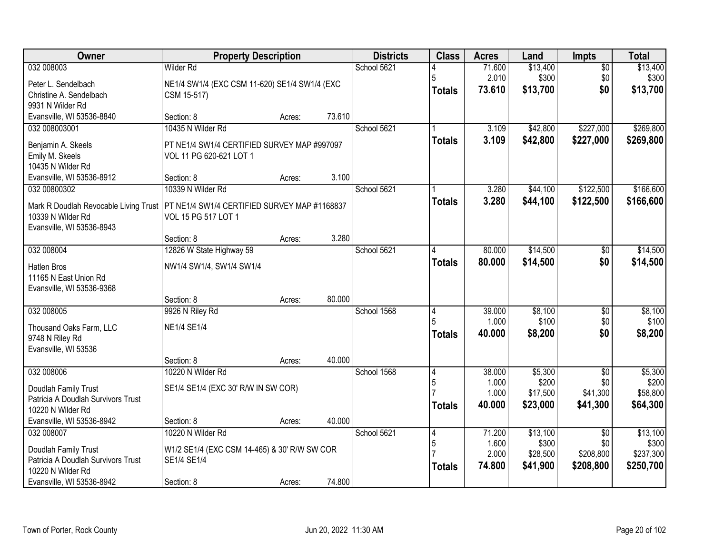| Owner                                          | <b>Property Description</b>                   |        |        | <b>Districts</b> | <b>Class</b>  | <b>Acres</b>    | Land              | <b>Impts</b>           | <b>Total</b>      |
|------------------------------------------------|-----------------------------------------------|--------|--------|------------------|---------------|-----------------|-------------------|------------------------|-------------------|
| 032 008003                                     | Wilder Rd                                     |        |        | School 5621      |               | 71.600          | \$13,400          | $\overline{50}$        | \$13,400          |
| Peter L. Sendelbach                            | NE1/4 SW1/4 (EXC CSM 11-620) SE1/4 SW1/4 (EXC |        |        |                  | 5             | 2.010           | \$300             | \$0                    | \$300             |
| Christine A. Sendelbach                        | CSM 15-517)                                   |        |        |                  | <b>Totals</b> | 73.610          | \$13,700          | \$0                    | \$13,700          |
| 9931 N Wilder Rd                               |                                               |        |        |                  |               |                 |                   |                        |                   |
| Evansville, WI 53536-8840<br>032 008003001     | Section: 8<br>10435 N Wilder Rd               | Acres: | 73.610 | School 5621      |               | 3.109           | \$42,800          | \$227,000              | \$269,800         |
|                                                |                                               |        |        |                  | <b>Totals</b> | 3.109           | \$42,800          | \$227,000              | \$269,800         |
| Benjamin A. Skeels                             | PT NE1/4 SW1/4 CERTIFIED SURVEY MAP #997097   |        |        |                  |               |                 |                   |                        |                   |
| Emily M. Skeels<br>10435 N Wilder Rd           | VOL 11 PG 620-621 LOT 1                       |        |        |                  |               |                 |                   |                        |                   |
| Evansville, WI 53536-8912                      | Section: 8                                    | Acres: | 3.100  |                  |               |                 |                   |                        |                   |
| 032 00800302                                   | 10339 N Wilder Rd                             |        |        | School 5621      |               | 3.280           | \$44,100          | \$122,500              | \$166,600         |
| Mark R Doudlah Revocable Living Trust          | PT NE1/4 SW1/4 CERTIFIED SURVEY MAP #1168837  |        |        |                  | <b>Totals</b> | 3.280           | \$44,100          | \$122,500              | \$166,600         |
| 10339 N Wilder Rd                              | VOL 15 PG 517 LOT 1                           |        |        |                  |               |                 |                   |                        |                   |
| Evansville, WI 53536-8943                      |                                               |        |        |                  |               |                 |                   |                        |                   |
|                                                | Section: 8                                    | Acres: | 3.280  |                  |               |                 |                   |                        |                   |
| 032 008004                                     | 12826 W State Highway 59                      |        |        | School 5621      | 4             | 80.000          | \$14,500          | \$0                    | \$14,500          |
| <b>Hatlen Bros</b>                             | NW1/4 SW1/4, SW1/4 SW1/4                      |        |        |                  | <b>Totals</b> | 80.000          | \$14,500          | \$0                    | \$14,500          |
| 11165 N East Union Rd                          |                                               |        |        |                  |               |                 |                   |                        |                   |
| Evansville, WI 53536-9368                      |                                               |        |        |                  |               |                 |                   |                        |                   |
| 032 008005                                     | Section: 8<br>9926 N Riley Rd                 | Acres: | 80.000 | School 1568      | 4             | 39.000          | \$8,100           | $\overline{50}$        | \$8,100           |
|                                                |                                               |        |        |                  | 5             | 1.000           | \$100             | \$0                    | \$100             |
| Thousand Oaks Farm, LLC                        | <b>NE1/4 SE1/4</b>                            |        |        |                  | <b>Totals</b> | 40.000          | \$8,200           | \$0                    | \$8,200           |
| 9748 N Riley Rd<br>Evansville, WI 53536        |                                               |        |        |                  |               |                 |                   |                        |                   |
|                                                | Section: 8                                    | Acres: | 40.000 |                  |               |                 |                   |                        |                   |
| 032 008006                                     | 10220 N Wilder Rd                             |        |        | School 1568      | 4             | 38.000          | \$5,300           | $\overline{50}$        | \$5,300           |
| Doudlah Family Trust                           | SE1/4 SE1/4 (EXC 30' R/W IN SW COR)           |        |        |                  | 5             | 1.000           | \$200             | \$0                    | \$200             |
| Patricia A Doudlah Survivors Trust             |                                               |        |        |                  |               | 1.000           | \$17,500          | \$41,300               | \$58,800          |
| 10220 N Wilder Rd                              |                                               |        |        |                  | <b>Totals</b> | 40.000          | \$23,000          | \$41,300               | \$64,300          |
| Evansville, WI 53536-8942                      | Section: 8                                    | Acres: | 40.000 |                  |               |                 |                   |                        |                   |
| 032 008007                                     | 10220 N Wilder Rd                             |        |        | School 5621      | 4<br>5        | 71.200<br>1.600 | \$13,100<br>\$300 | $\overline{50}$<br>\$0 | \$13,100<br>\$300 |
| Doudlah Family Trust                           | W1/2 SE1/4 (EXC CSM 14-465) & 30' R/W SW COR  |        |        |                  |               | 2.000           | \$28,500          | \$208,800              | \$237,300         |
| Patricia A Doudlah Survivors Trust             | SE1/4 SE1/4                                   |        |        |                  | <b>Totals</b> | 74.800          | \$41,900          | \$208,800              | \$250,700         |
| 10220 N Wilder Rd<br>Evansville, WI 53536-8942 | Section: 8                                    | Acres: | 74.800 |                  |               |                 |                   |                        |                   |
|                                                |                                               |        |        |                  |               |                 |                   |                        |                   |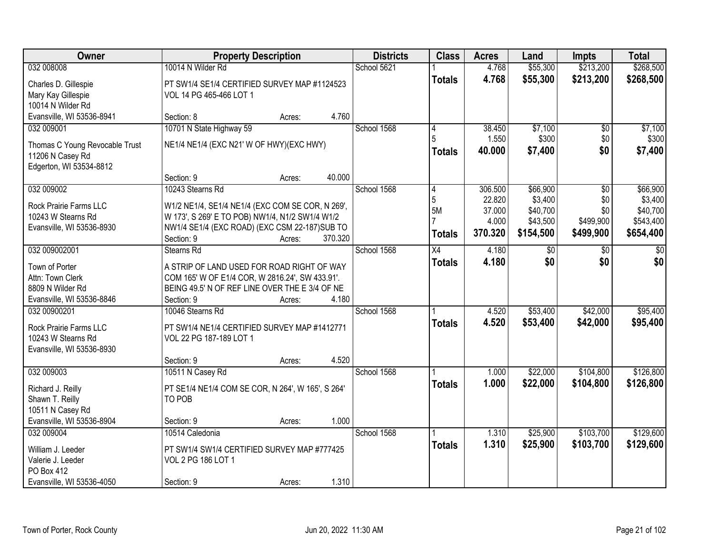| Owner                                        | <b>Property Description</b>                                                                         |        |         | <b>Districts</b> | <b>Class</b>    | <b>Acres</b> | Land      | <b>Impts</b>    | <b>Total</b> |
|----------------------------------------------|-----------------------------------------------------------------------------------------------------|--------|---------|------------------|-----------------|--------------|-----------|-----------------|--------------|
| 032 008008                                   | 10014 N Wilder Rd                                                                                   |        |         | School 5621      |                 | 4.768        | \$55,300  | \$213,200       | \$268,500    |
| Charles D. Gillespie                         | PT SW1/4 SE1/4 CERTIFIED SURVEY MAP #1124523                                                        |        |         |                  | <b>Totals</b>   | 4.768        | \$55,300  | \$213,200       | \$268,500    |
| Mary Kay Gillespie                           | VOL 14 PG 465-466 LOT 1                                                                             |        |         |                  |                 |              |           |                 |              |
| 10014 N Wilder Rd                            |                                                                                                     |        |         |                  |                 |              |           |                 |              |
| Evansville, WI 53536-8941                    | Section: 8                                                                                          | Acres: | 4.760   |                  |                 |              |           |                 |              |
| 032 009001                                   | 10701 N State Highway 59                                                                            |        |         | School 1568      | 4               | 38.450       | \$7,100   | $\overline{50}$ | \$7,100      |
| Thomas C Young Revocable Trust               | NE1/4 NE1/4 (EXC N21' W OF HWY)(EXC HWY)                                                            |        |         |                  |                 | 1.550        | \$300     | \$0             | \$300        |
| 11206 N Casey Rd                             |                                                                                                     |        |         |                  | <b>Totals</b>   | 40.000       | \$7,400   | \$0             | \$7,400      |
| Edgerton, WI 53534-8812                      |                                                                                                     |        |         |                  |                 |              |           |                 |              |
|                                              | Section: 9                                                                                          | Acres: | 40.000  |                  |                 |              |           |                 |              |
| 032 009002                                   | 10243 Stearns Rd                                                                                    |        |         | School 1568      | 4               | 306.500      | \$66,900  | \$0             | \$66,900     |
| Rock Prairie Farms LLC                       |                                                                                                     |        |         |                  | 5               | 22.820       | \$3,400   | \$0             | \$3,400      |
| 10243 W Stearns Rd                           | W1/2 NE1/4, SE1/4 NE1/4 (EXC COM SE COR, N 269',<br>W 173', S 269' E TO POB) NW1/4, N1/2 SW1/4 W1/2 |        |         |                  | <b>5M</b>       | 37.000       | \$40,700  | \$0             | \$40,700     |
| Evansville, WI 53536-8930                    | NW1/4 SE1/4 (EXC ROAD) (EXC CSM 22-187) SUB TO                                                      |        |         |                  |                 | 4.000        | \$43,500  | \$499,900       | \$543,400    |
|                                              | Section: 9                                                                                          | Acres: | 370.320 |                  | <b>Totals</b>   | 370.320      | \$154,500 | \$499,900       | \$654,400    |
| 032 009002001                                | Stearns Rd                                                                                          |        |         | School 1568      | $\overline{X4}$ | 4.180        | \$0       | $\sqrt{6}$      | \$0          |
|                                              |                                                                                                     |        |         |                  | <b>Totals</b>   | 4.180        | \$0       | \$0             | \$0          |
| Town of Porter<br>Attn: Town Clerk           | A STRIP OF LAND USED FOR ROAD RIGHT OF WAY<br>COM 165' W OF E1/4 COR, W 2816.24', SW 433.91'.       |        |         |                  |                 |              |           |                 |              |
| 8809 N Wilder Rd                             | BEING 49.5' N OF REF LINE OVER THE E 3/4 OF NE                                                      |        |         |                  |                 |              |           |                 |              |
| Evansville, WI 53536-8846                    | Section: 9                                                                                          | Acres: | 4.180   |                  |                 |              |           |                 |              |
| 032 00900201                                 | 10046 Stearns Rd                                                                                    |        |         | School 1568      |                 | 4.520        | \$53,400  | \$42,000        | \$95,400     |
|                                              |                                                                                                     |        |         |                  | <b>Totals</b>   | 4.520        | \$53,400  | \$42,000        | \$95,400     |
| Rock Prairie Farms LLC<br>10243 W Stearns Rd | PT SW1/4 NE1/4 CERTIFIED SURVEY MAP #1412771<br>VOL 22 PG 187-189 LOT 1                             |        |         |                  |                 |              |           |                 |              |
| Evansville, WI 53536-8930                    |                                                                                                     |        |         |                  |                 |              |           |                 |              |
|                                              | Section: 9                                                                                          | Acres: | 4.520   |                  |                 |              |           |                 |              |
| 032 009003                                   | 10511 N Casey Rd                                                                                    |        |         | School 1568      |                 | 1.000        | \$22,000  | \$104,800       | \$126,800    |
|                                              |                                                                                                     |        |         |                  | <b>Totals</b>   | 1.000        | \$22,000  | \$104,800       | \$126,800    |
| Richard J. Reilly<br>Shawn T. Reilly         | PT SE1/4 NE1/4 COM SE COR, N 264', W 165', S 264'<br>TO POB                                         |        |         |                  |                 |              |           |                 |              |
| 10511 N Casey Rd                             |                                                                                                     |        |         |                  |                 |              |           |                 |              |
| Evansville, WI 53536-8904                    | Section: 9                                                                                          | Acres: | 1.000   |                  |                 |              |           |                 |              |
| 032 009004                                   | 10514 Caledonia                                                                                     |        |         | School 1568      |                 | 1.310        | \$25,900  | \$103,700       | \$129,600    |
|                                              |                                                                                                     |        |         |                  | <b>Totals</b>   | 1.310        | \$25,900  | \$103,700       | \$129,600    |
| William J. Leeder<br>Valerie J. Leeder       | PT SW1/4 SW1/4 CERTIFIED SURVEY MAP #777425<br>VOL 2 PG 186 LOT 1                                   |        |         |                  |                 |              |           |                 |              |
| PO Box 412                                   |                                                                                                     |        |         |                  |                 |              |           |                 |              |
| Evansville, WI 53536-4050                    | Section: 9                                                                                          | Acres: | 1.310   |                  |                 |              |           |                 |              |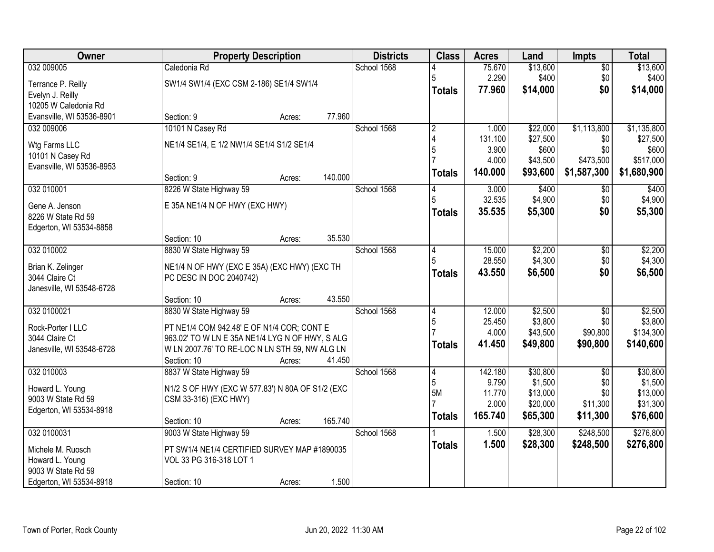| Owner                     | <b>Property Description</b>                      |        |         | <b>Districts</b> | <b>Class</b>   | <b>Acres</b> | Land     | <b>Impts</b>    | <b>Total</b> |
|---------------------------|--------------------------------------------------|--------|---------|------------------|----------------|--------------|----------|-----------------|--------------|
| 032 009005                | Caledonia Rd                                     |        |         | School 1568      |                | 75.670       | \$13,600 | $\overline{50}$ | \$13,600     |
| Terrance P. Reilly        | SW1/4 SW1/4 (EXC CSM 2-186) SE1/4 SW1/4          |        |         |                  | 5              | 2.290        | \$400    | \$0             | \$400        |
| Evelyn J. Reilly          |                                                  |        |         |                  | <b>Totals</b>  | 77.960       | \$14,000 | \$0             | \$14,000     |
| 10205 W Caledonia Rd      |                                                  |        |         |                  |                |              |          |                 |              |
| Evansville, WI 53536-8901 | Section: 9                                       | Acres: | 77.960  |                  |                |              |          |                 |              |
| 032 009006                | 10101 N Casey Rd                                 |        |         | School 1568      | $\overline{2}$ | 1.000        | \$22,000 | \$1,113,800     | \$1,135,800  |
| Wtg Farms LLC             | NE1/4 SE1/4, E 1/2 NW1/4 SE1/4 S1/2 SE1/4        |        |         |                  |                | 131.100      | \$27,500 | \$0             | \$27,500     |
| 10101 N Casey Rd          |                                                  |        |         |                  | 5              | 3.900        | \$600    | \$0             | \$600        |
| Evansville, WI 53536-8953 |                                                  |        |         |                  |                | 4.000        | \$43,500 | \$473,500       | \$517,000    |
|                           | Section: 9                                       | Acres: | 140.000 |                  | <b>Totals</b>  | 140.000      | \$93,600 | \$1,587,300     | \$1,680,900  |
| 032 010001                | 8226 W State Highway 59                          |        |         | School 1568      |                | 3.000        | \$400    | $\sqrt[6]{}$    | \$400        |
| Gene A. Jenson            | E 35A NE1/4 N OF HWY (EXC HWY)                   |        |         |                  |                | 32.535       | \$4,900  | \$0             | \$4,900      |
| 8226 W State Rd 59        |                                                  |        |         |                  | <b>Totals</b>  | 35.535       | \$5,300  | \$0             | \$5,300      |
| Edgerton, WI 53534-8858   |                                                  |        |         |                  |                |              |          |                 |              |
|                           | Section: 10                                      | Acres: | 35.530  |                  |                |              |          |                 |              |
| 032 010002                | 8830 W State Highway 59                          |        |         | School 1568      | 14             | 15.000       | \$2,200  | $\sqrt[6]{3}$   | \$2,200      |
| Brian K. Zelinger         | NE1/4 N OF HWY (EXC E 35A) (EXC HWY) (EXC TH     |        |         |                  |                | 28.550       | \$4,300  | \$0             | \$4,300      |
| 3044 Claire Ct            | PC DESC IN DOC 2040742)                          |        |         |                  | <b>Totals</b>  | 43.550       | \$6,500  | \$0             | \$6,500      |
| Janesville, WI 53548-6728 |                                                  |        |         |                  |                |              |          |                 |              |
|                           | Section: 10                                      | Acres: | 43.550  |                  |                |              |          |                 |              |
| 032 0100021               | 8830 W State Highway 59                          |        |         | School 1568      | 4              | 12.000       | \$2,500  | $\overline{50}$ | \$2,500      |
| Rock-Porter I LLC         | PT NE1/4 COM 942.48' E OF N1/4 COR; CONT E       |        |         |                  | 5              | 25.450       | \$3,800  | \$0             | \$3,800      |
| 3044 Claire Ct            | 963.02' TO W LN E 35A NE1/4 LYG N OF HWY, S ALG  |        |         |                  |                | 4.000        | \$43,500 | \$90,800        | \$134,300    |
| Janesville, WI 53548-6728 | W LN 2007.76' TO RE-LOC N LN STH 59, NW ALG LN   |        |         |                  | <b>Totals</b>  | 41.450       | \$49,800 | \$90,800        | \$140,600    |
|                           | Section: 10                                      | Acres: | 41.450  |                  |                |              |          |                 |              |
| 032 010003                | 8837 W State Highway 59                          |        |         | School 1568      | $\vert 4$      | 142.180      | \$30,800 | $\overline{50}$ | \$30,800     |
| Howard L. Young           | N1/2 S OF HWY (EXC W 577.83') N 80A OF S1/2 (EXC |        |         |                  | 5              | 9.790        | \$1,500  | \$0             | \$1,500      |
| 9003 W State Rd 59        | CSM 33-316) (EXC HWY)                            |        |         |                  | 5M             | 11.770       | \$13,000 | \$0             | \$13,000     |
| Edgerton, WI 53534-8918   |                                                  |        |         |                  |                | 2.000        | \$20,000 | \$11,300        | \$31,300     |
|                           | Section: 10                                      | Acres: | 165.740 |                  | <b>Totals</b>  | 165.740      | \$65,300 | \$11,300        | \$76,600     |
| 032 0100031               | 9003 W State Highway 59                          |        |         | School 1568      |                | 1.500        | \$28,300 | \$248,500       | \$276,800    |
| Michele M. Ruosch         | PT SW1/4 NE1/4 CERTIFIED SURVEY MAP #1890035     |        |         |                  | <b>Totals</b>  | 1.500        | \$28,300 | \$248,500       | \$276,800    |
| Howard L. Young           | VOL 33 PG 316-318 LOT 1                          |        |         |                  |                |              |          |                 |              |
| 9003 W State Rd 59        |                                                  |        |         |                  |                |              |          |                 |              |
| Edgerton, WI 53534-8918   | Section: 10                                      | Acres: | 1.500   |                  |                |              |          |                 |              |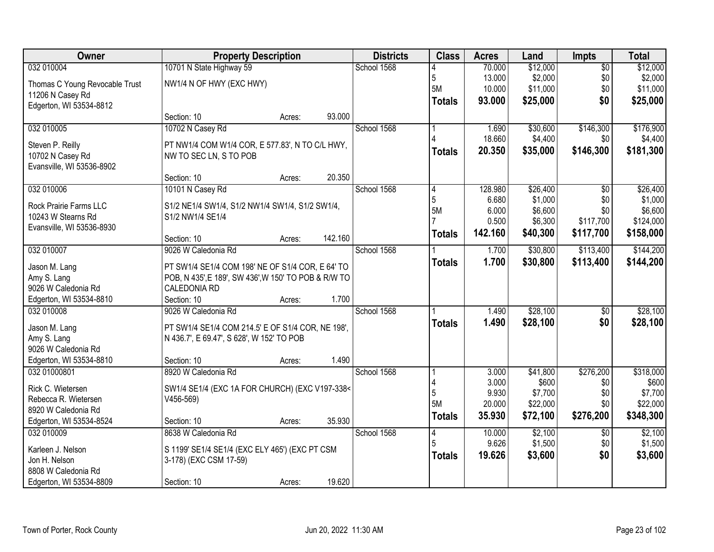| Owner                              | <b>Property Description</b>                          | <b>Districts</b>  | <b>Class</b> | <b>Acres</b>   | Land    | <b>Impts</b> | <b>Total</b>    |           |
|------------------------------------|------------------------------------------------------|-------------------|--------------|----------------|---------|--------------|-----------------|-----------|
| 032 010004                         | 10701 N State Highway 59                             |                   | School 1568  |                | 70.000  | \$12,000     | $\overline{50}$ | \$12,000  |
| Thomas C Young Revocable Trust     | NW1/4 N OF HWY (EXC HWY)                             |                   |              | 5              | 13.000  | \$2,000      | \$0             | \$2,000   |
| 11206 N Casey Rd                   |                                                      |                   |              | 5M             | 10.000  | \$11,000     | \$0             | \$11,000  |
| Edgerton, WI 53534-8812            |                                                      |                   |              | <b>Totals</b>  | 93.000  | \$25,000     | \$0             | \$25,000  |
|                                    | Section: 10                                          | 93.000<br>Acres:  |              |                |         |              |                 |           |
| 032 010005                         | 10702 N Casey Rd                                     |                   | School 1568  |                | 1.690   | \$30,600     | \$146,300       | \$176,900 |
| Steven P. Reilly                   | PT NW1/4 COM W1/4 COR, E 577.83', N TO C/L HWY,      |                   |              |                | 18.660  | \$4,400      | \$0             | \$4,400   |
| 10702 N Casey Rd                   | NW TO SEC LN, S TO POB                               |                   |              | <b>Totals</b>  | 20.350  | \$35,000     | \$146,300       | \$181,300 |
| Evansville, WI 53536-8902          |                                                      |                   |              |                |         |              |                 |           |
|                                    | Section: 10                                          | 20.350<br>Acres:  |              |                |         |              |                 |           |
| 032 010006                         | 10101 N Casey Rd                                     |                   | School 1568  | 4              | 128.980 | \$26,400     | \$0             | \$26,400  |
| Rock Prairie Farms LLC             | S1/2 NE1/4 SW1/4, S1/2 NW1/4 SW1/4, S1/2 SW1/4,      |                   |              | $\overline{5}$ | 6.680   | \$1,000      | \$0             | \$1,000   |
| 10243 W Stearns Rd                 | S1/2 NW1/4 SE1/4                                     |                   |              | 5M             | 6.000   | \$6,600      | \$0             | \$6,600   |
| Evansville, WI 53536-8930          |                                                      |                   |              |                | 0.500   | \$6,300      | \$117,700       | \$124,000 |
|                                    | Section: 10                                          | 142.160<br>Acres: |              | <b>Totals</b>  | 142.160 | \$40,300     | \$117,700       | \$158,000 |
| 032 010007                         | 9026 W Caledonia Rd                                  |                   | School 1568  |                | 1.700   | \$30,800     | \$113,400       | \$144,200 |
| Jason M. Lang                      | PT SW1/4 SE1/4 COM 198' NE OF S1/4 COR, E 64' TO     |                   |              | <b>Totals</b>  | 1.700   | \$30,800     | \$113,400       | \$144,200 |
| Amy S. Lang                        | POB, N 435', E 189', SW 436', W 150' TO POB & R/W TO |                   |              |                |         |              |                 |           |
| 9026 W Caledonia Rd                | <b>CALEDONIA RD</b>                                  |                   |              |                |         |              |                 |           |
| Edgerton, WI 53534-8810            | Section: 10                                          | 1.700<br>Acres:   |              |                |         |              |                 |           |
| 032 010008                         | 9026 W Caledonia Rd                                  |                   | School 1568  |                | 1.490   | \$28,100     | $\overline{50}$ | \$28,100  |
|                                    |                                                      |                   |              | <b>Totals</b>  | 1.490   | \$28,100     | \$0             | \$28,100  |
| Jason M. Lang                      | PT SW1/4 SE1/4 COM 214.5' E OF S1/4 COR, NE 198',    |                   |              |                |         |              |                 |           |
| Amy S. Lang<br>9026 W Caledonia Rd | N 436.7', E 69.47', S 628', W 152' TO POB            |                   |              |                |         |              |                 |           |
| Edgerton, WI 53534-8810            | Section: 10                                          | 1.490<br>Acres:   |              |                |         |              |                 |           |
| 032 01000801                       | 8920 W Caledonia Rd                                  |                   | School 1568  |                | 3.000   | \$41,800     | \$276,200       | \$318,000 |
|                                    |                                                      |                   |              |                | 3.000   | \$600        | \$0             | \$600     |
| Rick C. Wietersen                  | SW1/4 SE1/4 (EXC 1A FOR CHURCH) (EXC V197-338<       |                   |              | 5              | 9.930   | \$7,700      | \$0             | \$7,700   |
| Rebecca R. Wietersen               | $V456-569$                                           |                   |              | 5M             | 20.000  | \$22,000     | \$0             | \$22,000  |
| 8920 W Caledonia Rd                |                                                      |                   |              | <b>Totals</b>  | 35.930  | \$72,100     | \$276,200       | \$348,300 |
| Edgerton, WI 53534-8524            | Section: 10                                          | 35.930<br>Acres:  |              |                |         |              |                 |           |
| 032 010009                         | 8638 W Caledonia Rd                                  |                   | School 1568  | 4              | 10.000  | \$2,100      | $\overline{50}$ | \$2,100   |
| Karleen J. Nelson                  | S 1199' SE1/4 SE1/4 (EXC ELY 465') (EXC PT CSM       |                   |              |                | 9.626   | \$1,500      | \$0             | \$1,500   |
| Jon H. Nelson                      | 3-178) (EXC CSM 17-59)                               |                   |              | <b>Totals</b>  | 19.626  | \$3,600      | \$0             | \$3,600   |
| 8808 W Caledonia Rd                |                                                      |                   |              |                |         |              |                 |           |
| Edgerton, WI 53534-8809            | Section: 10                                          | 19.620<br>Acres:  |              |                |         |              |                 |           |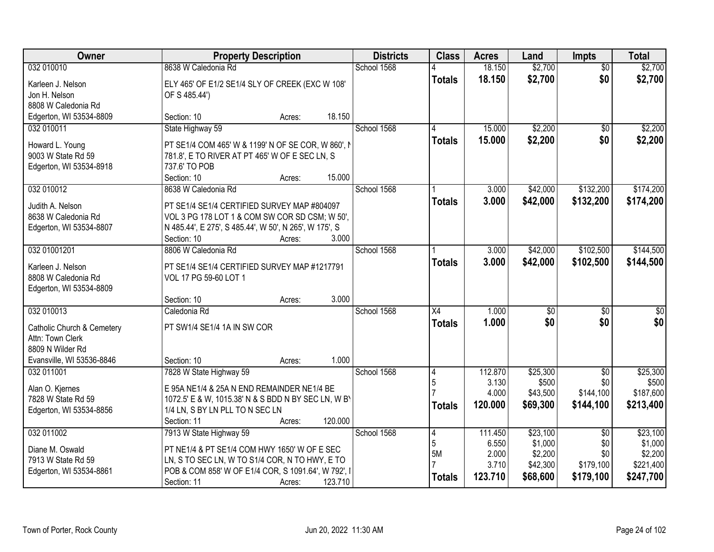| 032 010010<br>18.150<br>$\overline{50}$<br>\$0<br>18.150<br>\$2,700<br>\$2,700<br><b>Totals</b><br>ELY 465' OF E1/2 SE1/4 SLY OF CREEK (EXC W 108'<br>Karleen J. Nelson<br>Jon H. Nelson<br>OF S 485.44')<br>8808 W Caledonia Rd<br>Edgerton, WI 53534-8809<br>18.150<br>Section: 10<br>Acres:<br>State Highway 59<br>School 1568<br>15,000<br>\$2,200<br>\$2,200<br>032 010011<br>$\overline{50}$<br>4<br>15.000<br>\$2,200<br>\$0<br>\$2,200<br><b>Totals</b><br>PT SE1/4 COM 465' W & 1199' N OF SE COR, W 860', M<br>Howard L. Young<br>9003 W State Rd 59<br>781.8', E TO RIVER AT PT 465' W OF E SEC LN, S<br>737.6' TO POB<br>Edgerton, WI 53534-8918<br>15.000<br>Section: 10<br>Acres:<br>School 1568<br>\$42,000<br>\$132,200<br>\$174,200<br>032 010012<br>8638 W Caledonia Rd<br>3.000<br>\$42,000<br>\$132,200<br>3.000<br>\$174,200<br><b>Totals</b><br>PT SE1/4 SE1/4 CERTIFIED SURVEY MAP #804097<br>Judith A. Nelson<br>8638 W Caledonia Rd<br>VOL 3 PG 178 LOT 1 & COM SW COR SD CSM; W 50',<br>Edgerton, WI 53534-8807<br>N 485.44', E 275', S 485.44', W 50', N 265', W 175', S<br>3.000<br>Section: 10<br>Acres:<br>032 01001201<br>8806 W Caledonia Rd<br>School 1568<br>\$42,000<br>\$102,500<br>\$144,500<br>3.000<br>3.000<br>\$42,000<br>\$102,500<br>\$144,500<br><b>Totals</b><br>PT SE1/4 SE1/4 CERTIFIED SURVEY MAP #1217791<br>Karleen J. Nelson<br>VOL 17 PG 59-60 LOT 1<br>8808 W Caledonia Rd<br>Edgerton, WI 53534-8809<br>3.000<br>Section: 10<br>Acres:<br>032 010013<br>$\overline{X4}$<br>Caledonia Rd<br>School 1568<br>1.000<br>\$0<br>$\overline{50}$<br>$\sqrt{50}$<br>\$0<br>1.000<br>\$0<br>\$0<br><b>Totals</b><br>PT SW1/4 SE1/4 1A IN SW COR<br>Catholic Church & Cemetery<br>Attn: Town Clerk<br>8809 N Wilder Rd<br>1.000<br>Evansville, WI 53536-8846<br>Section: 10<br>Acres:<br>School 1568<br>112.870<br>\$25,300<br>\$25,300<br>032 011001<br>7828 W State Highway 59<br>$\sqrt{6}$<br>4<br>3.130<br>\$0<br>5<br>\$500<br>\$500<br>Alan O. Kjernes<br>E 95A NE1/4 & 25A N END REMAINDER NE1/4 BE<br>4.000<br>\$144,100<br>\$187,600<br>\$43,500<br>7828 W State Rd 59<br>1072.5' E & W, 1015.38' N & S BDD N BY SEC LN, W B)<br>120.000<br>\$69,300<br>\$144,100<br>\$213,400<br><b>Totals</b><br>1/4 LN, S BY LN PLL TO N SEC LN<br>Edgerton, WI 53534-8856<br>120.000<br>Section: 11<br>Acres:<br>032 011002<br>7913 W State Highway 59<br>School 1568<br>\$23,100<br>\$23,100<br>111.450<br>$\overline{30}$<br>14<br>5<br>6.550<br>\$1,000<br>\$1,000<br>\$0<br>Diane M. Oswald<br>PT NE1/4 & PT SE1/4 COM HWY 1650' W OF E SEC<br><b>5M</b><br>\$2,200<br>\$0<br>\$2,200<br>2.000<br>7913 W State Rd 59<br>LN, S TO SEC LN, W TO S1/4 COR, N TO HWY, E TO<br>3.710<br>\$42,300<br>\$179,100<br>\$221,400<br>POB & COM 858' W OF E1/4 COR, S 1091.64', W 792', I<br>Edgerton, WI 53534-8861<br>123.710<br>\$68,600<br>\$179,100<br>\$247,700<br><b>Totals</b><br>123.710<br>Section: 11<br>Acres: | Owner | <b>Property Description</b> | <b>Districts</b> | <b>Class</b> | <b>Acres</b> | Land    | <b>Impts</b> | <b>Total</b> |
|-------------------------------------------------------------------------------------------------------------------------------------------------------------------------------------------------------------------------------------------------------------------------------------------------------------------------------------------------------------------------------------------------------------------------------------------------------------------------------------------------------------------------------------------------------------------------------------------------------------------------------------------------------------------------------------------------------------------------------------------------------------------------------------------------------------------------------------------------------------------------------------------------------------------------------------------------------------------------------------------------------------------------------------------------------------------------------------------------------------------------------------------------------------------------------------------------------------------------------------------------------------------------------------------------------------------------------------------------------------------------------------------------------------------------------------------------------------------------------------------------------------------------------------------------------------------------------------------------------------------------------------------------------------------------------------------------------------------------------------------------------------------------------------------------------------------------------------------------------------------------------------------------------------------------------------------------------------------------------------------------------------------------------------------------------------------------------------------------------------------------------------------------------------------------------------------------------------------------------------------------------------------------------------------------------------------------------------------------------------------------------------------------------------------------------------------------------------------------------------------------------------------------------------------------------------------------------------------------------------------------------------------------------------------------------------------------------------------------------------------------------------------------------------------------------------------------------------------------------------------------------------------------------------------------------------------------------------|-------|-----------------------------|------------------|--------------|--------------|---------|--------------|--------------|
|                                                                                                                                                                                                                                                                                                                                                                                                                                                                                                                                                                                                                                                                                                                                                                                                                                                                                                                                                                                                                                                                                                                                                                                                                                                                                                                                                                                                                                                                                                                                                                                                                                                                                                                                                                                                                                                                                                                                                                                                                                                                                                                                                                                                                                                                                                                                                                                                                                                                                                                                                                                                                                                                                                                                                                                                                                                                                                                                                             |       | 8638 W Caledonia Rd         | School 1568      |              |              | \$2,700 |              | \$2,700      |
|                                                                                                                                                                                                                                                                                                                                                                                                                                                                                                                                                                                                                                                                                                                                                                                                                                                                                                                                                                                                                                                                                                                                                                                                                                                                                                                                                                                                                                                                                                                                                                                                                                                                                                                                                                                                                                                                                                                                                                                                                                                                                                                                                                                                                                                                                                                                                                                                                                                                                                                                                                                                                                                                                                                                                                                                                                                                                                                                                             |       |                             |                  |              |              |         |              |              |
|                                                                                                                                                                                                                                                                                                                                                                                                                                                                                                                                                                                                                                                                                                                                                                                                                                                                                                                                                                                                                                                                                                                                                                                                                                                                                                                                                                                                                                                                                                                                                                                                                                                                                                                                                                                                                                                                                                                                                                                                                                                                                                                                                                                                                                                                                                                                                                                                                                                                                                                                                                                                                                                                                                                                                                                                                                                                                                                                                             |       |                             |                  |              |              |         |              |              |
|                                                                                                                                                                                                                                                                                                                                                                                                                                                                                                                                                                                                                                                                                                                                                                                                                                                                                                                                                                                                                                                                                                                                                                                                                                                                                                                                                                                                                                                                                                                                                                                                                                                                                                                                                                                                                                                                                                                                                                                                                                                                                                                                                                                                                                                                                                                                                                                                                                                                                                                                                                                                                                                                                                                                                                                                                                                                                                                                                             |       |                             |                  |              |              |         |              |              |
|                                                                                                                                                                                                                                                                                                                                                                                                                                                                                                                                                                                                                                                                                                                                                                                                                                                                                                                                                                                                                                                                                                                                                                                                                                                                                                                                                                                                                                                                                                                                                                                                                                                                                                                                                                                                                                                                                                                                                                                                                                                                                                                                                                                                                                                                                                                                                                                                                                                                                                                                                                                                                                                                                                                                                                                                                                                                                                                                                             |       |                             |                  |              |              |         |              |              |
|                                                                                                                                                                                                                                                                                                                                                                                                                                                                                                                                                                                                                                                                                                                                                                                                                                                                                                                                                                                                                                                                                                                                                                                                                                                                                                                                                                                                                                                                                                                                                                                                                                                                                                                                                                                                                                                                                                                                                                                                                                                                                                                                                                                                                                                                                                                                                                                                                                                                                                                                                                                                                                                                                                                                                                                                                                                                                                                                                             |       |                             |                  |              |              |         |              |              |
|                                                                                                                                                                                                                                                                                                                                                                                                                                                                                                                                                                                                                                                                                                                                                                                                                                                                                                                                                                                                                                                                                                                                                                                                                                                                                                                                                                                                                                                                                                                                                                                                                                                                                                                                                                                                                                                                                                                                                                                                                                                                                                                                                                                                                                                                                                                                                                                                                                                                                                                                                                                                                                                                                                                                                                                                                                                                                                                                                             |       |                             |                  |              |              |         |              |              |
|                                                                                                                                                                                                                                                                                                                                                                                                                                                                                                                                                                                                                                                                                                                                                                                                                                                                                                                                                                                                                                                                                                                                                                                                                                                                                                                                                                                                                                                                                                                                                                                                                                                                                                                                                                                                                                                                                                                                                                                                                                                                                                                                                                                                                                                                                                                                                                                                                                                                                                                                                                                                                                                                                                                                                                                                                                                                                                                                                             |       |                             |                  |              |              |         |              |              |
|                                                                                                                                                                                                                                                                                                                                                                                                                                                                                                                                                                                                                                                                                                                                                                                                                                                                                                                                                                                                                                                                                                                                                                                                                                                                                                                                                                                                                                                                                                                                                                                                                                                                                                                                                                                                                                                                                                                                                                                                                                                                                                                                                                                                                                                                                                                                                                                                                                                                                                                                                                                                                                                                                                                                                                                                                                                                                                                                                             |       |                             |                  |              |              |         |              |              |
|                                                                                                                                                                                                                                                                                                                                                                                                                                                                                                                                                                                                                                                                                                                                                                                                                                                                                                                                                                                                                                                                                                                                                                                                                                                                                                                                                                                                                                                                                                                                                                                                                                                                                                                                                                                                                                                                                                                                                                                                                                                                                                                                                                                                                                                                                                                                                                                                                                                                                                                                                                                                                                                                                                                                                                                                                                                                                                                                                             |       |                             |                  |              |              |         |              |              |
|                                                                                                                                                                                                                                                                                                                                                                                                                                                                                                                                                                                                                                                                                                                                                                                                                                                                                                                                                                                                                                                                                                                                                                                                                                                                                                                                                                                                                                                                                                                                                                                                                                                                                                                                                                                                                                                                                                                                                                                                                                                                                                                                                                                                                                                                                                                                                                                                                                                                                                                                                                                                                                                                                                                                                                                                                                                                                                                                                             |       |                             |                  |              |              |         |              |              |
|                                                                                                                                                                                                                                                                                                                                                                                                                                                                                                                                                                                                                                                                                                                                                                                                                                                                                                                                                                                                                                                                                                                                                                                                                                                                                                                                                                                                                                                                                                                                                                                                                                                                                                                                                                                                                                                                                                                                                                                                                                                                                                                                                                                                                                                                                                                                                                                                                                                                                                                                                                                                                                                                                                                                                                                                                                                                                                                                                             |       |                             |                  |              |              |         |              |              |
|                                                                                                                                                                                                                                                                                                                                                                                                                                                                                                                                                                                                                                                                                                                                                                                                                                                                                                                                                                                                                                                                                                                                                                                                                                                                                                                                                                                                                                                                                                                                                                                                                                                                                                                                                                                                                                                                                                                                                                                                                                                                                                                                                                                                                                                                                                                                                                                                                                                                                                                                                                                                                                                                                                                                                                                                                                                                                                                                                             |       |                             |                  |              |              |         |              |              |
|                                                                                                                                                                                                                                                                                                                                                                                                                                                                                                                                                                                                                                                                                                                                                                                                                                                                                                                                                                                                                                                                                                                                                                                                                                                                                                                                                                                                                                                                                                                                                                                                                                                                                                                                                                                                                                                                                                                                                                                                                                                                                                                                                                                                                                                                                                                                                                                                                                                                                                                                                                                                                                                                                                                                                                                                                                                                                                                                                             |       |                             |                  |              |              |         |              |              |
|                                                                                                                                                                                                                                                                                                                                                                                                                                                                                                                                                                                                                                                                                                                                                                                                                                                                                                                                                                                                                                                                                                                                                                                                                                                                                                                                                                                                                                                                                                                                                                                                                                                                                                                                                                                                                                                                                                                                                                                                                                                                                                                                                                                                                                                                                                                                                                                                                                                                                                                                                                                                                                                                                                                                                                                                                                                                                                                                                             |       |                             |                  |              |              |         |              |              |
|                                                                                                                                                                                                                                                                                                                                                                                                                                                                                                                                                                                                                                                                                                                                                                                                                                                                                                                                                                                                                                                                                                                                                                                                                                                                                                                                                                                                                                                                                                                                                                                                                                                                                                                                                                                                                                                                                                                                                                                                                                                                                                                                                                                                                                                                                                                                                                                                                                                                                                                                                                                                                                                                                                                                                                                                                                                                                                                                                             |       |                             |                  |              |              |         |              |              |
|                                                                                                                                                                                                                                                                                                                                                                                                                                                                                                                                                                                                                                                                                                                                                                                                                                                                                                                                                                                                                                                                                                                                                                                                                                                                                                                                                                                                                                                                                                                                                                                                                                                                                                                                                                                                                                                                                                                                                                                                                                                                                                                                                                                                                                                                                                                                                                                                                                                                                                                                                                                                                                                                                                                                                                                                                                                                                                                                                             |       |                             |                  |              |              |         |              |              |
|                                                                                                                                                                                                                                                                                                                                                                                                                                                                                                                                                                                                                                                                                                                                                                                                                                                                                                                                                                                                                                                                                                                                                                                                                                                                                                                                                                                                                                                                                                                                                                                                                                                                                                                                                                                                                                                                                                                                                                                                                                                                                                                                                                                                                                                                                                                                                                                                                                                                                                                                                                                                                                                                                                                                                                                                                                                                                                                                                             |       |                             |                  |              |              |         |              |              |
|                                                                                                                                                                                                                                                                                                                                                                                                                                                                                                                                                                                                                                                                                                                                                                                                                                                                                                                                                                                                                                                                                                                                                                                                                                                                                                                                                                                                                                                                                                                                                                                                                                                                                                                                                                                                                                                                                                                                                                                                                                                                                                                                                                                                                                                                                                                                                                                                                                                                                                                                                                                                                                                                                                                                                                                                                                                                                                                                                             |       |                             |                  |              |              |         |              |              |
|                                                                                                                                                                                                                                                                                                                                                                                                                                                                                                                                                                                                                                                                                                                                                                                                                                                                                                                                                                                                                                                                                                                                                                                                                                                                                                                                                                                                                                                                                                                                                                                                                                                                                                                                                                                                                                                                                                                                                                                                                                                                                                                                                                                                                                                                                                                                                                                                                                                                                                                                                                                                                                                                                                                                                                                                                                                                                                                                                             |       |                             |                  |              |              |         |              |              |
|                                                                                                                                                                                                                                                                                                                                                                                                                                                                                                                                                                                                                                                                                                                                                                                                                                                                                                                                                                                                                                                                                                                                                                                                                                                                                                                                                                                                                                                                                                                                                                                                                                                                                                                                                                                                                                                                                                                                                                                                                                                                                                                                                                                                                                                                                                                                                                                                                                                                                                                                                                                                                                                                                                                                                                                                                                                                                                                                                             |       |                             |                  |              |              |         |              |              |
|                                                                                                                                                                                                                                                                                                                                                                                                                                                                                                                                                                                                                                                                                                                                                                                                                                                                                                                                                                                                                                                                                                                                                                                                                                                                                                                                                                                                                                                                                                                                                                                                                                                                                                                                                                                                                                                                                                                                                                                                                                                                                                                                                                                                                                                                                                                                                                                                                                                                                                                                                                                                                                                                                                                                                                                                                                                                                                                                                             |       |                             |                  |              |              |         |              |              |
|                                                                                                                                                                                                                                                                                                                                                                                                                                                                                                                                                                                                                                                                                                                                                                                                                                                                                                                                                                                                                                                                                                                                                                                                                                                                                                                                                                                                                                                                                                                                                                                                                                                                                                                                                                                                                                                                                                                                                                                                                                                                                                                                                                                                                                                                                                                                                                                                                                                                                                                                                                                                                                                                                                                                                                                                                                                                                                                                                             |       |                             |                  |              |              |         |              |              |
|                                                                                                                                                                                                                                                                                                                                                                                                                                                                                                                                                                                                                                                                                                                                                                                                                                                                                                                                                                                                                                                                                                                                                                                                                                                                                                                                                                                                                                                                                                                                                                                                                                                                                                                                                                                                                                                                                                                                                                                                                                                                                                                                                                                                                                                                                                                                                                                                                                                                                                                                                                                                                                                                                                                                                                                                                                                                                                                                                             |       |                             |                  |              |              |         |              |              |
|                                                                                                                                                                                                                                                                                                                                                                                                                                                                                                                                                                                                                                                                                                                                                                                                                                                                                                                                                                                                                                                                                                                                                                                                                                                                                                                                                                                                                                                                                                                                                                                                                                                                                                                                                                                                                                                                                                                                                                                                                                                                                                                                                                                                                                                                                                                                                                                                                                                                                                                                                                                                                                                                                                                                                                                                                                                                                                                                                             |       |                             |                  |              |              |         |              |              |
|                                                                                                                                                                                                                                                                                                                                                                                                                                                                                                                                                                                                                                                                                                                                                                                                                                                                                                                                                                                                                                                                                                                                                                                                                                                                                                                                                                                                                                                                                                                                                                                                                                                                                                                                                                                                                                                                                                                                                                                                                                                                                                                                                                                                                                                                                                                                                                                                                                                                                                                                                                                                                                                                                                                                                                                                                                                                                                                                                             |       |                             |                  |              |              |         |              |              |
|                                                                                                                                                                                                                                                                                                                                                                                                                                                                                                                                                                                                                                                                                                                                                                                                                                                                                                                                                                                                                                                                                                                                                                                                                                                                                                                                                                                                                                                                                                                                                                                                                                                                                                                                                                                                                                                                                                                                                                                                                                                                                                                                                                                                                                                                                                                                                                                                                                                                                                                                                                                                                                                                                                                                                                                                                                                                                                                                                             |       |                             |                  |              |              |         |              |              |
|                                                                                                                                                                                                                                                                                                                                                                                                                                                                                                                                                                                                                                                                                                                                                                                                                                                                                                                                                                                                                                                                                                                                                                                                                                                                                                                                                                                                                                                                                                                                                                                                                                                                                                                                                                                                                                                                                                                                                                                                                                                                                                                                                                                                                                                                                                                                                                                                                                                                                                                                                                                                                                                                                                                                                                                                                                                                                                                                                             |       |                             |                  |              |              |         |              |              |
|                                                                                                                                                                                                                                                                                                                                                                                                                                                                                                                                                                                                                                                                                                                                                                                                                                                                                                                                                                                                                                                                                                                                                                                                                                                                                                                                                                                                                                                                                                                                                                                                                                                                                                                                                                                                                                                                                                                                                                                                                                                                                                                                                                                                                                                                                                                                                                                                                                                                                                                                                                                                                                                                                                                                                                                                                                                                                                                                                             |       |                             |                  |              |              |         |              |              |
|                                                                                                                                                                                                                                                                                                                                                                                                                                                                                                                                                                                                                                                                                                                                                                                                                                                                                                                                                                                                                                                                                                                                                                                                                                                                                                                                                                                                                                                                                                                                                                                                                                                                                                                                                                                                                                                                                                                                                                                                                                                                                                                                                                                                                                                                                                                                                                                                                                                                                                                                                                                                                                                                                                                                                                                                                                                                                                                                                             |       |                             |                  |              |              |         |              |              |
|                                                                                                                                                                                                                                                                                                                                                                                                                                                                                                                                                                                                                                                                                                                                                                                                                                                                                                                                                                                                                                                                                                                                                                                                                                                                                                                                                                                                                                                                                                                                                                                                                                                                                                                                                                                                                                                                                                                                                                                                                                                                                                                                                                                                                                                                                                                                                                                                                                                                                                                                                                                                                                                                                                                                                                                                                                                                                                                                                             |       |                             |                  |              |              |         |              |              |
|                                                                                                                                                                                                                                                                                                                                                                                                                                                                                                                                                                                                                                                                                                                                                                                                                                                                                                                                                                                                                                                                                                                                                                                                                                                                                                                                                                                                                                                                                                                                                                                                                                                                                                                                                                                                                                                                                                                                                                                                                                                                                                                                                                                                                                                                                                                                                                                                                                                                                                                                                                                                                                                                                                                                                                                                                                                                                                                                                             |       |                             |                  |              |              |         |              |              |
|                                                                                                                                                                                                                                                                                                                                                                                                                                                                                                                                                                                                                                                                                                                                                                                                                                                                                                                                                                                                                                                                                                                                                                                                                                                                                                                                                                                                                                                                                                                                                                                                                                                                                                                                                                                                                                                                                                                                                                                                                                                                                                                                                                                                                                                                                                                                                                                                                                                                                                                                                                                                                                                                                                                                                                                                                                                                                                                                                             |       |                             |                  |              |              |         |              |              |
|                                                                                                                                                                                                                                                                                                                                                                                                                                                                                                                                                                                                                                                                                                                                                                                                                                                                                                                                                                                                                                                                                                                                                                                                                                                                                                                                                                                                                                                                                                                                                                                                                                                                                                                                                                                                                                                                                                                                                                                                                                                                                                                                                                                                                                                                                                                                                                                                                                                                                                                                                                                                                                                                                                                                                                                                                                                                                                                                                             |       |                             |                  |              |              |         |              |              |
|                                                                                                                                                                                                                                                                                                                                                                                                                                                                                                                                                                                                                                                                                                                                                                                                                                                                                                                                                                                                                                                                                                                                                                                                                                                                                                                                                                                                                                                                                                                                                                                                                                                                                                                                                                                                                                                                                                                                                                                                                                                                                                                                                                                                                                                                                                                                                                                                                                                                                                                                                                                                                                                                                                                                                                                                                                                                                                                                                             |       |                             |                  |              |              |         |              |              |
|                                                                                                                                                                                                                                                                                                                                                                                                                                                                                                                                                                                                                                                                                                                                                                                                                                                                                                                                                                                                                                                                                                                                                                                                                                                                                                                                                                                                                                                                                                                                                                                                                                                                                                                                                                                                                                                                                                                                                                                                                                                                                                                                                                                                                                                                                                                                                                                                                                                                                                                                                                                                                                                                                                                                                                                                                                                                                                                                                             |       |                             |                  |              |              |         |              |              |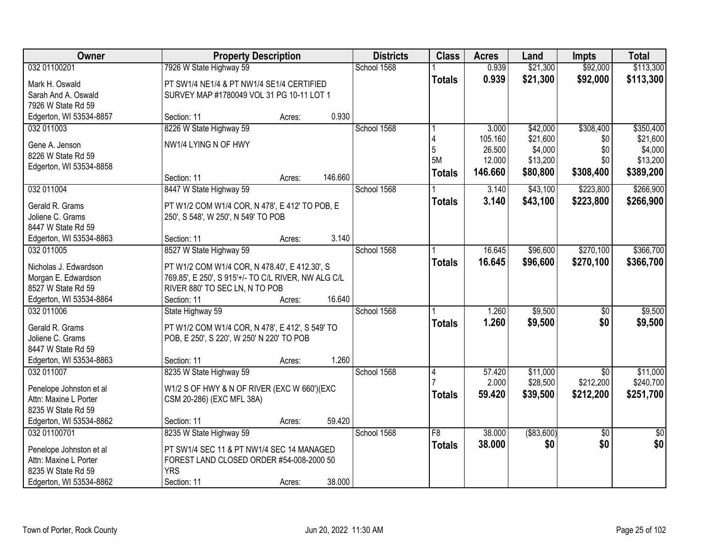| Owner                                         | <b>Property Description</b>                         |        |         | <b>Districts</b> | <b>Class</b>  | <b>Acres</b> | Land        | <b>Impts</b>    | <b>Total</b>    |
|-----------------------------------------------|-----------------------------------------------------|--------|---------|------------------|---------------|--------------|-------------|-----------------|-----------------|
| 032 01100201                                  | 7926 W State Highway 59                             |        |         | School 1568      |               | 0.939        | \$21,300    | \$92,000        | \$113,300       |
| Mark H. Oswald                                | PT SW1/4 NE1/4 & PT NW1/4 SE1/4 CERTIFIED           |        |         |                  | <b>Totals</b> | 0.939        | \$21,300    | \$92,000        | \$113,300       |
| Sarah And A. Oswald                           | SURVEY MAP #1780049 VOL 31 PG 10-11 LOT 1           |        |         |                  |               |              |             |                 |                 |
| 7926 W State Rd 59                            |                                                     |        |         |                  |               |              |             |                 |                 |
| Edgerton, WI 53534-8857                       | Section: 11                                         | Acres: | 0.930   |                  |               |              |             |                 |                 |
| 032 011003                                    | 8226 W State Highway 59                             |        |         | School 1568      |               | 3.000        | \$42,000    | \$308,400       | \$350,400       |
| Gene A. Jenson                                | NW1/4 LYING N OF HWY                                |        |         |                  |               | 105.160      | \$21,600    | \$0             | \$21,600        |
| 8226 W State Rd 59                            |                                                     |        |         |                  | 5             | 26.500       | \$4,000     | \$0             | \$4,000         |
| Edgerton, WI 53534-8858                       |                                                     |        |         |                  | 5M            | 12.000       | \$13,200    | \$0             | \$13,200        |
|                                               | Section: 11                                         | Acres: | 146.660 |                  | <b>Totals</b> | 146.660      | \$80,800    | \$308,400       | \$389,200       |
| 032 011004                                    | 8447 W State Highway 59                             |        |         | School 1568      |               | 3.140        | \$43,100    | \$223,800       | \$266,900       |
| Gerald R. Grams                               | PT W1/2 COM W1/4 COR, N 478', E 412' TO POB, E      |        |         |                  | <b>Totals</b> | 3.140        | \$43,100    | \$223,800       | \$266,900       |
| Joliene C. Grams                              | 250', S 548', W 250', N 549' TO POB                 |        |         |                  |               |              |             |                 |                 |
| 8447 W State Rd 59                            |                                                     |        |         |                  |               |              |             |                 |                 |
| Edgerton, WI 53534-8863                       | Section: 11                                         | Acres: | 3.140   |                  |               |              |             |                 |                 |
| 032 011005                                    | 8527 W State Highway 59                             |        |         | School 1568      |               | 16.645       | \$96,600    | \$270,100       | \$366,700       |
|                                               |                                                     |        |         |                  | <b>Totals</b> | 16.645       | \$96,600    | \$270,100       | \$366,700       |
| Nicholas J. Edwardson                         | PT W1/2 COM W1/4 COR, N 478.40', E 412.30', S       |        |         |                  |               |              |             |                 |                 |
| Morgan E. Edwardson                           | 769.85', E 250', S 915'+/- TO C/L RIVER, NW ALG C/L |        |         |                  |               |              |             |                 |                 |
| 8527 W State Rd 59<br>Edgerton, WI 53534-8864 | RIVER 880' TO SEC LN, N TO POB<br>Section: 11       |        | 16.640  |                  |               |              |             |                 |                 |
| 032 011006                                    | State Highway 59                                    | Acres: |         | School 1568      |               | 1.260        | \$9,500     | \$0             | \$9,500         |
|                                               |                                                     |        |         |                  |               | 1.260        | \$9,500     | \$0             |                 |
| Gerald R. Grams                               | PT W1/2 COM W1/4 COR, N 478', E 412', S 549' TO     |        |         |                  | <b>Totals</b> |              |             |                 | \$9,500         |
| Joliene C. Grams                              | POB, E 250', S 220', W 250' N 220' TO POB           |        |         |                  |               |              |             |                 |                 |
| 8447 W State Rd 59                            |                                                     |        |         |                  |               |              |             |                 |                 |
| Edgerton, WI 53534-8863                       | Section: 11                                         | Acres: | 1.260   |                  |               |              |             |                 |                 |
| 032 011007                                    | 8235 W State Highway 59                             |        |         | School 1568      | 4             | 57.420       | \$11,000    | $\overline{50}$ | \$11,000        |
| Penelope Johnston et al                       | W1/2 S OF HWY & N OF RIVER (EXC W 660')(EXC         |        |         |                  |               | 2.000        | \$28,500    | \$212,200       | \$240,700       |
| Attn: Maxine L Porter                         | CSM 20-286) (EXC MFL 38A)                           |        |         |                  | <b>Totals</b> | 59.420       | \$39,500    | \$212,200       | \$251,700       |
| 8235 W State Rd 59                            |                                                     |        |         |                  |               |              |             |                 |                 |
| Edgerton, WI 53534-8862                       | Section: 11                                         | Acres: | 59.420  |                  |               |              |             |                 |                 |
| 032 01100701                                  | 8235 W State Highway 59                             |        |         | School 1568      | F8            | 38.000       | ( \$83,600) | $\overline{30}$ | $\overline{30}$ |
| Penelope Johnston et al                       | PT SW1/4 SEC 11 & PT NW1/4 SEC 14 MANAGED           |        |         |                  | <b>Totals</b> | 38.000       | \$0         | \$0             | \$0             |
| Attn: Maxine L Porter                         | FOREST LAND CLOSED ORDER #54-008-2000 50            |        |         |                  |               |              |             |                 |                 |
| 8235 W State Rd 59                            | <b>YRS</b>                                          |        |         |                  |               |              |             |                 |                 |
| Edgerton, WI 53534-8862                       | Section: 11                                         | Acres: | 38.000  |                  |               |              |             |                 |                 |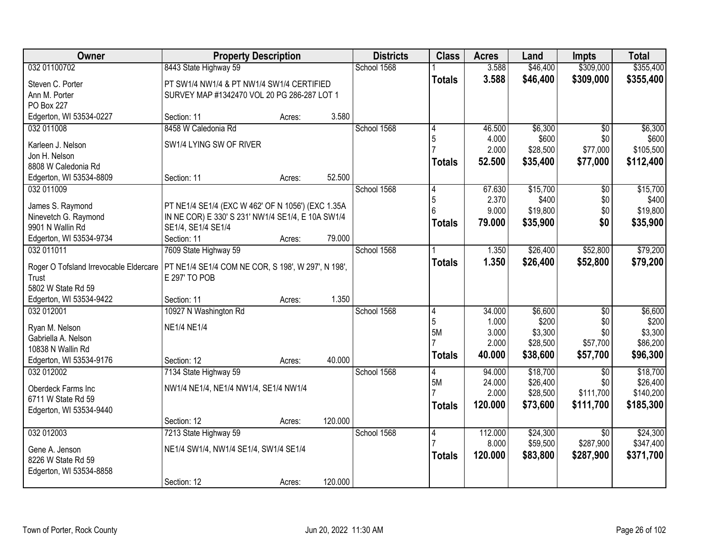| Owner                                        | <b>Property Description</b>                        |        |         | <b>Districts</b> | <b>Class</b>  | <b>Acres</b> | Land     | <b>Impts</b>    | <b>Total</b> |
|----------------------------------------------|----------------------------------------------------|--------|---------|------------------|---------------|--------------|----------|-----------------|--------------|
| 032 01100702                                 | 8443 State Highway 59                              |        |         | School 1568      |               | 3.588        | \$46,400 | \$309,000       | \$355,400    |
| Steven C. Porter                             | PT SW1/4 NW1/4 & PT NW1/4 SW1/4 CERTIFIED          |        |         |                  | <b>Totals</b> | 3.588        | \$46,400 | \$309,000       | \$355,400    |
| Ann M. Porter                                | SURVEY MAP #1342470 VOL 20 PG 286-287 LOT 1        |        |         |                  |               |              |          |                 |              |
| PO Box 227                                   |                                                    |        |         |                  |               |              |          |                 |              |
| Edgerton, WI 53534-0227                      | Section: 11                                        | Acres: | 3.580   |                  |               |              |          |                 |              |
| 032 011008                                   | 8458 W Caledonia Rd                                |        |         | School 1568      | 4             | 46.500       | \$6,300  | $\overline{50}$ | \$6,300      |
|                                              | SW1/4 LYING SW OF RIVER                            |        |         |                  | 5             | 4.000        | \$600    | \$0             | \$600        |
| Karleen J. Nelson<br>Jon H. Nelson           |                                                    |        |         |                  |               | 2.000        | \$28,500 | \$77,000        | \$105,500    |
| 8808 W Caledonia Rd                          |                                                    |        |         |                  | Totals        | 52.500       | \$35,400 | \$77,000        | \$112,400    |
| Edgerton, WI 53534-8809                      | Section: 11                                        | Acres: | 52.500  |                  |               |              |          |                 |              |
| 032 011009                                   |                                                    |        |         | School 1568      | 4             | 67.630       | \$15,700 | $\overline{50}$ | \$15,700     |
|                                              |                                                    |        |         |                  | 5             | 2.370        | \$400    | \$0             | \$400        |
| James S. Raymond                             | PT NE1/4 SE1/4 (EXC W 462' OF N 1056') (EXC 1.35A  |        |         |                  |               | 9.000        | \$19,800 | \$0             | \$19,800     |
| Ninevetch G. Raymond                         | IN NE COR) E 330' S 231' NW1/4 SE1/4, E 10A SW1/4  |        |         |                  | <b>Totals</b> | 79,000       | \$35,900 | \$0             | \$35,900     |
| 9901 N Wallin Rd                             | SE1/4, SE1/4 SE1/4                                 |        |         |                  |               |              |          |                 |              |
| Edgerton, WI 53534-9734                      | Section: 11                                        | Acres: | 79.000  |                  |               |              |          |                 |              |
| 032 011011                                   | 7609 State Highway 59                              |        |         | School 1568      |               | 1.350        | \$26,400 | \$52,800        | \$79,200     |
| Roger O Tofsland Irrevocable Eldercare       | PT NE1/4 SE1/4 COM NE COR, S 198', W 297', N 198', |        |         |                  | <b>Totals</b> | 1.350        | \$26,400 | \$52,800        | \$79,200     |
| Trust                                        | E 297' TO POB                                      |        |         |                  |               |              |          |                 |              |
| 5802 W State Rd 59                           |                                                    |        |         |                  |               |              |          |                 |              |
| Edgerton, WI 53534-9422                      | Section: 11                                        | Acres: | 1.350   |                  |               |              |          |                 |              |
| 032 012001                                   | 10927 N Washington Rd                              |        |         | School 1568      | 4             | 34.000       | \$6,600  | $\overline{50}$ | \$6,600      |
|                                              |                                                    |        |         |                  | 5             | 1.000        | \$200    | \$0             | \$200        |
| Ryan M. Nelson                               | <b>NE1/4 NE1/4</b>                                 |        |         |                  | 5M            | 3.000        | \$3,300  | \$0             | \$3,300      |
| Gabriella A. Nelson                          |                                                    |        |         |                  |               | 2.000        | \$28,500 | \$57,700        | \$86,200     |
| 10838 N Wallin Rd<br>Edgerton, WI 53534-9176 | Section: 12                                        | Acres: | 40.000  |                  | <b>Totals</b> | 40.000       | \$38,600 | \$57,700        | \$96,300     |
| 032 012002                                   | 7134 State Highway 59                              |        |         | School 1568      | 4             | 94.000       | \$18,700 | $\overline{50}$ | \$18,700     |
|                                              |                                                    |        |         |                  | 5M            | 24.000       | \$26,400 | \$0             | \$26,400     |
| Oberdeck Farms Inc                           | NW1/4 NE1/4, NE1/4 NW1/4, SE1/4 NW1/4              |        |         |                  |               | 2.000        | \$28,500 | \$111,700       | \$140,200    |
| 6711 W State Rd 59                           |                                                    |        |         |                  | <b>Totals</b> | 120.000      | \$73,600 | \$111,700       | \$185,300    |
| Edgerton, WI 53534-9440                      |                                                    |        |         |                  |               |              |          |                 |              |
|                                              | Section: 12                                        | Acres: | 120.000 |                  |               |              |          |                 |              |
| 032 012003                                   | 7213 State Highway 59                              |        |         | School 1568      | 4             | 112.000      | \$24,300 | $\overline{50}$ | \$24,300     |
| Gene A. Jenson                               | NE1/4 SW1/4, NW1/4 SE1/4, SW1/4 SE1/4              |        |         |                  |               | 8.000        | \$59,500 | \$287,900       | \$347,400    |
| 8226 W State Rd 59                           |                                                    |        |         |                  | <b>Totals</b> | 120.000      | \$83,800 | \$287,900       | \$371,700    |
| Edgerton, WI 53534-8858                      |                                                    |        |         |                  |               |              |          |                 |              |
|                                              | Section: 12                                        | Acres: | 120.000 |                  |               |              |          |                 |              |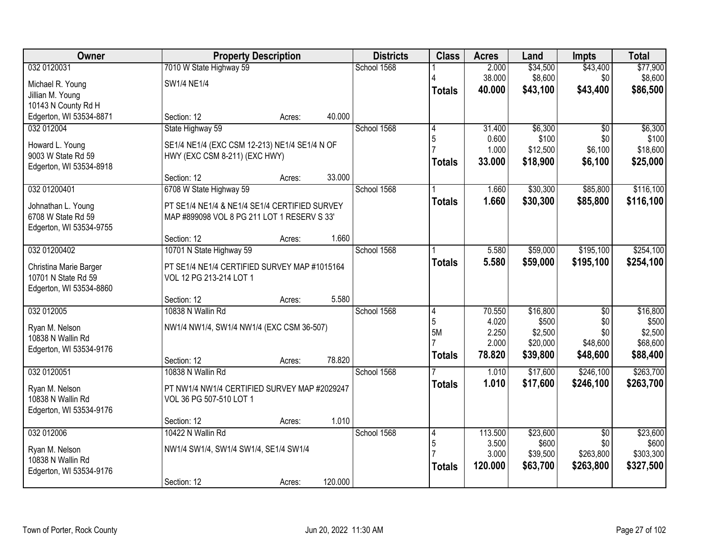| <b>Owner</b>            |                                               | <b>Property Description</b> |         |             | <b>Class</b>   | <b>Acres</b>   | Land                 | <b>Impts</b>       | <b>Total</b>       |
|-------------------------|-----------------------------------------------|-----------------------------|---------|-------------|----------------|----------------|----------------------|--------------------|--------------------|
| 032 0120031             | 7010 W State Highway 59                       |                             |         | School 1568 |                | 2.000          | \$34,500             | \$43,400           | \$77,900           |
| Michael R. Young        | SW1/4 NE1/4                                   |                             |         |             |                | 38.000         | \$8,600              | \$0                | \$8,600            |
| Jillian M. Young        |                                               |                             |         |             | <b>Totals</b>  | 40.000         | \$43,100             | \$43,400           | \$86,500           |
| 10143 N County Rd H     |                                               |                             |         |             |                |                |                      |                    |                    |
| Edgerton, WI 53534-8871 | Section: 12                                   | Acres:                      | 40.000  |             |                |                |                      |                    |                    |
| 032 012004              | State Highway 59                              |                             |         | School 1568 | 4              | 31.400         | \$6,300              | $\overline{50}$    | \$6,300            |
| Howard L. Young         | SE1/4 NE1/4 (EXC CSM 12-213) NE1/4 SE1/4 N OF |                             |         |             | 5              | 0.600<br>1.000 | \$100                | \$0                | \$100<br>\$18,600  |
| 9003 W State Rd 59      | HWY (EXC CSM 8-211) (EXC HWY)                 |                             |         |             |                | 33.000         | \$12,500<br>\$18,900 | \$6,100<br>\$6,100 |                    |
| Edgerton, WI 53534-8918 |                                               |                             |         |             | Totals         |                |                      |                    | \$25,000           |
|                         | Section: 12                                   | Acres:                      | 33.000  |             |                |                |                      |                    |                    |
| 032 01200401            | 6708 W State Highway 59                       |                             |         | School 1568 |                | 1.660          | \$30,300             | \$85,800           | \$116,100          |
| Johnathan L. Young      | PT SE1/4 NE1/4 & NE1/4 SE1/4 CERTIFIED SURVEY |                             |         |             | <b>Totals</b>  | 1.660          | \$30,300             | \$85,800           | \$116,100          |
| 6708 W State Rd 59      | MAP #899098 VOL 8 PG 211 LOT 1 RESERV S 33'   |                             |         |             |                |                |                      |                    |                    |
| Edgerton, WI 53534-9755 |                                               |                             |         |             |                |                |                      |                    |                    |
|                         | Section: 12                                   | Acres:                      | 1.660   |             |                |                |                      |                    |                    |
| 032 01200402            | 10701 N State Highway 59                      |                             |         | School 1568 |                | 5.580          | \$59,000             | \$195,100          | \$254,100          |
| Christina Marie Barger  | PT SE1/4 NE1/4 CERTIFIED SURVEY MAP #1015164  |                             |         |             | <b>Totals</b>  | 5.580          | \$59,000             | \$195,100          | \$254,100          |
| 10701 N State Rd 59     | VOL 12 PG 213-214 LOT 1                       |                             |         |             |                |                |                      |                    |                    |
| Edgerton, WI 53534-8860 |                                               |                             |         |             |                |                |                      |                    |                    |
|                         | Section: 12                                   | Acres:                      | 5.580   |             |                |                |                      |                    |                    |
| 032 012005              | 10838 N Wallin Rd                             |                             |         | School 1568 | 4              | 70.550         | \$16,800             | $\overline{50}$    | \$16,800           |
| Ryan M. Nelson          | NW1/4 NW1/4, SW1/4 NW1/4 (EXC CSM 36-507)     |                             |         |             | 5<br>5M        | 4.020<br>2.250 | \$500<br>\$2,500     | \$0<br>\$0         | \$500<br>\$2,500   |
| 10838 N Wallin Rd       |                                               |                             |         |             |                | 2.000          | \$20,000             | \$48,600           | \$68,600           |
| Edgerton, WI 53534-9176 |                                               |                             |         |             | <b>Totals</b>  | 78.820         | \$39,800             | \$48,600           | \$88,400           |
|                         | Section: 12                                   | Acres:                      | 78.820  |             |                |                |                      |                    |                    |
| 032 0120051             | 10838 N Wallin Rd                             |                             |         | School 1568 |                | 1.010          | \$17,600             | \$246,100          | \$263,700          |
| Ryan M. Nelson          | PT NW1/4 NW1/4 CERTIFIED SURVEY MAP #2029247  |                             |         |             | <b>Totals</b>  | 1.010          | \$17,600             | \$246,100          | \$263,700          |
| 10838 N Wallin Rd       | VOL 36 PG 507-510 LOT 1                       |                             |         |             |                |                |                      |                    |                    |
| Edgerton, WI 53534-9176 |                                               |                             |         |             |                |                |                      |                    |                    |
|                         | Section: 12                                   | Acres:                      | 1.010   |             |                |                |                      |                    |                    |
| 032 012006              | 10422 N Wallin Rd                             |                             |         | School 1568 | $\overline{4}$ | 113.500        | \$23,600             | $\overline{30}$    | \$23,600           |
| Ryan M. Nelson          | NW1/4 SW1/4, SW1/4 SW1/4, SE1/4 SW1/4         |                             |         |             | 5              | 3.500<br>3.000 | \$600<br>\$39,500    | \$0<br>\$263,800   | \$600<br>\$303,300 |
| 10838 N Wallin Rd       |                                               |                             |         |             |                | 120,000        | \$63,700             | \$263,800          | \$327,500          |
| Edgerton, WI 53534-9176 |                                               |                             |         |             | Totals         |                |                      |                    |                    |
|                         | Section: 12                                   | Acres:                      | 120.000 |             |                |                |                      |                    |                    |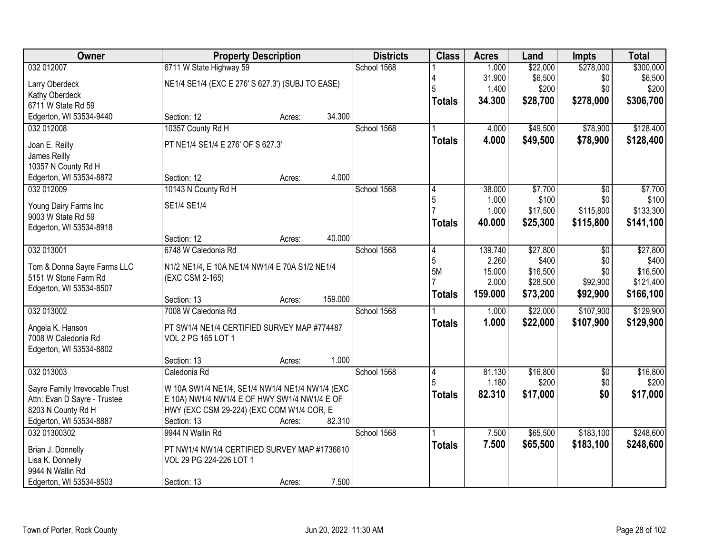| Owner                                         | <b>Property Description</b>                      |        | <b>Districts</b> | <b>Class</b>   | <b>Acres</b>    | Land              | <b>Impts</b>           | <b>Total</b>      |
|-----------------------------------------------|--------------------------------------------------|--------|------------------|----------------|-----------------|-------------------|------------------------|-------------------|
| 032 012007                                    | 6711 W State Highway 59                          |        | School 1568      |                | 1.000           | \$22,000          | \$278,000              | \$300,000         |
| Larry Oberdeck                                | NE1/4 SE1/4 (EXC E 276' S 627.3') (SUBJ TO EASE) |        |                  |                | 31.900          | \$6,500           | \$0                    | \$6,500           |
| Kathy Oberdeck                                |                                                  |        |                  | 5              | 1.400           | \$200             | \$0                    | \$200             |
| 6711 W State Rd 59                            |                                                  |        |                  | <b>Totals</b>  | 34.300          | \$28,700          | \$278,000              | \$306,700         |
| Edgerton, WI 53534-9440                       | Section: 12                                      | Acres: | 34.300           |                |                 |                   |                        |                   |
| 032 012008                                    | 10357 County Rd H                                |        | School 1568      |                | 4.000           | \$49,500          | \$78,900               | \$128,400         |
| Joan E. Reilly                                | PT NE1/4 SE1/4 E 276' OF S 627.3'                |        |                  | <b>Totals</b>  | 4.000           | \$49,500          | \$78,900               | \$128,400         |
| James Reilly                                  |                                                  |        |                  |                |                 |                   |                        |                   |
| 10357 N County Rd H                           |                                                  |        |                  |                |                 |                   |                        |                   |
| Edgerton, WI 53534-8872                       | Section: 12                                      | Acres: | 4.000            |                |                 |                   |                        |                   |
| 032 012009                                    | 10143 N County Rd H                              |        | School 1568      |                | 38.000          | \$7,700           | $\overline{50}$        | \$7,700           |
|                                               |                                                  |        |                  | 5              | 1.000           | \$100             | \$0                    | \$100             |
| Young Dairy Farms Inc                         | SE1/4 SE1/4                                      |        |                  |                | 1.000           | \$17,500          | \$115,800              | \$133,300         |
| 9003 W State Rd 59<br>Edgerton, WI 53534-8918 |                                                  |        |                  | <b>Totals</b>  | 40.000          | \$25,300          | \$115,800              | \$141,100         |
|                                               | Section: 12                                      | Acres: | 40.000           |                |                 |                   |                        |                   |
| 032 013001                                    | 6748 W Caledonia Rd                              |        | School 1568      | 4              | 139.740         | \$27,800          | \$0                    | \$27,800          |
|                                               |                                                  |        |                  | 5              | 2.260           | \$400             | \$0                    | \$400             |
| Tom & Donna Sayre Farms LLC                   | N1/2 NE1/4, E 10A NE1/4 NW1/4 E 70A S1/2 NE1/4   |        |                  | 5M             | 15.000          | \$16,500          | \$0                    | \$16,500          |
| 5151 W Stone Farm Rd                          | (EXC CSM 2-165)                                  |        |                  |                | 2.000           | \$28,500          | \$92,900               | \$121,400         |
| Edgerton, WI 53534-8507                       | Section: 13                                      |        | 159.000          | <b>Totals</b>  | 159.000         | \$73,200          | \$92,900               | \$166,100         |
| 032 013002                                    | 7008 W Caledonia Rd                              | Acres: | School 1568      |                | 1.000           | \$22,000          | \$107,900              | \$129,900         |
|                                               |                                                  |        |                  | <b>Totals</b>  | 1.000           | \$22,000          | \$107,900              | \$129,900         |
| Angela K. Hanson                              | PT SW1/4 NE1/4 CERTIFIED SURVEY MAP #774487      |        |                  |                |                 |                   |                        |                   |
| 7008 W Caledonia Rd                           | VOL 2 PG 165 LOT 1                               |        |                  |                |                 |                   |                        |                   |
| Edgerton, WI 53534-8802                       |                                                  |        |                  |                |                 |                   |                        |                   |
|                                               | Section: 13                                      | Acres: | 1.000            |                |                 |                   |                        |                   |
| 032 013003                                    | Caledonia Rd                                     |        | School 1568      | $\vert 4$<br>5 | 81.130<br>1.180 | \$16,800<br>\$200 | $\overline{50}$<br>\$0 | \$16,800<br>\$200 |
| Sayre Family Irrevocable Trust                | W 10A SW1/4 NE1/4, SE1/4 NW1/4 NE1/4 NW1/4 (EXC  |        |                  |                | 82.310          | \$17,000          | \$0                    | \$17,000          |
| Attn: Evan D Sayre - Trustee                  | E 10A) NW1/4 NW1/4 E OF HWY SW1/4 NW1/4 E OF     |        |                  | <b>Totals</b>  |                 |                   |                        |                   |
| 8203 N County Rd H                            | HWY (EXC CSM 29-224) (EXC COM W1/4 COR, E        |        |                  |                |                 |                   |                        |                   |
| Edgerton, WI 53534-8887                       | Section: 13                                      | Acres: | 82.310           |                |                 |                   |                        |                   |
| 032 01300302                                  | 9944 N Wallin Rd                                 |        | School 1568      |                | 7.500           | \$65,500          | \$183,100              | \$248,600         |
| Brian J. Donnelly                             | PT NW1/4 NW1/4 CERTIFIED SURVEY MAP #1736610     |        |                  | <b>Totals</b>  | 7.500           | \$65,500          | \$183,100              | \$248,600         |
| Lisa K. Donnelly                              | VOL 29 PG 224-226 LOT 1                          |        |                  |                |                 |                   |                        |                   |
| 9944 N Wallin Rd                              |                                                  |        |                  |                |                 |                   |                        |                   |
| Edgerton, WI 53534-8503                       | Section: 13                                      | Acres: | 7.500            |                |                 |                   |                        |                   |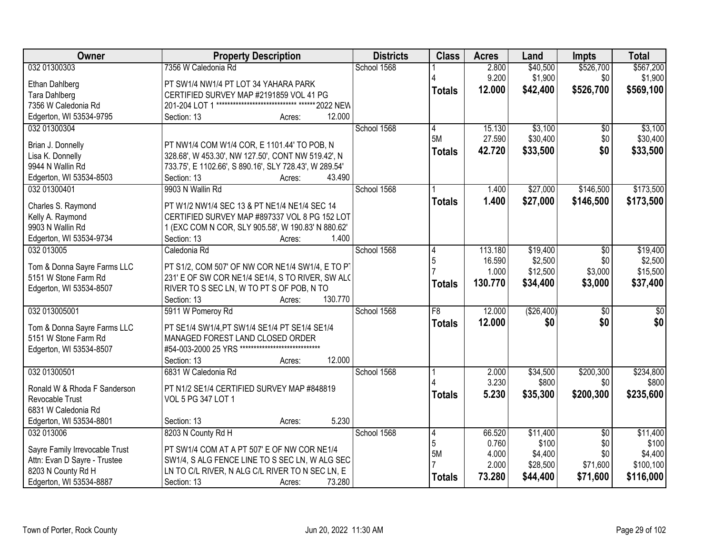| Owner                                   | <b>Property Description</b>                                                               | <b>Districts</b> | <b>Class</b>    | <b>Acres</b> | Land       | <b>Impts</b>    | <b>Total</b> |
|-----------------------------------------|-------------------------------------------------------------------------------------------|------------------|-----------------|--------------|------------|-----------------|--------------|
| 032 01300303                            | 7356 W Caledonia Rd                                                                       | School 1568      |                 | 2.800        | \$40,500   | \$526,700       | \$567,200    |
| Ethan Dahlberg                          | PT SW1/4 NW1/4 PT LOT 34 YAHARA PARK                                                      |                  |                 | 9.200        | \$1,900    | \$0             | \$1,900      |
| <b>Tara Dahlberg</b>                    | CERTIFIED SURVEY MAP #2191859 VOL 41 PG                                                   |                  | <b>Totals</b>   | 12.000       | \$42,400   | \$526,700       | \$569,100    |
| 7356 W Caledonia Rd                     | 201-204 LOT 1 **************************** ****** 2022 NEW                                |                  |                 |              |            |                 |              |
| Edgerton, WI 53534-9795                 | Section: 13<br>12.000<br>Acres:                                                           |                  |                 |              |            |                 |              |
| 032 01300304                            |                                                                                           | School 1568      | 4               | 15.130       | \$3,100    | $\overline{50}$ | \$3,100      |
|                                         |                                                                                           |                  | 5M              | 27.590       | \$30,400   | \$0             | \$30,400     |
| Brian J. Donnelly                       | PT NW1/4 COM W1/4 COR, E 1101.44' TO POB, N                                               |                  | <b>Totals</b>   | 42.720       | \$33,500   | \$0             | \$33,500     |
| Lisa K. Donnelly<br>9944 N Wallin Rd    | 328.68', W 453.30', NW 127.50', CONT NW 519.42', N                                        |                  |                 |              |            |                 |              |
|                                         | 733.75', E 1102.66', S 890.16', SLY 728.43', W 289.54'<br>Section: 13<br>43.490<br>Acres: |                  |                 |              |            |                 |              |
| Edgerton, WI 53534-8503<br>032 01300401 | 9903 N Wallin Rd                                                                          | School 1568      |                 | 1.400        | \$27,000   | \$146,500       | \$173,500    |
|                                         |                                                                                           |                  |                 |              |            |                 |              |
| Charles S. Raymond                      | PT W1/2 NW1/4 SEC 13 & PT NE1/4 NE1/4 SEC 14                                              |                  | <b>Totals</b>   | 1.400        | \$27,000   | \$146,500       | \$173,500    |
| Kelly A. Raymond                        | CERTIFIED SURVEY MAP #897337 VOL 8 PG 152 LOT                                             |                  |                 |              |            |                 |              |
| 9903 N Wallin Rd                        | 1 (EXC COM N COR, SLY 905.58', W 190.83' N 880.62'                                        |                  |                 |              |            |                 |              |
| Edgerton, WI 53534-9734                 | Section: 13<br>1.400<br>Acres:                                                            |                  |                 |              |            |                 |              |
| 032 013005                              | Caledonia Rd                                                                              | School 1568      | 14              | 113.180      | \$19,400   | \$0             | \$19,400     |
| Tom & Donna Sayre Farms LLC             | PT S1/2, COM 507' OF NW COR NE1/4 SW1/4, E TO PT                                          |                  | 5               | 16.590       | \$2,500    | \$0             | \$2,500      |
| 5151 W Stone Farm Rd                    | 231' E OF SW COR NE1/4 SE1/4, S TO RIVER, SW ALC                                          |                  |                 | 1.000        | \$12,500   | \$3,000         | \$15,500     |
| Edgerton, WI 53534-8507                 | RIVER TO S SEC LN, W TO PT S OF POB, N TO                                                 |                  | <b>Totals</b>   | 130.770      | \$34,400   | \$3,000         | \$37,400     |
|                                         | 130.770<br>Section: 13<br>Acres:                                                          |                  |                 |              |            |                 |              |
| 032 013005001                           | 5911 W Pomeroy Rd                                                                         | School 1568      | $\overline{F8}$ | 12.000       | (\$26,400) | $\overline{30}$ | \$0          |
|                                         |                                                                                           |                  |                 | 12.000       | \$0        | \$0             | \$0          |
| Tom & Donna Sayre Farms LLC             | PT SE1/4 SW1/4, PT SW1/4 SE1/4 PT SE1/4 SE1/4                                             |                  | <b>Totals</b>   |              |            |                 |              |
| 5151 W Stone Farm Rd                    | MANAGED FOREST LAND CLOSED ORDER                                                          |                  |                 |              |            |                 |              |
| Edgerton, WI 53534-8507                 | #54-003-2000 25 YRS *****************************                                         |                  |                 |              |            |                 |              |
|                                         | 12.000<br>Section: 13<br>Acres:                                                           |                  |                 |              |            |                 |              |
| 032 01300501                            | 6831 W Caledonia Rd                                                                       | School 1568      |                 | 2.000        | \$34,500   | \$200,300       | \$234,800    |
| Ronald W & Rhoda F Sanderson            | PT N1/2 SE1/4 CERTIFIED SURVEY MAP #848819                                                |                  |                 | 3.230        | \$800      | \$0             | \$800        |
| Revocable Trust                         | VOL 5 PG 347 LOT 1                                                                        |                  | <b>Totals</b>   | 5.230        | \$35,300   | \$200,300       | \$235,600    |
| 6831 W Caledonia Rd                     |                                                                                           |                  |                 |              |            |                 |              |
| Edgerton, WI 53534-8801                 | 5.230<br>Section: 13<br>Acres:                                                            |                  |                 |              |            |                 |              |
| 032 013006                              | 8203 N County Rd H                                                                        | School 1568      | 14              | 66.520       | \$11,400   | $\overline{30}$ | \$11,400     |
|                                         |                                                                                           |                  | 5               | 0.760        | \$100      | \$0             | \$100        |
| Sayre Family Irrevocable Trust          | PT SW1/4 COM AT A PT 507' E OF NW COR NE1/4                                               |                  | 5M              | 4.000        | \$4,400    | \$0             | \$4,400      |
| Attn: Evan D Sayre - Trustee            | SW1/4, S ALG FENCE LINE TO S SEC LN, W ALG SEC                                            |                  |                 | 2.000        | \$28,500   | \$71,600        | \$100,100    |
| 8203 N County Rd H                      | LN TO C/L RIVER, N ALG C/L RIVER TO N SEC LN, E                                           |                  | <b>Totals</b>   | 73.280       | \$44,400   | \$71,600        | \$116,000    |
| Edgerton, WI 53534-8887                 | Section: 13<br>73.280<br>Acres:                                                           |                  |                 |              |            |                 |              |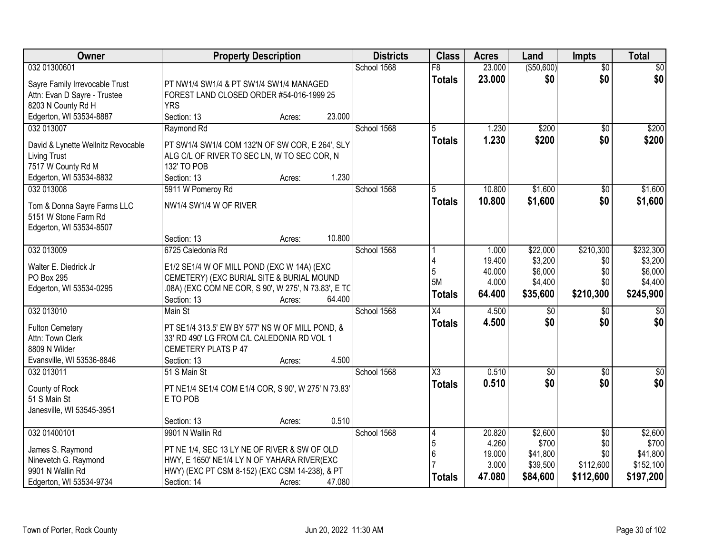| Owner                                               | <b>Property Description</b>                                                             | <b>Districts</b> | <b>Class</b>    | <b>Acres</b> | Land        | <b>Impts</b>    | <b>Total</b>     |
|-----------------------------------------------------|-----------------------------------------------------------------------------------------|------------------|-----------------|--------------|-------------|-----------------|------------------|
| 032 01300601                                        |                                                                                         | School 1568      | $\overline{F8}$ | 23.000       | ( \$50,600) | $\overline{50}$ | \$0              |
| Sayre Family Irrevocable Trust                      | PT NW1/4 SW1/4 & PT SW1/4 SW1/4 MANAGED                                                 |                  | <b>Totals</b>   | 23.000       | \$0         | \$0             | \$0              |
| Attn: Evan D Sayre - Trustee                        | FOREST LAND CLOSED ORDER #54-016-1999 25                                                |                  |                 |              |             |                 |                  |
| 8203 N County Rd H                                  | <b>YRS</b>                                                                              |                  |                 |              |             |                 |                  |
| Edgerton, WI 53534-8887                             | Section: 13<br>23.000<br>Acres:                                                         |                  |                 |              |             |                 |                  |
| 032 013007                                          | Raymond Rd                                                                              | School 1568      | $\overline{5}$  | 1.230        | \$200       | $\overline{50}$ | \$200            |
| David & Lynette Wellnitz Revocable                  | PT SW1/4 SW1/4 COM 132'N OF SW COR, E 264', SLY                                         |                  | <b>Totals</b>   | 1.230        | \$200       | \$0             | \$200            |
| <b>Living Trust</b>                                 | ALG C/L OF RIVER TO SEC LN, W TO SEC COR, N                                             |                  |                 |              |             |                 |                  |
| 7517 W County Rd M                                  | 132' TO POB                                                                             |                  |                 |              |             |                 |                  |
| Edgerton, WI 53534-8832                             | 1.230<br>Section: 13<br>Acres:                                                          |                  |                 |              |             |                 |                  |
| 032 013008                                          | 5911 W Pomeroy Rd                                                                       | School 1568      | 5               | 10.800       | \$1,600     | $\sqrt[6]{}$    | \$1,600          |
|                                                     | NW1/4 SW1/4 W OF RIVER                                                                  |                  | <b>Totals</b>   | 10,800       | \$1,600     | \$0             | \$1,600          |
| Tom & Donna Sayre Farms LLC<br>5151 W Stone Farm Rd |                                                                                         |                  |                 |              |             |                 |                  |
| Edgerton, WI 53534-8507                             |                                                                                         |                  |                 |              |             |                 |                  |
|                                                     | 10.800<br>Section: 13<br>Acres:                                                         |                  |                 |              |             |                 |                  |
| 032 013009                                          | 6725 Caledonia Rd                                                                       | School 1568      |                 | 1.000        | \$22,000    | \$210,300       | \$232,300        |
|                                                     |                                                                                         |                  |                 | 19.400       | \$3,200     | \$0             | \$3,200          |
| Walter E. Diedrick Jr                               | E1/2 SE1/4 W OF MILL POND (EXC W 14A) (EXC                                              |                  | 5               | 40.000       | \$6,000     | \$0             | \$6,000          |
| PO Box 295                                          | CEMETERY) (EXC BURIAL SITE & BURIAL MOUND                                               |                  | 5M              | 4.000        | \$4,400     | \$0             | \$4,400          |
| Edgerton, WI 53534-0295                             | .08A) (EXC COM NE COR, S 90', W 275', N 73.83', E TC<br>Section: 13<br>64.400<br>Acres: |                  | Totals          | 64.400       | \$35,600    | \$210,300       | \$245,900        |
| 032 013010                                          | Main St                                                                                 | School 1568      | $\overline{X4}$ | 4.500        | \$0         | \$0             | $\overline{50}$  |
|                                                     |                                                                                         |                  | <b>Totals</b>   | 4.500        | \$0         | \$0             | \$0              |
| <b>Fulton Cemetery</b>                              | PT SE1/4 313.5' EW BY 577' NS W OF MILL POND, &                                         |                  |                 |              |             |                 |                  |
| Attn: Town Clerk                                    | 33' RD 490' LG FROM C/L CALEDONIA RD VOL 1                                              |                  |                 |              |             |                 |                  |
| 8809 N Wilder                                       | <b>CEMETERY PLATS P 47</b>                                                              |                  |                 |              |             |                 |                  |
| Evansville, WI 53536-8846                           | 4.500<br>Section: 13<br>Acres:                                                          |                  |                 |              |             |                 |                  |
| 032 013011                                          | 51 S Main St                                                                            | School 1568      | X3              | 0.510        | $\sqrt{6}$  | \$0             | $\overline{\$0}$ |
| County of Rock                                      | PT NE1/4 SE1/4 COM E1/4 COR, S 90', W 275' N 73.83'                                     |                  | <b>Totals</b>   | 0.510        | \$0         | \$0             | \$0              |
| 51 S Main St                                        | E TO POB                                                                                |                  |                 |              |             |                 |                  |
| Janesville, WI 53545-3951                           |                                                                                         |                  |                 |              |             |                 |                  |
|                                                     | 0.510<br>Section: 13<br>Acres:                                                          |                  |                 |              |             |                 |                  |
| 032 01400101                                        | 9901 N Wallin Rd                                                                        | School 1568      | 4               | 20.820       | \$2,600     | $\overline{50}$ | \$2,600          |
| James S. Raymond                                    | PT NE 1/4, SEC 13 LY NE OF RIVER & SW OF OLD                                            |                  | 5               | 4.260        | \$700       | \$0             | \$700            |
| Ninevetch G. Raymond                                | HWY, E 1650' NE1/4 LY N OF YAHARA RIVER(EXC                                             |                  | 6               | 19.000       | \$41,800    | \$0             | \$41,800         |
| 9901 N Wallin Rd                                    | HWY) (EXC PT CSM 8-152) (EXC CSM 14-238), & PT                                          |                  |                 | 3.000        | \$39,500    | \$112,600       | \$152,100        |
| Edgerton, WI 53534-9734                             | Section: 14<br>47.080<br>Acres:                                                         |                  | <b>Totals</b>   | 47.080       | \$84,600    | \$112,600       | \$197,200        |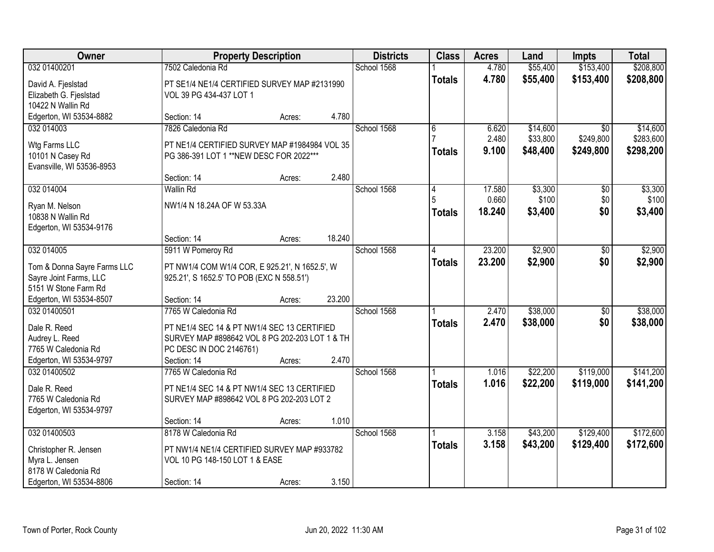| Owner                       | <b>Property Description</b>                    |        |        | <b>Districts</b> | <b>Class</b>  | <b>Acres</b> | Land     | Impts           | <b>Total</b> |
|-----------------------------|------------------------------------------------|--------|--------|------------------|---------------|--------------|----------|-----------------|--------------|
| 032 01400201                | 7502 Caledonia Rd                              |        |        | School 1568      |               | 4.780        | \$55,400 | \$153,400       | \$208,800    |
| David A. Fjeslstad          | PT SE1/4 NE1/4 CERTIFIED SURVEY MAP #2131990   |        |        |                  | <b>Totals</b> | 4.780        | \$55,400 | \$153,400       | \$208,800    |
| Elizabeth G. Fjeslstad      | VOL 39 PG 434-437 LOT 1                        |        |        |                  |               |              |          |                 |              |
| 10422 N Wallin Rd           |                                                |        |        |                  |               |              |          |                 |              |
| Edgerton, WI 53534-8882     | Section: 14                                    | Acres: | 4.780  |                  |               |              |          |                 |              |
| 032 014003                  | 7826 Caledonia Rd                              |        |        | School 1568      | 6             | 6.620        | \$14,600 | $\overline{50}$ | \$14,600     |
| Wtg Farms LLC               | PT NE1/4 CERTIFIED SURVEY MAP #1984984 VOL 35  |        |        |                  |               | 2.480        | \$33,800 | \$249,800       | \$283,600    |
| 10101 N Casey Rd            | PG 386-391 LOT 1 ** NEW DESC FOR 2022 ***      |        |        |                  | <b>Totals</b> | 9.100        | \$48,400 | \$249,800       | \$298,200    |
| Evansville, WI 53536-8953   |                                                |        |        |                  |               |              |          |                 |              |
|                             | Section: 14                                    | Acres: | 2.480  |                  |               |              |          |                 |              |
| 032 014004                  | <b>Wallin Rd</b>                               |        |        | School 1568      | 14            | 17.580       | \$3,300  | \$0             | \$3,300      |
| Ryan M. Nelson              | NW1/4 N 18.24A OF W 53.33A                     |        |        |                  | 5             | 0.660        | \$100    | \$0             | \$100        |
| 10838 N Wallin Rd           |                                                |        |        |                  | <b>Totals</b> | 18.240       | \$3,400  | \$0             | \$3,400      |
| Edgerton, WI 53534-9176     |                                                |        |        |                  |               |              |          |                 |              |
|                             | Section: 14                                    | Acres: | 18.240 |                  |               |              |          |                 |              |
| 032 014005                  | 5911 W Pomeroy Rd                              |        |        | School 1568      | 4             | 23.200       | \$2,900  | \$0             | \$2,900      |
| Tom & Donna Sayre Farms LLC | PT NW1/4 COM W1/4 COR, E 925.21', N 1652.5', W |        |        |                  | <b>Totals</b> | 23.200       | \$2,900  | \$0             | \$2,900      |
| Sayre Joint Farms, LLC      | 925.21', S 1652.5' TO POB (EXC N 558.51')      |        |        |                  |               |              |          |                 |              |
| 5151 W Stone Farm Rd        |                                                |        |        |                  |               |              |          |                 |              |
| Edgerton, WI 53534-8507     | Section: 14                                    | Acres: | 23.200 |                  |               |              |          |                 |              |
| 032 01400501                | 7765 W Caledonia Rd                            |        |        | School 1568      |               | 2.470        | \$38,000 | $\overline{50}$ | \$38,000     |
| Dale R. Reed                | PT NE1/4 SEC 14 & PT NW1/4 SEC 13 CERTIFIED    |        |        |                  | <b>Totals</b> | 2.470        | \$38,000 | \$0             | \$38,000     |
| Audrey L. Reed              | SURVEY MAP #898642 VOL 8 PG 202-203 LOT 1 & TH |        |        |                  |               |              |          |                 |              |
| 7765 W Caledonia Rd         | PC DESC IN DOC 2146761)                        |        |        |                  |               |              |          |                 |              |
| Edgerton, WI 53534-9797     | Section: 14                                    | Acres: | 2.470  |                  |               |              |          |                 |              |
| 032 01400502                | 7765 W Caledonia Rd                            |        |        | School 1568      |               | 1.016        | \$22,200 | \$119,000       | \$141,200    |
| Dale R. Reed                | PT NE1/4 SEC 14 & PT NW1/4 SEC 13 CERTIFIED    |        |        |                  | <b>Totals</b> | 1.016        | \$22,200 | \$119,000       | \$141,200    |
| 7765 W Caledonia Rd         | SURVEY MAP #898642 VOL 8 PG 202-203 LOT 2      |        |        |                  |               |              |          |                 |              |
| Edgerton, WI 53534-9797     |                                                |        |        |                  |               |              |          |                 |              |
|                             | Section: 14                                    | Acres: | 1.010  |                  |               |              |          |                 |              |
| 032 01400503                | 8178 W Caledonia Rd                            |        |        | School 1568      |               | 3.158        | \$43,200 | \$129,400       | \$172,600    |
| Christopher R. Jensen       | PT NW1/4 NE1/4 CERTIFIED SURVEY MAP #933782    |        |        |                  | <b>Totals</b> | 3.158        | \$43,200 | \$129,400       | \$172,600    |
| Myra L. Jensen              | VOL 10 PG 148-150 LOT 1 & EASE                 |        |        |                  |               |              |          |                 |              |
| 8178 W Caledonia Rd         |                                                |        |        |                  |               |              |          |                 |              |
| Edgerton, WI 53534-8806     | Section: 14                                    | Acres: | 3.150  |                  |               |              |          |                 |              |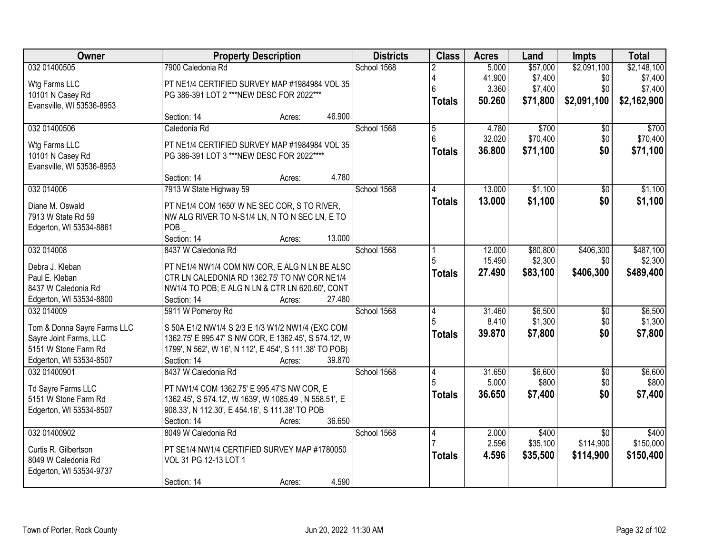| Owner                                          | <b>Property Description</b>                                            | <b>Districts</b> | <b>Class</b> | <b>Acres</b>   | Land   | <b>Impts</b> | <b>Total</b>    |             |
|------------------------------------------------|------------------------------------------------------------------------|------------------|--------------|----------------|--------|--------------|-----------------|-------------|
| 032 01400505                                   | 7900 Caledonia Rd                                                      |                  | School 1568  |                | 5.000  | \$57,000     | \$2,091,100     | \$2,148,100 |
| Wtg Farms LLC                                  | PT NE1/4 CERTIFIED SURVEY MAP #1984984 VOL 35                          |                  |              | Δ              | 41.900 | \$7,400      | \$0             | \$7,400     |
| 10101 N Casey Rd                               | PG 386-391 LOT 2 *** NEW DESC FOR 2022 ***                             |                  |              | 6              | 3.360  | \$7,400      | \$0             | \$7,400     |
| Evansville, WI 53536-8953                      |                                                                        |                  |              | <b>Totals</b>  | 50.260 | \$71,800     | \$2,091,100     | \$2,162,900 |
|                                                | Section: 14                                                            | 46.900<br>Acres: |              |                |        |              |                 |             |
| 032 01400506                                   | Caledonia Rd                                                           |                  | School 1568  | $\overline{5}$ | 4.780  | \$700        | $\overline{50}$ | \$700       |
| Wtg Farms LLC                                  | PT NE1/4 CERTIFIED SURVEY MAP #1984984 VOL 35                          |                  |              | ĥ              | 32.020 | \$70,400     | \$0             | \$70,400    |
| 10101 N Casey Rd                               | PG 386-391 LOT 3 *** NEW DESC FOR 2022 ****                            |                  |              | <b>Totals</b>  | 36.800 | \$71,100     | \$0             | \$71,100    |
| Evansville, WI 53536-8953                      |                                                                        |                  |              |                |        |              |                 |             |
|                                                | Section: 14                                                            | 4.780<br>Acres:  |              |                |        |              |                 |             |
| 032 014006                                     | 7913 W State Highway 59                                                |                  | School 1568  |                | 13.000 | \$1,100      | \$0             | \$1,100     |
| Diane M. Oswald                                | PT NE1/4 COM 1650' W NE SEC COR, S TO RIVER,                           |                  |              | <b>Totals</b>  | 13.000 | \$1,100      | \$0             | \$1,100     |
| 7913 W State Rd 59                             | NW ALG RIVER TO N-S1/4 LN, N TO N SEC LN, E TO                         |                  |              |                |        |              |                 |             |
| Edgerton, WI 53534-8861                        | <b>POB</b>                                                             |                  |              |                |        |              |                 |             |
|                                                | Section: 14                                                            | 13.000<br>Acres: |              |                |        |              |                 |             |
| 032 014008                                     | 8437 W Caledonia Rd                                                    |                  | School 1568  |                | 12.000 | \$80,800     | \$406,300       | \$487,100   |
| Debra J. Kleban                                | PT NE1/4 NW1/4 COM NW COR, E ALG N LN BE ALSO                          |                  |              | 5              | 15.490 | \$2,300      | \$0             | \$2,300     |
| Paul E. Kleban                                 | CTR LN CALEDONIA RD 1362.75' TO NW COR NE1/4                           |                  |              | <b>Totals</b>  | 27.490 | \$83,100     | \$406,300       | \$489,400   |
| 8437 W Caledonia Rd                            | NW1/4 TO POB; E ALG N LN & CTR LN 620.60', CONT                        |                  |              |                |        |              |                 |             |
| Edgerton, WI 53534-8800                        | Section: 14                                                            | 27.480<br>Acres: |              |                |        |              |                 |             |
| 032 014009                                     | 5911 W Pomeroy Rd                                                      |                  | School 1568  | 4              | 31.460 | \$6,500      | \$0             | \$6,500     |
|                                                |                                                                        |                  |              | 5              | 8.410  | \$1,300      | \$0             | \$1,300     |
| Tom & Donna Sayre Farms LLC                    | S 50A E1/2 NW1/4 S 2/3 E 1/3 W1/2 NW1/4 (EXC COM                       |                  |              | <b>Totals</b>  | 39.870 | \$7,800      | \$0             | \$7,800     |
| Sayre Joint Farms, LLC<br>5151 W Stone Farm Rd | 1362.75' E 995.47' S NW COR, E 1362.45', S 574.12', W                  |                  |              |                |        |              |                 |             |
| Edgerton, WI 53534-8507                        | 1799', N 562', W 16', N 112', E 454', S 111.38' TO POB)<br>Section: 14 | 39.870<br>Acres: |              |                |        |              |                 |             |
| 032 01400901                                   | 8437 W Caledonia Rd                                                    |                  | School 1568  | $\overline{4}$ | 31.650 | \$6,600      | $\overline{60}$ | \$6,600     |
|                                                |                                                                        |                  |              |                | 5.000  | \$800        | \$0             | \$800       |
| Td Sayre Farms LLC                             | PT NW1/4 COM 1362.75' E 995.47'S NW COR, E                             |                  |              | <b>Totals</b>  | 36,650 | \$7,400      | \$0             | \$7,400     |
| 5151 W Stone Farm Rd                           | 1362.45', S 574.12', W 1639', W 1085.49, N 558.51', E                  |                  |              |                |        |              |                 |             |
| Edgerton, WI 53534-8507                        | 908.33', N 112.30', E 454.16', S 111.38' TO POB                        |                  |              |                |        |              |                 |             |
|                                                | Section: 14                                                            | 36.650<br>Acres: |              |                |        |              |                 |             |
| 032 01400902                                   | 8049 W Caledonia Rd                                                    |                  | School 1568  | 4              | 2.000  | \$400        | $\overline{30}$ | \$400       |
| Curtis R. Gilbertson                           | PT SE1/4 NW1/4 CERTIFIED SURVEY MAP #1780050                           |                  |              |                | 2.596  | \$35,100     | \$114,900       | \$150,000   |
| 8049 W Caledonia Rd                            | VOL 31 PG 12-13 LOT 1                                                  |                  |              | <b>Totals</b>  | 4.596  | \$35,500     | \$114,900       | \$150,400   |
| Edgerton, WI 53534-9737                        |                                                                        |                  |              |                |        |              |                 |             |
|                                                | Section: 14                                                            | 4.590<br>Acres:  |              |                |        |              |                 |             |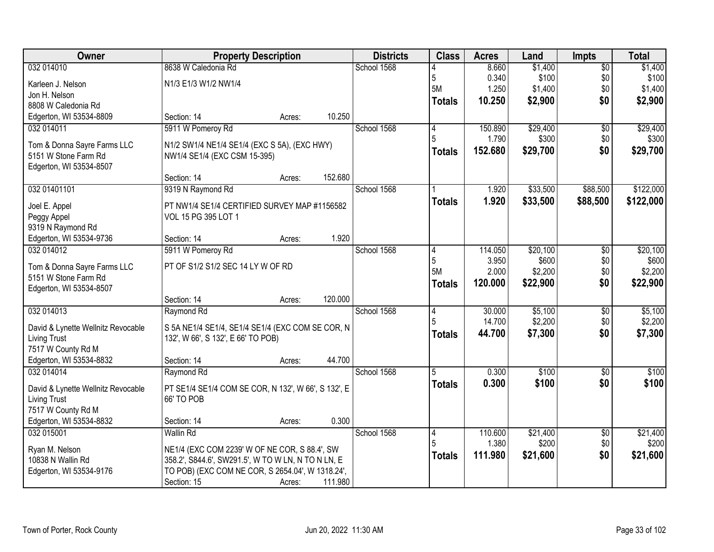| Owner                              | <b>Property Description</b>                         |        |         | <b>Districts</b> | <b>Class</b>   | <b>Acres</b> | Land     | <b>Impts</b>    | <b>Total</b> |
|------------------------------------|-----------------------------------------------------|--------|---------|------------------|----------------|--------------|----------|-----------------|--------------|
| 032 014010                         | 8638 W Caledonia Rd                                 |        |         | School 1568      |                | 8.660        | \$1,400  | $\overline{50}$ | \$1,400      |
| Karleen J. Nelson                  | N1/3 E1/3 W1/2 NW1/4                                |        |         |                  | 5              | 0.340        | \$100    | \$0             | \$100        |
| Jon H. Nelson                      |                                                     |        |         |                  | <b>5M</b>      | 1.250        | \$1,400  | \$0             | \$1,400      |
| 8808 W Caledonia Rd                |                                                     |        |         |                  | <b>Totals</b>  | 10.250       | \$2,900  | \$0             | \$2,900      |
| Edgerton, WI 53534-8809            | Section: 14                                         | Acres: | 10.250  |                  |                |              |          |                 |              |
| 032 014011                         | 5911 W Pomeroy Rd                                   |        |         | School 1568      | 14             | 150.890      | \$29,400 | $\overline{50}$ | \$29,400     |
| Tom & Donna Sayre Farms LLC        | N1/2 SW1/4 NE1/4 SE1/4 (EXC S 5A), (EXC HWY)        |        |         |                  | 5              | 1.790        | \$300    | \$0             | \$300        |
| 5151 W Stone Farm Rd               | NW1/4 SE1/4 (EXC CSM 15-395)                        |        |         |                  | <b>Totals</b>  | 152.680      | \$29,700 | \$0             | \$29,700     |
| Edgerton, WI 53534-8507            |                                                     |        |         |                  |                |              |          |                 |              |
|                                    | Section: 14                                         | Acres: | 152.680 |                  |                |              |          |                 |              |
| 032 01401101                       | 9319 N Raymond Rd                                   |        |         | School 1568      |                | 1.920        | \$33,500 | \$88,500        | \$122,000    |
| Joel E. Appel                      | PT NW1/4 SE1/4 CERTIFIED SURVEY MAP #1156582        |        |         |                  | <b>Totals</b>  | 1.920        | \$33,500 | \$88,500        | \$122,000    |
| Peggy Appel                        | VOL 15 PG 395 LOT 1                                 |        |         |                  |                |              |          |                 |              |
| 9319 N Raymond Rd                  |                                                     |        |         |                  |                |              |          |                 |              |
| Edgerton, WI 53534-9736            | Section: 14                                         | Acres: | 1.920   |                  |                |              |          |                 |              |
| 032 014012                         | 5911 W Pomeroy Rd                                   |        |         | School 1568      | 4              | 114.050      | \$20,100 | \$0             | \$20,100     |
| Tom & Donna Sayre Farms LLC        | PT OF S1/2 S1/2 SEC 14 LY W OF RD                   |        |         |                  | 5              | 3.950        | \$600    | \$0             | \$600        |
| 5151 W Stone Farm Rd               |                                                     |        |         |                  | <b>5M</b>      | 2.000        | \$2,200  | \$0             | \$2,200      |
| Edgerton, WI 53534-8507            |                                                     |        |         |                  | <b>Totals</b>  | 120.000      | \$22,900 | \$0             | \$22,900     |
|                                    | Section: 14                                         | Acres: | 120.000 |                  |                |              |          |                 |              |
| 032 014013                         | Raymond Rd                                          |        |         | School 1568      | $\overline{4}$ | 30.000       | \$5,100  | \$0             | \$5,100      |
| David & Lynette Wellnitz Revocable | S 5A NE1/4 SE1/4, SE1/4 SE1/4 (EXC COM SE COR, N    |        |         |                  | 5              | 14.700       | \$2,200  | \$0             | \$2,200      |
| <b>Living Trust</b>                | 132', W 66', S 132', E 66' TO POB)                  |        |         |                  | <b>Totals</b>  | 44.700       | \$7,300  | \$0             | \$7,300      |
| 7517 W County Rd M                 |                                                     |        |         |                  |                |              |          |                 |              |
| Edgerton, WI 53534-8832            | Section: 14                                         | Acres: | 44.700  |                  |                |              |          |                 |              |
| 032 014014                         | Raymond Rd                                          |        |         | School 1568      | 5              | 0.300        | \$100    | $\overline{60}$ | \$100        |
| David & Lynette Wellnitz Revocable | PT SE1/4 SE1/4 COM SE COR, N 132', W 66', S 132', E |        |         |                  | <b>Totals</b>  | 0.300        | \$100    | \$0             | \$100        |
| Living Trust                       | 66' TO POB                                          |        |         |                  |                |              |          |                 |              |
| 7517 W County Rd M                 |                                                     |        |         |                  |                |              |          |                 |              |
| Edgerton, WI 53534-8832            | Section: 14                                         | Acres: | 0.300   |                  |                |              |          |                 |              |
| 032 015001                         | <b>Wallin Rd</b>                                    |        |         | School 1568      | 4              | 110.600      | \$21,400 | $\overline{50}$ | \$21,400     |
| Ryan M. Nelson                     | NE1/4 (EXC COM 2239' W OF NE COR, S 88.4', SW       |        |         |                  | 5              | 1.380        | \$200    | \$0             | \$200        |
| 10838 N Wallin Rd                  | 358.2', S844.6', SW291.5', W TO W LN, N TO N LN, E  |        |         |                  | <b>Totals</b>  | 111.980      | \$21,600 | \$0             | \$21,600     |
| Edgerton, WI 53534-9176            | TO POB) (EXC COM NE COR, S 2654.04', W 1318.24',    |        |         |                  |                |              |          |                 |              |
|                                    | Section: 15                                         | Acres: | 111.980 |                  |                |              |          |                 |              |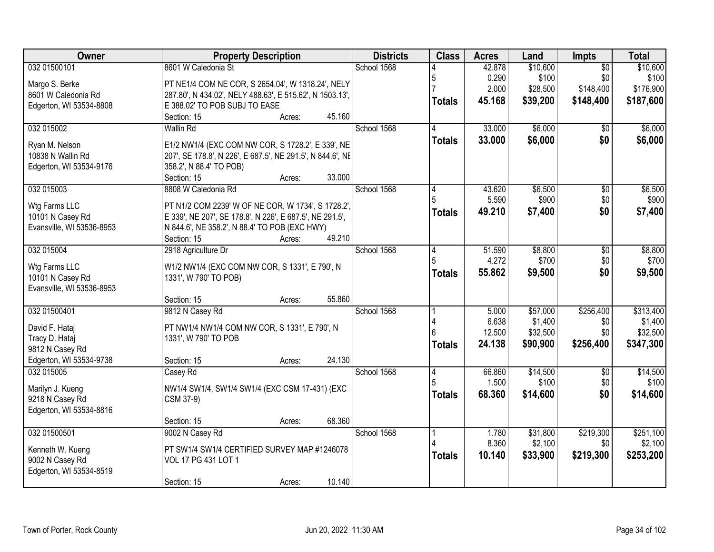| Owner                     | <b>Property Description</b>                                 | <b>Districts</b> | <b>Class</b>   | <b>Acres</b>    | Land             | <b>Impts</b>    | <b>Total</b>     |
|---------------------------|-------------------------------------------------------------|------------------|----------------|-----------------|------------------|-----------------|------------------|
| 032 01500101              | 8601 W Caledonia St                                         | School 1568      |                | 42.878          | \$10,600         | $\overline{50}$ | \$10,600         |
| Margo S. Berke            | PT NE1/4 COM NE COR, S 2654.04', W 1318.24', NELY           |                  | 5              | 0.290           | \$100            | \$0             | \$100            |
| 8601 W Caledonia Rd       | 287.80', N 434.02', NELY 488.63', E 515.62', N 1503.13',    |                  |                | 2.000           | \$28,500         | \$148,400       | \$176,900        |
| Edgerton, WI 53534-8808   | E 388.02' TO POB SUBJ TO EASE                               |                  | <b>Totals</b>  | 45.168          | \$39,200         | \$148,400       | \$187,600        |
|                           | 45.160<br>Section: 15<br>Acres:                             |                  |                |                 |                  |                 |                  |
| 032 015002                | <b>Wallin Rd</b>                                            | School 1568      |                | 33.000          | \$6,000          | \$0             | \$6,000          |
| Ryan M. Nelson            | E1/2 NW1/4 (EXC COM NW COR, S 1728.2', E 339', NE           |                  | <b>Totals</b>  | 33.000          | \$6,000          | \$0             | \$6,000          |
| 10838 N Wallin Rd         | 207', SE 178.8', N 226', E 687.5', NE 291.5', N 844.6', NE  |                  |                |                 |                  |                 |                  |
| Edgerton, WI 53534-9176   | 358.2', N 88.4' TO POB)                                     |                  |                |                 |                  |                 |                  |
|                           | 33.000<br>Section: 15<br>Acres:                             |                  |                |                 |                  |                 |                  |
| 032 015003                | 8808 W Caledonia Rd                                         | School 1568      |                | 43.620          | \$6,500          | \$0             | \$6,500          |
|                           |                                                             |                  |                | 5.590           | \$900            | \$0             | \$900            |
| Wtg Farms LLC             | PT N1/2 COM 2239' W OF NE COR, W 1734', S 1728.2',          |                  | <b>Totals</b>  | 49.210          | \$7,400          | \$0             | \$7,400          |
| 10101 N Casey Rd          | E 339', NE 207', SE 178.8', N 226', E 687.5', NE 291.5',    |                  |                |                 |                  |                 |                  |
| Evansville, WI 53536-8953 | N 844.6', NE 358.2', N 88.4' TO POB (EXC HWY)               |                  |                |                 |                  |                 |                  |
|                           | 49.210<br>Section: 15<br>Acres:                             |                  |                |                 |                  |                 |                  |
| 032 015004                | 2918 Agriculture Dr                                         | School 1568      | 4<br>5         | 51.590<br>4.272 | \$8,800<br>\$700 | \$0<br>\$0      | \$8,800<br>\$700 |
| Wtg Farms LLC             | W1/2 NW1/4 (EXC COM NW COR, S 1331', E 790', N              |                  |                |                 |                  |                 |                  |
| 10101 N Casey Rd          | 1331', W 790' TO POB)                                       |                  | <b>Totals</b>  | 55.862          | \$9,500          | \$0             | \$9,500          |
| Evansville, WI 53536-8953 |                                                             |                  |                |                 |                  |                 |                  |
|                           | 55.860<br>Section: 15<br>Acres:                             |                  |                |                 |                  |                 |                  |
| 032 01500401              | 9812 N Casey Rd                                             | School 1568      |                | 5.000           | \$57,000         | \$256,400       | \$313,400        |
| David F. Hataj            | PT NW1/4 NW1/4 COM NW COR, S 1331', E 790', N               |                  |                | 6.638           | \$1,400          | \$0             | \$1,400          |
| Tracy D. Hataj            | 1331', W 790' TO POB                                        |                  |                | 12.500          | \$32,500         | \$0             | \$32,500         |
| 9812 N Casey Rd           |                                                             |                  | <b>Totals</b>  | 24.138          | \$90,900         | \$256,400       | \$347,300        |
| Edgerton, WI 53534-9738   | 24.130<br>Section: 15<br>Acres:                             |                  |                |                 |                  |                 |                  |
| 032 015005                | Casey Rd                                                    | School 1568      | $\overline{4}$ | 66.860          | \$14,500         | $\sqrt{6}$      | \$14,500         |
| Marilyn J. Kueng          |                                                             |                  |                | 1.500           | \$100            | \$0             | \$100            |
| 9218 N Casey Rd           | NW1/4 SW1/4, SW1/4 SW1/4 (EXC CSM 17-431) (EXC<br>CSM 37-9) |                  | <b>Totals</b>  | 68.360          | \$14,600         | \$0             | \$14,600         |
| Edgerton, WI 53534-8816   |                                                             |                  |                |                 |                  |                 |                  |
|                           | 68.360<br>Section: 15<br>Acres:                             |                  |                |                 |                  |                 |                  |
| 032 01500501              | 9002 N Casey Rd                                             | School 1568      |                | 1.780           | \$31,800         | \$219,300       | \$251,100        |
|                           |                                                             |                  |                | 8.360           | \$2,100          | \$0             | \$2,100          |
| Kenneth W. Kueng          | PT SW1/4 SW1/4 CERTIFIED SURVEY MAP #1246078                |                  | <b>Totals</b>  | 10.140          | \$33,900         | \$219,300       | \$253,200        |
| 9002 N Casey Rd           | VOL 17 PG 431 LOT 1                                         |                  |                |                 |                  |                 |                  |
| Edgerton, WI 53534-8519   |                                                             |                  |                |                 |                  |                 |                  |
|                           | 10.140<br>Section: 15<br>Acres:                             |                  |                |                 |                  |                 |                  |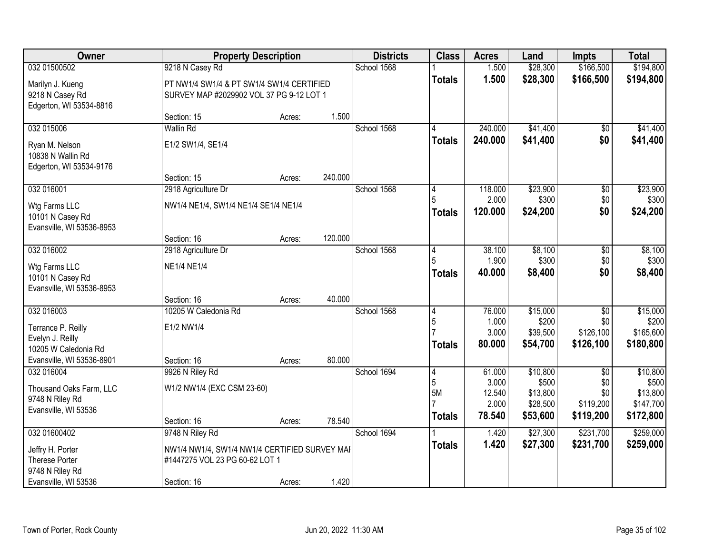| Owner                                                                                                     |                                                                                                | <b>Property Description</b> |         |             | <b>Class</b>                               | <b>Acres</b>                       | Land                                      | <b>Impts</b>                                     | <b>Total</b>                                |
|-----------------------------------------------------------------------------------------------------------|------------------------------------------------------------------------------------------------|-----------------------------|---------|-------------|--------------------------------------------|------------------------------------|-------------------------------------------|--------------------------------------------------|---------------------------------------------|
| 032 01500502                                                                                              | 9218 N Casey Rd                                                                                |                             |         | School 1568 |                                            | 1.500                              | \$28,300                                  | \$166,500                                        | \$194,800                                   |
| Marilyn J. Kueng<br>9218 N Casey Rd<br>Edgerton, WI 53534-8816                                            | PT NW1/4 SW1/4 & PT SW1/4 SW1/4 CERTIFIED<br>SURVEY MAP #2029902 VOL 37 PG 9-12 LOT 1          |                             |         |             | <b>Totals</b>                              | 1.500                              | \$28,300                                  | \$166,500                                        | \$194,800                                   |
|                                                                                                           | Section: 15                                                                                    | Acres:                      | 1.500   |             |                                            |                                    |                                           |                                                  |                                             |
| 032 015006                                                                                                | <b>Wallin Rd</b>                                                                               |                             |         | School 1568 |                                            | 240.000                            | \$41,400                                  | $\overline{50}$                                  | \$41,400                                    |
| Ryan M. Nelson<br>10838 N Wallin Rd<br>Edgerton, WI 53534-9176                                            | E1/2 SW1/4, SE1/4                                                                              |                             |         |             | <b>Totals</b>                              | 240.000                            | \$41,400                                  | \$0                                              | \$41,400                                    |
|                                                                                                           | Section: 15                                                                                    | Acres:                      | 240.000 |             |                                            |                                    |                                           |                                                  |                                             |
| 032 016001<br>Wtg Farms LLC<br>10101 N Casey Rd<br>Evansville, WI 53536-8953                              | 2918 Agriculture Dr<br>NW1/4 NE1/4, SW1/4 NE1/4 SE1/4 NE1/4                                    |                             |         | School 1568 | 4<br><b>Totals</b>                         | 118.000<br>2.000<br>120.000        | \$23,900<br>\$300<br>\$24,200             | \$0<br>\$0<br>\$0                                | \$23,900<br>\$300<br>\$24,200               |
|                                                                                                           | Section: 16                                                                                    | Acres:                      | 120.000 |             |                                            |                                    |                                           |                                                  |                                             |
| 032 016002                                                                                                | 2918 Agriculture Dr                                                                            |                             |         | School 1568 | 4                                          | 38.100                             | \$8,100                                   | \$0                                              | \$8,100                                     |
| Wtg Farms LLC<br>10101 N Casey Rd<br>Evansville, WI 53536-8953                                            | <b>NE1/4 NE1/4</b>                                                                             |                             |         |             | Totals                                     | 1.900<br>40.000                    | \$300<br>\$8,400                          | \$0<br>\$0                                       | \$300<br>\$8,400                            |
|                                                                                                           | Section: 16                                                                                    | Acres:                      | 40.000  |             |                                            |                                    |                                           |                                                  |                                             |
| 032 016003<br>Terrance P. Reilly<br>Evelyn J. Reilly<br>10205 W Caledonia Rd<br>Evansville, WI 53536-8901 | 10205 W Caledonia Rd<br>E1/2 NW1/4<br>Section: 16                                              | Acres:                      | 80.000  | School 1568 | 4<br>5<br><b>Totals</b>                    | 76.000<br>1.000<br>3.000<br>80.000 | \$15,000<br>\$200<br>\$39,500<br>\$54,700 | $\overline{30}$<br>\$0<br>\$126,100<br>\$126,100 | \$15,000<br>\$200<br>\$165,600<br>\$180,800 |
| 032 016004                                                                                                | 9926 N Riley Rd                                                                                |                             |         | School 1694 | 4                                          | 61.000                             | \$10,800                                  | $\overline{50}$                                  | \$10,800                                    |
| Thousand Oaks Farm, LLC<br>9748 N Riley Rd<br>Evansville, WI 53536                                        | W1/2 NW1/4 (EXC CSM 23-60)<br>Section: 16                                                      | Acres:                      | 78.540  |             | 5<br>5M<br>$\overline{7}$<br><b>Totals</b> | 3.000<br>12.540<br>2.000<br>78.540 | \$500<br>\$13,800<br>\$28,500<br>\$53,600 | \$0<br>\$0<br>\$119,200<br>\$119,200             | \$500<br>\$13,800<br>\$147,700<br>\$172,800 |
| 032 01600402                                                                                              | 9748 N Riley Rd                                                                                |                             |         | School 1694 |                                            | 1.420                              | \$27,300                                  | \$231,700                                        | \$259,000                                   |
| Jeffry H. Porter<br>Therese Porter<br>9748 N Riley Rd<br>Evansville, WI 53536                             | NW1/4 NW1/4, SW1/4 NW1/4 CERTIFIED SURVEY MAI<br>#1447275 VOL 23 PG 60-62 LOT 1<br>Section: 16 | Acres:                      | 1.420   |             | Totals                                     | 1.420                              | \$27,300                                  | \$231,700                                        | \$259,000                                   |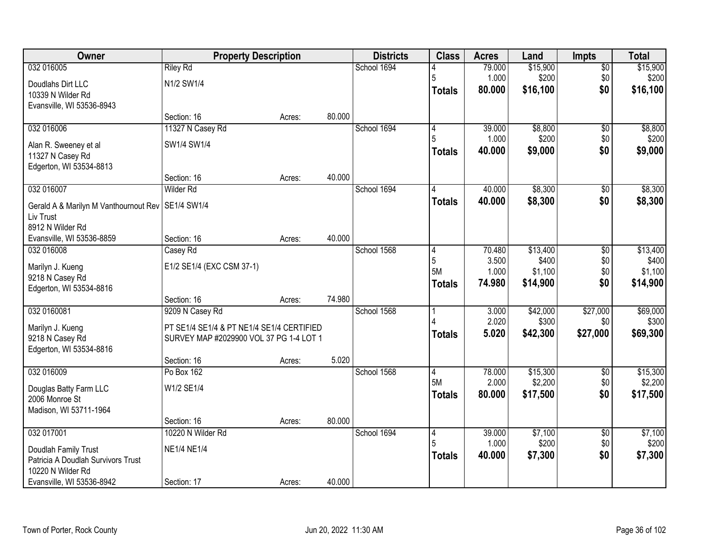| Owner                                               | <b>Property Description</b>               |        |        | <b>Districts</b> | <b>Class</b>  | <b>Acres</b>    | Land                | <b>Impts</b>           | <b>Total</b>        |
|-----------------------------------------------------|-------------------------------------------|--------|--------|------------------|---------------|-----------------|---------------------|------------------------|---------------------|
| 032 016005                                          | <b>Riley Rd</b>                           |        |        | School 1694      |               | 79.000          | \$15,900            | $\overline{50}$        | \$15,900            |
| Doudlahs Dirt LLC                                   | N1/2 SW1/4                                |        |        |                  | 5             | 1.000           | \$200               | \$0                    | \$200               |
| 10339 N Wilder Rd                                   |                                           |        |        |                  | <b>Totals</b> | 80.000          | \$16,100            | \$0                    | \$16,100            |
| Evansville, WI 53536-8943                           |                                           |        |        |                  |               |                 |                     |                        |                     |
|                                                     | Section: 16                               | Acres: | 80.000 |                  |               |                 |                     |                        |                     |
| 032 016006                                          | 11327 N Casey Rd                          |        |        | School 1694      | 4             | 39.000          | \$8,800             | $\overline{50}$        | \$8,800             |
| Alan R. Sweeney et al                               | SW1/4 SW1/4                               |        |        |                  | 5             | 1.000           | \$200               | \$0                    | \$200               |
| 11327 N Casey Rd                                    |                                           |        |        |                  | <b>Totals</b> | 40.000          | \$9,000             | \$0                    | \$9,000             |
| Edgerton, WI 53534-8813                             |                                           |        |        |                  |               |                 |                     |                        |                     |
|                                                     | Section: 16                               | Acres: | 40.000 |                  |               |                 |                     |                        |                     |
| 032 016007                                          | <b>Wilder Rd</b>                          |        |        | School 1694      | 4             | 40.000          | \$8,300             | $\sqrt{6}$             | \$8,300             |
| Gerald A & Marilyn M Vanthournout Rev   SE1/4 SW1/4 |                                           |        |        |                  | <b>Totals</b> | 40.000          | \$8,300             | \$0                    | \$8,300             |
| Liv Trust                                           |                                           |        |        |                  |               |                 |                     |                        |                     |
| 8912 N Wilder Rd                                    |                                           |        |        |                  |               |                 |                     |                        |                     |
| Evansville, WI 53536-8859                           | Section: 16                               | Acres: | 40.000 |                  |               |                 |                     |                        |                     |
| 032 016008                                          | Casey Rd                                  |        |        | School 1568      | 4<br>5        | 70.480<br>3.500 | \$13,400            | \$0<br>\$0             | \$13,400<br>\$400   |
| Marilyn J. Kueng                                    | E1/2 SE1/4 (EXC CSM 37-1)                 |        |        |                  | 5M            | 1.000           | \$400<br>\$1,100    | \$0                    | \$1,100             |
| 9218 N Casey Rd                                     |                                           |        |        |                  | <b>Totals</b> | 74.980          | \$14,900            | \$0                    | \$14,900            |
| Edgerton, WI 53534-8816                             |                                           |        |        |                  |               |                 |                     |                        |                     |
|                                                     | Section: 16                               | Acres: | 74.980 |                  |               |                 |                     |                        |                     |
| 032 0160081                                         | 9209 N Casey Rd                           |        |        | School 1568      |               | 3.000<br>2.020  | \$42,000<br>\$300   | \$27,000<br>\$0        | \$69,000<br>\$300   |
| Marilyn J. Kueng                                    | PT SE1/4 SE1/4 & PT NE1/4 SE1/4 CERTIFIED |        |        |                  | <b>Totals</b> | 5.020           | \$42,300            | \$27,000               | \$69,300            |
| 9218 N Casey Rd                                     | SURVEY MAP #2029900 VOL 37 PG 1-4 LOT 1   |        |        |                  |               |                 |                     |                        |                     |
| Edgerton, WI 53534-8816                             |                                           |        |        |                  |               |                 |                     |                        |                     |
|                                                     | Section: 16                               | Acres: | 5.020  |                  |               |                 |                     |                        |                     |
| 032 016009                                          | Po Box 162                                |        |        | School 1568      | 14<br>5M      | 78.000<br>2.000 | \$15,300<br>\$2,200 | $\overline{60}$<br>\$0 | \$15,300<br>\$2,200 |
| Douglas Batty Farm LLC                              | W1/2 SE1/4                                |        |        |                  | <b>Totals</b> | 80,000          | \$17,500            | \$0                    | \$17,500            |
| 2006 Monroe St                                      |                                           |        |        |                  |               |                 |                     |                        |                     |
| Madison, WI 53711-1964                              |                                           |        |        |                  |               |                 |                     |                        |                     |
|                                                     | Section: 16                               | Acres: | 80.000 |                  |               |                 |                     |                        |                     |
| 032 017001                                          | 10220 N Wilder Rd                         |        |        | School 1694      | 4<br>5        | 39.000<br>1.000 | \$7,100<br>\$200    | $\overline{50}$<br>\$0 | \$7,100<br>\$200    |
| Doudlah Family Trust                                | <b>NE1/4 NE1/4</b>                        |        |        |                  | <b>Totals</b> | 40.000          | \$7,300             | \$0                    | \$7,300             |
| Patricia A Doudlah Survivors Trust                  |                                           |        |        |                  |               |                 |                     |                        |                     |
| 10220 N Wilder Rd                                   |                                           |        |        |                  |               |                 |                     |                        |                     |
| Evansville, WI 53536-8942                           | Section: 17                               | Acres: | 40.000 |                  |               |                 |                     |                        |                     |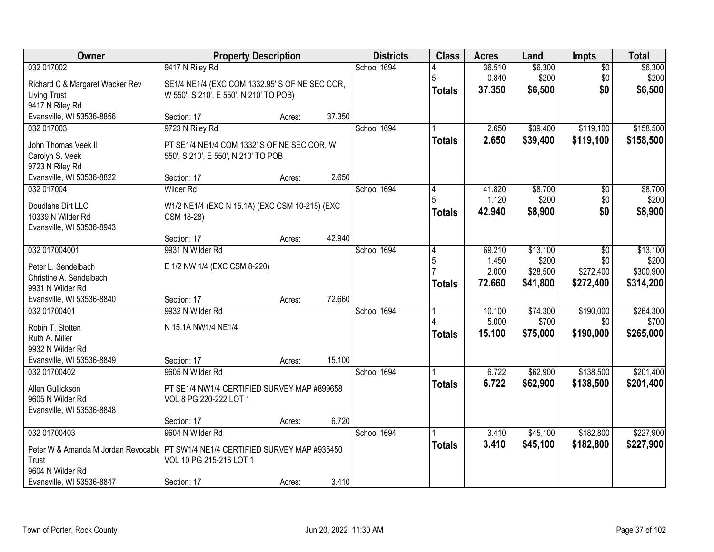| Owner                                                                                      |                                                | <b>Property Description</b> |        | <b>Districts</b> | <b>Class</b>  | <b>Acres</b> | Land     | <b>Impts</b>    | <b>Total</b> |
|--------------------------------------------------------------------------------------------|------------------------------------------------|-----------------------------|--------|------------------|---------------|--------------|----------|-----------------|--------------|
| 032 017002                                                                                 | 9417 N Riley Rd                                |                             |        | School 1694      |               | 36.510       | \$6,300  | $\overline{50}$ | \$6,300      |
| Richard C & Margaret Wacker Rev                                                            | SE1/4 NE1/4 (EXC COM 1332.95' S OF NE SEC COR, |                             |        |                  | 5             | 0.840        | \$200    | \$0             | \$200        |
| <b>Living Trust</b>                                                                        | W 550', S 210', E 550', N 210' TO POB)         |                             |        |                  | <b>Totals</b> | 37.350       | \$6,500  | \$0             | \$6,500      |
| 9417 N Riley Rd                                                                            |                                                |                             |        |                  |               |              |          |                 |              |
| Evansville, WI 53536-8856                                                                  | Section: 17                                    | Acres:                      | 37.350 |                  |               |              |          |                 |              |
| 032 017003                                                                                 | 9723 N Riley Rd                                |                             |        | School 1694      |               | 2.650        | \$39,400 | \$119,100       | \$158,500    |
| John Thomas Veek II                                                                        | PT SE1/4 NE1/4 COM 1332' S OF NE SEC COR, W    |                             |        |                  | <b>Totals</b> | 2.650        | \$39,400 | \$119,100       | \$158,500    |
| Carolyn S. Veek                                                                            | 550', S 210', E 550', N 210' TO POB            |                             |        |                  |               |              |          |                 |              |
| 9723 N Riley Rd                                                                            |                                                |                             |        |                  |               |              |          |                 |              |
| Evansville, WI 53536-8822                                                                  | Section: 17                                    | Acres:                      | 2.650  |                  |               |              |          |                 |              |
| 032 017004                                                                                 | Wilder Rd                                      |                             |        | School 1694      | 4             | 41.820       | \$8,700  | \$0             | \$8,700      |
| Doudlahs Dirt LLC                                                                          | W1/2 NE1/4 (EXC N 15.1A) (EXC CSM 10-215) (EXC |                             |        |                  |               | 1.120        | \$200    | \$0             | \$200        |
| 10339 N Wilder Rd                                                                          | CSM 18-28)                                     |                             |        |                  | <b>Totals</b> | 42.940       | \$8,900  | \$0             | \$8,900      |
| Evansville, WI 53536-8943                                                                  |                                                |                             |        |                  |               |              |          |                 |              |
|                                                                                            | Section: 17                                    | Acres:                      | 42.940 |                  |               |              |          |                 |              |
| 032 017004001                                                                              | 9931 N Wilder Rd                               |                             |        | School 1694      | 14            | 69.210       | \$13,100 | \$0             | \$13,100     |
| Peter L. Sendelbach                                                                        | E 1/2 NW 1/4 (EXC CSM 8-220)                   |                             |        |                  | 5             | 1.450        | \$200    | \$0             | \$200        |
| Christine A. Sendelbach                                                                    |                                                |                             |        |                  |               | 2.000        | \$28,500 | \$272,400       | \$300,900    |
| 9931 N Wilder Rd                                                                           |                                                |                             |        |                  | <b>Totals</b> | 72.660       | \$41,800 | \$272,400       | \$314,200    |
| Evansville, WI 53536-8840                                                                  | Section: 17                                    | Acres:                      | 72.660 |                  |               |              |          |                 |              |
| 032 01700401                                                                               | 9932 N Wilder Rd                               |                             |        | School 1694      |               | 10.100       | \$74,300 | \$190,000       | \$264,300    |
| Robin T. Slotten                                                                           | N 15.1A NW1/4 NE1/4                            |                             |        |                  |               | 5.000        | \$700    | \$0             | \$700        |
| Ruth A. Miller                                                                             |                                                |                             |        |                  | <b>Totals</b> | 15.100       | \$75,000 | \$190,000       | \$265,000    |
| 9932 N Wilder Rd                                                                           |                                                |                             |        |                  |               |              |          |                 |              |
| Evansville, WI 53536-8849                                                                  | Section: 17                                    | Acres:                      | 15.100 |                  |               |              |          |                 |              |
| 032 01700402                                                                               | 9605 N Wilder Rd                               |                             |        | School 1694      |               | 6.722        | \$62,900 | \$138,500       | \$201,400    |
| Allen Gullickson                                                                           | PT SE1/4 NW1/4 CERTIFIED SURVEY MAP #899658    |                             |        |                  | <b>Totals</b> | 6.722        | \$62,900 | \$138,500       | \$201,400    |
| 9605 N Wilder Rd                                                                           | VOL 8 PG 220-222 LOT 1                         |                             |        |                  |               |              |          |                 |              |
| Evansville, WI 53536-8848                                                                  |                                                |                             |        |                  |               |              |          |                 |              |
|                                                                                            | Section: 17                                    | Acres:                      | 6.720  |                  |               |              |          |                 |              |
| 032 01700403                                                                               | 9604 N Wilder Rd                               |                             |        | School 1694      |               | 3.410        | \$45,100 | \$182,800       | \$227,900    |
|                                                                                            |                                                |                             |        |                  | <b>Totals</b> | 3.410        | \$45,100 | \$182,800       | \$227,900    |
| Peter W & Amanda M Jordan Revocable   PT SW1/4 NE1/4 CERTIFIED SURVEY MAP #935450<br>Trust | VOL 10 PG 215-216 LOT 1                        |                             |        |                  |               |              |          |                 |              |
| 9604 N Wilder Rd                                                                           |                                                |                             |        |                  |               |              |          |                 |              |
| Evansville, WI 53536-8847                                                                  | Section: 17                                    | Acres:                      | 3.410  |                  |               |              |          |                 |              |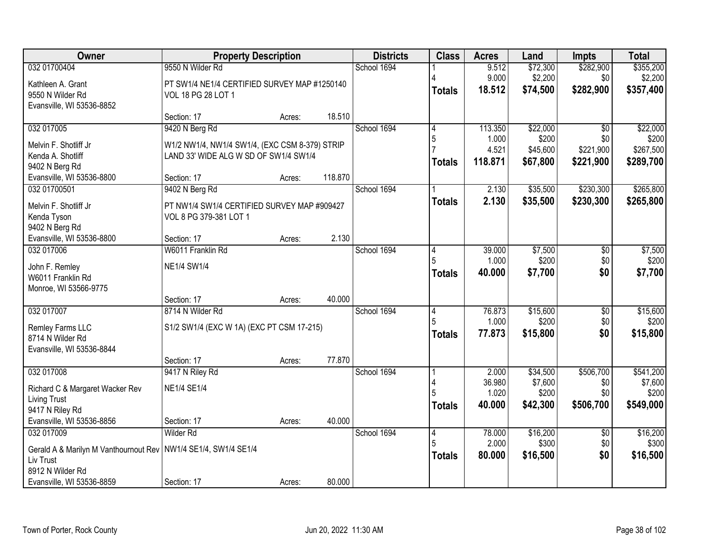| Owner                                                            | <b>Property Description</b>                    |        |         | <b>Districts</b> | <b>Class</b>   | <b>Acres</b> | Land     | <b>Impts</b>    | <b>Total</b> |
|------------------------------------------------------------------|------------------------------------------------|--------|---------|------------------|----------------|--------------|----------|-----------------|--------------|
| 032 01700404                                                     | 9550 N Wilder Rd                               |        |         | School 1694      |                | 9.512        | \$72,300 | \$282,900       | \$355,200    |
| Kathleen A. Grant                                                | PT SW1/4 NE1/4 CERTIFIED SURVEY MAP #1250140   |        |         |                  |                | 9.000        | \$2,200  | \$0             | \$2,200      |
| 9550 N Wilder Rd                                                 | VOL 18 PG 28 LOT 1                             |        |         |                  | <b>Totals</b>  | 18.512       | \$74,500 | \$282,900       | \$357,400    |
| Evansville, WI 53536-8852                                        |                                                |        |         |                  |                |              |          |                 |              |
|                                                                  | Section: 17                                    | Acres: | 18.510  |                  |                |              |          |                 |              |
| 032 017005                                                       | 9420 N Berg Rd                                 |        |         | School 1694      | $\overline{4}$ | 113.350      | \$22,000 | $\overline{50}$ | \$22,000     |
| Melvin F. Shotliff Jr                                            | W1/2 NW1/4, NW1/4 SW1/4, (EXC CSM 8-379) STRIP |        |         |                  | 5              | 1.000        | \$200    | \$0             | \$200        |
| Kenda A. Shotliff                                                | LAND 33' WIDE ALG W SD OF SW1/4 SW1/4          |        |         |                  |                | 4.521        | \$45,600 | \$221,900       | \$267,500    |
| 9402 N Berg Rd                                                   |                                                |        |         |                  | <b>Totals</b>  | 118.871      | \$67,800 | \$221,900       | \$289,700    |
| Evansville, WI 53536-8800                                        | Section: 17                                    | Acres: | 118.870 |                  |                |              |          |                 |              |
| 032 01700501                                                     | 9402 N Berg Rd                                 |        |         | School 1694      |                | 2.130        | \$35,500 | \$230,300       | \$265,800    |
| Melvin F. Shotliff Jr                                            | PT NW1/4 SW1/4 CERTIFIED SURVEY MAP #909427    |        |         |                  | <b>Totals</b>  | 2.130        | \$35,500 | \$230,300       | \$265,800    |
| Kenda Tyson                                                      | VOL 8 PG 379-381 LOT 1                         |        |         |                  |                |              |          |                 |              |
| 9402 N Berg Rd                                                   |                                                |        |         |                  |                |              |          |                 |              |
| Evansville, WI 53536-8800                                        | Section: 17                                    | Acres: | 2.130   |                  |                |              |          |                 |              |
| 032 017006                                                       | W6011 Franklin Rd                              |        |         | School 1694      | 4              | 39.000       | \$7,500  | \$0             | \$7,500      |
| John F. Remley                                                   | <b>NE1/4 SW1/4</b>                             |        |         |                  | 5              | 1.000        | \$200    | \$0             | \$200        |
| W6011 Franklin Rd                                                |                                                |        |         |                  | <b>Totals</b>  | 40.000       | \$7,700  | \$0             | \$7,700      |
| Monroe, WI 53566-9775                                            |                                                |        |         |                  |                |              |          |                 |              |
|                                                                  | Section: 17                                    | Acres: | 40.000  |                  |                |              |          |                 |              |
| 032 017007                                                       | 8714 N Wilder Rd                               |        |         | School 1694      | 4              | 76.873       | \$15,600 | $\overline{50}$ | \$15,600     |
| Remley Farms LLC                                                 | S1/2 SW1/4 (EXC W 1A) (EXC PT CSM 17-215)      |        |         |                  | 5              | 1.000        | \$200    | \$0             | \$200        |
| 8714 N Wilder Rd                                                 |                                                |        |         |                  | <b>Totals</b>  | 77.873       | \$15,800 | \$0             | \$15,800     |
| Evansville, WI 53536-8844                                        |                                                |        |         |                  |                |              |          |                 |              |
|                                                                  | Section: 17                                    | Acres: | 77.870  |                  |                |              |          |                 |              |
| 032 017008                                                       | 9417 N Riley Rd                                |        |         | School 1694      |                | 2.000        | \$34,500 | \$506,700       | \$541,200    |
| Richard C & Margaret Wacker Rev                                  | <b>NE1/4 SE1/4</b>                             |        |         |                  |                | 36.980       | \$7,600  | \$0             | \$7,600      |
| <b>Living Trust</b>                                              |                                                |        |         |                  |                | 1.020        | \$200    | \$0             | \$200        |
| 9417 N Riley Rd                                                  |                                                |        |         |                  | <b>Totals</b>  | 40.000       | \$42,300 | \$506,700       | \$549,000    |
| Evansville, WI 53536-8856                                        | Section: 17                                    | Acres: | 40.000  |                  |                |              |          |                 |              |
| 032 017009                                                       | <b>Wilder Rd</b>                               |        |         | School 1694      | 4              | 78.000       | \$16,200 | $\overline{30}$ | \$16,200     |
| Gerald A & Marilyn M Vanthournout Rev   NW1/4 SE1/4, SW1/4 SE1/4 |                                                |        |         |                  | 5              | 2.000        | \$300    | \$0             | \$300        |
| Liv Trust                                                        |                                                |        |         |                  | <b>Totals</b>  | 80.000       | \$16,500 | \$0             | \$16,500     |
| 8912 N Wilder Rd                                                 |                                                |        |         |                  |                |              |          |                 |              |
| Evansville, WI 53536-8859                                        | Section: 17                                    | Acres: | 80.000  |                  |                |              |          |                 |              |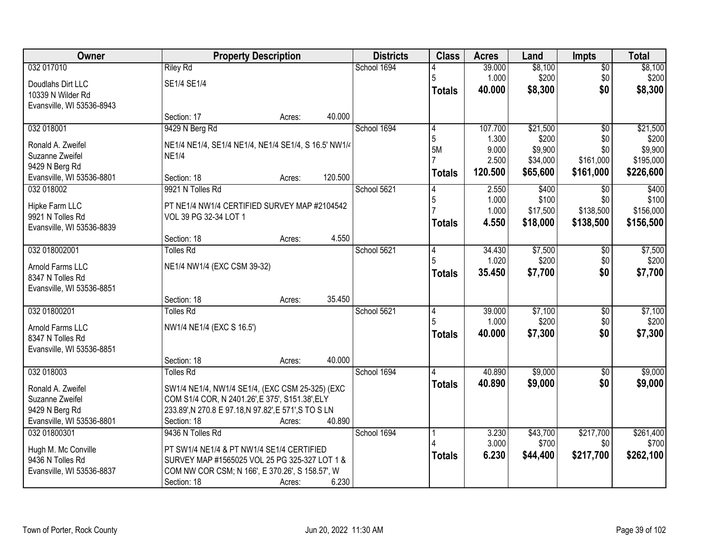| <b>Owner</b>              |                                                       | <b>Property Description</b> |         | <b>Districts</b> | <b>Class</b>   | <b>Acres</b>     | Land     | <b>Impts</b>    | <b>Total</b> |
|---------------------------|-------------------------------------------------------|-----------------------------|---------|------------------|----------------|------------------|----------|-----------------|--------------|
| 032 017010                | <b>Riley Rd</b>                                       |                             |         | School 1694      |                | 39.000           | \$8,100  | $\overline{50}$ | \$8,100      |
| Doudlahs Dirt LLC         | SE1/4 SE1/4                                           |                             |         |                  | 5              | 1.000            | \$200    | \$0             | \$200        |
| 10339 N Wilder Rd         |                                                       |                             |         |                  | <b>Totals</b>  | 40.000           | \$8,300  | \$0             | \$8,300      |
| Evansville, WI 53536-8943 |                                                       |                             |         |                  |                |                  |          |                 |              |
|                           | Section: 17                                           | Acres:                      | 40.000  |                  |                |                  |          |                 |              |
| 032 018001                | 9429 N Berg Rd                                        |                             |         | School 1694      | $\overline{4}$ | 107.700          | \$21,500 | $\overline{50}$ | \$21,500     |
| Ronald A. Zweifel         | NE1/4 NE1/4, SE1/4 NE1/4, NE1/4 SE1/4, S 16.5' NW1/4  |                             |         |                  | 5              | 1.300            | \$200    | \$0             | \$200        |
| Suzanne Zweifel           | <b>NE1/4</b>                                          |                             |         |                  | 5M             | 9.000            | \$9,900  | \$0             | \$9,900      |
| 9429 N Berg Rd            |                                                       |                             |         |                  |                | 2.500<br>120.500 | \$34,000 | \$161,000       | \$195,000    |
| Evansville, WI 53536-8801 | Section: 18                                           | Acres:                      | 120.500 |                  | <b>Totals</b>  |                  | \$65,600 | \$161,000       | \$226,600    |
| 032 018002                | 9921 N Tolles Rd                                      |                             |         | School 5621      |                | 2.550            | \$400    | $\sqrt{6}$      | \$400        |
| Hipke Farm LLC            | PT NE1/4 NW1/4 CERTIFIED SURVEY MAP #2104542          |                             |         |                  | 5              | 1.000            | \$100    | \$0             | \$100        |
| 9921 N Tolles Rd          | VOL 39 PG 32-34 LOT 1                                 |                             |         |                  |                | 1.000            | \$17,500 | \$138,500       | \$156,000    |
| Evansville, WI 53536-8839 |                                                       |                             |         |                  | <b>Totals</b>  | 4.550            | \$18,000 | \$138,500       | \$156,500    |
|                           | Section: 18                                           | Acres:                      | 4.550   |                  |                |                  |          |                 |              |
| 032 018002001             | <b>Tolles Rd</b>                                      |                             |         | School 5621      | 14             | 34.430           | \$7,500  | $\sqrt[6]{3}$   | \$7,500      |
| Arnold Farms LLC          | NE1/4 NW1/4 (EXC CSM 39-32)                           |                             |         |                  |                | 1.020            | \$200    | \$0             | \$200        |
| 8347 N Tolles Rd          |                                                       |                             |         |                  | <b>Totals</b>  | 35.450           | \$7,700  | \$0             | \$7,700      |
| Evansville, WI 53536-8851 |                                                       |                             |         |                  |                |                  |          |                 |              |
|                           | Section: 18                                           | Acres:                      | 35.450  |                  |                |                  |          |                 |              |
| 032 01800201              | <b>Tolles Rd</b>                                      |                             |         | School 5621      | 4              | 39.000           | \$7,100  | \$0             | \$7,100      |
| Arnold Farms LLC          | NW1/4 NE1/4 (EXC S 16.5')                             |                             |         |                  |                | 1.000            | \$200    | \$0             | \$200        |
| 8347 N Tolles Rd          |                                                       |                             |         |                  | <b>Totals</b>  | 40.000           | \$7,300  | \$0             | \$7,300      |
| Evansville, WI 53536-8851 |                                                       |                             |         |                  |                |                  |          |                 |              |
|                           | Section: 18                                           | Acres:                      | 40.000  |                  |                |                  |          |                 |              |
| 032 018003                | <b>Tolles Rd</b>                                      |                             |         | School 1694      |                | 40.890           | \$9,000  | $\sqrt{$0}$     | \$9,000      |
| Ronald A. Zweifel         | SW1/4 NE1/4, NW1/4 SE1/4, (EXC CSM 25-325) (EXC       |                             |         |                  | <b>Totals</b>  | 40.890           | \$9,000  | \$0             | \$9,000      |
| Suzanne Zweifel           | COM S1/4 COR, N 2401.26', E 375', S151.38', ELY       |                             |         |                  |                |                  |          |                 |              |
| 9429 N Berg Rd            | 233.89', N 270.8 E 97.18, N 97.82', E 571', S TO S LN |                             |         |                  |                |                  |          |                 |              |
| Evansville, WI 53536-8801 | Section: 18                                           | Acres:                      | 40.890  |                  |                |                  |          |                 |              |
| 032 01800301              | 9436 N Tolles Rd                                      |                             |         | School 1694      |                | 3.230            | \$43,700 | \$217,700       | \$261,400    |
| Hugh M. Mc Conville       | PT SW1/4 NE1/4 & PT NW1/4 SE1/4 CERTIFIED             |                             |         |                  |                | 3.000            | \$700    | \$0             | \$700        |
| 9436 N Tolles Rd          | SURVEY MAP #1565025 VOL 25 PG 325-327 LOT 1 &         |                             |         |                  | <b>Totals</b>  | 6.230            | \$44,400 | \$217,700       | \$262,100    |
| Evansville, WI 53536-8837 | COM NW COR CSM; N 166', E 370.26', S 158.57', W       |                             |         |                  |                |                  |          |                 |              |
|                           | Section: 18                                           | Acres:                      | 6.230   |                  |                |                  |          |                 |              |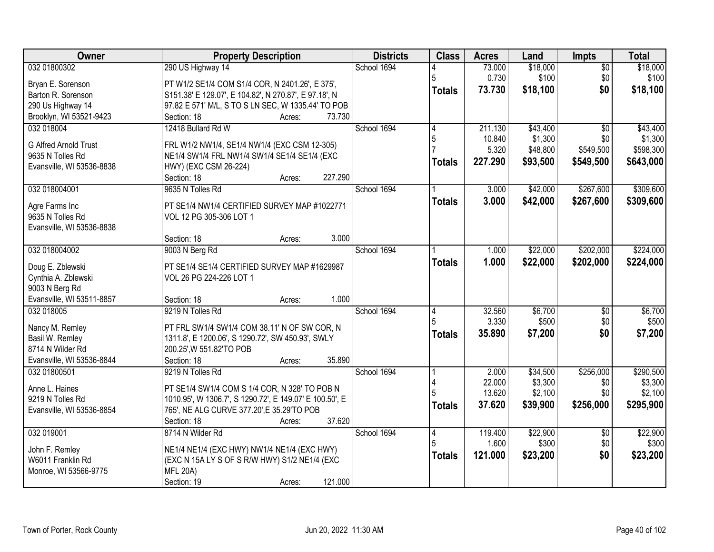| Owner<br><b>Property Description</b><br><b>Districts</b><br><b>Class</b><br><b>Acres</b><br>Land<br><b>Impts</b>          | <b>Total</b>       |
|---------------------------------------------------------------------------------------------------------------------------|--------------------|
| 032 01800302<br>290 US Highway 14<br>School 1694<br>\$18,000<br>73.000<br>$\overline{50}$                                 | \$18,000           |
| 0.730<br>\$100<br>\$0<br>5<br>PT W1/2 SE1/4 COM S1/4 COR, N 2401.26', E 375',<br>Bryan E. Sorenson                        | \$100              |
| 73.730<br>\$18,100<br>\$0<br><b>Totals</b><br>Barton R. Sorenson<br>S151.38' E 129.07', E 104.82', N 270.87', E 97.18', N | \$18,100           |
| 290 Us Highway 14<br>97.82 E 571' M/L, S TO S LN SEC, W 1335.44' TO POB                                                   |                    |
| Brooklyn, WI 53521-9423<br>73.730<br>Section: 18<br>Acres:                                                                |                    |
| 032 018004<br>12418 Bullard Rd W<br>School 1694<br>211.130<br>\$43,400<br>\$0<br>4                                        | \$43,400           |
| \$1,300<br>5<br>10.840<br>\$0                                                                                             | \$1,300            |
| G Alfred Arnold Trust<br>FRL W1/2 NW1/4, SE1/4 NW1/4 (EXC CSM 12-305)<br>\$549,500<br>5.320<br>\$48,800                   | \$598,300          |
| 9635 N Tolles Rd<br>NE1/4 SW1/4 FRL NW1/4 SW1/4 SE1/4 SE1/4 (EXC<br>227.290<br>\$93,500<br>\$549,500<br><b>Totals</b>     | \$643,000          |
| Evansville, WI 53536-8838<br>HWY) (EXC CSM 26-224)<br>227.290<br>Section: 18<br>Acres:                                    |                    |
| \$267,600<br>032 018004001<br>School 1694<br>\$42,000<br>9635 N Tolles Rd<br>3.000                                        | \$309,600          |
|                                                                                                                           |                    |
| 3.000<br>\$42,000<br>\$267,600<br><b>Totals</b><br>PT SE1/4 NW1/4 CERTIFIED SURVEY MAP #1022771<br>Agre Farms Inc         | \$309,600          |
| 9635 N Tolles Rd<br>VOL 12 PG 305-306 LOT 1                                                                               |                    |
| Evansville, WI 53536-8838                                                                                                 |                    |
| 3.000<br>Section: 18<br>Acres:                                                                                            |                    |
| 032 018004002<br>School 1694<br>\$22,000<br>\$202,000<br>9003 N Berg Rd<br>1.000                                          | \$224,000          |
| 1.000<br>\$22,000<br>\$202,000<br><b>Totals</b><br>Doug E. Zblewski<br>PT SE1/4 SE1/4 CERTIFIED SURVEY MAP #1629987       | \$224,000          |
| Cynthia A. Zblewski<br>VOL 26 PG 224-226 LOT 1                                                                            |                    |
| 9003 N Berg Rd                                                                                                            |                    |
| 1.000<br>Evansville, WI 53511-8857<br>Section: 18<br>Acres:                                                               |                    |
| \$6,700<br>032 018005<br>9219 N Tolles Rd<br>32.560<br>School 1694<br>\$0                                                 | \$6,700            |
| 3.330<br>\$500<br>\$0                                                                                                     | \$500              |
| PT FRL SW1/4 SW1/4 COM 38.11' N OF SW COR, N<br>Nancy M. Remley<br>\$0<br>35.890<br>\$7,200<br><b>Totals</b>              | \$7,200            |
| Basil W. Remley<br>1311.8', E 1200.06', S 1290.72', SW 450.93', SWLY                                                      |                    |
| 8714 N Wilder Rd<br>200.25', W 551.82'TO POB                                                                              |                    |
| Evansville, WI 53536-8844<br>35.890<br>Section: 18<br>Acres:                                                              |                    |
| 032 01800501<br>School 1694<br>\$34,500<br>\$256,000<br>9219 N Tolles Rd<br>2.000                                         | \$290,500          |
| \$3,300<br>22.000<br>\$0<br>PT SE1/4 SW1/4 COM S 1/4 COR, N 328' TO POB N<br>Anne L. Haines<br>13.620<br>\$0              | \$3,300<br>\$2,100 |
| \$2,100<br>1010.95', W 1306.7', S 1290.72', E 149.07' E 100.50', E<br>9219 N Tolles Rd<br>37.620                          |                    |
| \$39,900<br>\$256,000<br><b>Totals</b><br>765', NE ALG CURVE 377.20', E 35.29'TO POB<br>Evansville, WI 53536-8854         | \$295,900          |
| 37.620<br>Section: 18<br>Acres:                                                                                           |                    |
| 032 019001<br>8714 N Wilder Rd<br>School 1694<br>119.400<br>\$22,900<br>$\overline{50}$<br>4                              | \$22,900           |
| \$0<br>1.600<br>\$300<br>John F. Remley<br>NE1/4 NE1/4 (EXC HWY) NW1/4 NE1/4 (EXC HWY)                                    | \$300              |
| \$0<br>121.000<br>\$23,200<br><b>Totals</b><br>(EXC N 15A LY S OF S R/W HWY) S1/2 NE1/4 (EXC<br>W6011 Franklin Rd         | \$23,200           |
| <b>MFL 20A)</b><br>Monroe, WI 53566-9775                                                                                  |                    |
| 121.000<br>Section: 19<br>Acres:                                                                                          |                    |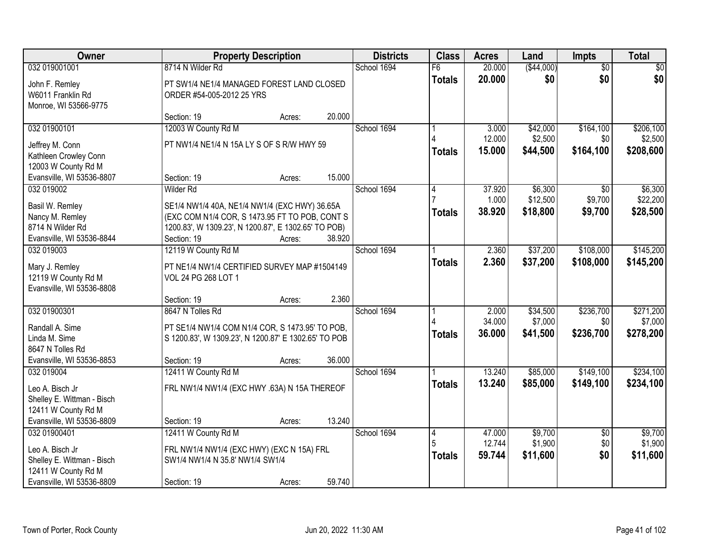| Owner                      |                                                      | <b>Property Description</b> |        | <b>Districts</b> | <b>Class</b>    | <b>Acres</b> | Land        | Impts           | <b>Total</b> |
|----------------------------|------------------------------------------------------|-----------------------------|--------|------------------|-----------------|--------------|-------------|-----------------|--------------|
| 032 019001001              | 8714 N Wilder Rd                                     |                             |        | School 1694      | $\overline{F6}$ | 20.000       | ( \$44,000) | $\overline{30}$ | \$0          |
| John F. Remley             | PT SW1/4 NE1/4 MANAGED FOREST LAND CLOSED            |                             |        |                  | <b>Totals</b>   | 20.000       | \$0         | \$0             | \$0          |
| W6011 Franklin Rd          | ORDER #54-005-2012 25 YRS                            |                             |        |                  |                 |              |             |                 |              |
| Monroe, WI 53566-9775      |                                                      |                             |        |                  |                 |              |             |                 |              |
|                            | Section: 19                                          | Acres:                      | 20.000 |                  |                 |              |             |                 |              |
| 032 01900101               | 12003 W County Rd M                                  |                             |        | School 1694      |                 | 3.000        | \$42,000    | \$164,100       | \$206,100    |
| Jeffrey M. Conn            | PT NW1/4 NE1/4 N 15A LY S OF S R/W HWY 59            |                             |        |                  |                 | 12.000       | \$2,500     | \$0             | \$2,500      |
| Kathleen Crowley Conn      |                                                      |                             |        |                  | <b>Totals</b>   | 15.000       | \$44,500    | \$164,100       | \$208,600    |
| 12003 W County Rd M        |                                                      |                             |        |                  |                 |              |             |                 |              |
| Evansville, WI 53536-8807  | Section: 19                                          | Acres:                      | 15.000 |                  |                 |              |             |                 |              |
| 032 019002                 | <b>Wilder Rd</b>                                     |                             |        | School 1694      |                 | 37.920       | \$6,300     | \$0             | \$6,300      |
| Basil W. Remley            | SE1/4 NW1/4 40A, NE1/4 NW1/4 (EXC HWY) 36.65A        |                             |        |                  |                 | 1.000        | \$12,500    | \$9,700         | \$22,200     |
| Nancy M. Remley            | (EXC COM N1/4 COR, S 1473.95 FT TO POB, CONT S       |                             |        |                  | <b>Totals</b>   | 38.920       | \$18,800    | \$9,700         | \$28,500     |
| 8714 N Wilder Rd           | 1200.83', W 1309.23', N 1200.87', E 1302.65' TO POB) |                             |        |                  |                 |              |             |                 |              |
| Evansville, WI 53536-8844  | Section: 19                                          | Acres:                      | 38.920 |                  |                 |              |             |                 |              |
| 032 019003                 | 12119 W County Rd M                                  |                             |        | School 1694      |                 | 2.360        | \$37,200    | \$108,000       | \$145,200    |
| Mary J. Remley             | PT NE1/4 NW1/4 CERTIFIED SURVEY MAP #1504149         |                             |        |                  | <b>Totals</b>   | 2.360        | \$37,200    | \$108,000       | \$145,200    |
| 12119 W County Rd M        | VOL 24 PG 268 LOT 1                                  |                             |        |                  |                 |              |             |                 |              |
| Evansville, WI 53536-8808  |                                                      |                             |        |                  |                 |              |             |                 |              |
|                            | Section: 19                                          | Acres:                      | 2.360  |                  |                 |              |             |                 |              |
| 032 01900301               | 8647 N Tolles Rd                                     |                             |        | School 1694      |                 | 2.000        | \$34,500    | \$236,700       | \$271,200    |
| Randall A. Sime            | PT SE1/4 NW1/4 COM N1/4 COR, S 1473.95' TO POB,      |                             |        |                  |                 | 34.000       | \$7,000     | \$0             | \$7,000      |
| Linda M. Sime              | S 1200.83', W 1309.23', N 1200.87' E 1302.65' TO POB |                             |        |                  | <b>Totals</b>   | 36.000       | \$41,500    | \$236,700       | \$278,200    |
| 8647 N Tolles Rd           |                                                      |                             |        |                  |                 |              |             |                 |              |
| Evansville, WI 53536-8853  | Section: 19                                          | Acres:                      | 36.000 |                  |                 |              |             |                 |              |
| 032 019004                 | 12411 W County Rd M                                  |                             |        | School 1694      |                 | 13.240       | \$85,000    | \$149,100       | \$234,100    |
| Leo A. Bisch Jr            | FRL NW1/4 NW1/4 (EXC HWY .63A) N 15A THEREOF         |                             |        |                  | <b>Totals</b>   | 13.240       | \$85,000    | \$149,100       | \$234,100    |
| Shelley E. Wittman - Bisch |                                                      |                             |        |                  |                 |              |             |                 |              |
| 12411 W County Rd M        |                                                      |                             |        |                  |                 |              |             |                 |              |
| Evansville, WI 53536-8809  | Section: 19                                          | Acres:                      | 13.240 |                  |                 |              |             |                 |              |
| 032 01900401               | 12411 W County Rd M                                  |                             |        | School 1694      | 4               | 47.000       | \$9,700     | $\overline{50}$ | \$9,700      |
| Leo A. Bisch Jr            | FRL NW1/4 NW1/4 (EXC HWY) (EXC N 15A) FRL            |                             |        |                  | 5               | 12.744       | \$1,900     | \$0             | \$1,900      |
| Shelley E. Wittman - Bisch | SW1/4 NW1/4 N 35.8' NW1/4 SW1/4                      |                             |        |                  | <b>Totals</b>   | 59.744       | \$11,600    | \$0             | \$11,600     |
| 12411 W County Rd M        |                                                      |                             |        |                  |                 |              |             |                 |              |
| Evansville, WI 53536-8809  | Section: 19                                          | Acres:                      | 59.740 |                  |                 |              |             |                 |              |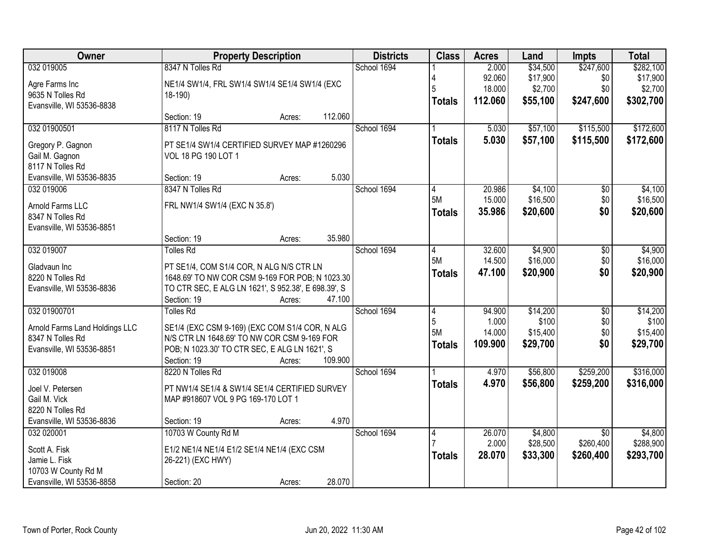| Owner                          | <b>Property Description</b>                         | <b>Districts</b> | <b>Class</b>   | <b>Acres</b> | Land     | <b>Impts</b>    | <b>Total</b> |
|--------------------------------|-----------------------------------------------------|------------------|----------------|--------------|----------|-----------------|--------------|
| 032 019005                     | 8347 N Tolles Rd                                    | School 1694      |                | 2.000        | \$34,500 | \$247,600       | \$282,100    |
| Agre Farms Inc                 | NE1/4 SW1/4, FRL SW1/4 SW1/4 SE1/4 SW1/4 (EXC       |                  |                | 92.060       | \$17,900 | \$0             | \$17,900     |
| 9635 N Tolles Rd               | $18-190$                                            |                  |                | 18.000       | \$2,700  | \$0             | \$2,700      |
| Evansville, WI 53536-8838      |                                                     |                  | <b>Totals</b>  | 112.060      | \$55,100 | \$247,600       | \$302,700    |
|                                | 112.060<br>Section: 19<br>Acres:                    |                  |                |              |          |                 |              |
| 032 01900501                   | 8117 N Tolles Rd                                    | School 1694      |                | 5.030        | \$57,100 | \$115,500       | \$172,600    |
| Gregory P. Gagnon              | PT SE1/4 SW1/4 CERTIFIED SURVEY MAP #1260296        |                  | <b>Totals</b>  | 5.030        | \$57,100 | \$115,500       | \$172,600    |
| Gail M. Gagnon                 | VOL 18 PG 190 LOT 1                                 |                  |                |              |          |                 |              |
| 8117 N Tolles Rd               |                                                     |                  |                |              |          |                 |              |
| Evansville, WI 53536-8835      | 5.030<br>Section: 19<br>Acres:                      |                  |                |              |          |                 |              |
| 032 019006                     | 8347 N Tolles Rd                                    | School 1694      | 4              | 20.986       | \$4,100  | \$0             | \$4,100      |
| Arnold Farms LLC               | FRL NW1/4 SW1/4 (EXC N 35.8')                       |                  | 5M             | 15.000       | \$16,500 | \$0             | \$16,500     |
| 8347 N Tolles Rd               |                                                     |                  | <b>Totals</b>  | 35.986       | \$20,600 | \$0             | \$20,600     |
| Evansville, WI 53536-8851      |                                                     |                  |                |              |          |                 |              |
|                                | 35.980<br>Section: 19<br>Acres:                     |                  |                |              |          |                 |              |
| 032 019007                     | <b>Tolles Rd</b>                                    | School 1694      | 4              | 32.600       | \$4,900  | \$0             | \$4,900      |
| Gladvaun Inc                   | PT SE1/4, COM S1/4 COR, N ALG N/S CTR LN            |                  | 5M             | 14.500       | \$16,000 | \$0             | \$16,000     |
| 8220 N Tolles Rd               | 1648.69' TO NW COR CSM 9-169 FOR POB; N 1023.30     |                  | <b>Totals</b>  | 47.100       | \$20,900 | \$0             | \$20,900     |
| Evansville, WI 53536-8836      | TO CTR SEC, E ALG LN 1621', S 952.38', E 698.39', S |                  |                |              |          |                 |              |
|                                | Section: 19<br>47.100<br>Acres:                     |                  |                |              |          |                 |              |
| 032 01900701                   | <b>Tolles Rd</b>                                    | School 1694      | $\overline{4}$ | 94.900       | \$14,200 | $\overline{50}$ | \$14,200     |
| Arnold Farms Land Holdings LLC | SE1/4 (EXC CSM 9-169) (EXC COM S1/4 COR, N ALG      |                  | 5              | 1.000        | \$100    | \$0             | \$100        |
| 8347 N Tolles Rd               | N/S CTR LN 1648.69' TO NW COR CSM 9-169 FOR         |                  | 5M             | 14.000       | \$15,400 | \$0             | \$15,400     |
| Evansville, WI 53536-8851      | POB; N 1023.30' TO CTR SEC, E ALG LN 1621', S       |                  | <b>Totals</b>  | 109.900      | \$29,700 | \$0             | \$29,700     |
|                                | 109.900<br>Section: 19<br>Acres:                    |                  |                |              |          |                 |              |
| 032 019008                     | 8220 N Tolles Rd                                    | School 1694      |                | 4.970        | \$56,800 | \$259,200       | \$316,000    |
| Joel V. Petersen               | PT NW1/4 SE1/4 & SW1/4 SE1/4 CERTIFIED SURVEY       |                  | <b>Totals</b>  | 4.970        | \$56,800 | \$259,200       | \$316,000    |
| Gail M. Vick                   | MAP #918607 VOL 9 PG 169-170 LOT 1                  |                  |                |              |          |                 |              |
| 8220 N Tolles Rd               |                                                     |                  |                |              |          |                 |              |
| Evansville, WI 53536-8836      | 4.970<br>Section: 19<br>Acres:                      |                  |                |              |          |                 |              |
| 032 020001                     | 10703 W County Rd M                                 | School 1694      | 4              | 26.070       | \$4,800  | $\overline{30}$ | \$4,800      |
| Scott A. Fisk                  | E1/2 NE1/4 NE1/4 E1/2 SE1/4 NE1/4 (EXC CSM          |                  |                | 2.000        | \$28,500 | \$260,400       | \$288,900    |
| Jamie L. Fisk                  | 26-221) (EXC HWY)                                   |                  | <b>Totals</b>  | 28.070       | \$33,300 | \$260,400       | \$293,700    |
| 10703 W County Rd M            |                                                     |                  |                |              |          |                 |              |
| Evansville, WI 53536-8858      | 28.070<br>Section: 20<br>Acres:                     |                  |                |              |          |                 |              |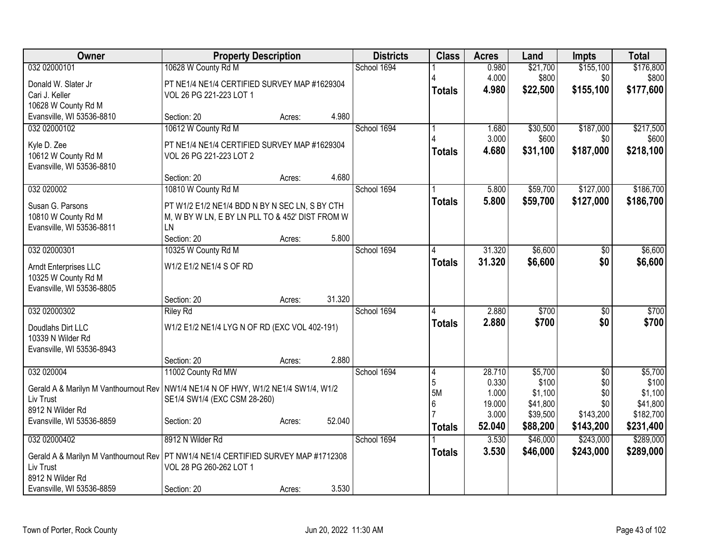| \$155,100<br>032 02000101<br>10628 W County Rd M<br>School 1694<br>0.980<br>\$21,700                                                                | \$176,800<br>\$800 |
|-----------------------------------------------------------------------------------------------------------------------------------------------------|--------------------|
|                                                                                                                                                     |                    |
| 4.000<br>\$800<br>\$0<br>Donald W. Slater Jr<br>PT NE1/4 NE1/4 CERTIFIED SURVEY MAP #1629304                                                        |                    |
| 4.980<br>\$22,500<br>\$155,100<br><b>Totals</b><br>Cari J. Keller<br>VOL 26 PG 221-223 LOT 1                                                        | \$177,600          |
| 10628 W County Rd M                                                                                                                                 |                    |
| Evansville, WI 53536-8810<br>4.980<br>Section: 20<br>Acres:                                                                                         |                    |
| 10612 W County Rd M<br>School 1694<br>\$187,000<br>032 02000102<br>\$30,500<br>1.680                                                                | \$217,500          |
| 3.000<br>\$600<br>\$0<br>Kyle D. Zee<br>PT NE1/4 NE1/4 CERTIFIED SURVEY MAP #1629304                                                                | \$600              |
| \$187,000<br>4.680<br>\$31,100<br><b>Totals</b><br>10612 W County Rd M<br>VOL 26 PG 221-223 LOT 2                                                   | \$218,100          |
| Evansville, WI 53536-8810                                                                                                                           |                    |
| 4.680<br>Section: 20<br>Acres:                                                                                                                      |                    |
| 032 020002<br>10810 W County Rd M<br>School 1694<br>\$59,700<br>\$127,000<br>5.800                                                                  | \$186,700          |
| 5.800<br>\$59,700<br>\$127,000<br><b>Totals</b><br>Susan G. Parsons<br>PT W1/2 E1/2 NE1/4 BDD N BY N SEC LN, S BY CTH                               | \$186,700          |
| 10810 W County Rd M<br>M, W BY W LN, E BY LN PLL TO & 452' DIST FROM W                                                                              |                    |
| Evansville, WI 53536-8811<br><b>LN</b>                                                                                                              |                    |
| 5.800<br>Section: 20<br>Acres:                                                                                                                      |                    |
| 032 02000301<br>10325 W County Rd M<br>School 1694<br>\$6,600<br>31.320<br>\$0                                                                      | \$6,600            |
| 31.320<br>\$6,600<br>\$0<br><b>Totals</b><br>W1/2 E1/2 NE1/4 S OF RD<br>Arndt Enterprises LLC                                                       | \$6,600            |
| 10325 W County Rd M                                                                                                                                 |                    |
| Evansville, WI 53536-8805                                                                                                                           |                    |
| 31.320<br>Section: 20<br>Acres:                                                                                                                     |                    |
| 032 02000302<br>School 1694<br>2.880<br>\$700<br><b>Riley Rd</b><br>$\overline{50}$                                                                 | \$700              |
| \$0<br>2.880<br>\$700<br><b>Totals</b><br>W1/2 E1/2 NE1/4 LYG N OF RD (EXC VOL 402-191)<br>Doudlahs Dirt LLC                                        | \$700              |
| 10339 N Wilder Rd                                                                                                                                   |                    |
| Evansville, WI 53536-8943                                                                                                                           |                    |
| 2.880<br>Section: 20<br>Acres:                                                                                                                      |                    |
| \$5,700<br>032 020004<br>11002 County Rd MW<br>School 1694<br>28.710<br>$\overline{50}$<br>$\overline{4}$                                           | \$5,700            |
| 5<br>\$100<br>0.330<br>\$0<br>Gerald A & Marilyn M Vanthournout Rev   NW1/4 NE1/4 N OF HWY, W1/2 NE1/4 SW1/4, W1/2<br>5M<br>\$1,100<br>\$0<br>1.000 | \$100<br>\$1,100   |
| Liv Trust<br>SE1/4 SW1/4 (EXC CSM 28-260)<br>6<br>19.000<br>\$41,800<br>\$0                                                                         | \$41,800           |
| 8912 N Wilder Rd<br>3.000<br>\$39,500<br>\$143,200                                                                                                  | \$182,700          |
| 52.040<br>Evansville, WI 53536-8859<br>Section: 20<br>Acres:<br>52.040<br>\$88,200<br>\$143,200<br><b>Totals</b>                                    | \$231,400          |
| 8912 N Wilder Rd<br>032 02000402<br>School 1694<br>3.530<br>\$46,000<br>\$243,000                                                                   | \$289,000          |
| 3.530<br>\$46,000<br>\$243,000<br><b>Totals</b>                                                                                                     | \$289,000          |
| Gerald A & Marilyn M Vanthournout Rev   PT NW1/4 NE1/4 CERTIFIED SURVEY MAP #1712308                                                                |                    |
| Liv Trust<br>VOL 28 PG 260-262 LOT 1<br>8912 N Wilder Rd                                                                                            |                    |
| 3.530<br>Evansville, WI 53536-8859<br>Section: 20<br>Acres:                                                                                         |                    |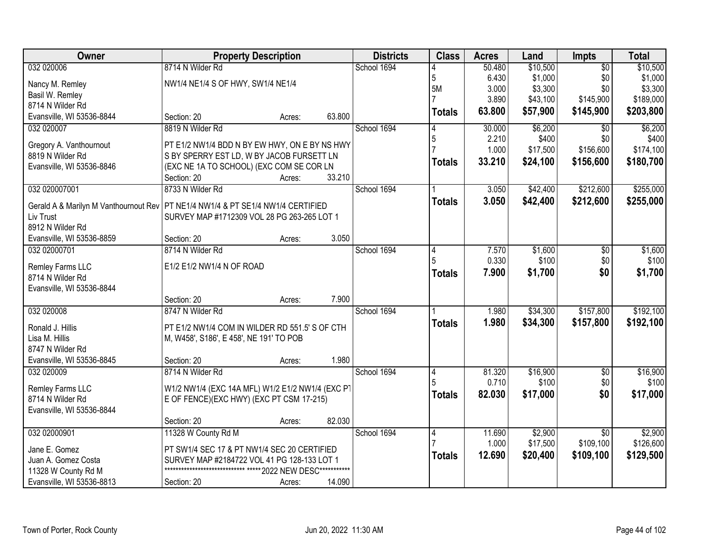| 032 020006<br>8714 N Wilder Rd<br>School 1694<br>\$10,500<br>\$10,500<br>50.480<br>$\overline{50}$<br>5<br>\$1,000<br>\$1,000<br>6.430<br>\$0<br>NW1/4 NE1/4 S OF HWY, SW1/4 NE1/4<br>Nancy M. Remley<br>5M<br>\$3,300<br>\$0<br>\$3,300<br>3.000<br>Basil W. Remley<br>\$145,900<br>3.890<br>\$43,100<br>\$189,000<br>8714 N Wilder Rd<br>63.800<br>\$57,900<br>\$145,900<br>\$203,800<br><b>Totals</b><br>Evansville, WI 53536-8844<br>63.800<br>Section: 20<br>Acres:<br>\$6,200<br>032 020007<br>8819 N Wilder Rd<br>School 1694<br>30.000<br>\$6,200<br>$\overline{50}$<br>5<br>2.210<br>\$400<br>\$0<br>PT E1/2 NW1/4 BDD N BY EW HWY, ON E BY NS HWY<br>Gregory A. Vanthournout<br>1.000<br>\$17,500<br>\$156,600<br>\$174,100<br>8819 N Wilder Rd<br>S BY SPERRY EST LD, W BY JACOB FURSETT LN<br>33.210<br>\$24,100<br>\$156,600<br>\$180,700<br><b>Totals</b><br>Evansville, WI 53536-8846<br>(EXC NE 1A TO SCHOOL) (EXC COM SE COR LN<br>33.210<br>Section: 20<br>Acres:<br>\$42,400<br>\$212,600<br>032 020007001<br>8733 N Wilder Rd<br>School 1694<br>3.050<br>3.050<br>\$42,400<br>\$212,600<br><b>Totals</b><br>Gerald A & Marilyn M Vanthournout Rev<br>PT NE1/4 NW1/4 & PT SE1/4 NW1/4 CERTIFIED<br>Liv Trust<br>SURVEY MAP #1712309 VOL 28 PG 263-265 LOT 1<br>8912 N Wilder Rd<br>3.050<br>Evansville, WI 53536-8859<br>Section: 20<br>Acres:<br>032 02000701<br>8714 N Wilder Rd<br>\$1,600<br>School 1694<br>7.570<br>\$1,600<br>$\frac{1}{20}$<br>14<br>5<br>0.330<br>\$100<br>\$0<br>E1/2 E1/2 NW1/4 N OF ROAD<br>Remley Farms LLC<br>7.900<br>\$1,700<br>\$0<br><b>Totals</b><br>8714 N Wilder Rd<br>Evansville, WI 53536-8844<br>7.900<br>Section: 20<br>Acres:<br>\$34,300<br>\$157,800<br>032 020008<br>8747 N Wilder Rd<br>School 1694<br>1.980<br>1.980<br>\$34,300<br>\$157,800<br>\$192,100<br><b>Totals</b><br>Ronald J. Hillis<br>PT E1/2 NW1/4 COM IN WILDER RD 551.5' S OF CTH<br>Lisa M. Hillis<br>M, W458', S186', E 458', NE 191' TO POB<br>8747 N Wilder Rd<br>1.980<br>Evansville, WI 53536-8845<br>Section: 20<br>Acres:<br>032 020009<br>\$16,900<br>8714 N Wilder Rd<br>School 1694<br>81.320<br>$\sqrt{6}$<br>4<br>\$0<br>0.710<br>\$100<br>Remley Farms LLC<br>W1/2 NW1/4 (EXC 14A MFL) W1/2 E1/2 NW1/4 (EXC PT<br>82.030<br>\$17,000<br>\$0<br>\$17,000<br><b>Totals</b><br>8714 N Wilder Rd<br>E OF FENCE)(EXC HWY) (EXC PT CSM 17-215)<br>Evansville, WI 53536-8844<br>82.030<br>Section: 20<br>Acres:<br>032 02000901<br>11328 W County Rd M<br>School 1694<br>\$2,900<br>\$2,900<br>11.690<br>$\overline{50}$<br>4 | Owner | <b>Property Description</b> |  | <b>Districts</b> | <b>Class</b> | <b>Acres</b> | Land     | Impts     | <b>Total</b> |
|-----------------------------------------------------------------------------------------------------------------------------------------------------------------------------------------------------------------------------------------------------------------------------------------------------------------------------------------------------------------------------------------------------------------------------------------------------------------------------------------------------------------------------------------------------------------------------------------------------------------------------------------------------------------------------------------------------------------------------------------------------------------------------------------------------------------------------------------------------------------------------------------------------------------------------------------------------------------------------------------------------------------------------------------------------------------------------------------------------------------------------------------------------------------------------------------------------------------------------------------------------------------------------------------------------------------------------------------------------------------------------------------------------------------------------------------------------------------------------------------------------------------------------------------------------------------------------------------------------------------------------------------------------------------------------------------------------------------------------------------------------------------------------------------------------------------------------------------------------------------------------------------------------------------------------------------------------------------------------------------------------------------------------------------------------------------------------------------------------------------------------------------------------------------------------------------------------------------------------------------------------------------------------------------------------------------------------------------------------------------------------------------------------------------------------------------------------------------------------------------------------------------------------------------------------------------------|-------|-----------------------------|--|------------------|--------------|--------------|----------|-----------|--------------|
|                                                                                                                                                                                                                                                                                                                                                                                                                                                                                                                                                                                                                                                                                                                                                                                                                                                                                                                                                                                                                                                                                                                                                                                                                                                                                                                                                                                                                                                                                                                                                                                                                                                                                                                                                                                                                                                                                                                                                                                                                                                                                                                                                                                                                                                                                                                                                                                                                                                                                                                                                                       |       |                             |  |                  |              |              |          |           |              |
|                                                                                                                                                                                                                                                                                                                                                                                                                                                                                                                                                                                                                                                                                                                                                                                                                                                                                                                                                                                                                                                                                                                                                                                                                                                                                                                                                                                                                                                                                                                                                                                                                                                                                                                                                                                                                                                                                                                                                                                                                                                                                                                                                                                                                                                                                                                                                                                                                                                                                                                                                                       |       |                             |  |                  |              |              |          |           |              |
|                                                                                                                                                                                                                                                                                                                                                                                                                                                                                                                                                                                                                                                                                                                                                                                                                                                                                                                                                                                                                                                                                                                                                                                                                                                                                                                                                                                                                                                                                                                                                                                                                                                                                                                                                                                                                                                                                                                                                                                                                                                                                                                                                                                                                                                                                                                                                                                                                                                                                                                                                                       |       |                             |  |                  |              |              |          |           |              |
|                                                                                                                                                                                                                                                                                                                                                                                                                                                                                                                                                                                                                                                                                                                                                                                                                                                                                                                                                                                                                                                                                                                                                                                                                                                                                                                                                                                                                                                                                                                                                                                                                                                                                                                                                                                                                                                                                                                                                                                                                                                                                                                                                                                                                                                                                                                                                                                                                                                                                                                                                                       |       |                             |  |                  |              |              |          |           |              |
|                                                                                                                                                                                                                                                                                                                                                                                                                                                                                                                                                                                                                                                                                                                                                                                                                                                                                                                                                                                                                                                                                                                                                                                                                                                                                                                                                                                                                                                                                                                                                                                                                                                                                                                                                                                                                                                                                                                                                                                                                                                                                                                                                                                                                                                                                                                                                                                                                                                                                                                                                                       |       |                             |  |                  |              |              |          |           |              |
| \$400<br>\$255,000<br>\$255,000<br>\$100                                                                                                                                                                                                                                                                                                                                                                                                                                                                                                                                                                                                                                                                                                                                                                                                                                                                                                                                                                                                                                                                                                                                                                                                                                                                                                                                                                                                                                                                                                                                                                                                                                                                                                                                                                                                                                                                                                                                                                                                                                                                                                                                                                                                                                                                                                                                                                                                                                                                                                                              |       |                             |  |                  |              |              |          |           |              |
|                                                                                                                                                                                                                                                                                                                                                                                                                                                                                                                                                                                                                                                                                                                                                                                                                                                                                                                                                                                                                                                                                                                                                                                                                                                                                                                                                                                                                                                                                                                                                                                                                                                                                                                                                                                                                                                                                                                                                                                                                                                                                                                                                                                                                                                                                                                                                                                                                                                                                                                                                                       |       |                             |  |                  |              |              |          |           |              |
|                                                                                                                                                                                                                                                                                                                                                                                                                                                                                                                                                                                                                                                                                                                                                                                                                                                                                                                                                                                                                                                                                                                                                                                                                                                                                                                                                                                                                                                                                                                                                                                                                                                                                                                                                                                                                                                                                                                                                                                                                                                                                                                                                                                                                                                                                                                                                                                                                                                                                                                                                                       |       |                             |  |                  |              |              |          |           |              |
|                                                                                                                                                                                                                                                                                                                                                                                                                                                                                                                                                                                                                                                                                                                                                                                                                                                                                                                                                                                                                                                                                                                                                                                                                                                                                                                                                                                                                                                                                                                                                                                                                                                                                                                                                                                                                                                                                                                                                                                                                                                                                                                                                                                                                                                                                                                                                                                                                                                                                                                                                                       |       |                             |  |                  |              |              |          |           |              |
|                                                                                                                                                                                                                                                                                                                                                                                                                                                                                                                                                                                                                                                                                                                                                                                                                                                                                                                                                                                                                                                                                                                                                                                                                                                                                                                                                                                                                                                                                                                                                                                                                                                                                                                                                                                                                                                                                                                                                                                                                                                                                                                                                                                                                                                                                                                                                                                                                                                                                                                                                                       |       |                             |  |                  |              |              |          |           |              |
|                                                                                                                                                                                                                                                                                                                                                                                                                                                                                                                                                                                                                                                                                                                                                                                                                                                                                                                                                                                                                                                                                                                                                                                                                                                                                                                                                                                                                                                                                                                                                                                                                                                                                                                                                                                                                                                                                                                                                                                                                                                                                                                                                                                                                                                                                                                                                                                                                                                                                                                                                                       |       |                             |  |                  |              |              |          |           |              |
|                                                                                                                                                                                                                                                                                                                                                                                                                                                                                                                                                                                                                                                                                                                                                                                                                                                                                                                                                                                                                                                                                                                                                                                                                                                                                                                                                                                                                                                                                                                                                                                                                                                                                                                                                                                                                                                                                                                                                                                                                                                                                                                                                                                                                                                                                                                                                                                                                                                                                                                                                                       |       |                             |  |                  |              |              |          |           |              |
|                                                                                                                                                                                                                                                                                                                                                                                                                                                                                                                                                                                                                                                                                                                                                                                                                                                                                                                                                                                                                                                                                                                                                                                                                                                                                                                                                                                                                                                                                                                                                                                                                                                                                                                                                                                                                                                                                                                                                                                                                                                                                                                                                                                                                                                                                                                                                                                                                                                                                                                                                                       |       |                             |  |                  |              |              |          |           |              |
|                                                                                                                                                                                                                                                                                                                                                                                                                                                                                                                                                                                                                                                                                                                                                                                                                                                                                                                                                                                                                                                                                                                                                                                                                                                                                                                                                                                                                                                                                                                                                                                                                                                                                                                                                                                                                                                                                                                                                                                                                                                                                                                                                                                                                                                                                                                                                                                                                                                                                                                                                                       |       |                             |  |                  |              |              |          |           |              |
| \$100<br>\$1,700<br>\$192,100<br>\$16,900                                                                                                                                                                                                                                                                                                                                                                                                                                                                                                                                                                                                                                                                                                                                                                                                                                                                                                                                                                                                                                                                                                                                                                                                                                                                                                                                                                                                                                                                                                                                                                                                                                                                                                                                                                                                                                                                                                                                                                                                                                                                                                                                                                                                                                                                                                                                                                                                                                                                                                                             |       |                             |  |                  |              |              |          |           |              |
|                                                                                                                                                                                                                                                                                                                                                                                                                                                                                                                                                                                                                                                                                                                                                                                                                                                                                                                                                                                                                                                                                                                                                                                                                                                                                                                                                                                                                                                                                                                                                                                                                                                                                                                                                                                                                                                                                                                                                                                                                                                                                                                                                                                                                                                                                                                                                                                                                                                                                                                                                                       |       |                             |  |                  |              |              |          |           |              |
|                                                                                                                                                                                                                                                                                                                                                                                                                                                                                                                                                                                                                                                                                                                                                                                                                                                                                                                                                                                                                                                                                                                                                                                                                                                                                                                                                                                                                                                                                                                                                                                                                                                                                                                                                                                                                                                                                                                                                                                                                                                                                                                                                                                                                                                                                                                                                                                                                                                                                                                                                                       |       |                             |  |                  |              |              |          |           |              |
|                                                                                                                                                                                                                                                                                                                                                                                                                                                                                                                                                                                                                                                                                                                                                                                                                                                                                                                                                                                                                                                                                                                                                                                                                                                                                                                                                                                                                                                                                                                                                                                                                                                                                                                                                                                                                                                                                                                                                                                                                                                                                                                                                                                                                                                                                                                                                                                                                                                                                                                                                                       |       |                             |  |                  |              |              |          |           |              |
|                                                                                                                                                                                                                                                                                                                                                                                                                                                                                                                                                                                                                                                                                                                                                                                                                                                                                                                                                                                                                                                                                                                                                                                                                                                                                                                                                                                                                                                                                                                                                                                                                                                                                                                                                                                                                                                                                                                                                                                                                                                                                                                                                                                                                                                                                                                                                                                                                                                                                                                                                                       |       |                             |  |                  |              |              |          |           |              |
|                                                                                                                                                                                                                                                                                                                                                                                                                                                                                                                                                                                                                                                                                                                                                                                                                                                                                                                                                                                                                                                                                                                                                                                                                                                                                                                                                                                                                                                                                                                                                                                                                                                                                                                                                                                                                                                                                                                                                                                                                                                                                                                                                                                                                                                                                                                                                                                                                                                                                                                                                                       |       |                             |  |                  |              |              |          |           |              |
|                                                                                                                                                                                                                                                                                                                                                                                                                                                                                                                                                                                                                                                                                                                                                                                                                                                                                                                                                                                                                                                                                                                                                                                                                                                                                                                                                                                                                                                                                                                                                                                                                                                                                                                                                                                                                                                                                                                                                                                                                                                                                                                                                                                                                                                                                                                                                                                                                                                                                                                                                                       |       |                             |  |                  |              |              |          |           |              |
|                                                                                                                                                                                                                                                                                                                                                                                                                                                                                                                                                                                                                                                                                                                                                                                                                                                                                                                                                                                                                                                                                                                                                                                                                                                                                                                                                                                                                                                                                                                                                                                                                                                                                                                                                                                                                                                                                                                                                                                                                                                                                                                                                                                                                                                                                                                                                                                                                                                                                                                                                                       |       |                             |  |                  |              |              |          |           |              |
|                                                                                                                                                                                                                                                                                                                                                                                                                                                                                                                                                                                                                                                                                                                                                                                                                                                                                                                                                                                                                                                                                                                                                                                                                                                                                                                                                                                                                                                                                                                                                                                                                                                                                                                                                                                                                                                                                                                                                                                                                                                                                                                                                                                                                                                                                                                                                                                                                                                                                                                                                                       |       |                             |  |                  |              |              |          |           |              |
|                                                                                                                                                                                                                                                                                                                                                                                                                                                                                                                                                                                                                                                                                                                                                                                                                                                                                                                                                                                                                                                                                                                                                                                                                                                                                                                                                                                                                                                                                                                                                                                                                                                                                                                                                                                                                                                                                                                                                                                                                                                                                                                                                                                                                                                                                                                                                                                                                                                                                                                                                                       |       |                             |  |                  |              |              |          |           |              |
|                                                                                                                                                                                                                                                                                                                                                                                                                                                                                                                                                                                                                                                                                                                                                                                                                                                                                                                                                                                                                                                                                                                                                                                                                                                                                                                                                                                                                                                                                                                                                                                                                                                                                                                                                                                                                                                                                                                                                                                                                                                                                                                                                                                                                                                                                                                                                                                                                                                                                                                                                                       |       |                             |  |                  |              |              |          |           |              |
|                                                                                                                                                                                                                                                                                                                                                                                                                                                                                                                                                                                                                                                                                                                                                                                                                                                                                                                                                                                                                                                                                                                                                                                                                                                                                                                                                                                                                                                                                                                                                                                                                                                                                                                                                                                                                                                                                                                                                                                                                                                                                                                                                                                                                                                                                                                                                                                                                                                                                                                                                                       |       |                             |  |                  |              |              |          |           |              |
|                                                                                                                                                                                                                                                                                                                                                                                                                                                                                                                                                                                                                                                                                                                                                                                                                                                                                                                                                                                                                                                                                                                                                                                                                                                                                                                                                                                                                                                                                                                                                                                                                                                                                                                                                                                                                                                                                                                                                                                                                                                                                                                                                                                                                                                                                                                                                                                                                                                                                                                                                                       |       |                             |  |                  |              |              |          |           |              |
|                                                                                                                                                                                                                                                                                                                                                                                                                                                                                                                                                                                                                                                                                                                                                                                                                                                                                                                                                                                                                                                                                                                                                                                                                                                                                                                                                                                                                                                                                                                                                                                                                                                                                                                                                                                                                                                                                                                                                                                                                                                                                                                                                                                                                                                                                                                                                                                                                                                                                                                                                                       |       |                             |  |                  |              |              |          |           |              |
|                                                                                                                                                                                                                                                                                                                                                                                                                                                                                                                                                                                                                                                                                                                                                                                                                                                                                                                                                                                                                                                                                                                                                                                                                                                                                                                                                                                                                                                                                                                                                                                                                                                                                                                                                                                                                                                                                                                                                                                                                                                                                                                                                                                                                                                                                                                                                                                                                                                                                                                                                                       |       |                             |  |                  |              |              |          |           |              |
|                                                                                                                                                                                                                                                                                                                                                                                                                                                                                                                                                                                                                                                                                                                                                                                                                                                                                                                                                                                                                                                                                                                                                                                                                                                                                                                                                                                                                                                                                                                                                                                                                                                                                                                                                                                                                                                                                                                                                                                                                                                                                                                                                                                                                                                                                                                                                                                                                                                                                                                                                                       |       |                             |  |                  |              |              |          |           |              |
|                                                                                                                                                                                                                                                                                                                                                                                                                                                                                                                                                                                                                                                                                                                                                                                                                                                                                                                                                                                                                                                                                                                                                                                                                                                                                                                                                                                                                                                                                                                                                                                                                                                                                                                                                                                                                                                                                                                                                                                                                                                                                                                                                                                                                                                                                                                                                                                                                                                                                                                                                                       |       |                             |  |                  |              |              |          |           |              |
|                                                                                                                                                                                                                                                                                                                                                                                                                                                                                                                                                                                                                                                                                                                                                                                                                                                                                                                                                                                                                                                                                                                                                                                                                                                                                                                                                                                                                                                                                                                                                                                                                                                                                                                                                                                                                                                                                                                                                                                                                                                                                                                                                                                                                                                                                                                                                                                                                                                                                                                                                                       |       |                             |  |                  |              |              |          |           |              |
|                                                                                                                                                                                                                                                                                                                                                                                                                                                                                                                                                                                                                                                                                                                                                                                                                                                                                                                                                                                                                                                                                                                                                                                                                                                                                                                                                                                                                                                                                                                                                                                                                                                                                                                                                                                                                                                                                                                                                                                                                                                                                                                                                                                                                                                                                                                                                                                                                                                                                                                                                                       |       |                             |  |                  |              | 1.000        | \$17,500 | \$109,100 | \$126,600    |
| Jane E. Gomez<br>PT SW1/4 SEC 17 & PT NW1/4 SEC 20 CERTIFIED<br>12.690<br>\$20,400<br>\$109,100<br>\$129,500<br><b>Totals</b>                                                                                                                                                                                                                                                                                                                                                                                                                                                                                                                                                                                                                                                                                                                                                                                                                                                                                                                                                                                                                                                                                                                                                                                                                                                                                                                                                                                                                                                                                                                                                                                                                                                                                                                                                                                                                                                                                                                                                                                                                                                                                                                                                                                                                                                                                                                                                                                                                                         |       |                             |  |                  |              |              |          |           |              |
| Juan A. Gomez Costa<br>SURVEY MAP #2184722 VOL 41 PG 128-133 LOT 1<br>**************************** ***** 2022 NEW DESC***********<br>11328 W County Rd M                                                                                                                                                                                                                                                                                                                                                                                                                                                                                                                                                                                                                                                                                                                                                                                                                                                                                                                                                                                                                                                                                                                                                                                                                                                                                                                                                                                                                                                                                                                                                                                                                                                                                                                                                                                                                                                                                                                                                                                                                                                                                                                                                                                                                                                                                                                                                                                                              |       |                             |  |                  |              |              |          |           |              |
| 14.090<br>Evansville, WI 53536-8813<br>Section: 20<br>Acres:                                                                                                                                                                                                                                                                                                                                                                                                                                                                                                                                                                                                                                                                                                                                                                                                                                                                                                                                                                                                                                                                                                                                                                                                                                                                                                                                                                                                                                                                                                                                                                                                                                                                                                                                                                                                                                                                                                                                                                                                                                                                                                                                                                                                                                                                                                                                                                                                                                                                                                          |       |                             |  |                  |              |              |          |           |              |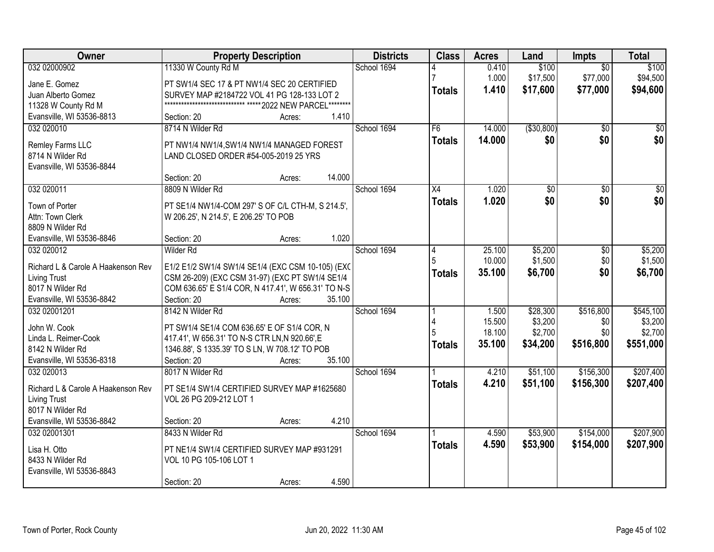| Owner                              | <b>Property Description</b>                                                                          | <b>Districts</b> | <b>Class</b>  | <b>Acres</b> | Land         | <b>Impts</b>    | <b>Total</b>    |
|------------------------------------|------------------------------------------------------------------------------------------------------|------------------|---------------|--------------|--------------|-----------------|-----------------|
| 032 02000902                       | 11330 W County Rd M                                                                                  | School 1694      |               | 0.410        | \$100        | $\overline{50}$ | \$100           |
| Jane E. Gomez                      | PT SW1/4 SEC 17 & PT NW1/4 SEC 20 CERTIFIED                                                          |                  |               | 1.000        | \$17,500     | \$77,000        | \$94,500        |
| Juan Alberto Gomez                 | SURVEY MAP #2184722 VOL 41 PG 128-133 LOT 2                                                          |                  | <b>Totals</b> | 1.410        | \$17,600     | \$77,000        | \$94,600        |
| 11328 W County Rd M                | **************************** ***** 2022 NEW PARCEL********                                           |                  |               |              |              |                 |                 |
| Evansville, WI 53536-8813          | 1.410<br>Section: 20<br>Acres:                                                                       |                  |               |              |              |                 |                 |
| 032 020010                         | 8714 N Wilder Rd                                                                                     | School 1694      | F6            | 14.000       | ( \$30, 800) | $\overline{50}$ | \$0             |
|                                    |                                                                                                      |                  | <b>Totals</b> | 14.000       | \$0          | \$0             | \$0             |
| Remley Farms LLC                   | PT NW1/4 NW1/4, SW1/4 NW1/4 MANAGED FOREST                                                           |                  |               |              |              |                 |                 |
| 8714 N Wilder Rd                   | LAND CLOSED ORDER #54-005-2019 25 YRS                                                                |                  |               |              |              |                 |                 |
| Evansville, WI 53536-8844          | 14.000                                                                                               |                  |               |              |              |                 |                 |
|                                    | Section: 20<br>Acres:                                                                                |                  |               |              |              |                 |                 |
| 032 020011                         | 8809 N Wilder Rd                                                                                     | School 1694      | X4            | 1.020        | \$0          | $\overline{50}$ | $\overline{50}$ |
| Town of Porter                     | PT SE1/4 NW1/4-COM 297' S OF C/L CTH-M, S 214.5',                                                    |                  | <b>Totals</b> | 1.020        | \$0          | \$0             | \$0             |
| Attn: Town Clerk                   | W 206.25', N 214.5', E 206.25' TO POB                                                                |                  |               |              |              |                 |                 |
| 8809 N Wilder Rd                   |                                                                                                      |                  |               |              |              |                 |                 |
| Evansville, WI 53536-8846          | 1.020<br>Section: 20<br>Acres:                                                                       |                  |               |              |              |                 |                 |
| 032 020012                         | Wilder Rd                                                                                            | School 1694      | 4             | 25.100       | \$5,200      | \$0             | \$5,200         |
| Richard L & Carole A Haakenson Rev |                                                                                                      |                  | 5             | 10.000       | \$1,500      | \$0             | \$1,500         |
| <b>Living Trust</b>                | E1/2 E1/2 SW1/4 SW1/4 SE1/4 (EXC CSM 10-105) (EXC<br>CSM 26-209) (EXC CSM 31-97) (EXC PT SW1/4 SE1/4 |                  | <b>Totals</b> | 35.100       | \$6,700      | \$0             | \$6,700         |
| 8017 N Wilder Rd                   | COM 636.65' E S1/4 COR, N 417.41', W 656.31' TO N-S                                                  |                  |               |              |              |                 |                 |
| Evansville, WI 53536-8842          | 35.100<br>Section: 20<br>Acres:                                                                      |                  |               |              |              |                 |                 |
| 032 02001201                       | 8142 N Wilder Rd                                                                                     | School 1694      |               | 1.500        | \$28,300     | \$516,800       | \$545,100       |
|                                    |                                                                                                      |                  |               | 15.500       | \$3,200      | \$0             | \$3,200         |
| John W. Cook                       | PT SW1/4 SE1/4 COM 636.65' E OF S1/4 COR, N                                                          |                  |               | 18.100       | \$2,700      | \$0             | \$2,700         |
| Linda L. Reimer-Cook               | 417.41', W 656.31' TO N-S CTR LN, N 920.66', E                                                       |                  | <b>Totals</b> | 35.100       | \$34,200     | \$516,800       | \$551,000       |
| 8142 N Wilder Rd                   | 1346.88', S 1335.39' TO S LN, W 708.12' TO POB                                                       |                  |               |              |              |                 |                 |
| Evansville, WI 53536-8318          | Section: 20<br>35.100<br>Acres:                                                                      |                  |               |              |              |                 |                 |
| 032 020013                         | 8017 N Wilder Rd                                                                                     | School 1694      |               | 4.210        | \$51,100     | \$156,300       | \$207,400       |
| Richard L & Carole A Haakenson Rev | PT SE1/4 SW1/4 CERTIFIED SURVEY MAP #1625680                                                         |                  | <b>Totals</b> | 4.210        | \$51,100     | \$156,300       | \$207,400       |
| <b>Living Trust</b>                | VOL 26 PG 209-212 LOT 1                                                                              |                  |               |              |              |                 |                 |
| 8017 N Wilder Rd                   |                                                                                                      |                  |               |              |              |                 |                 |
| Evansville, WI 53536-8842          | 4.210<br>Section: 20<br>Acres:                                                                       |                  |               |              |              |                 |                 |
| 032 02001301                       | 8433 N Wilder Rd                                                                                     | School 1694      |               | 4.590        | \$53,900     | \$154,000       | \$207,900       |
|                                    |                                                                                                      |                  | <b>Totals</b> | 4.590        | \$53,900     | \$154,000       | \$207,900       |
| Lisa H. Otto                       | PT NE1/4 SW1/4 CERTIFIED SURVEY MAP #931291                                                          |                  |               |              |              |                 |                 |
| 8433 N Wilder Rd                   | VOL 10 PG 105-106 LOT 1                                                                              |                  |               |              |              |                 |                 |
| Evansville, WI 53536-8843          |                                                                                                      |                  |               |              |              |                 |                 |
|                                    | 4.590<br>Section: 20<br>Acres:                                                                       |                  |               |              |              |                 |                 |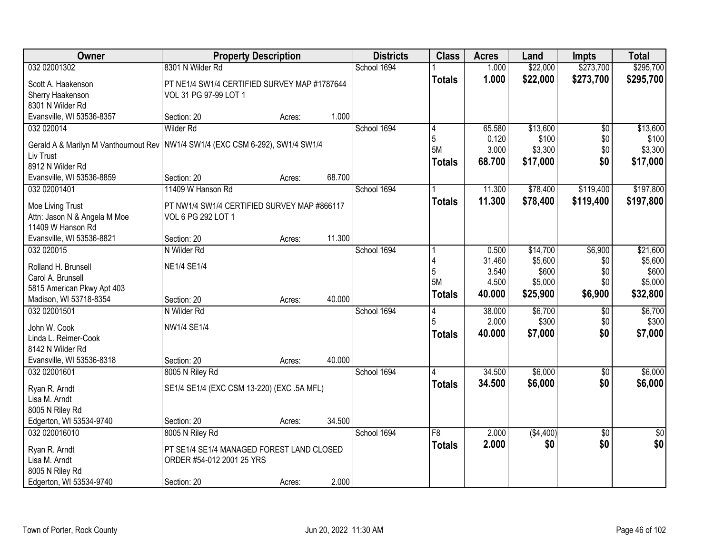| Owner                                            | <b>Property Description</b>                  |        |        | <b>Districts</b> | <b>Class</b>  | <b>Acres</b> | Land      | <b>Impts</b>    | <b>Total</b>  |
|--------------------------------------------------|----------------------------------------------|--------|--------|------------------|---------------|--------------|-----------|-----------------|---------------|
| 032 02001302                                     | 8301 N Wilder Rd                             |        |        | School 1694      |               | 1.000        | \$22,000  | \$273,700       | \$295,700     |
| Scott A. Haakenson                               | PT NE1/4 SW1/4 CERTIFIED SURVEY MAP #1787644 |        |        |                  | <b>Totals</b> | 1.000        | \$22,000  | \$273,700       | \$295,700     |
| Sherry Haakenson                                 | VOL 31 PG 97-99 LOT 1                        |        |        |                  |               |              |           |                 |               |
| 8301 N Wilder Rd                                 |                                              |        |        |                  |               |              |           |                 |               |
| Evansville, WI 53536-8357                        | Section: 20                                  | Acres: | 1.000  |                  |               |              |           |                 |               |
| 032 020014                                       | Wilder Rd                                    |        |        | School 1694      | 4             | 65.580       | \$13,600  | $\overline{50}$ | \$13,600      |
| Gerald A & Marilyn M Vanthournout Rev            | NW1/4 SW1/4 (EXC CSM 6-292), SW1/4 SW1/4     |        |        |                  | 5             | 0.120        | \$100     | \$0             | \$100         |
| Liv Trust                                        |                                              |        |        |                  | <b>5M</b>     | 3.000        | \$3,300   | \$0             | \$3,300       |
| 8912 N Wilder Rd                                 |                                              |        |        |                  | <b>Totals</b> | 68.700       | \$17,000  | \$0             | \$17,000      |
| Evansville, WI 53536-8859                        | Section: 20                                  | Acres: | 68.700 |                  |               |              |           |                 |               |
| 032 02001401                                     | 11409 W Hanson Rd                            |        |        | School 1694      |               | 11.300       | \$78,400  | \$119,400       | \$197,800     |
|                                                  | PT NW1/4 SW1/4 CERTIFIED SURVEY MAP #866117  |        |        |                  | <b>Totals</b> | 11.300       | \$78,400  | \$119,400       | \$197,800     |
| Moe Living Trust<br>Attn: Jason N & Angela M Moe | VOL 6 PG 292 LOT 1                           |        |        |                  |               |              |           |                 |               |
| 11409 W Hanson Rd                                |                                              |        |        |                  |               |              |           |                 |               |
| Evansville, WI 53536-8821                        | Section: 20                                  | Acres: | 11.300 |                  |               |              |           |                 |               |
| 032 020015                                       | N Wilder Rd                                  |        |        | School 1694      |               | 0.500        | \$14,700  | \$6,900         | \$21,600      |
|                                                  |                                              |        |        |                  | 4             | 31.460       | \$5,600   | \$0             | \$5,600       |
| Rolland H. Brunsell<br>Carol A. Brunsell         | <b>NE1/4 SE1/4</b>                           |        |        |                  | 5             | 3.540        | \$600     | \$0             | \$600         |
| 5815 American Pkwy Apt 403                       |                                              |        |        |                  | <b>5M</b>     | 4.500        | \$5,000   | \$0             | \$5,000       |
| Madison, WI 53718-8354                           | Section: 20                                  | Acres: | 40.000 |                  | <b>Totals</b> | 40.000       | \$25,900  | \$6,900         | \$32,800      |
| 032 02001501                                     | N Wilder Rd                                  |        |        | School 1694      | 4             | 38.000       | \$6,700   | \$0             | \$6,700       |
|                                                  |                                              |        |        |                  | 5             | 2.000        | \$300     | \$0             | \$300         |
| John W. Cook                                     | NW1/4 SE1/4                                  |        |        |                  | <b>Totals</b> | 40.000       | \$7,000   | \$0             | \$7,000       |
| Linda L. Reimer-Cook<br>8142 N Wilder Rd         |                                              |        |        |                  |               |              |           |                 |               |
| Evansville, WI 53536-8318                        | Section: 20                                  | Acres: | 40.000 |                  |               |              |           |                 |               |
| 032 02001601                                     | 8005 N Riley Rd                              |        |        | School 1694      |               | 34.500       | \$6,000   | \$0             | \$6,000       |
|                                                  |                                              |        |        |                  | <b>Totals</b> | 34.500       | \$6,000   | \$0             | \$6,000       |
| Ryan R. Arndt                                    | SE1/4 SE1/4 (EXC CSM 13-220) (EXC .5A MFL)   |        |        |                  |               |              |           |                 |               |
| Lisa M. Arndt                                    |                                              |        |        |                  |               |              |           |                 |               |
| 8005 N Riley Rd<br>Edgerton, WI 53534-9740       | Section: 20                                  |        | 34.500 |                  |               |              |           |                 |               |
| 032 020016010                                    | 8005 N Riley Rd                              | Acres: |        | School 1694      | F8            | 2.000        | (\$4,400) | $\overline{30}$ | $\frac{1}{6}$ |
|                                                  |                                              |        |        |                  | <b>Totals</b> | 2.000        | \$0       | \$0             | \$0           |
| Ryan R. Arndt                                    | PT SE1/4 SE1/4 MANAGED FOREST LAND CLOSED    |        |        |                  |               |              |           |                 |               |
| Lisa M. Arndt                                    | ORDER #54-012 2001 25 YRS                    |        |        |                  |               |              |           |                 |               |
| 8005 N Riley Rd                                  |                                              |        |        |                  |               |              |           |                 |               |
| Edgerton, WI 53534-9740                          | Section: 20                                  | Acres: | 2.000  |                  |               |              |           |                 |               |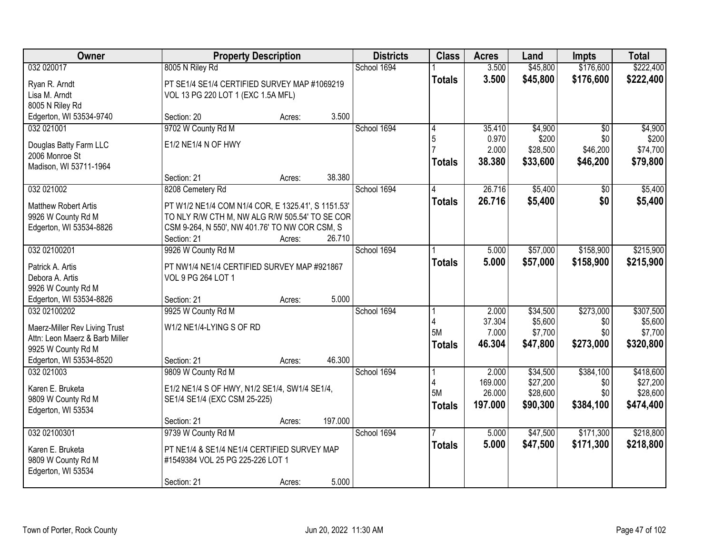| Owner                          | <b>Property Description</b>                        |        |         | <b>Districts</b> | <b>Class</b>   | <b>Acres</b>      | Land                 | <b>Impts</b>     | <b>Total</b>         |
|--------------------------------|----------------------------------------------------|--------|---------|------------------|----------------|-------------------|----------------------|------------------|----------------------|
| 032 020017                     | 8005 N Riley Rd                                    |        |         | School 1694      |                | 3.500             | \$45,800             | \$176,600        | \$222,400            |
| Ryan R. Arndt                  | PT SE1/4 SE1/4 CERTIFIED SURVEY MAP #1069219       |        |         |                  | <b>Totals</b>  | 3.500             | \$45,800             | \$176,600        | \$222,400            |
| Lisa M. Arndt                  | VOL 13 PG 220 LOT 1 (EXC 1.5A MFL)                 |        |         |                  |                |                   |                      |                  |                      |
| 8005 N Riley Rd                |                                                    |        |         |                  |                |                   |                      |                  |                      |
| Edgerton, WI 53534-9740        | Section: 20                                        | Acres: | 3.500   |                  |                |                   |                      |                  |                      |
| 032 021001                     | 9702 W County Rd M                                 |        |         | School 1694      | 4              | 35.410            | \$4,900              | $\overline{50}$  | \$4,900              |
| Douglas Batty Farm LLC         | E1/2 NE1/4 N OF HWY                                |        |         |                  | 5              | 0.970             | \$200                | \$0              | \$200                |
| 2006 Monroe St                 |                                                    |        |         |                  |                | 2.000             | \$28,500             | \$46,200         | \$74,700             |
| Madison, WI 53711-1964         |                                                    |        |         |                  | <b>Totals</b>  | 38.380            | \$33,600             | \$46,200         | \$79,800             |
|                                | Section: 21                                        | Acres: | 38.380  |                  |                |                   |                      |                  |                      |
| 032 021002                     | 8208 Cemetery Rd                                   |        |         | School 1694      | 4              | 26.716            | \$5,400              | \$0              | \$5,400              |
| <b>Matthew Robert Artis</b>    | PT W1/2 NE1/4 COM N1/4 COR, E 1325.41', S 1151.53' |        |         |                  | <b>Totals</b>  | 26.716            | \$5,400              | \$0              | \$5,400              |
| 9926 W County Rd M             | TO NLY R/W CTH M, NW ALG R/W 505.54' TO SE COR     |        |         |                  |                |                   |                      |                  |                      |
| Edgerton, WI 53534-8826        | CSM 9-264, N 550', NW 401.76' TO NW COR CSM, S     |        |         |                  |                |                   |                      |                  |                      |
|                                | Section: 21                                        | Acres: | 26.710  |                  |                |                   |                      |                  |                      |
| 032 02100201                   | 9926 W County Rd M                                 |        |         | School 1694      |                | 5.000             | \$57,000             | \$158,900        | \$215,900            |
| Patrick A. Artis               | PT NW1/4 NE1/4 CERTIFIED SURVEY MAP #921867        |        |         |                  | Totals         | 5.000             | \$57,000             | \$158,900        | \$215,900            |
| Debora A. Artis                | VOL 9 PG 264 LOT 1                                 |        |         |                  |                |                   |                      |                  |                      |
| 9926 W County Rd M             |                                                    |        |         |                  |                |                   |                      |                  |                      |
| Edgerton, WI 53534-8826        | Section: 21                                        | Acres: | 5.000   |                  |                |                   |                      |                  |                      |
| 032 02100202                   | 9925 W County Rd M                                 |        |         | School 1694      |                | 2.000             | \$34,500             | \$273,000        | \$307,500            |
| Maerz-Miller Rev Living Trust  | W1/2 NE1/4-LYING S OF RD                           |        |         |                  | 5M             | 37.304            | \$5,600              | \$0              | \$5,600              |
| Attn: Leon Maerz & Barb Miller |                                                    |        |         |                  |                | 7.000<br>46.304   | \$7,700<br>\$47,800  | \$0<br>\$273,000 | \$7,700<br>\$320,800 |
| 9925 W County Rd M             |                                                    |        |         |                  | <b>Totals</b>  |                   |                      |                  |                      |
| Edgerton, WI 53534-8520        | Section: 21                                        | Acres: | 46.300  |                  |                |                   |                      |                  |                      |
| 032 021003                     | 9809 W County Rd M                                 |        |         | School 1694      |                | 2.000             | \$34,500             | \$384,100        | \$418,600            |
| Karen E. Bruketa               | E1/2 NE1/4 S OF HWY, N1/2 SE1/4, SW1/4 SE1/4,      |        |         |                  | 4<br><b>5M</b> | 169.000<br>26.000 | \$27,200<br>\$28,600 | \$0<br>\$0       | \$27,200<br>\$28,600 |
| 9809 W County Rd M             | SE1/4 SE1/4 (EXC CSM 25-225)                       |        |         |                  | <b>Totals</b>  | 197.000           | \$90,300             | \$384,100        | \$474,400            |
| Edgerton, WI 53534             |                                                    |        |         |                  |                |                   |                      |                  |                      |
|                                | Section: 21                                        | Acres: | 197.000 |                  |                |                   |                      |                  |                      |
| 032 02100301                   | 9739 W County Rd M                                 |        |         | School 1694      |                | 5.000             | \$47,500             | \$171,300        | \$218,800            |
| Karen E. Bruketa               | PT NE1/4 & SE1/4 NE1/4 CERTIFIED SURVEY MAP        |        |         |                  | <b>Totals</b>  | 5.000             | \$47,500             | \$171,300        | \$218,800            |
| 9809 W County Rd M             | #1549384 VOL 25 PG 225-226 LOT 1                   |        |         |                  |                |                   |                      |                  |                      |
| Edgerton, WI 53534             |                                                    |        |         |                  |                |                   |                      |                  |                      |
|                                | Section: 21                                        | Acres: | 5.000   |                  |                |                   |                      |                  |                      |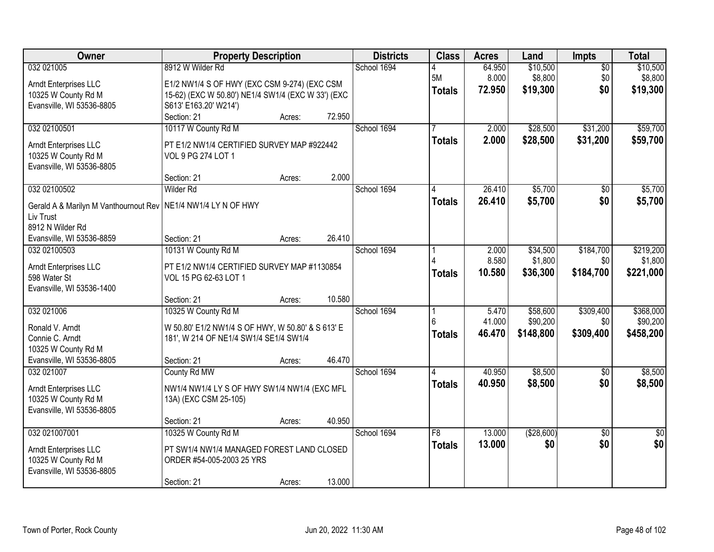| Owner                                                           | <b>Property Description</b>                                                                 |        |        | <b>Districts</b> | <b>Class</b>    | <b>Acres</b> | Land       | Impts           | <b>Total</b>    |
|-----------------------------------------------------------------|---------------------------------------------------------------------------------------------|--------|--------|------------------|-----------------|--------------|------------|-----------------|-----------------|
| 032 021005                                                      | 8912 W Wilder Rd                                                                            |        |        | School 1694      |                 | 64.950       | \$10,500   | $\overline{50}$ | \$10,500        |
| Arndt Enterprises LLC                                           | E1/2 NW1/4 S OF HWY (EXC CSM 9-274) (EXC CSM                                                |        |        |                  | 5M              | 8.000        | \$8,800    | \$0             | \$8,800         |
| 10325 W County Rd M                                             | 15-62) (EXC W 50.80') NE1/4 SW1/4 (EXC W 33') (EXC                                          |        |        |                  | <b>Totals</b>   | 72.950       | \$19,300   | \$0             | \$19,300        |
| Evansville, WI 53536-8805                                       | S613' E163.20' W214')                                                                       |        |        |                  |                 |              |            |                 |                 |
|                                                                 | Section: 21                                                                                 | Acres: | 72.950 |                  |                 |              |            |                 |                 |
| 032 02100501                                                    | 10117 W County Rd M                                                                         |        |        | School 1694      |                 | 2.000        | \$28,500   | \$31,200        | \$59,700        |
| Arndt Enterprises LLC                                           | PT E1/2 NW1/4 CERTIFIED SURVEY MAP #922442                                                  |        |        |                  | <b>Totals</b>   | 2.000        | \$28,500   | \$31,200        | \$59,700        |
| 10325 W County Rd M                                             | VOL 9 PG 274 LOT 1                                                                          |        |        |                  |                 |              |            |                 |                 |
| Evansville, WI 53536-8805                                       |                                                                                             |        |        |                  |                 |              |            |                 |                 |
|                                                                 | Section: 21                                                                                 | Acres: | 2.000  |                  |                 |              |            |                 |                 |
| 032 02100502                                                    | <b>Wilder Rd</b>                                                                            |        |        | School 1694      |                 | 26.410       | \$5,700    | $\overline{50}$ | \$5,700         |
| Gerald A & Marilyn M Vanthournout Rev   NE1/4 NW1/4 LY N OF HWY |                                                                                             |        |        |                  | <b>Totals</b>   | 26.410       | \$5,700    | \$0             | \$5,700         |
| Liv Trust                                                       |                                                                                             |        |        |                  |                 |              |            |                 |                 |
| 8912 N Wilder Rd                                                |                                                                                             |        |        |                  |                 |              |            |                 |                 |
| Evansville, WI 53536-8859                                       | Section: 21                                                                                 | Acres: | 26.410 |                  |                 |              |            |                 |                 |
| 032 02100503                                                    | 10131 W County Rd M                                                                         |        |        | School 1694      |                 | 2.000        | \$34,500   | \$184,700       | \$219,200       |
| Arndt Enterprises LLC                                           | PT E1/2 NW1/4 CERTIFIED SURVEY MAP #1130854                                                 |        |        |                  |                 | 8.580        | \$1,800    | \$0             | \$1,800         |
| 598 Water St                                                    | VOL 15 PG 62-63 LOT 1                                                                       |        |        |                  | <b>Totals</b>   | 10.580       | \$36,300   | \$184,700       | \$221,000       |
| Evansville, WI 53536-1400                                       |                                                                                             |        |        |                  |                 |              |            |                 |                 |
|                                                                 | Section: 21                                                                                 | Acres: | 10.580 |                  |                 |              |            |                 |                 |
| 032 021006                                                      | 10325 W County Rd M                                                                         |        |        | School 1694      |                 | 5.470        | \$58,600   | \$309,400       | \$368,000       |
|                                                                 |                                                                                             |        |        |                  | ĥ               | 41.000       | \$90,200   | \$0             | \$90,200        |
| Ronald V. Arndt<br>Connie C. Arndt                              | W 50.80' E1/2 NW1/4 S OF HWY, W 50.80' & S 613' E<br>181', W 214 OF NE1/4 SW1/4 SE1/4 SW1/4 |        |        |                  | <b>Totals</b>   | 46.470       | \$148,800  | \$309,400       | \$458,200       |
| 10325 W County Rd M                                             |                                                                                             |        |        |                  |                 |              |            |                 |                 |
| Evansville, WI 53536-8805                                       | Section: 21                                                                                 | Acres: | 46.470 |                  |                 |              |            |                 |                 |
| 032 021007                                                      | County Rd MW                                                                                |        |        | School 1694      |                 | 40.950       | \$8,500    | $\overline{50}$ | \$8,500         |
|                                                                 |                                                                                             |        |        |                  | <b>Totals</b>   | 40.950       | \$8,500    | \$0             | \$8,500         |
| Arndt Enterprises LLC                                           | NW1/4 NW1/4 LY S OF HWY SW1/4 NW1/4 (EXC MFL                                                |        |        |                  |                 |              |            |                 |                 |
| 10325 W County Rd M                                             | 13A) (EXC CSM 25-105)                                                                       |        |        |                  |                 |              |            |                 |                 |
| Evansville, WI 53536-8805                                       | Section: 21                                                                                 | Acres: | 40.950 |                  |                 |              |            |                 |                 |
| 032 021007001                                                   | 10325 W County Rd M                                                                         |        |        | School 1694      | $\overline{F8}$ | 13,000       | (\$28,600) | $\overline{50}$ | $\overline{50}$ |
|                                                                 |                                                                                             |        |        |                  | <b>Totals</b>   | 13.000       | \$0        | \$0             | \$0             |
| Arndt Enterprises LLC                                           | PT SW1/4 NW1/4 MANAGED FOREST LAND CLOSED                                                   |        |        |                  |                 |              |            |                 |                 |
| 10325 W County Rd M                                             | ORDER #54-005-2003 25 YRS                                                                   |        |        |                  |                 |              |            |                 |                 |
| Evansville, WI 53536-8805                                       | Section: 21                                                                                 |        | 13.000 |                  |                 |              |            |                 |                 |
|                                                                 |                                                                                             | Acres: |        |                  |                 |              |            |                 |                 |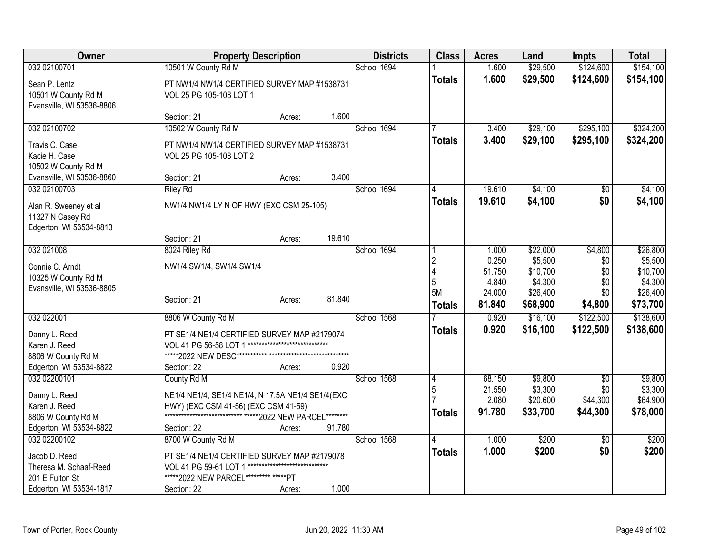| Owner                     | <b>Property Description</b>                                |                               |        | <b>Districts</b> | <b>Class</b>   | <b>Acres</b>     | Land                 | <b>Impts</b>    | <b>Total</b>         |
|---------------------------|------------------------------------------------------------|-------------------------------|--------|------------------|----------------|------------------|----------------------|-----------------|----------------------|
| 032 02100701              | 10501 W County Rd M                                        |                               |        | School 1694      |                | 1.600            | \$29,500             | \$124,600       | \$154,100            |
| Sean P. Lentz             | PT NW1/4 NW1/4 CERTIFIED SURVEY MAP #1538731               |                               |        |                  | <b>Totals</b>  | 1.600            | \$29,500             | \$124,600       | \$154,100            |
| 10501 W County Rd M       | VOL 25 PG 105-108 LOT 1                                    |                               |        |                  |                |                  |                      |                 |                      |
| Evansville, WI 53536-8806 |                                                            |                               |        |                  |                |                  |                      |                 |                      |
|                           | Section: 21                                                | Acres:                        | 1.600  |                  |                |                  |                      |                 |                      |
| 032 02100702              | 10502 W County Rd M                                        |                               |        | School 1694      |                | 3.400            | \$29,100             | \$295,100       | \$324,200            |
| Travis C. Case            | PT NW1/4 NW1/4 CERTIFIED SURVEY MAP #1538731               |                               |        |                  | <b>Totals</b>  | 3.400            | \$29,100             | \$295,100       | \$324,200            |
| Kacie H. Case             | VOL 25 PG 105-108 LOT 2                                    |                               |        |                  |                |                  |                      |                 |                      |
| 10502 W County Rd M       |                                                            |                               |        |                  |                |                  |                      |                 |                      |
| Evansville, WI 53536-8860 | Section: 21                                                | Acres:                        | 3.400  |                  |                |                  |                      |                 |                      |
| 032 02100703              | <b>Riley Rd</b>                                            |                               |        | School 1694      |                | 19.610           | \$4,100              | \$0             | \$4,100              |
| Alan R. Sweeney et al     | NW1/4 NW1/4 LY N OF HWY (EXC CSM 25-105)                   |                               |        |                  | <b>Totals</b>  | 19.610           | \$4,100              | \$0             | \$4,100              |
| 11327 N Casey Rd          |                                                            |                               |        |                  |                |                  |                      |                 |                      |
| Edgerton, WI 53534-8813   |                                                            |                               |        |                  |                |                  |                      |                 |                      |
|                           | Section: 21                                                | Acres:                        | 19.610 |                  |                |                  |                      |                 |                      |
| 032 021008                | 8024 Riley Rd                                              |                               |        | School 1694      |                | 1.000            | \$22,000             | \$4,800         | \$26,800             |
| Connie C. Arndt           | NW1/4 SW1/4, SW1/4 SW1/4                                   |                               |        |                  | $\overline{2}$ | 0.250            | \$5,500              | \$0             | \$5,500              |
| 10325 W County Rd M       |                                                            |                               |        |                  | $\overline{4}$ | 51.750           | \$10,700             | \$0             | \$10,700             |
| Evansville, WI 53536-8805 |                                                            |                               |        |                  | 5<br>5M        | 4.840            | \$4,300              | \$0             | \$4,300              |
|                           | Section: 21                                                | Acres:                        | 81.840 |                  |                | 24.000<br>81.840 | \$26,400<br>\$68,900 | \$0<br>\$4,800  | \$26,400<br>\$73,700 |
|                           |                                                            |                               |        |                  | <b>Totals</b>  |                  |                      |                 |                      |
| 032 022001                | 8806 W County Rd M                                         |                               |        | School 1568      |                | 0.920            | \$16,100             | \$122,500       | \$138,600            |
| Danny L. Reed             | PT SE1/4 NE1/4 CERTIFIED SURVEY MAP #2179074               |                               |        |                  | <b>Totals</b>  | 0.920            | \$16,100             | \$122,500       | \$138,600            |
| Karen J. Reed             | VOL 41 PG 56-58 LOT 1                                      |                               |        |                  |                |                  |                      |                 |                      |
| 8806 W County Rd M        |                                                            |                               |        |                  |                |                  |                      |                 |                      |
| Edgerton, WI 53534-8822   | Section: 22                                                | Acres:                        | 0.920  |                  |                |                  |                      |                 |                      |
| 032 02200101              | County Rd M                                                |                               |        | School 1568      | 4              | 68.150           | \$9,800              | $\sqrt{6}$      | \$9,800              |
| Danny L. Reed             | NE1/4 NE1/4, SE1/4 NE1/4, N 17.5A NE1/4 SE1/4(EXC          |                               |        |                  | 5              | 21.550<br>2.080  | \$3,300<br>\$20,600  | \$0<br>\$44,300 | \$3,300<br>\$64,900  |
| Karen J. Reed             | HWY) (EXC CSM 41-56) (EXC CSM 41-59)                       |                               |        |                  | <b>Totals</b>  | 91.780           | \$33,700             | \$44,300        | \$78,000             |
| 8806 W County Rd M        | **************************** ***** 2022 NEW PARCEL******** |                               |        |                  |                |                  |                      |                 |                      |
| Edgerton, WI 53534-8822   | Section: 22                                                | Acres:                        | 91.780 |                  |                |                  |                      |                 |                      |
| 032 02200102              | 8700 W County Rd M                                         |                               |        | School 1568      |                | 1.000            | \$200                | \$0             | \$200                |
| Jacob D. Reed             | PT SE1/4 NE1/4 CERTIFIED SURVEY MAP #2179078               |                               |        |                  | <b>Totals</b>  | 1.000            | \$200                | \$0             | \$200                |
| Theresa M. Schaaf-Reed    | VOL 41 PG 59-61 LOT 1                                      | ***************************** |        |                  |                |                  |                      |                 |                      |
| 201 E Fulton St           | *****2022 NEW PARCEL********* *****PT                      |                               |        |                  |                |                  |                      |                 |                      |
| Edgerton, WI 53534-1817   | Section: 22                                                | Acres:                        | 1.000  |                  |                |                  |                      |                 |                      |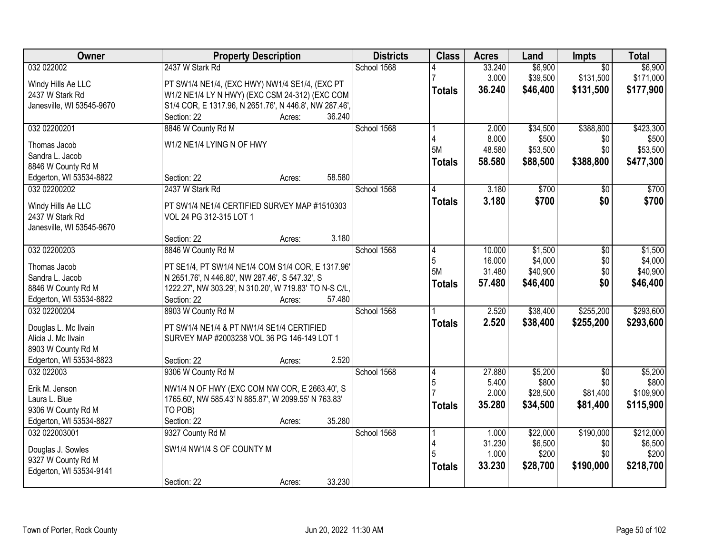| <b>Owner</b>                            | <b>Property Description</b>                            | <b>Districts</b> | <b>Class</b>  | <b>Acres</b> | Land     | Impts           | <b>Total</b> |
|-----------------------------------------|--------------------------------------------------------|------------------|---------------|--------------|----------|-----------------|--------------|
| 032 022002                              | 2437 W Stark Rd                                        | School 1568      |               | 33.240       | \$6,900  | $\overline{50}$ | \$6,900      |
| Windy Hills Ae LLC                      | PT SW1/4 NE1/4, (EXC HWY) NW1/4 SE1/4, (EXC PT         |                  |               | 3.000        | \$39,500 | \$131,500       | \$171,000    |
| 2437 W Stark Rd                         | W1/2 NE1/4 LY N HWY) (EXC CSM 24-312) (EXC COM         |                  | <b>Totals</b> | 36.240       | \$46,400 | \$131,500       | \$177,900    |
| Janesville, WI 53545-9670               | S1/4 COR, E 1317.96, N 2651.76', N 446.8', NW 287.46', |                  |               |              |          |                 |              |
|                                         | 36.240<br>Section: 22<br>Acres:                        |                  |               |              |          |                 |              |
| 032 02200201                            | 8846 W County Rd M                                     | School 1568      |               | 2.000        | \$34,500 | \$388,800       | \$423,300    |
|                                         |                                                        |                  |               | 8.000        | \$500    | \$0             | \$500        |
| Thomas Jacob                            | W1/2 NE1/4 LYING N OF HWY                              |                  | 5M            | 48.580       | \$53,500 | \$0             | \$53,500     |
| Sandra L. Jacob                         |                                                        |                  | <b>Totals</b> | 58.580       | \$88,500 | \$388,800       | \$477,300    |
| 8846 W County Rd M                      | 58.580<br>Section: 22                                  |                  |               |              |          |                 |              |
| Edgerton, WI 53534-8822<br>032 02200202 | Acres:<br>2437 W Stark Rd                              | School 1568      |               | 3.180        | \$700    |                 | \$700        |
|                                         |                                                        |                  |               |              |          | \$0             |              |
| Windy Hills Ae LLC                      | PT SW1/4 NE1/4 CERTIFIED SURVEY MAP #1510303           |                  | <b>Totals</b> | 3.180        | \$700    | \$0             | \$700        |
| 2437 W Stark Rd                         | VOL 24 PG 312-315 LOT 1                                |                  |               |              |          |                 |              |
| Janesville, WI 53545-9670               |                                                        |                  |               |              |          |                 |              |
|                                         | Section: 22<br>3.180<br>Acres:                         |                  |               |              |          |                 |              |
| 032 02200203                            | 8846 W County Rd M                                     | School 1568      | 4             | 10.000       | \$1,500  | $\sqrt[6]{}$    | \$1,500      |
| Thomas Jacob                            | PT SE1/4, PT SW1/4 NE1/4 COM S1/4 COR, E 1317.96'      |                  | 5             | 16.000       | \$4,000  | \$0             | \$4,000      |
| Sandra L. Jacob                         | N 2651.76', N 446.80', NW 287.46', S 547.32', S        |                  | 5M            | 31.480       | \$40,900 | \$0             | \$40,900     |
| 8846 W County Rd M                      | 1222.27', NW 303.29', N 310.20', W 719.83' TO N-S C/L, |                  | <b>Totals</b> | 57.480       | \$46,400 | \$0             | \$46,400     |
| Edgerton, WI 53534-8822                 | Section: 22<br>57.480<br>Acres:                        |                  |               |              |          |                 |              |
| 032 02200204                            | 8903 W County Rd M                                     | School 1568      |               | 2.520        | \$38,400 | \$255,200       | \$293,600    |
|                                         |                                                        |                  | <b>Totals</b> | 2.520        | \$38,400 | \$255,200       | \$293,600    |
| Douglas L. Mc Ilvain                    | PT SW1/4 NE1/4 & PT NW1/4 SE1/4 CERTIFIED              |                  |               |              |          |                 |              |
| Alicia J. Mc Ilvain                     | SURVEY MAP #2003238 VOL 36 PG 146-149 LOT 1            |                  |               |              |          |                 |              |
| 8903 W County Rd M                      |                                                        |                  |               |              |          |                 |              |
| Edgerton, WI 53534-8823                 | 2.520<br>Section: 22<br>Acres:                         |                  |               |              |          |                 |              |
| 032 022003                              | 9306 W County Rd M                                     | School 1568      | 4             | 27.880       | \$5,200  | $\overline{50}$ | \$5,200      |
| Erik M. Jenson                          | NW1/4 N OF HWY (EXC COM NW COR, E 2663.40', S          |                  | 5             | 5.400        | \$800    | \$0             | \$800        |
| Laura L. Blue                           | 1765.60', NW 585.43' N 885.87', W 2099.55' N 763.83'   |                  |               | 2.000        | \$28,500 | \$81,400        | \$109,900    |
| 9306 W County Rd M                      | TO POB)                                                |                  | <b>Totals</b> | 35.280       | \$34,500 | \$81,400        | \$115,900    |
| Edgerton, WI 53534-8827                 | 35.280<br>Section: 22<br>Acres:                        |                  |               |              |          |                 |              |
| 032 022003001                           | 9327 County Rd M                                       | School 1568      |               | 1.000        | \$22,000 | \$190,000       | \$212,000    |
|                                         | SW1/4 NW1/4 S OF COUNTY M                              |                  |               | 31.230       | \$6,500  | \$0             | \$6,500      |
| Douglas J. Sowles<br>9327 W County Rd M |                                                        |                  |               | 1.000        | \$200    | \$0             | \$200        |
| Edgerton, WI 53534-9141                 |                                                        |                  | <b>Totals</b> | 33.230       | \$28,700 | \$190,000       | \$218,700    |
|                                         | 33.230<br>Section: 22<br>Acres:                        |                  |               |              |          |                 |              |
|                                         |                                                        |                  |               |              |          |                 |              |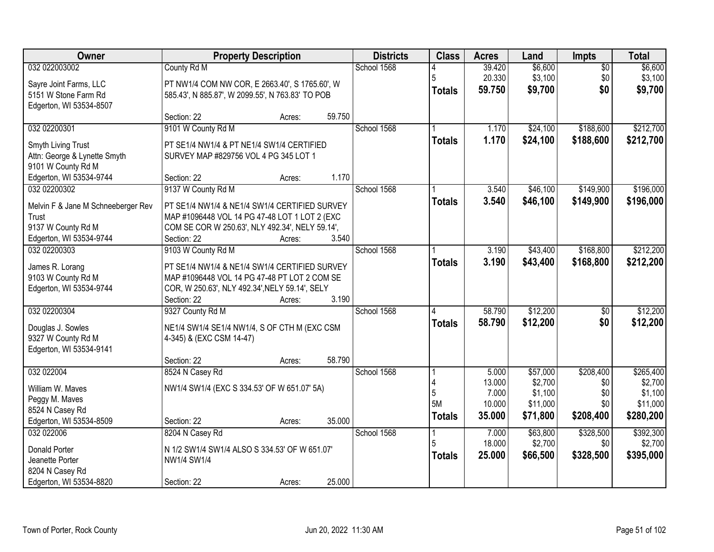| Owner                                              | <b>Property Description</b>                      | <b>Districts</b> | <b>Class</b>  | <b>Acres</b>    | Land               | Impts           | <b>Total</b>       |
|----------------------------------------------------|--------------------------------------------------|------------------|---------------|-----------------|--------------------|-----------------|--------------------|
| 032 022003002                                      | County Rd M                                      | School 1568      |               | 39.420          | \$6,600            | $\overline{50}$ | \$6,600            |
| Sayre Joint Farms, LLC                             | PT NW1/4 COM NW COR, E 2663.40', S 1765.60', W   |                  | 5             | 20.330          | \$3,100            | \$0             | \$3,100            |
| 5151 W Stone Farm Rd                               | 585.43', N 885.87', W 2099.55', N 763.83' TO POB |                  | <b>Totals</b> | 59.750          | \$9,700            | \$0             | \$9,700            |
| Edgerton, WI 53534-8507                            |                                                  |                  |               |                 |                    |                 |                    |
|                                                    | 59.750<br>Section: 22<br>Acres:                  |                  |               |                 |                    |                 |                    |
| 032 02200301                                       | 9101 W County Rd M                               | School 1568      |               | 1.170           | \$24,100           | \$188,600       | \$212,700          |
|                                                    |                                                  |                  | <b>Totals</b> | 1.170           | \$24,100           | \$188,600       | \$212,700          |
| Smyth Living Trust                                 | PT SE1/4 NW1/4 & PT NE1/4 SW1/4 CERTIFIED        |                  |               |                 |                    |                 |                    |
| Attn: George & Lynette Smyth<br>9101 W County Rd M | SURVEY MAP #829756 VOL 4 PG 345 LOT 1            |                  |               |                 |                    |                 |                    |
| Edgerton, WI 53534-9744                            | 1.170<br>Section: 22<br>Acres:                   |                  |               |                 |                    |                 |                    |
| 032 02200302                                       | 9137 W County Rd M                               | School 1568      |               | 3.540           | \$46,100           | \$149,900       | \$196,000          |
|                                                    |                                                  |                  |               | 3.540           |                    |                 |                    |
| Melvin F & Jane M Schneeberger Rev                 | PT SE1/4 NW1/4 & NE1/4 SW1/4 CERTIFIED SURVEY    |                  | <b>Totals</b> |                 | \$46,100           | \$149,900       | \$196,000          |
| Trust                                              | MAP #1096448 VOL 14 PG 47-48 LOT 1 LOT 2 (EXC    |                  |               |                 |                    |                 |                    |
| 9137 W County Rd M                                 | COM SE COR W 250.63', NLY 492.34', NELY 59.14',  |                  |               |                 |                    |                 |                    |
| Edgerton, WI 53534-9744                            | 3.540<br>Section: 22<br>Acres:                   |                  |               |                 |                    |                 |                    |
| 032 02200303                                       | 9103 W County Rd M                               | School 1568      |               | 3.190           | \$43,400           | \$168,800       | \$212,200          |
| James R. Lorang                                    | PT SE1/4 NW1/4 & NE1/4 SW1/4 CERTIFIED SURVEY    |                  | <b>Totals</b> | 3.190           | \$43,400           | \$168,800       | \$212,200          |
| 9103 W County Rd M                                 | MAP #1096448 VOL 14 PG 47-48 PT LOT 2 COM SE     |                  |               |                 |                    |                 |                    |
| Edgerton, WI 53534-9744                            | COR, W 250.63', NLY 492.34', NELY 59.14', SELY   |                  |               |                 |                    |                 |                    |
|                                                    | 3.190<br>Section: 22<br>Acres:                   |                  |               |                 |                    |                 |                    |
| 032 02200304                                       | 9327 County Rd M                                 | School 1568      |               | 58.790          | \$12,200           | $\overline{50}$ | \$12,200           |
|                                                    |                                                  |                  | <b>Totals</b> | 58.790          | \$12,200           | \$0             | \$12,200           |
| Douglas J. Sowles                                  | NE1/4 SW1/4 SE1/4 NW1/4, S OF CTH M (EXC CSM     |                  |               |                 |                    |                 |                    |
| 9327 W County Rd M                                 | 4-345) & (EXC CSM 14-47)                         |                  |               |                 |                    |                 |                    |
| Edgerton, WI 53534-9141                            |                                                  |                  |               |                 |                    |                 |                    |
|                                                    | 58.790<br>Section: 22<br>Acres:                  |                  |               |                 |                    |                 |                    |
| 032 022004                                         | 8524 N Casey Rd                                  | School 1568      |               | 5.000           | \$57,000           | \$208,400       | \$265,400          |
| William W. Maves                                   | NW1/4 SW1/4 (EXC S 334.53' OF W 651.07' 5A)      |                  | 5             | 13.000<br>7.000 | \$2,700<br>\$1,100 | \$0<br>\$0      | \$2,700<br>\$1,100 |
| Peggy M. Maves                                     |                                                  |                  | 5M            | 10.000          | \$11,000           | \$0             | \$11,000           |
| 8524 N Casey Rd                                    |                                                  |                  | <b>Totals</b> | 35.000          | \$71,800           | \$208,400       | \$280,200          |
| Edgerton, WI 53534-8509                            | 35.000<br>Section: 22<br>Acres:                  |                  |               |                 |                    |                 |                    |
| 032 022006                                         | 8204 N Casey Rd                                  | School 1568      |               | 7.000           | \$63,800           | \$328,500       | \$392,300          |
| Donald Porter                                      | N 1/2 SW1/4 SW1/4 ALSO S 334.53' OF W 651.07'    |                  |               | 18.000          | \$2,700            | \$0             | \$2,700            |
| Jeanette Porter                                    | NW1/4 SW1/4                                      |                  | <b>Totals</b> | 25.000          | \$66,500           | \$328,500       | \$395,000          |
| 8204 N Casey Rd                                    |                                                  |                  |               |                 |                    |                 |                    |
| Edgerton, WI 53534-8820                            | 25.000<br>Section: 22<br>Acres:                  |                  |               |                 |                    |                 |                    |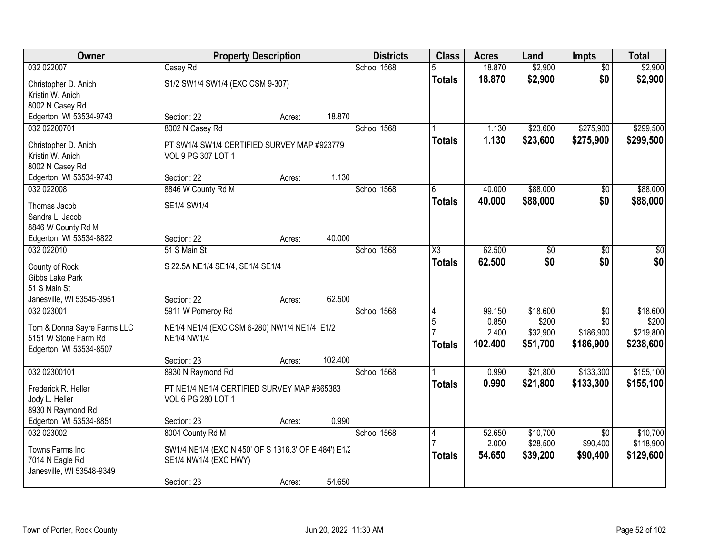| <b>Owner</b>                                        | <b>Property Description</b>                                         |        |         | <b>Districts</b> | <b>Class</b>        | <b>Acres</b> | Land            | <b>Impts</b>    | <b>Total</b>    |
|-----------------------------------------------------|---------------------------------------------------------------------|--------|---------|------------------|---------------------|--------------|-----------------|-----------------|-----------------|
| 032 022007                                          | Casey Rd                                                            |        |         | School 1568      | 5                   | 18.870       | \$2,900         | $\overline{50}$ | \$2,900         |
| Christopher D. Anich                                | S1/2 SW1/4 SW1/4 (EXC CSM 9-307)                                    |        |         |                  | <b>Totals</b>       | 18.870       | \$2,900         | \$0             | \$2,900         |
| Kristin W. Anich                                    |                                                                     |        |         |                  |                     |              |                 |                 |                 |
| 8002 N Casey Rd                                     |                                                                     |        |         |                  |                     |              |                 |                 |                 |
| Edgerton, WI 53534-9743                             | Section: 22                                                         | Acres: | 18.870  |                  |                     |              |                 |                 |                 |
| 032 02200701                                        | 8002 N Casey Rd                                                     |        |         | School 1568      |                     | 1.130        | \$23,600        | \$275,900       | \$299,500       |
| Christopher D. Anich                                | PT SW1/4 SW1/4 CERTIFIED SURVEY MAP #923779                         |        |         |                  | <b>Totals</b>       | 1.130        | \$23,600        | \$275,900       | \$299,500       |
| Kristin W. Anich                                    | VOL 9 PG 307 LOT 1                                                  |        |         |                  |                     |              |                 |                 |                 |
| 8002 N Casey Rd                                     |                                                                     |        |         |                  |                     |              |                 |                 |                 |
| Edgerton, WI 53534-9743                             | Section: 22                                                         | Acres: | 1.130   |                  |                     |              |                 |                 |                 |
| 032 022008                                          | 8846 W County Rd M                                                  |        |         | School 1568      | 6                   | 40.000       | \$88,000        | \$0             | \$88,000        |
| Thomas Jacob                                        | SE1/4 SW1/4                                                         |        |         |                  | <b>Totals</b>       | 40.000       | \$88,000        | \$0             | \$88,000        |
| Sandra L. Jacob                                     |                                                                     |        |         |                  |                     |              |                 |                 |                 |
| 8846 W County Rd M                                  |                                                                     |        |         |                  |                     |              |                 |                 |                 |
| Edgerton, WI 53534-8822                             | Section: 22                                                         | Acres: | 40.000  |                  |                     |              |                 |                 |                 |
| 032 022010                                          | 51 S Main St                                                        |        |         | School 1568      | $\overline{\chi_3}$ | 62.500       | $\overline{50}$ | \$0             | $\overline{50}$ |
| County of Rock                                      | S 22.5A NE1/4 SE1/4, SE1/4 SE1/4                                    |        |         |                  | <b>Totals</b>       | 62.500       | \$0             | \$0             | \$0             |
| Gibbs Lake Park                                     |                                                                     |        |         |                  |                     |              |                 |                 |                 |
| 51 S Main St                                        |                                                                     |        |         |                  |                     |              |                 |                 |                 |
| Janesville, WI 53545-3951                           | Section: 22                                                         | Acres: | 62.500  |                  |                     |              |                 |                 |                 |
| 032 023001                                          | 5911 W Pomeroy Rd                                                   |        |         | School 1568      | 4                   | 99.150       | \$18,600        | $\overline{30}$ | \$18,600        |
|                                                     |                                                                     |        |         |                  | 5                   | 0.850        | \$200           | \$0             | \$200           |
| Tom & Donna Sayre Farms LLC<br>5151 W Stone Farm Rd | NE1/4 NE1/4 (EXC CSM 6-280) NW1/4 NE1/4, E1/2<br><b>NE1/4 NW1/4</b> |        |         |                  |                     | 2.400        | \$32,900        | \$186,900       | \$219,800       |
| Edgerton, WI 53534-8507                             |                                                                     |        |         |                  | <b>Totals</b>       | 102.400      | \$51,700        | \$186,900       | \$238,600       |
|                                                     | Section: 23                                                         | Acres: | 102.400 |                  |                     |              |                 |                 |                 |
| 032 02300101                                        | 8930 N Raymond Rd                                                   |        |         | School 1568      |                     | 0.990        | \$21,800        | \$133,300       | \$155,100       |
|                                                     |                                                                     |        |         |                  | <b>Totals</b>       | 0.990        | \$21,800        | \$133,300       | \$155,100       |
| Frederick R. Heller                                 | PT NE1/4 NE1/4 CERTIFIED SURVEY MAP #865383                         |        |         |                  |                     |              |                 |                 |                 |
| Jody L. Heller<br>8930 N Raymond Rd                 | VOL 6 PG 280 LOT 1                                                  |        |         |                  |                     |              |                 |                 |                 |
| Edgerton, WI 53534-8851                             | Section: 23                                                         | Acres: | 0.990   |                  |                     |              |                 |                 |                 |
| 032 023002                                          | 8004 County Rd M                                                    |        |         | School 1568      | 4                   | 52.650       | \$10,700        | $\overline{50}$ | \$10,700        |
|                                                     |                                                                     |        |         |                  |                     | 2.000        | \$28,500        | \$90,400        | \$118,900       |
| Towns Farms Inc                                     | SW1/4 NE1/4 (EXC N 450' OF S 1316.3' OF E 484') E1/2                |        |         |                  | <b>Totals</b>       | 54.650       | \$39,200        | \$90,400        | \$129,600       |
| 7014 N Eagle Rd                                     | SE1/4 NW1/4 (EXC HWY)                                               |        |         |                  |                     |              |                 |                 |                 |
| Janesville, WI 53548-9349                           |                                                                     |        | 54.650  |                  |                     |              |                 |                 |                 |
|                                                     | Section: 23                                                         | Acres: |         |                  |                     |              |                 |                 |                 |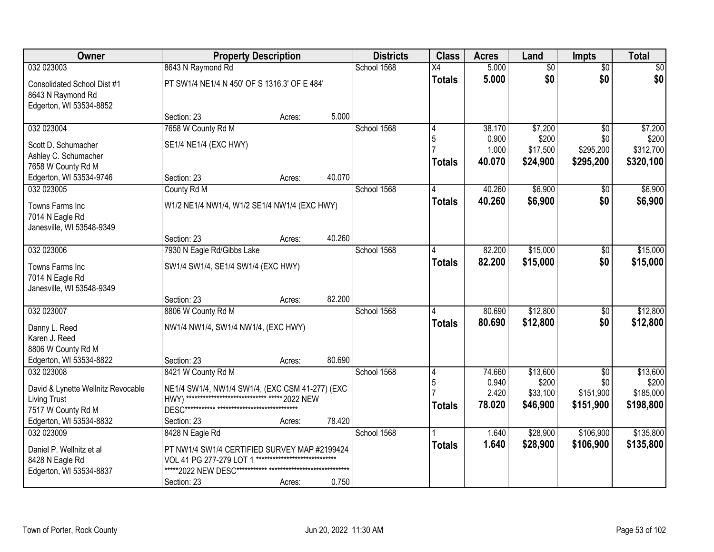| <b>Owner</b>                                                                | <b>Property Description</b>                       |        |        | <b>Districts</b> | <b>Class</b>    | <b>Acres</b>    | Land              | Impts                  | <b>Total</b>      |
|-----------------------------------------------------------------------------|---------------------------------------------------|--------|--------|------------------|-----------------|-----------------|-------------------|------------------------|-------------------|
| 032 023003                                                                  | 8643 N Raymond Rd                                 |        |        | School 1568      | $\overline{X4}$ | 5.000           | $\overline{60}$   | $\overline{50}$        | \$0               |
| Consolidated School Dist #1<br>8643 N Raymond Rd<br>Edgerton, WI 53534-8852 | PT SW1/4 NE1/4 N 450' OF S 1316.3' OF E 484'      |        |        |                  | <b>Totals</b>   | 5.000           | \$0               | \$0                    | \$0               |
|                                                                             | Section: 23                                       | Acres: | 5.000  |                  |                 |                 |                   |                        |                   |
| 032 023004                                                                  | 7658 W County Rd M                                |        |        | School 1568      | 4               | 38.170          | \$7,200           | $\overline{50}$        | \$7,200           |
| Scott D. Schumacher                                                         | SE1/4 NE1/4 (EXC HWY)                             |        |        |                  | 5               | 0.900           | \$200             | \$0                    | \$200             |
| Ashley C. Schumacher                                                        |                                                   |        |        |                  |                 | 1.000           | \$17,500          | \$295,200              | \$312,700         |
| 7658 W County Rd M                                                          |                                                   |        |        |                  | <b>Totals</b>   | 40.070          | \$24,900          | \$295,200              | \$320,100         |
| Edgerton, WI 53534-9746                                                     | Section: 23                                       | Acres: | 40.070 |                  |                 |                 |                   |                        |                   |
| 032 023005                                                                  | County Rd M                                       |        |        | School 1568      |                 | 40.260          | \$6,900           | \$0                    | \$6,900           |
| Towns Farms Inc<br>7014 N Eagle Rd                                          | W1/2 NE1/4 NW1/4, W1/2 SE1/4 NW1/4 (EXC HWY)      |        |        |                  | <b>Totals</b>   | 40.260          | \$6,900           | \$0                    | \$6,900           |
| Janesville, WI 53548-9349                                                   |                                                   |        |        |                  |                 |                 |                   |                        |                   |
|                                                                             | Section: 23                                       | Acres: | 40.260 |                  |                 |                 |                   |                        |                   |
| 032 023006                                                                  | 7930 N Eagle Rd/Gibbs Lake                        |        |        | School 1568      | 4               | 82,200          | \$15,000          | \$0                    | \$15,000          |
| Towns Farms Inc                                                             | SW1/4 SW1/4, SE1/4 SW1/4 (EXC HWY)                |        |        |                  | <b>Totals</b>   | 82.200          | \$15,000          | \$0                    | \$15,000          |
| 7014 N Eagle Rd                                                             |                                                   |        |        |                  |                 |                 |                   |                        |                   |
| Janesville, WI 53548-9349                                                   |                                                   |        |        |                  |                 |                 |                   |                        |                   |
|                                                                             | Section: 23                                       | Acres: | 82.200 |                  |                 |                 |                   |                        |                   |
| 032 023007                                                                  | 8806 W County Rd M                                |        |        | School 1568      |                 | 80.690          | \$12,800          | $\overline{50}$        | \$12,800          |
| Danny L. Reed                                                               | NW1/4 NW1/4, SW1/4 NW1/4, (EXC HWY)               |        |        |                  | <b>Totals</b>   | 80.690          | \$12,800          | \$0                    | \$12,800          |
| Karen J. Reed                                                               |                                                   |        |        |                  |                 |                 |                   |                        |                   |
| 8806 W County Rd M                                                          |                                                   |        |        |                  |                 |                 |                   |                        |                   |
| Edgerton, WI 53534-8822                                                     | Section: 23                                       | Acres: | 80.690 |                  |                 |                 |                   |                        |                   |
| 032 023008                                                                  | 8421 W County Rd M                                |        |        | School 1568      | $\overline{4}$  | 74.660<br>0.940 | \$13,600<br>\$200 | $\overline{50}$<br>\$0 | \$13,600<br>\$200 |
| David & Lynette Wellnitz Revocable                                          | NE1/4 SW1/4, NW1/4 SW1/4, (EXC CSM 41-277) (EXC   |        |        |                  | 5               | 2.420           | \$33,100          | \$151,900              | \$185,000         |
| <b>Living Trust</b>                                                         | HWY) ***************************** ***** 2022 NEW |        |        |                  | <b>Totals</b>   | 78.020          | \$46,900          | \$151,900              | \$198,800         |
| 7517 W County Rd M                                                          |                                                   |        |        |                  |                 |                 |                   |                        |                   |
| Edgerton, WI 53534-8832                                                     | Section: 23                                       | Acres: | 78.420 |                  |                 |                 |                   |                        |                   |
| 032 023009                                                                  | 8428 N Eagle Rd                                   |        |        | School 1568      |                 | 1.640           | \$28,900          | \$106,900              | \$135,800         |
| Daniel P. Wellnitz et al                                                    | PT NW1/4 SW1/4 CERTIFIED SURVEY MAP #2199424      |        |        |                  | <b>Totals</b>   | 1.640           | \$28,900          | \$106,900              | \$135,800         |
| 8428 N Eagle Rd                                                             | VOL 41 PG 277-279 LOT 1                           |        |        |                  |                 |                 |                   |                        |                   |
| Edgerton, WI 53534-8837                                                     | *****2022 NEW DESC*********** ***************     |        |        |                  |                 |                 |                   |                        |                   |
|                                                                             | Section: 23                                       | Acres: | 0.750  |                  |                 |                 |                   |                        |                   |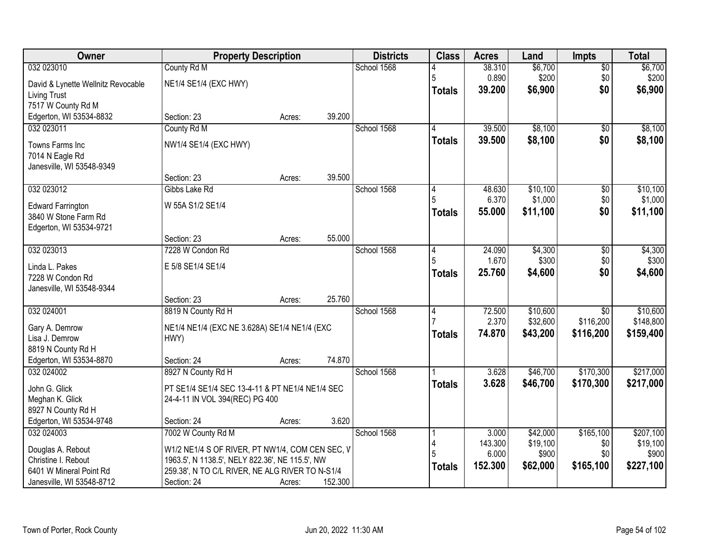| Owner                              |                                                 | <b>Property Description</b> |         | <b>Districts</b> | <b>Class</b>   | <b>Acres</b> | Land     | <b>Impts</b>    | <b>Total</b> |
|------------------------------------|-------------------------------------------------|-----------------------------|---------|------------------|----------------|--------------|----------|-----------------|--------------|
| 032 023010                         | County Rd M                                     |                             |         | School 1568      |                | 38.310       | \$6,700  | $\overline{50}$ | \$6,700      |
| David & Lynette Wellnitz Revocable | NE1/4 SE1/4 (EXC HWY)                           |                             |         |                  | 5              | 0.890        | \$200    | \$0             | \$200        |
| Living Trust                       |                                                 |                             |         |                  | <b>Totals</b>  | 39.200       | \$6,900  | \$0             | \$6,900      |
| 7517 W County Rd M                 |                                                 |                             |         |                  |                |              |          |                 |              |
| Edgerton, WI 53534-8832            | Section: 23                                     | Acres:                      | 39.200  |                  |                |              |          |                 |              |
| 032 023011                         | County Rd M                                     |                             |         | School 1568      | 4              | 39.500       | \$8,100  | $\overline{50}$ | \$8,100      |
| Towns Farms Inc                    | NW1/4 SE1/4 (EXC HWY)                           |                             |         |                  | <b>Totals</b>  | 39.500       | \$8,100  | \$0             | \$8,100      |
| 7014 N Eagle Rd                    |                                                 |                             |         |                  |                |              |          |                 |              |
| Janesville, WI 53548-9349          |                                                 |                             |         |                  |                |              |          |                 |              |
|                                    | Section: 23                                     | Acres:                      | 39.500  |                  |                |              |          |                 |              |
| 032 023012                         | Gibbs Lake Rd                                   |                             |         | School 1568      | 4              | 48.630       | \$10,100 | $\overline{50}$ | \$10,100     |
| <b>Edward Farrington</b>           | W 55A S1/2 SE1/4                                |                             |         |                  |                | 6.370        | \$1,000  | \$0             | \$1,000      |
| 3840 W Stone Farm Rd               |                                                 |                             |         |                  | <b>Totals</b>  | 55,000       | \$11,100 | \$0             | \$11,100     |
| Edgerton, WI 53534-9721            |                                                 |                             |         |                  |                |              |          |                 |              |
|                                    | Section: 23                                     | Acres:                      | 55.000  |                  |                |              |          |                 |              |
| 032 023013                         | 7228 W Condon Rd                                |                             |         | School 1568      | 14             | 24.090       | \$4,300  | \$0             | \$4,300      |
| Linda L. Pakes                     | E 5/8 SE1/4 SE1/4                               |                             |         |                  | 5              | 1.670        | \$300    | \$0             | \$300        |
| 7228 W Condon Rd                   |                                                 |                             |         |                  | <b>Totals</b>  | 25.760       | \$4,600  | \$0             | \$4,600      |
| Janesville, WI 53548-9344          |                                                 |                             |         |                  |                |              |          |                 |              |
|                                    | Section: 23                                     | Acres:                      | 25.760  |                  |                |              |          |                 |              |
| 032 024001                         | 8819 N County Rd H                              |                             |         | School 1568      | $\overline{4}$ | 72.500       | \$10,600 | $\overline{30}$ | \$10,600     |
| Gary A. Demrow                     | NE1/4 NE1/4 (EXC NE 3.628A) SE1/4 NE1/4 (EXC    |                             |         |                  |                | 2.370        | \$32,600 | \$116,200       | \$148,800    |
| Lisa J. Demrow                     | HWY)                                            |                             |         |                  | <b>Totals</b>  | 74.870       | \$43,200 | \$116,200       | \$159,400    |
| 8819 N County Rd H                 |                                                 |                             |         |                  |                |              |          |                 |              |
| Edgerton, WI 53534-8870            | Section: 24                                     | Acres:                      | 74.870  |                  |                |              |          |                 |              |
| 032 024002                         | 8927 N County Rd H                              |                             |         | School 1568      |                | 3.628        | \$46,700 | \$170,300       | \$217,000    |
| John G. Glick                      | PT SE1/4 SE1/4 SEC 13-4-11 & PT NE1/4 NE1/4 SEC |                             |         |                  | <b>Totals</b>  | 3.628        | \$46,700 | \$170,300       | \$217,000    |
| Meghan K. Glick                    | 24-4-11 IN VOL 394(REC) PG 400                  |                             |         |                  |                |              |          |                 |              |
| 8927 N County Rd H                 |                                                 |                             |         |                  |                |              |          |                 |              |
| Edgerton, WI 53534-9748            | Section: 24                                     | Acres:                      | 3.620   |                  |                |              |          |                 |              |
| 032 024003                         | 7002 W County Rd M                              |                             |         | School 1568      |                | 3.000        | \$42,000 | \$165,100       | \$207,100    |
| Douglas A. Rebout                  | W1/2 NE1/4 S OF RIVER, PT NW1/4, COM CEN SEC, V |                             |         |                  |                | 143.300      | \$19,100 | \$0             | \$19,100     |
| Christine I. Rebout                | 1963.5', N 1138.5', NELY 822.36', NE 115.5', NW |                             |         |                  |                | 6.000        | \$900    | \$0             | \$900        |
| 6401 W Mineral Point Rd            | 259.38', N TO C/L RIVER, NE ALG RIVER TO N-S1/4 |                             |         |                  | <b>Totals</b>  | 152.300      | \$62,000 | \$165,100       | \$227,100    |
| Janesville, WI 53548-8712          | Section: 24                                     | Acres:                      | 152.300 |                  |                |              |          |                 |              |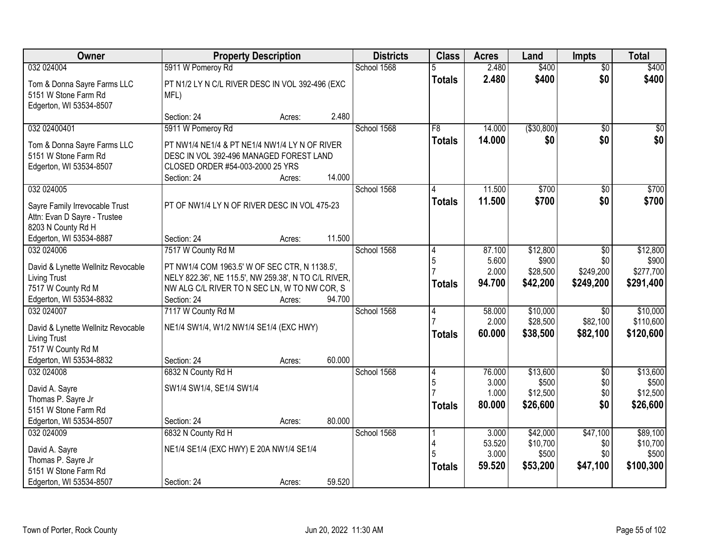| Owner                                                                                                           | <b>Property Description</b>                                                                                                                                          | <b>Districts</b> | <b>Class</b> | <b>Acres</b>                    | Land                               | <b>Impts</b>                              | <b>Total</b>                       |                                            |
|-----------------------------------------------------------------------------------------------------------------|----------------------------------------------------------------------------------------------------------------------------------------------------------------------|------------------|--------------|---------------------------------|------------------------------------|-------------------------------------------|------------------------------------|--------------------------------------------|
| 032 024004                                                                                                      | 5911 W Pomeroy Rd                                                                                                                                                    |                  | School 1568  | 5                               | 2.480                              | \$400                                     | $\overline{50}$                    | \$400                                      |
| Tom & Donna Sayre Farms LLC<br>5151 W Stone Farm Rd<br>Edgerton, WI 53534-8507                                  | PT N1/2 LY N C/L RIVER DESC IN VOL 392-496 (EXC<br>MFL)                                                                                                              |                  |              | <b>Totals</b>                   | 2.480                              | \$400                                     | \$0                                | \$400                                      |
|                                                                                                                 | Section: 24                                                                                                                                                          | 2.480<br>Acres:  |              |                                 |                                    |                                           |                                    |                                            |
| 032 02400401                                                                                                    | 5911 W Pomeroy Rd                                                                                                                                                    |                  | School 1568  | F8                              | 14.000                             | ( \$30, 800)                              | $\overline{50}$                    | $\sqrt{50}$                                |
| Tom & Donna Sayre Farms LLC<br>5151 W Stone Farm Rd<br>Edgerton, WI 53534-8507                                  | PT NW1/4 NE1/4 & PT NE1/4 NW1/4 LY N OF RIVER<br>DESC IN VOL 392-496 MANAGED FOREST LAND<br>CLOSED ORDER #54-003-2000 25 YRS<br>Section: 24                          | 14.000<br>Acres: |              | <b>Totals</b>                   | 14.000                             | \$0                                       | \$0                                | \$0                                        |
| 032 024005                                                                                                      |                                                                                                                                                                      |                  | School 1568  |                                 | 11.500                             | \$700                                     | \$0                                | \$700                                      |
| Sayre Family Irrevocable Trust<br>Attn: Evan D Sayre - Trustee<br>8203 N County Rd H<br>Edgerton, WI 53534-8887 | PT OF NW1/4 LY N OF RIVER DESC IN VOL 475-23<br>Section: 24                                                                                                          | 11.500<br>Acres: |              | <b>Totals</b>                   | 11.500                             | \$700                                     | \$0                                | \$700                                      |
| 032 024006                                                                                                      | 7517 W County Rd M                                                                                                                                                   |                  | School 1568  | 4                               | 87.100                             | \$12,800                                  | \$0                                | \$12,800                                   |
| David & Lynette Wellnitz Revocable<br><b>Living Trust</b><br>7517 W County Rd M<br>Edgerton, WI 53534-8832      | PT NW1/4 COM 1963.5' W OF SEC CTR, N 1138.5',<br>NELY 822.36', NE 115.5', NW 259.38', N TO C/L RIVER,<br>NW ALG C/L RIVER TO N SEC LN, W TO NW COR, S<br>Section: 24 | 94.700<br>Acres: |              | $\overline{5}$<br><b>Totals</b> | 5.600<br>2.000<br>94.700           | \$900<br>\$28,500<br>\$42,200             | \$0<br>\$249,200<br>\$249,200      | \$900<br>\$277,700<br>\$291,400            |
| 032 024007                                                                                                      | 7117 W County Rd M                                                                                                                                                   |                  | School 1568  | $\overline{4}$                  | 58.000                             | \$10,000                                  | $\overline{50}$                    | \$10,000                                   |
| David & Lynette Wellnitz Revocable<br><b>Living Trust</b><br>7517 W County Rd M<br>Edgerton, WI 53534-8832      | NE1/4 SW1/4, W1/2 NW1/4 SE1/4 (EXC HWY)<br>Section: 24                                                                                                               | 60.000<br>Acres: |              | <b>Totals</b>                   | 2.000<br>60.000                    | \$28,500<br>\$38,500                      | \$82,100<br>\$82,100               | \$110,600<br>\$120,600                     |
| 032 024008                                                                                                      | 6832 N County Rd H                                                                                                                                                   |                  | School 1568  | $\overline{4}$                  | 76.000                             | \$13,600                                  | $\overline{50}$                    | \$13,600                                   |
| David A. Sayre<br>Thomas P. Sayre Jr<br>5151 W Stone Farm Rd                                                    | SW1/4 SW1/4, SE1/4 SW1/4                                                                                                                                             |                  |              | 5<br><b>Totals</b>              | 3.000<br>1.000<br>80.000           | \$500<br>\$12,500<br>\$26,600             | \$0<br>\$0<br>\$0                  | \$500<br>\$12,500<br>\$26,600              |
| Edgerton, WI 53534-8507                                                                                         | Section: 24                                                                                                                                                          | 80.000<br>Acres: |              |                                 |                                    |                                           |                                    |                                            |
| 032 024009<br>David A. Sayre<br>Thomas P. Sayre Jr<br>5151 W Stone Farm Rd                                      | 6832 N County Rd H<br>NE1/4 SE1/4 (EXC HWY) E 20A NW1/4 SE1/4                                                                                                        |                  | School 1568  | <b>Totals</b>                   | 3.000<br>53.520<br>3.000<br>59.520 | \$42,000<br>\$10,700<br>\$500<br>\$53,200 | \$47,100<br>\$0<br>\$0<br>\$47,100 | \$89,100<br>\$10,700<br>\$500<br>\$100,300 |
| Edgerton, WI 53534-8507                                                                                         | Section: 24                                                                                                                                                          | 59.520<br>Acres: |              |                                 |                                    |                                           |                                    |                                            |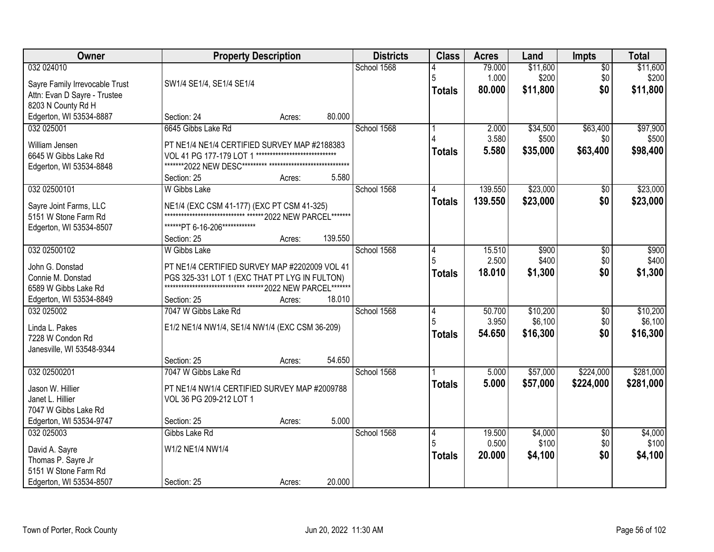| Owner                                                                                                   | <b>Property Description</b>                                                                                                                                                                                             | <b>Districts</b> | <b>Class</b>            | <b>Acres</b>              | Land                            | Impts                         | <b>Total</b>                    |
|---------------------------------------------------------------------------------------------------------|-------------------------------------------------------------------------------------------------------------------------------------------------------------------------------------------------------------------------|------------------|-------------------------|---------------------------|---------------------------------|-------------------------------|---------------------------------|
| 032 024010<br>Sayre Family Irrevocable Trust<br>Attn: Evan D Sayre - Trustee                            | SW1/4 SE1/4, SE1/4 SE1/4                                                                                                                                                                                                | School 1568      | 5<br><b>Totals</b>      | 79.000<br>1.000<br>80.000 | \$11,600<br>\$200<br>\$11,800   | $\overline{50}$<br>\$0<br>\$0 | \$11,600<br>\$200<br>\$11,800   |
| 8203 N County Rd H<br>Edgerton, WI 53534-8887                                                           | 80.000<br>Section: 24<br>Acres:                                                                                                                                                                                         |                  |                         |                           |                                 |                               |                                 |
| 032 025001<br>William Jensen<br>6645 W Gibbs Lake Rd<br>Edgerton, WI 53534-8848                         | 6645 Gibbs Lake Rd<br>PT NE1/4 NE1/4 CERTIFIED SURVEY MAP #2188383<br>*****************************<br>VOL 41 PG 177-179 LOT 1<br>5.580<br>Section: 25<br>Acres:                                                        | School 1568      | <b>Totals</b>           | 2.000<br>3.580<br>5.580   | \$34,500<br>\$500<br>\$35,000   | \$63,400<br>\$0<br>\$63,400   | \$97,900<br>\$500<br>\$98,400   |
| 032 02500101<br>Sayre Joint Farms, LLC<br>5151 W Stone Farm Rd<br>Edgerton, WI 53534-8507               | W Gibbs Lake<br>NE1/4 (EXC CSM 41-177) (EXC PT CSM 41-325)<br>*****************************<br>** 2022 NEW PARCEL*******<br>******PT 6-16-206************<br>139.550<br>Section: 25<br>Acres:                           | School 1568      | <b>Totals</b>           | 139.550<br>139.550        | \$23,000<br>\$23,000            | \$0<br>\$0                    | \$23,000<br>\$23,000            |
| 032 02500102<br>John G. Donstad<br>Connie M. Donstad<br>6589 W Gibbs Lake Rd<br>Edgerton, WI 53534-8849 | <b>W</b> Gibbs Lake<br>PT NE1/4 CERTIFIED SURVEY MAP #2202009 VOL 41<br>PGS 325-331 LOT 1 (EXC THAT PT LYG IN FULTON)<br>***************************** ****** 2022 NEW PARCEL*******<br>18.010<br>Section: 25<br>Acres: | School 1568      | 14<br><b>Totals</b>     | 15.510<br>2.500<br>18.010 | \$900<br>\$400<br>\$1,300       | \$0<br>\$0<br>\$0             | \$900<br>\$400<br>\$1,300       |
| 032 025002<br>Linda L. Pakes<br>7228 W Condon Rd<br>Janesville, WI 53548-9344                           | 7047 W Gibbs Lake Rd<br>E1/2 NE1/4 NW1/4, SE1/4 NW1/4 (EXC CSM 36-209)<br>54.650<br>Section: 25<br>Acres:                                                                                                               | School 1568      | 4<br>5<br><b>Totals</b> | 50.700<br>3.950<br>54.650 | \$10,200<br>\$6,100<br>\$16,300 | \$0<br>\$0<br>\$0             | \$10,200<br>\$6,100<br>\$16,300 |
| 032 02500201<br>Jason W. Hillier<br>Janet L. Hillier<br>7047 W Gibbs Lake Rd<br>Edgerton, WI 53534-9747 | 7047 W Gibbs Lake Rd<br>PT NE1/4 NW1/4 CERTIFIED SURVEY MAP #2009788<br>VOL 36 PG 209-212 LOT 1<br>5.000<br>Section: 25<br>Acres:                                                                                       | School 1568      | <b>Totals</b>           | 5.000<br>5.000            | \$57,000<br>\$57,000            | \$224,000<br>\$224,000        | \$281,000<br>\$281,000          |
| 032 025003<br>David A. Sayre<br>Thomas P. Sayre Jr<br>5151 W Stone Farm Rd<br>Edgerton, WI 53534-8507   | Gibbs Lake Rd<br>W1/2 NE1/4 NW1/4<br>20.000<br>Section: 25<br>Acres:                                                                                                                                                    | School 1568      | 14<br><b>Totals</b>     | 19.500<br>0.500<br>20.000 | \$4,000<br>\$100<br>\$4,100     | $\overline{30}$<br>\$0<br>\$0 | \$4,000<br>\$100<br>\$4,100     |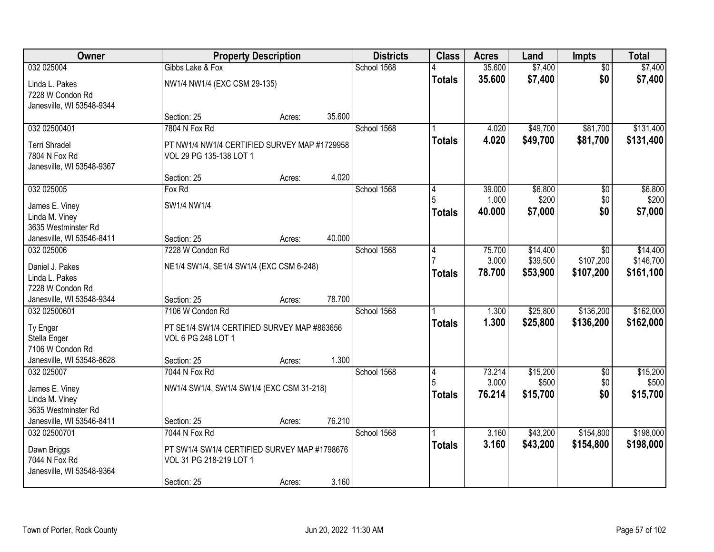| <b>Owner</b>                                                    |                                                               | <b>Property Description</b> |        | <b>Districts</b> | <b>Class</b>       | <b>Acres</b>     | Land                 | Impts                   | <b>Total</b>           |
|-----------------------------------------------------------------|---------------------------------------------------------------|-----------------------------|--------|------------------|--------------------|------------------|----------------------|-------------------------|------------------------|
| 032 025004                                                      | Gibbs Lake & Fox                                              |                             |        | School 1568      |                    | 35.600<br>35.600 | \$7,400<br>\$7,400   | $\overline{50}$<br>\$0  | \$7,400<br>\$7,400     |
| Linda L. Pakes<br>7228 W Condon Rd<br>Janesville, WI 53548-9344 | NW1/4 NW1/4 (EXC CSM 29-135)                                  |                             |        |                  | <b>Totals</b>      |                  |                      |                         |                        |
|                                                                 | Section: 25                                                   | Acres:                      | 35.600 |                  |                    |                  |                      |                         |                        |
| 032 02500401<br><b>Terri Shradel</b>                            | 7804 N Fox Rd<br>PT NW1/4 NW1/4 CERTIFIED SURVEY MAP #1729958 |                             |        | School 1568      | <b>Totals</b>      | 4.020<br>4.020   | \$49,700<br>\$49,700 | \$81,700<br>\$81,700    | \$131,400<br>\$131,400 |
| 7804 N Fox Rd<br>Janesville, WI 53548-9367                      | VOL 29 PG 135-138 LOT 1                                       |                             |        |                  |                    |                  |                      |                         |                        |
|                                                                 | Section: 25                                                   | Acres:                      | 4.020  |                  |                    |                  |                      |                         |                        |
| 032 025005                                                      | Fox Rd                                                        |                             |        | School 1568      | 4                  | 39.000           | \$6,800              | \$0                     | \$6,800                |
| James E. Viney<br>Linda M. Viney                                | SW1/4 NW1/4                                                   |                             |        |                  | 5<br><b>Totals</b> | 1.000<br>40.000  | \$200<br>\$7,000     | \$0<br>\$0              | \$200<br>\$7,000       |
| 3635 Westminster Rd                                             |                                                               |                             |        |                  |                    |                  |                      |                         |                        |
| Janesville, WI 53546-8411                                       | Section: 25                                                   | Acres:                      | 40.000 |                  |                    |                  |                      |                         |                        |
| 032 025006                                                      | 7228 W Condon Rd                                              |                             |        | School 1568      | 14                 | 75.700<br>3.000  | \$14,400<br>\$39,500 | $\sqrt{6}$<br>\$107,200 | \$14,400<br>\$146,700  |
| Daniel J. Pakes                                                 | NE1/4 SW1/4, SE1/4 SW1/4 (EXC CSM 6-248)                      |                             |        |                  |                    | 78.700           | \$53,900             | \$107,200               | \$161,100              |
| Linda L. Pakes                                                  |                                                               |                             |        |                  | <b>Totals</b>      |                  |                      |                         |                        |
| 7228 W Condon Rd                                                |                                                               |                             |        |                  |                    |                  |                      |                         |                        |
| Janesville, WI 53548-9344                                       | Section: 25                                                   | Acres:                      | 78.700 |                  |                    |                  |                      |                         |                        |
| 032 02500601                                                    | 7106 W Condon Rd                                              |                             |        | School 1568      |                    | 1.300            | \$25,800             | \$136,200               | \$162,000              |
| Ty Enger                                                        | PT SE1/4 SW1/4 CERTIFIED SURVEY MAP #863656                   |                             |        |                  | <b>Totals</b>      | 1.300            | \$25,800             | \$136,200               | \$162,000              |
| Stella Enger                                                    | VOL 6 PG 248 LOT 1                                            |                             |        |                  |                    |                  |                      |                         |                        |
| 7106 W Condon Rd                                                |                                                               |                             |        |                  |                    |                  |                      |                         |                        |
| Janesville, WI 53548-8628                                       | Section: 25                                                   | Acres:                      | 1.300  |                  |                    |                  |                      |                         |                        |
| 032 025007                                                      | 7044 N Fox Rd                                                 |                             |        | School 1568      | $\vert 4$<br>5     | 73.214<br>3.000  | \$15,200             | $\sqrt{6}$              | \$15,200               |
| James E. Viney                                                  | NW1/4 SW1/4, SW1/4 SW1/4 (EXC CSM 31-218)                     |                             |        |                  |                    | 76.214           | \$500                | \$0 <br>\$0             | \$500<br>\$15,700      |
| Linda M. Viney                                                  |                                                               |                             |        |                  | <b>Totals</b>      |                  | \$15,700             |                         |                        |
| 3635 Westminster Rd                                             |                                                               |                             |        |                  |                    |                  |                      |                         |                        |
| Janesville, WI 53546-8411                                       | Section: 25                                                   | Acres:                      | 76.210 |                  |                    |                  |                      |                         |                        |
| 032 02500701                                                    | 7044 N Fox Rd                                                 |                             |        | School 1568      |                    | 3.160            | \$43,200             | \$154,800               | \$198,000              |
| Dawn Briggs                                                     | PT SW1/4 SW1/4 CERTIFIED SURVEY MAP #1798676                  |                             |        |                  | <b>Totals</b>      | 3.160            | \$43,200             | \$154,800               | \$198,000              |
| 7044 N Fox Rd                                                   | VOL 31 PG 218-219 LOT 1                                       |                             |        |                  |                    |                  |                      |                         |                        |
| Janesville, WI 53548-9364                                       |                                                               |                             |        |                  |                    |                  |                      |                         |                        |
|                                                                 | Section: 25                                                   | Acres:                      | 3.160  |                  |                    |                  |                      |                         |                        |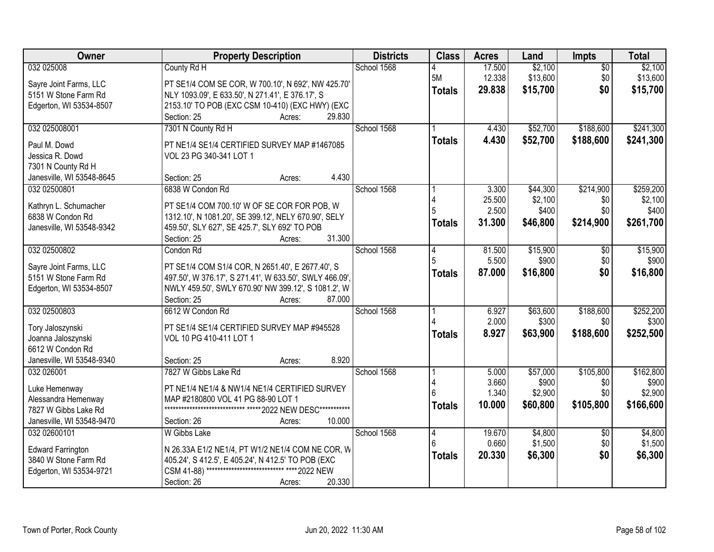| Owner                                       | <b>Property Description</b>                                  | <b>Districts</b> | <b>Class</b>  | <b>Acres</b>    | Land                | <b>Impts</b>           | <b>Total</b>       |
|---------------------------------------------|--------------------------------------------------------------|------------------|---------------|-----------------|---------------------|------------------------|--------------------|
| 032 025008                                  | County Rd H                                                  | School 1568      |               | 17.500          | \$2,100             | $\overline{50}$        | \$2,100            |
| Sayre Joint Farms, LLC                      | PT SE1/4 COM SE COR, W 700.10', N 692', NW 425.70'           |                  | 5M            | 12.338          | \$13,600            | \$0                    | \$13,600           |
| 5151 W Stone Farm Rd                        | NLY 1093.09', E 633.50', N 271.41', E 376.17', S             |                  | <b>Totals</b> | 29.838          | \$15,700            | \$0                    | \$15,700           |
| Edgerton, WI 53534-8507                     | 2153.10' TO POB (EXC CSM 10-410) (EXC HWY) (EXC              |                  |               |                 |                     |                        |                    |
|                                             | 29.830<br>Section: 25<br>Acres:                              |                  |               |                 |                     |                        |                    |
| 032 025008001                               | 7301 N County Rd H                                           | School 1568      |               | 4.430           | \$52,700            | \$188,600              | \$241,300          |
|                                             |                                                              |                  | <b>Totals</b> | 4.430           | \$52,700            | \$188,600              | \$241,300          |
| Paul M. Dowd                                | PT NE1/4 SE1/4 CERTIFIED SURVEY MAP #1467085                 |                  |               |                 |                     |                        |                    |
| Jessica R. Dowd                             | VOL 23 PG 340-341 LOT 1                                      |                  |               |                 |                     |                        |                    |
| 7301 N County Rd H                          | 4.430                                                        |                  |               |                 |                     |                        |                    |
| Janesville, WI 53548-8645<br>032 02500801   | Section: 25<br>Acres:<br>6838 W Condon Rd                    | School 1568      |               |                 |                     | \$214,900              | \$259,200          |
|                                             |                                                              |                  |               | 3.300<br>25.500 | \$44,300<br>\$2,100 |                        |                    |
| Kathryn L. Schumacher                       | PT SE1/4 COM 700.10' W OF SE COR FOR POB, W                  |                  |               | 2.500           | \$400               | \$0<br>\$0             | \$2,100<br>\$400   |
| 6838 W Condon Rd                            | 1312.10', N 1081.20', SE 399.12', NELY 670.90', SELY         |                  |               |                 |                     |                        |                    |
| Janesville, WI 53548-9342                   | 459.50', SLY 627', SE 425.7', SLY 692' TO POB                |                  | <b>Totals</b> | 31.300          | \$46,800            | \$214,900              | \$261,700          |
|                                             | 31.300<br>Section: 25<br>Acres:                              |                  |               |                 |                     |                        |                    |
| 032 02500802                                | Condon Rd                                                    | School 1568      | 4             | 81.500          | \$15,900            | \$0                    | \$15,900           |
|                                             |                                                              |                  | 5             | 5.500           | \$900               | \$0                    | \$900              |
| Sayre Joint Farms, LLC                      | PT SE1/4 COM S1/4 COR, N 2651.40', E 2677.40', S             |                  | <b>Totals</b> | 87.000          | \$16,800            | \$0                    | \$16,800           |
| 5151 W Stone Farm Rd                        | 497.50', W 376.17', S 271.41', W 633.50', SWLY 466.09',      |                  |               |                 |                     |                        |                    |
| Edgerton, WI 53534-8507                     | NWLY 459.50', SWLY 670.90' NW 399.12', S 1081.2', W          |                  |               |                 |                     |                        |                    |
|                                             | Section: 25<br>87.000<br>Acres:                              |                  |               |                 |                     |                        |                    |
| 032 02500803                                | 6612 W Condon Rd                                             | School 1568      |               | 6.927<br>2.000  | \$63,600<br>\$300   | \$188,600              | \$252,200<br>\$300 |
| Tory Jaloszynski                            | PT SE1/4 SE1/4 CERTIFIED SURVEY MAP #945528                  |                  |               |                 |                     | \$0                    |                    |
| Joanna Jaloszynski                          | VOL 10 PG 410-411 LOT 1                                      |                  | <b>Totals</b> | 8.927           | \$63,900            | \$188,600              | \$252,500          |
| 6612 W Condon Rd                            |                                                              |                  |               |                 |                     |                        |                    |
| Janesville, WI 53548-9340                   | 8.920<br>Section: 25<br>Acres:                               |                  |               |                 |                     |                        |                    |
| 032 026001                                  | 7827 W Gibbs Lake Rd                                         | School 1568      |               | 5.000           | \$57,000            | \$105,800              | \$162,800          |
|                                             | PT NE1/4 NE1/4 & NW1/4 NE1/4 CERTIFIED SURVEY                |                  |               | 3.660           | \$900               | \$0                    | \$900              |
| Luke Hemenway                               | MAP #2180800 VOL 41 PG 88-90 LOT 1                           |                  |               | 1.340           | \$2,900             | \$0                    | \$2,900            |
| Alessandra Hemenway<br>7827 W Gibbs Lake Rd | ***************************** ***** 2022 NEW DESC*********** |                  | <b>Totals</b> | 10.000          | \$60,800            | \$105,800              | \$166,600          |
| Janesville, WI 53548-9470                   | 10.000<br>Section: 26                                        |                  |               |                 |                     |                        |                    |
| 032 02600101                                | Acres:<br>W Gibbs Lake                                       | School 1568      |               | 19.670          | \$4,800             |                        | \$4,800            |
|                                             |                                                              |                  | 4<br>ĥ        | 0.660           | \$1,500             | $\overline{30}$<br>\$0 | \$1,500            |
| <b>Edward Farrington</b>                    | N 26.33A E1/2 NE1/4, PT W1/2 NE1/4 COM NE COR, W             |                  |               |                 |                     |                        |                    |
| 3840 W Stone Farm Rd                        | 405.24', S 412.5', E 405.24', N 412.5' TO POB (EXC           |                  | <b>Totals</b> | 20.330          | \$6,300             | \$0                    | \$6,300            |
| Edgerton, WI 53534-9721                     | CSM 41-88) ****************************<br>**** 2022 NEW     |                  |               |                 |                     |                        |                    |
|                                             | 20.330<br>Section: 26<br>Acres:                              |                  |               |                 |                     |                        |                    |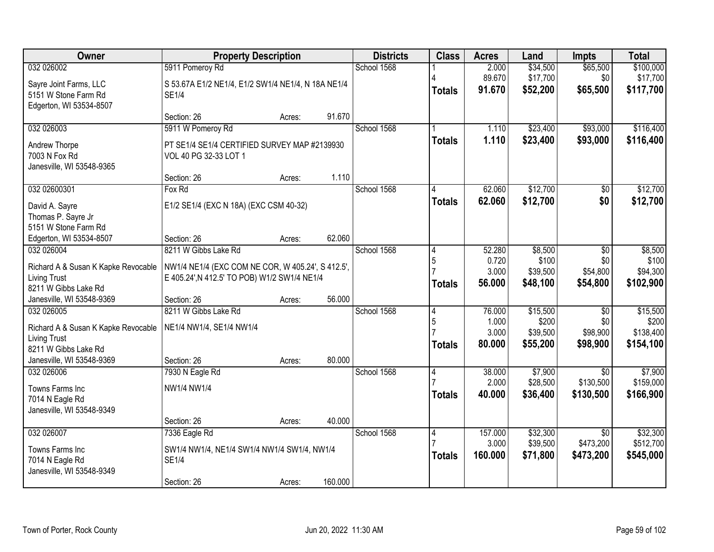| Owner                                                      | <b>Property Description</b>                                                                       |        |         | <b>Districts</b> | <b>Class</b>   | <b>Acres</b>     | Land                 | <b>Impts</b>                 | <b>Total</b>          |
|------------------------------------------------------------|---------------------------------------------------------------------------------------------------|--------|---------|------------------|----------------|------------------|----------------------|------------------------------|-----------------------|
| 032 026002                                                 | 5911 Pomeroy Rd                                                                                   |        |         | School 1568      |                | 2.000            | \$34,500             | \$65,500                     | \$100,000             |
| Sayre Joint Farms, LLC                                     | S 53.67A E1/2 NE1/4, E1/2 SW1/4 NE1/4, N 18A NE1/4                                                |        |         |                  |                | 89.670           | \$17,700             | \$0                          | \$17,700              |
| 5151 W Stone Farm Rd                                       | <b>SE1/4</b>                                                                                      |        |         |                  | <b>Totals</b>  | 91.670           | \$52,200             | \$65,500                     | \$117,700             |
| Edgerton, WI 53534-8507                                    |                                                                                                   |        |         |                  |                |                  |                      |                              |                       |
|                                                            | Section: 26                                                                                       | Acres: | 91.670  |                  |                |                  |                      |                              |                       |
| 032 026003                                                 | 5911 W Pomeroy Rd                                                                                 |        |         | School 1568      |                | 1.110<br>1.110   | \$23,400             | \$93,000                     | \$116,400             |
| Andrew Thorpe                                              | PT SE1/4 SE1/4 CERTIFIED SURVEY MAP #2139930                                                      |        |         |                  | <b>Totals</b>  |                  | \$23,400             | \$93,000                     | \$116,400             |
| 7003 N Fox Rd                                              | VOL 40 PG 32-33 LOT 1                                                                             |        |         |                  |                |                  |                      |                              |                       |
| Janesville, WI 53548-9365                                  | Section: 26                                                                                       |        | 1.110   |                  |                |                  |                      |                              |                       |
| 032 02600301                                               | Fox Rd                                                                                            | Acres: |         | School 1568      |                | 62.060           | \$12,700             | $\overline{50}$              | \$12,700              |
|                                                            |                                                                                                   |        |         |                  | <b>Totals</b>  | 62.060           | \$12,700             | \$0                          | \$12,700              |
| David A. Sayre                                             | E1/2 SE1/4 (EXC N 18A) (EXC CSM 40-32)                                                            |        |         |                  |                |                  |                      |                              |                       |
| Thomas P. Sayre Jr<br>5151 W Stone Farm Rd                 |                                                                                                   |        |         |                  |                |                  |                      |                              |                       |
| Edgerton, WI 53534-8507                                    | Section: 26                                                                                       | Acres: | 62.060  |                  |                |                  |                      |                              |                       |
| 032 026004                                                 | 8211 W Gibbs Lake Rd                                                                              |        |         | School 1568      | 4              | 52.280           | \$8,500              | \$0                          | \$8,500               |
|                                                            |                                                                                                   |        |         |                  | 5              | 0.720            | \$100                | \$0                          | \$100                 |
| Richard A & Susan K Kapke Revocable<br><b>Living Trust</b> | NW1/4 NE1/4 (EXC COM NE COR, W 405.24', S 412.5',<br>E 405.24', N 412.5' TO POB) W1/2 SW1/4 NE1/4 |        |         |                  |                | 3.000            | \$39,500             | \$54,800                     | \$94,300              |
| 8211 W Gibbs Lake Rd                                       |                                                                                                   |        |         |                  | Totals         | 56.000           | \$48,100             | \$54,800                     | \$102,900             |
| Janesville, WI 53548-9369                                  | Section: 26                                                                                       | Acres: | 56.000  |                  |                |                  |                      |                              |                       |
| 032 026005                                                 | 8211 W Gibbs Lake Rd                                                                              |        |         | School 1568      | $\overline{4}$ | 76.000           | \$15,500             | $\overline{50}$              | \$15,500              |
| Richard A & Susan K Kapke Revocable                        | NE1/4 NW1/4, SE1/4 NW1/4                                                                          |        |         |                  | 5              | 1.000            | \$200                | \$0                          | \$200                 |
| <b>Living Trust</b>                                        |                                                                                                   |        |         |                  |                | 3.000            | \$39,500             | \$98,900                     | \$138,400             |
| 8211 W Gibbs Lake Rd                                       |                                                                                                   |        |         |                  | <b>Totals</b>  | 80.000           | \$55,200             | \$98,900                     | \$154,100             |
| Janesville, WI 53548-9369                                  | Section: 26                                                                                       | Acres: | 80.000  |                  |                |                  |                      |                              |                       |
| 032 026006                                                 | 7930 N Eagle Rd                                                                                   |        |         | School 1568      | 4              | 38.000           | \$7,900              | $\overline{50}$              | \$7,900               |
| Towns Farms Inc                                            | NW1/4 NW1/4                                                                                       |        |         |                  |                | 2.000            | \$28,500             | \$130,500                    | \$159,000             |
| 7014 N Eagle Rd                                            |                                                                                                   |        |         |                  | <b>Totals</b>  | 40.000           | \$36,400             | \$130,500                    | \$166,900             |
| Janesville, WI 53548-9349                                  |                                                                                                   |        |         |                  |                |                  |                      |                              |                       |
|                                                            | Section: 26                                                                                       | Acres: | 40.000  |                  |                |                  |                      |                              |                       |
| 032 026007                                                 | 7336 Eagle Rd                                                                                     |        |         | School 1568      | 4              | 157.000<br>3.000 | \$32,300<br>\$39,500 | $\overline{50}$<br>\$473,200 | \$32,300<br>\$512,700 |
| Towns Farms Inc                                            | SW1/4 NW1/4, NE1/4 SW1/4 NW1/4 SW1/4, NW1/4                                                       |        |         |                  | Totals         | 160,000          | \$71,800             | \$473,200                    | \$545,000             |
| 7014 N Eagle Rd                                            | <b>SE1/4</b>                                                                                      |        |         |                  |                |                  |                      |                              |                       |
| Janesville, WI 53548-9349                                  | Section: 26                                                                                       |        | 160.000 |                  |                |                  |                      |                              |                       |
|                                                            |                                                                                                   | Acres: |         |                  |                |                  |                      |                              |                       |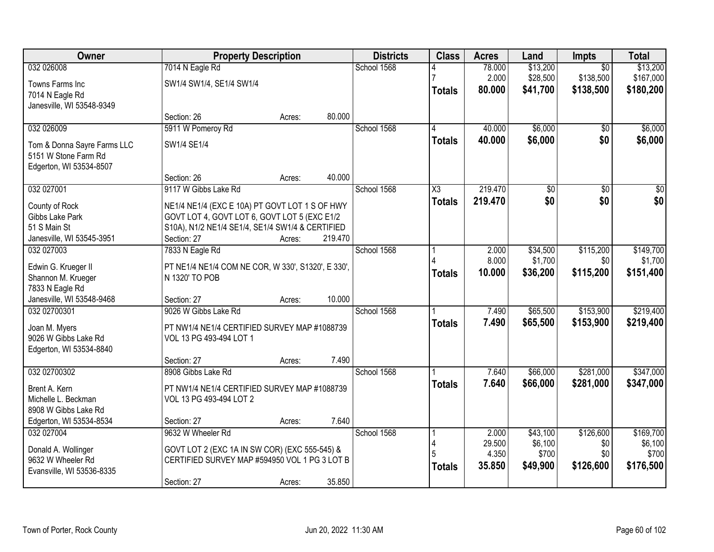| Owner                       | <b>Property Description</b>                        |        |         | <b>Districts</b> | <b>Class</b>           | <b>Acres</b>    | Land             | Impts           | <b>Total</b>     |
|-----------------------------|----------------------------------------------------|--------|---------|------------------|------------------------|-----------------|------------------|-----------------|------------------|
| 032 026008                  | 7014 N Eagle Rd                                    |        |         | School 1568      |                        | 78.000          | \$13,200         | $\overline{50}$ | \$13,200         |
| Towns Farms Inc             | SW1/4 SW1/4, SE1/4 SW1/4                           |        |         |                  |                        | 2.000           | \$28,500         | \$138,500       | \$167,000        |
| 7014 N Eagle Rd             |                                                    |        |         |                  | <b>Totals</b>          | 80.000          | \$41,700         | \$138,500       | \$180,200        |
| Janesville, WI 53548-9349   |                                                    |        |         |                  |                        |                 |                  |                 |                  |
|                             | Section: 26                                        | Acres: | 80.000  |                  |                        |                 |                  |                 |                  |
| 032 026009                  | 5911 W Pomeroy Rd                                  |        |         | School 1568      | 4                      | 40.000          | \$6,000          | \$0             | \$6,000          |
| Tom & Donna Sayre Farms LLC | SW1/4 SE1/4                                        |        |         |                  | <b>Totals</b>          | 40.000          | \$6,000          | \$0             | \$6,000          |
| 5151 W Stone Farm Rd        |                                                    |        |         |                  |                        |                 |                  |                 |                  |
| Edgerton, WI 53534-8507     |                                                    |        |         |                  |                        |                 |                  |                 |                  |
|                             | Section: 26                                        | Acres: | 40.000  |                  |                        |                 |                  |                 |                  |
| 032 027001                  | 9117 W Gibbs Lake Rd                               |        |         | School 1568      | $\overline{\text{X3}}$ | 219.470         | \$0              | $\overline{50}$ | $\overline{50}$  |
| County of Rock              | NE1/4 NE1/4 (EXC E 10A) PT GOVT LOT 1 S OF HWY     |        |         |                  | <b>Totals</b>          | 219.470         | \$0              | \$0             | \$0              |
| Gibbs Lake Park             | GOVT LOT 4, GOVT LOT 6, GOVT LOT 5 (EXC E1/2       |        |         |                  |                        |                 |                  |                 |                  |
| 51 S Main St                | S10A), N1/2 NE1/4 SE1/4, SE1/4 SW1/4 & CERTIFIED   |        |         |                  |                        |                 |                  |                 |                  |
| Janesville, WI 53545-3951   | Section: 27                                        | Acres: | 219.470 |                  |                        |                 |                  |                 |                  |
| 032 027003                  | 7833 N Eagle Rd                                    |        |         | School 1568      |                        | 2.000           | \$34,500         | \$115,200       | \$149,700        |
| Edwin G. Krueger II         | PT NE1/4 NE1/4 COM NE COR, W 330', S1320', E 330', |        |         |                  |                        | 8.000           | \$1,700          | \$0             | \$1,700          |
| Shannon M. Krueger          | N 1320' TO POB                                     |        |         |                  | <b>Totals</b>          | 10.000          | \$36,200         | \$115,200       | \$151,400        |
| 7833 N Eagle Rd             |                                                    |        |         |                  |                        |                 |                  |                 |                  |
| Janesville, WI 53548-9468   | Section: 27                                        | Acres: | 10.000  |                  |                        |                 |                  |                 |                  |
| 032 02700301                | 9026 W Gibbs Lake Rd                               |        |         | School 1568      |                        | 7.490           | \$65,500         | \$153,900       | \$219,400        |
| Joan M. Myers               | PT NW1/4 NE1/4 CERTIFIED SURVEY MAP #1088739       |        |         |                  | <b>Totals</b>          | 7.490           | \$65,500         | \$153,900       | \$219,400        |
| 9026 W Gibbs Lake Rd        | VOL 13 PG 493-494 LOT 1                            |        |         |                  |                        |                 |                  |                 |                  |
| Edgerton, WI 53534-8840     |                                                    |        |         |                  |                        |                 |                  |                 |                  |
|                             | Section: 27                                        | Acres: | 7.490   |                  |                        |                 |                  |                 |                  |
| 032 02700302                | 8908 Gibbs Lake Rd                                 |        |         | School 1568      |                        | 7.640           | \$66,000         | \$281,000       | \$347,000        |
| Brent A. Kern               | PT NW1/4 NE1/4 CERTIFIED SURVEY MAP #1088739       |        |         |                  | <b>Totals</b>          | 7.640           | \$66,000         | \$281,000       | \$347,000        |
| Michelle L. Beckman         | VOL 13 PG 493-494 LOT 2                            |        |         |                  |                        |                 |                  |                 |                  |
| 8908 W Gibbs Lake Rd        |                                                    |        |         |                  |                        |                 |                  |                 |                  |
| Edgerton, WI 53534-8534     | Section: 27                                        | Acres: | 7.640   |                  |                        |                 |                  |                 |                  |
| 032 027004                  | 9632 W Wheeler Rd                                  |        |         | School 1568      |                        | 2.000           | \$43,100         | \$126,600       | \$169,700        |
| Donald A. Wollinger         | GOVT LOT 2 (EXC 1A IN SW COR) (EXC 555-545) &      |        |         |                  | 4                      | 29.500          | \$6,100<br>\$700 | \$0<br>\$0      | \$6,100<br>\$700 |
| 9632 W Wheeler Rd           | CERTIFIED SURVEY MAP #594950 VOL 1 PG 3 LOT B      |        |         |                  |                        | 4.350<br>35.850 | \$49,900         | \$126,600       | \$176,500        |
| Evansville, WI 53536-8335   |                                                    |        |         |                  | <b>Totals</b>          |                 |                  |                 |                  |
|                             | Section: 27                                        | Acres: | 35.850  |                  |                        |                 |                  |                 |                  |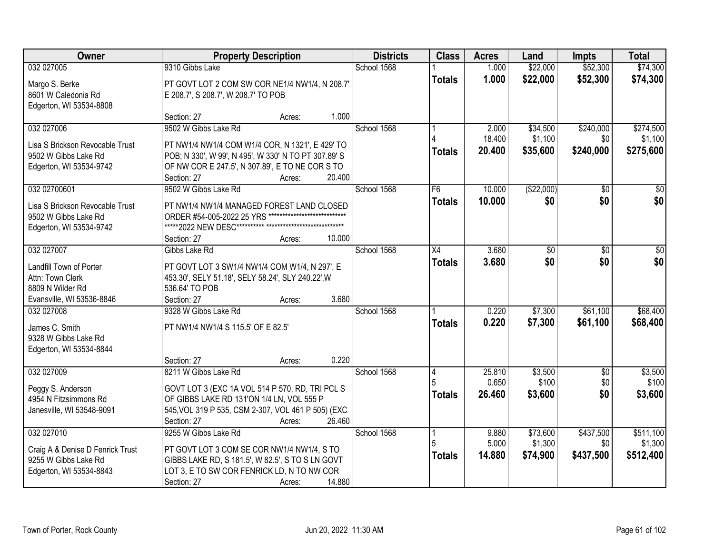| Owner                            | <b>Property Description</b>                          |                  | <b>Districts</b> | <b>Class</b>  | <b>Acres</b> | Land            | <b>Impts</b>    | <b>Total</b>    |
|----------------------------------|------------------------------------------------------|------------------|------------------|---------------|--------------|-----------------|-----------------|-----------------|
| 032 027005                       | 9310 Gibbs Lake                                      |                  | School 1568      |               | 1.000        | \$22,000        | \$52,300        | \$74,300        |
| Margo S. Berke                   | PT GOVT LOT 2 COM SW COR NE1/4 NW1/4, N 208.7',      |                  |                  | <b>Totals</b> | 1.000        | \$22,000        | \$52,300        | \$74,300        |
| 8601 W Caledonia Rd              | E 208.7', S 208.7', W 208.7' TO POB                  |                  |                  |               |              |                 |                 |                 |
| Edgerton, WI 53534-8808          |                                                      |                  |                  |               |              |                 |                 |                 |
|                                  | Section: 27                                          | Acres:           | 1.000            |               |              |                 |                 |                 |
| 032 027006                       | 9502 W Gibbs Lake Rd                                 |                  | School 1568      |               | 2.000        | \$34,500        | \$240,000       | \$274,500       |
| Lisa S Brickson Revocable Trust  | PT NW1/4 NW1/4 COM W1/4 COR, N 1321', E 429' TO      |                  |                  |               | 18.400       | \$1,100         | \$0             | \$1,100         |
| 9502 W Gibbs Lake Rd             | POB; N 330', W 99', N 495', W 330' N TO PT 307.89' S |                  |                  | <b>Totals</b> | 20.400       | \$35,600        | \$240,000       | \$275,600       |
| Edgerton, WI 53534-9742          | OF NW COR E 247.5', N 307.89', E TO NE COR S TO      |                  |                  |               |              |                 |                 |                 |
|                                  | Section: 27                                          | 20.400<br>Acres: |                  |               |              |                 |                 |                 |
| 032 02700601                     | 9502 W Gibbs Lake Rd                                 |                  | School 1568      | F6            | 10.000       | (\$22,000)      | \$0             | $\overline{30}$ |
| Lisa S Brickson Revocable Trust  | PT NW1/4 NW1/4 MANAGED FOREST LAND CLOSED            |                  |                  | <b>Totals</b> | 10.000       | \$0             | \$0             | \$0             |
| 9502 W Gibbs Lake Rd             | ORDER #54-005-2022 25 YRS                            |                  |                  |               |              |                 |                 |                 |
| Edgerton, WI 53534-9742          |                                                      |                  |                  |               |              |                 |                 |                 |
|                                  | Section: 27                                          | 10.000<br>Acres: |                  |               |              |                 |                 |                 |
| 032 027007                       | Gibbs Lake Rd                                        |                  | School 1568      | X4            | 3.680        | $\overline{50}$ | \$0             | \$0             |
| Landfill Town of Porter          | PT GOVT LOT 3 SW1/4 NW1/4 COM W1/4, N 297', E        |                  |                  | <b>Totals</b> | 3.680        | \$0             | \$0             | \$0             |
| Attn: Town Clerk                 | 453.30', SELY 51.18', SELY 58.24', SLY 240.22', W    |                  |                  |               |              |                 |                 |                 |
| 8809 N Wilder Rd                 | 536.64' TO POB                                       |                  |                  |               |              |                 |                 |                 |
| Evansville, WI 53536-8846        | Section: 27                                          | Acres:           | 3.680            |               |              |                 |                 |                 |
| 032 027008                       | 9328 W Gibbs Lake Rd                                 |                  | School 1568      |               | 0.220        | \$7,300         | \$61,100        | \$68,400        |
| James C. Smith                   | PT NW1/4 NW1/4 S 115.5' OF E 82.5'                   |                  |                  | <b>Totals</b> | 0.220        | \$7,300         | \$61,100        | \$68,400        |
| 9328 W Gibbs Lake Rd             |                                                      |                  |                  |               |              |                 |                 |                 |
| Edgerton, WI 53534-8844          |                                                      |                  |                  |               |              |                 |                 |                 |
|                                  | Section: 27                                          | Acres:           | 0.220            |               |              |                 |                 |                 |
| 032 027009                       | 8211 W Gibbs Lake Rd                                 |                  | School 1568      | 14            | 25.810       | \$3,500         | $\overline{50}$ | \$3,500         |
| Peggy S. Anderson                | GOVT LOT 3 (EXC 1A VOL 514 P 570, RD, TRI PCL S      |                  |                  |               | 0.650        | \$100           | \$0             | \$100           |
| 4954 N Fitzsimmons Rd            | OF GIBBS LAKE RD 131'ON 1/4 LN, VOL 555 P            |                  |                  | <b>Totals</b> | 26.460       | \$3,600         | \$0             | \$3,600         |
| Janesville, WI 53548-9091        | 545, VOL 319 P 535, CSM 2-307, VOL 461 P 505) (EXC   |                  |                  |               |              |                 |                 |                 |
|                                  | Section: 27                                          | 26.460<br>Acres: |                  |               |              |                 |                 |                 |
| 032 027010                       | 9255 W Gibbs Lake Rd                                 |                  | School 1568      |               | 9.880        | \$73,600        | \$437,500       | \$511,100       |
| Craig A & Denise D Fenrick Trust | PT GOVT LOT 3 COM SE COR NW1/4 NW1/4, S TO           |                  |                  |               | 5.000        | \$1,300         | \$0             | \$1,300         |
| 9255 W Gibbs Lake Rd             | GIBBS LAKE RD, S 181.5', W 82.5', S TO S LN GOVT     |                  |                  | <b>Totals</b> | 14.880       | \$74,900        | \$437,500       | \$512,400       |
| Edgerton, WI 53534-8843          | LOT 3, E TO SW COR FENRICK LD, N TO NW COR           |                  |                  |               |              |                 |                 |                 |
|                                  | Section: 27                                          | 14.880<br>Acres: |                  |               |              |                 |                 |                 |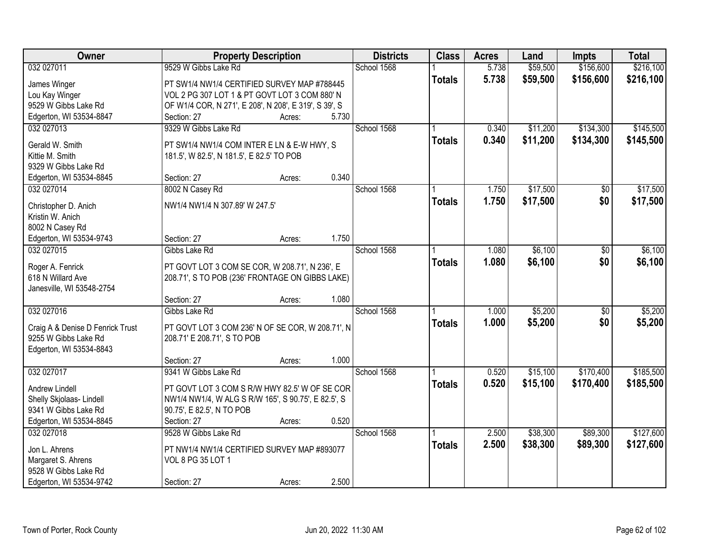| Owner                                          | <b>Property Description</b>                           |       | <b>Districts</b> | <b>Class</b>  | <b>Acres</b> | Land     | <b>Impts</b>    | <b>Total</b> |
|------------------------------------------------|-------------------------------------------------------|-------|------------------|---------------|--------------|----------|-----------------|--------------|
| 032 027011                                     | 9529 W Gibbs Lake Rd                                  |       | School 1568      |               | 5.738        | \$59,500 | \$156,600       | \$216,100    |
| James Winger                                   | PT SW1/4 NW1/4 CERTIFIED SURVEY MAP #788445           |       |                  | <b>Totals</b> | 5.738        | \$59,500 | \$156,600       | \$216,100    |
| Lou Kay Winger                                 | VOL 2 PG 307 LOT 1 & PT GOVT LOT 3 COM 880' N         |       |                  |               |              |          |                 |              |
| 9529 W Gibbs Lake Rd                           | OF W1/4 COR, N 271', E 208', N 208', E 319', S 39', S |       |                  |               |              |          |                 |              |
| Edgerton, WI 53534-8847                        | Section: 27<br>Acres:                                 | 5.730 |                  |               |              |          |                 |              |
| 032 027013                                     | 9329 W Gibbs Lake Rd                                  |       | School 1568      |               | 0.340        | \$11,200 | \$134,300       | \$145,500    |
|                                                |                                                       |       |                  | <b>Totals</b> | 0.340        | \$11,200 | \$134,300       | \$145,500    |
| Gerald W. Smith                                | PT SW1/4 NW1/4 COM INTER E LN & E-W HWY, S            |       |                  |               |              |          |                 |              |
| Kittie M. Smith                                | 181.5', W 82.5', N 181.5', E 82.5' TO POB             |       |                  |               |              |          |                 |              |
| 9329 W Gibbs Lake Rd                           |                                                       |       |                  |               |              |          |                 |              |
| Edgerton, WI 53534-8845                        | Section: 27<br>Acres:                                 | 0.340 |                  |               |              |          |                 |              |
| 032 027014                                     | 8002 N Casey Rd                                       |       | School 1568      |               | 1.750        | \$17,500 | $\overline{50}$ | \$17,500     |
| Christopher D. Anich                           | NW1/4 NW1/4 N 307.89' W 247.5'                        |       |                  | <b>Totals</b> | 1.750        | \$17,500 | \$0             | \$17,500     |
| Kristin W. Anich                               |                                                       |       |                  |               |              |          |                 |              |
| 8002 N Casey Rd                                |                                                       |       |                  |               |              |          |                 |              |
| Edgerton, WI 53534-9743                        | Section: 27<br>Acres:                                 | 1.750 |                  |               |              |          |                 |              |
| 032 027015                                     | Gibbs Lake Rd                                         |       | School 1568      |               | 1.080        | \$6,100  | \$0             | \$6,100      |
|                                                |                                                       |       |                  | <b>Totals</b> | 1.080        | \$6,100  | \$0             | \$6,100      |
| Roger A. Fenrick                               | PT GOVT LOT 3 COM SE COR, W 208.71', N 236', E        |       |                  |               |              |          |                 |              |
| 618 N Willard Ave<br>Janesville, WI 53548-2754 | 208.71', S TO POB (236' FRONTAGE ON GIBBS LAKE)       |       |                  |               |              |          |                 |              |
|                                                | Section: 27<br>Acres:                                 | 1.080 |                  |               |              |          |                 |              |
| 032 027016                                     | Gibbs Lake Rd                                         |       | School 1568      |               | 1.000        | \$5,200  | $\overline{50}$ | \$5,200      |
|                                                |                                                       |       |                  |               | 1.000        | \$5,200  | \$0             |              |
| Craig A & Denise D Fenrick Trust               | PT GOVT LOT 3 COM 236' N OF SE COR, W 208.71', N      |       |                  | <b>Totals</b> |              |          |                 | \$5,200      |
| 9255 W Gibbs Lake Rd                           | 208.71' E 208.71', S TO POB                           |       |                  |               |              |          |                 |              |
| Edgerton, WI 53534-8843                        |                                                       |       |                  |               |              |          |                 |              |
|                                                | Section: 27<br>Acres:                                 | 1.000 |                  |               |              |          |                 |              |
| 032 027017                                     | 9341 W Gibbs Lake Rd                                  |       | School 1568      |               | 0.520        | \$15,100 | \$170,400       | \$185,500    |
| Andrew Lindell                                 | PT GOVT LOT 3 COM S R/W HWY 82.5' W OF SE COR         |       |                  | <b>Totals</b> | 0.520        | \$15,100 | \$170,400       | \$185,500    |
| Shelly Skjolaas- Lindell                       | NW1/4 NW1/4, W ALG S R/W 165', S 90.75', E 82.5', S   |       |                  |               |              |          |                 |              |
| 9341 W Gibbs Lake Rd                           | 90.75', E 82.5', N TO POB                             |       |                  |               |              |          |                 |              |
| Edgerton, WI 53534-8845                        | Section: 27<br>Acres:                                 | 0.520 |                  |               |              |          |                 |              |
| 032 027018                                     | 9528 W Gibbs Lake Rd                                  |       | School 1568      |               | 2.500        | \$38,300 | \$89,300        | \$127,600    |
|                                                |                                                       |       |                  | <b>Totals</b> | 2.500        | \$38,300 | \$89,300        | \$127,600    |
| Jon L. Ahrens                                  | PT NW1/4 NW1/4 CERTIFIED SURVEY MAP #893077           |       |                  |               |              |          |                 |              |
| Margaret S. Ahrens                             | VOL 8 PG 35 LOT 1                                     |       |                  |               |              |          |                 |              |
| 9528 W Gibbs Lake Rd                           |                                                       |       |                  |               |              |          |                 |              |
| Edgerton, WI 53534-9742                        | Section: 27<br>Acres:                                 | 2.500 |                  |               |              |          |                 |              |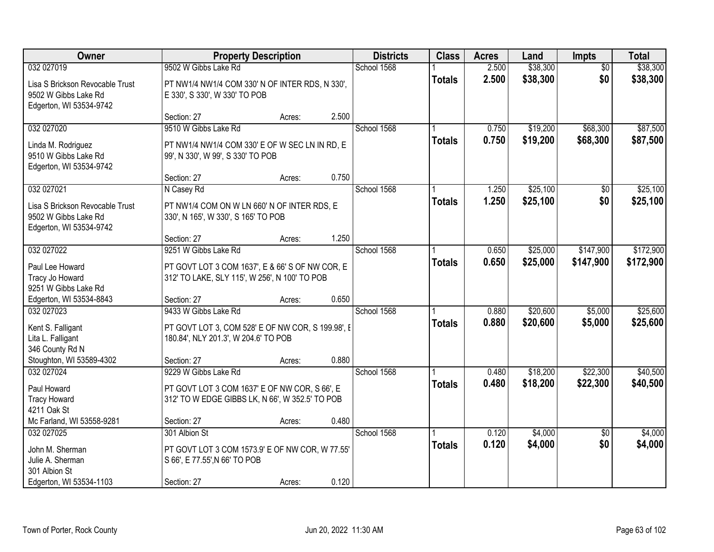| Owner                                                                              |                                                                                                  | <b>Property Description</b> |       | <b>Districts</b> | <b>Class</b>  | <b>Acres</b>   | Land                 | <b>Impts</b>       | <b>Total</b>         |
|------------------------------------------------------------------------------------|--------------------------------------------------------------------------------------------------|-----------------------------|-------|------------------|---------------|----------------|----------------------|--------------------|----------------------|
| 032 027019                                                                         | 9502 W Gibbs Lake Rd                                                                             |                             |       | School 1568      |               | 2.500          | \$38,300             | $\overline{50}$    | \$38,300             |
| Lisa S Brickson Revocable Trust<br>9502 W Gibbs Lake Rd<br>Edgerton, WI 53534-9742 | PT NW1/4 NW1/4 COM 330' N OF INTER RDS, N 330',<br>E 330', S 330', W 330' TO POB                 |                             |       |                  | <b>Totals</b> | 2.500          | \$38,300             | \$0                | \$38,300             |
|                                                                                    | Section: 27                                                                                      | Acres:                      | 2.500 |                  |               |                |                      |                    |                      |
| 032 027020                                                                         | 9510 W Gibbs Lake Rd                                                                             |                             |       | School 1568      |               | 0.750          | \$19,200             | \$68,300           | \$87,500             |
| Linda M. Rodriguez<br>9510 W Gibbs Lake Rd<br>Edgerton, WI 53534-9742              | PT NW1/4 NW1/4 COM 330' E OF W SEC LN IN RD, E<br>99', N 330', W 99', S 330' TO POB              |                             |       |                  | <b>Totals</b> | 0.750          | \$19,200             | \$68,300           | \$87,500             |
|                                                                                    | Section: 27                                                                                      | Acres:                      | 0.750 |                  |               |                |                      |                    |                      |
| 032 027021                                                                         | N Casey Rd                                                                                       |                             |       | School 1568      |               | 1.250          | \$25,100             | $\overline{50}$    | \$25,100             |
| Lisa S Brickson Revocable Trust<br>9502 W Gibbs Lake Rd<br>Edgerton, WI 53534-9742 | PT NW1/4 COM ON W LN 660' N OF INTER RDS, E<br>330', N 165', W 330', S 165' TO POB               |                             |       |                  | <b>Totals</b> | 1.250          | \$25,100             | \$0                | \$25,100             |
|                                                                                    | Section: 27                                                                                      | Acres:                      | 1.250 |                  |               |                |                      |                    |                      |
| 032 027022                                                                         | 9251 W Gibbs Lake Rd                                                                             |                             |       | School 1568      |               | 0.650          | \$25,000             | \$147,900          | \$172,900            |
| Paul Lee Howard<br>Tracy Jo Howard<br>9251 W Gibbs Lake Rd                         | PT GOVT LOT 3 COM 1637', E & 66' S OF NW COR, E<br>312' TO LAKE, SLY 115', W 256', N 100' TO POB |                             |       |                  | <b>Totals</b> | 0.650          | \$25,000             | \$147,900          | \$172,900            |
| Edgerton, WI 53534-8843                                                            | Section: 27                                                                                      | Acres:                      | 0.650 |                  |               |                |                      |                    |                      |
| 032 027023<br>Kent S. Falligant                                                    | 9433 W Gibbs Lake Rd<br>PT GOVT LOT 3, COM 528' E OF NW COR, S 199.98', E                        |                             |       | School 1568      | <b>Totals</b> | 0.880<br>0.880 | \$20,600<br>\$20,600 | \$5,000<br>\$5,000 | \$25,600<br>\$25,600 |
| Lita L. Falligant<br>346 County Rd N                                               | 180.84', NLY 201.3', W 204.6' TO POB                                                             |                             |       |                  |               |                |                      |                    |                      |
| Stoughton, WI 53589-4302                                                           | Section: 27                                                                                      | Acres:                      | 0.880 |                  |               |                |                      |                    |                      |
| 032 027024                                                                         | 9229 W Gibbs Lake Rd                                                                             |                             |       | School 1568      |               | 0.480          | \$18,200             | \$22,300           | \$40,500             |
| Paul Howard<br><b>Tracy Howard</b><br>4211 Oak St                                  | PT GOVT LOT 3 COM 1637' E OF NW COR, S 66', E<br>312' TO W EDGE GIBBS LK, N 66', W 352.5' TO POB |                             |       |                  | <b>Totals</b> | 0.480          | \$18,200             | \$22,300           | \$40,500             |
| Mc Farland, WI 53558-9281                                                          | Section: 27                                                                                      | Acres:                      | 0.480 |                  |               |                |                      |                    |                      |
| 032 027025                                                                         | 301 Albion St                                                                                    |                             |       | School 1568      |               | 0.120          | \$4,000              | $\overline{50}$    | \$4,000              |
| John M. Sherman<br>Julie A. Sherman<br>301 Albion St                               | PT GOVT LOT 3 COM 1573.9' E OF NW COR, W 77.55'<br>S 66', E 77.55', N 66' TO POB                 |                             |       |                  | <b>Totals</b> | 0.120          | \$4,000              | \$0                | \$4,000              |
| Edgerton, WI 53534-1103                                                            | Section: 27                                                                                      | Acres:                      | 0.120 |                  |               |                |                      |                    |                      |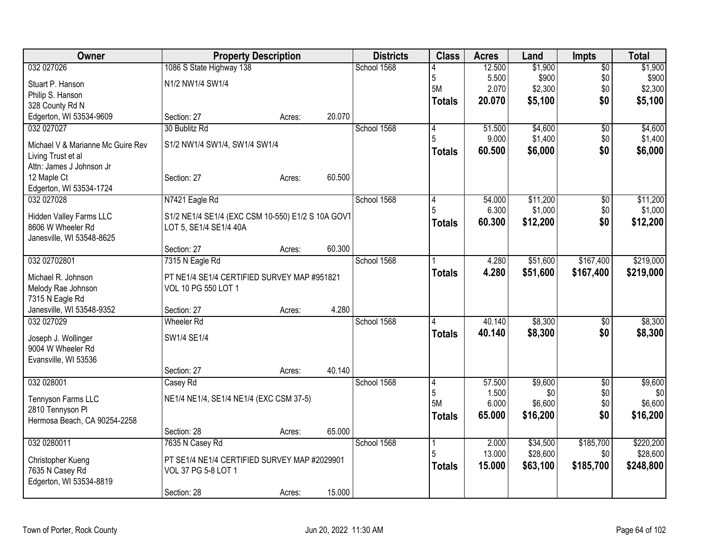| Owner                                 | <b>Property Description</b>                                                 |        |        | <b>Districts</b> | <b>Class</b>   | <b>Acres</b>    | Land           | <b>Impts</b>      | <b>Total</b>   |
|---------------------------------------|-----------------------------------------------------------------------------|--------|--------|------------------|----------------|-----------------|----------------|-------------------|----------------|
| 032 027026                            | 1086 S State Highway 138                                                    |        |        | School 1568      |                | 12.500          | \$1,900        | $\overline{50}$   | \$1,900        |
| Stuart P. Hanson                      | N1/2 NW1/4 SW1/4                                                            |        |        |                  | $\overline{5}$ | 5.500           | \$900          | \$0               | \$900          |
| Philip S. Hanson                      |                                                                             |        |        |                  | 5M             | 2.070           | \$2,300        | \$0               | \$2,300        |
| 328 County Rd N                       |                                                                             |        |        |                  | <b>Totals</b>  | 20.070          | \$5,100        | \$0               | \$5,100        |
| Edgerton, WI 53534-9609               | Section: 27                                                                 | Acres: | 20.070 |                  |                |                 |                |                   |                |
| 032 027027                            | 30 Bublitz Rd                                                               |        |        | School 1568      | $\vert 4$      | 51.500          | \$4,600        | \$0               | \$4,600        |
| Michael V & Marianne Mc Guire Rev     | S1/2 NW1/4 SW1/4, SW1/4 SW1/4                                               |        |        |                  | 5              | 9.000           | \$1,400        | \$0               | \$1,400        |
| Living Trust et al                    |                                                                             |        |        |                  | <b>Totals</b>  | 60.500          | \$6,000        | \$0               | \$6,000        |
| Attn: James J Johnson Jr              |                                                                             |        |        |                  |                |                 |                |                   |                |
| 12 Maple Ct                           | Section: 27                                                                 | Acres: | 60.500 |                  |                |                 |                |                   |                |
| Edgerton, WI 53534-1724               |                                                                             |        |        |                  |                |                 |                |                   |                |
| 032 027028                            | N7421 Eagle Rd                                                              |        |        | School 1568      | 4              | 54.000          | \$11,200       | $\overline{50}$   | \$11,200       |
| Hidden Valley Farms LLC               |                                                                             |        |        |                  |                | 6.300           | \$1,000        | \$0               | \$1,000        |
| 8606 W Wheeler Rd                     | S1/2 NE1/4 SE1/4 (EXC CSM 10-550) E1/2 S 10A GOVT<br>LOT 5, SE1/4 SE1/4 40A |        |        |                  | <b>Totals</b>  | 60.300          | \$12,200       | \$0               | \$12,200       |
| Janesville, WI 53548-8625             |                                                                             |        |        |                  |                |                 |                |                   |                |
|                                       | Section: 27                                                                 | Acres: | 60.300 |                  |                |                 |                |                   |                |
| 032 02702801                          | 7315 N Eagle Rd                                                             |        |        | School 1568      |                | 4.280           | \$51,600       | \$167,400         | \$219,000      |
|                                       |                                                                             |        |        |                  | <b>Totals</b>  | 4.280           | \$51,600       | \$167,400         | \$219,000      |
| Michael R. Johnson                    | PT NE1/4 SE1/4 CERTIFIED SURVEY MAP #951821                                 |        |        |                  |                |                 |                |                   |                |
| Melody Rae Johnson<br>7315 N Eagle Rd | VOL 10 PG 550 LOT 1                                                         |        |        |                  |                |                 |                |                   |                |
| Janesville, WI 53548-9352             | Section: 27                                                                 | Acres: | 4.280  |                  |                |                 |                |                   |                |
| 032 027029                            | <b>Wheeler Rd</b>                                                           |        |        | School 1568      |                | 40.140          | \$8,300        | \$0               | \$8,300        |
|                                       |                                                                             |        |        |                  | <b>Totals</b>  | 40.140          | \$8,300        | \$0               | \$8,300        |
| Joseph J. Wollinger                   | SW1/4 SE1/4                                                                 |        |        |                  |                |                 |                |                   |                |
| 9004 W Wheeler Rd                     |                                                                             |        |        |                  |                |                 |                |                   |                |
| Evansville, WI 53536                  |                                                                             |        |        |                  |                |                 |                |                   |                |
|                                       | Section: 27                                                                 | Acres: | 40.140 |                  |                |                 |                |                   |                |
| 032 028001                            | Casey Rd                                                                    |        |        | School 1568      | 4<br>5         | 57.500<br>1.500 | \$9,600<br>\$0 | $\sqrt{6}$<br>\$0 | \$9,600<br>\$0 |
| Tennyson Farms LLC                    | NE1/4 NE1/4, SE1/4 NE1/4 (EXC CSM 37-5)                                     |        |        |                  | 5M             | 6.000           | \$6,600        | \$0               | \$6,600        |
| 2810 Tennyson Pl                      |                                                                             |        |        |                  | <b>Totals</b>  | 65.000          | \$16,200       | \$0               | \$16,200       |
| Hermosa Beach, CA 90254-2258          |                                                                             |        |        |                  |                |                 |                |                   |                |
|                                       | Section: 28                                                                 | Acres: | 65.000 |                  |                |                 |                |                   |                |
| 032 0280011                           | 7635 N Casey Rd                                                             |        |        | School 1568      |                | 2.000           | \$34,500       | \$185,700         | \$220,200      |
| Christopher Kueng                     | PT SE1/4 NE1/4 CERTIFIED SURVEY MAP #2029901                                |        |        |                  |                | 13.000          | \$28,600       | \$0               | \$28,600       |
| 7635 N Casey Rd                       | VOL 37 PG 5-8 LOT 1                                                         |        |        |                  | <b>Totals</b>  | 15.000          | \$63,100       | \$185,700         | \$248,800      |
| Edgerton, WI 53534-8819               |                                                                             |        |        |                  |                |                 |                |                   |                |
|                                       | Section: 28                                                                 | Acres: | 15.000 |                  |                |                 |                |                   |                |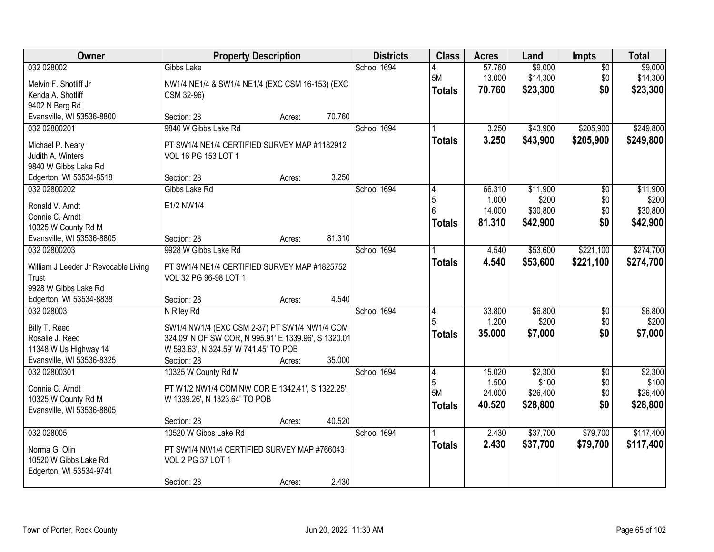| <b>Owner</b>                                  | <b>Property Description</b>                                                                   |        |        | <b>Districts</b> | <b>Class</b>  | <b>Acres</b> | Land     | <b>Impts</b>    | <b>Total</b> |
|-----------------------------------------------|-----------------------------------------------------------------------------------------------|--------|--------|------------------|---------------|--------------|----------|-----------------|--------------|
| 032 028002                                    | Gibbs Lake                                                                                    |        |        | School 1694      |               | 57.760       | \$9,000  | $\overline{50}$ | \$9,000      |
| Melvin F. Shotliff Jr                         | NW1/4 NE1/4 & SW1/4 NE1/4 (EXC CSM 16-153) (EXC                                               |        |        |                  | 5M            | 13.000       | \$14,300 | \$0             | \$14,300     |
| Kenda A. Shotliff                             | CSM 32-96)                                                                                    |        |        |                  | <b>Totals</b> | 70.760       | \$23,300 | \$0             | \$23,300     |
| 9402 N Berg Rd                                |                                                                                               |        |        |                  |               |              |          |                 |              |
| Evansville, WI 53536-8800                     | Section: 28                                                                                   | Acres: | 70.760 |                  |               |              |          |                 |              |
| 032 02800201                                  | 9840 W Gibbs Lake Rd                                                                          |        |        | School 1694      |               | 3.250        | \$43,900 | \$205,900       | \$249,800    |
| Michael P. Neary                              | PT SW1/4 NE1/4 CERTIFIED SURVEY MAP #1182912                                                  |        |        |                  | <b>Totals</b> | 3.250        | \$43,900 | \$205,900       | \$249,800    |
| Judith A. Winters                             | VOL 16 PG 153 LOT 1                                                                           |        |        |                  |               |              |          |                 |              |
| 9840 W Gibbs Lake Rd                          |                                                                                               |        |        |                  |               |              |          |                 |              |
| Edgerton, WI 53534-8518                       | Section: 28                                                                                   | Acres: | 3.250  |                  |               |              |          |                 |              |
| 032 02800202                                  | Gibbs Lake Rd                                                                                 |        |        | School 1694      |               | 66.310       | \$11,900 | \$0             | \$11,900     |
| Ronald V. Arndt                               | E1/2 NW1/4                                                                                    |        |        |                  | 5             | 1.000        | \$200    | \$0             | \$200        |
| Connie C. Arndt                               |                                                                                               |        |        |                  |               | 14.000       | \$30,800 | \$0             | \$30,800     |
| 10325 W County Rd M                           |                                                                                               |        |        |                  | <b>Totals</b> | 81.310       | \$42,900 | \$0             | \$42,900     |
| Evansville, WI 53536-8805                     | Section: 28                                                                                   | Acres: | 81.310 |                  |               |              |          |                 |              |
| 032 02800203                                  | 9928 W Gibbs Lake Rd                                                                          |        |        | School 1694      |               | 4.540        | \$53,600 | \$221,100       | \$274,700    |
|                                               |                                                                                               |        |        |                  | <b>Totals</b> | 4.540        | \$53,600 | \$221,100       | \$274,700    |
| William J Leeder Jr Revocable Living<br>Trust | PT SW1/4 NE1/4 CERTIFIED SURVEY MAP #1825752<br>VOL 32 PG 96-98 LOT 1                         |        |        |                  |               |              |          |                 |              |
| 9928 W Gibbs Lake Rd                          |                                                                                               |        |        |                  |               |              |          |                 |              |
| Edgerton, WI 53534-8838                       | Section: 28                                                                                   | Acres: | 4.540  |                  |               |              |          |                 |              |
| 032 028003                                    | N Riley Rd                                                                                    |        |        | School 1694      |               | 33.800       | \$6,800  | $\overline{50}$ | \$6,800      |
|                                               |                                                                                               |        |        |                  |               | 1.200        | \$200    | \$0             | \$200        |
| Billy T. Reed<br>Rosalie J. Reed              | SW1/4 NW1/4 (EXC CSM 2-37) PT SW1/4 NW1/4 COM                                                 |        |        |                  | <b>Totals</b> | 35.000       | \$7,000  | \$0             | \$7,000      |
| 11348 W Us Highway 14                         | 324.09' N OF SW COR, N 995.91' E 1339.96', S 1320.01<br>W 593.63', N 324.59' W 741.45' TO POB |        |        |                  |               |              |          |                 |              |
| Evansville, WI 53536-8325                     | Section: 28                                                                                   | Acres: | 35.000 |                  |               |              |          |                 |              |
| 032 02800301                                  | 10325 W County Rd M                                                                           |        |        | School 1694      | 4             | 15.020       | \$2,300  | $\overline{50}$ | \$2,300      |
|                                               |                                                                                               |        |        |                  | 5             | 1.500        | \$100    | \$0             | \$100        |
| Connie C. Arndt                               | PT W1/2 NW1/4 COM NW COR E 1342.41', S 1322.25',                                              |        |        |                  | 5M            | 24.000       | \$26,400 | \$0             | \$26,400     |
| 10325 W County Rd M                           | W 1339.26', N 1323.64' TO POB                                                                 |        |        |                  | <b>Totals</b> | 40.520       | \$28,800 | \$0             | \$28,800     |
| Evansville, WI 53536-8805                     | Section: 28                                                                                   | Acres: | 40.520 |                  |               |              |          |                 |              |
| 032 028005                                    | 10520 W Gibbs Lake Rd                                                                         |        |        | School 1694      |               | 2.430        | \$37,700 | \$79,700        | \$117,400    |
|                                               |                                                                                               |        |        |                  | <b>Totals</b> | 2.430        | \$37,700 | \$79,700        | \$117,400    |
| Norma G. Olin                                 | PT SW1/4 NW1/4 CERTIFIED SURVEY MAP #766043                                                   |        |        |                  |               |              |          |                 |              |
| 10520 W Gibbs Lake Rd                         | VOL 2 PG 37 LOT 1                                                                             |        |        |                  |               |              |          |                 |              |
| Edgerton, WI 53534-9741                       |                                                                                               |        |        |                  |               |              |          |                 |              |
|                                               | Section: 28                                                                                   | Acres: | 2.430  |                  |               |              |          |                 |              |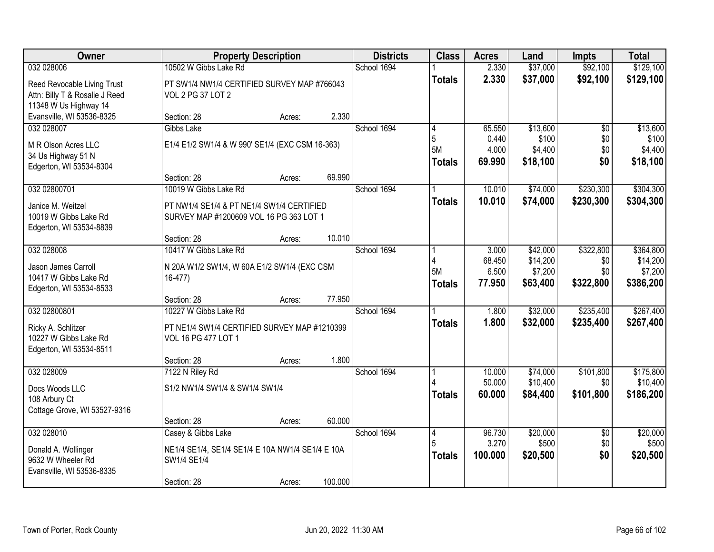| Owner                                                                                  |                                                                                              | <b>Property Description</b> |         | <b>Districts</b> | <b>Class</b>                               | <b>Acres</b>                       | Land                                        | <b>Impts</b>                         | <b>Total</b>                                  |
|----------------------------------------------------------------------------------------|----------------------------------------------------------------------------------------------|-----------------------------|---------|------------------|--------------------------------------------|------------------------------------|---------------------------------------------|--------------------------------------|-----------------------------------------------|
| 032 028006                                                                             | 10502 W Gibbs Lake Rd                                                                        |                             |         | School 1694      |                                            | 2.330                              | \$37,000                                    | \$92,100                             | \$129,100                                     |
| Reed Revocable Living Trust<br>Attn: Billy T & Rosalie J Reed<br>11348 W Us Highway 14 | PT SW1/4 NW1/4 CERTIFIED SURVEY MAP #766043<br>VOL 2 PG 37 LOT 2                             |                             |         |                  | <b>Totals</b>                              | 2.330                              | \$37,000                                    | \$92,100                             | \$129,100                                     |
| Evansville, WI 53536-8325                                                              | Section: 28                                                                                  | Acres:                      | 2.330   |                  |                                            |                                    |                                             |                                      |                                               |
| 032 028007<br>M R Olson Acres LLC<br>34 Us Highway 51 N<br>Edgerton, WI 53534-8304     | Gibbs Lake<br>E1/4 E1/2 SW1/4 & W 990' SE1/4 (EXC CSM 16-363)                                |                             |         | School 1694      | $\overline{4}$<br>5<br>5M<br><b>Totals</b> | 65.550<br>0.440<br>4.000<br>69.990 | \$13,600<br>\$100<br>\$4,400<br>\$18,100    | $\overline{50}$<br>\$0<br>\$0<br>\$0 | \$13,600<br>\$100<br>\$4,400<br>\$18,100      |
|                                                                                        | Section: 28                                                                                  | Acres:                      | 69.990  |                  |                                            |                                    |                                             |                                      |                                               |
| 032 02800701                                                                           | 10019 W Gibbs Lake Rd                                                                        |                             |         | School 1694      | <b>Totals</b>                              | 10.010<br>10.010                   | \$74,000<br>\$74,000                        | \$230,300<br>\$230,300               | \$304,300<br>\$304,300                        |
| Janice M. Weitzel<br>10019 W Gibbs Lake Rd<br>Edgerton, WI 53534-8839                  | PT NW1/4 SE1/4 & PT NE1/4 SW1/4 CERTIFIED<br>SURVEY MAP #1200609 VOL 16 PG 363 LOT 1         |                             |         |                  |                                            |                                    |                                             |                                      |                                               |
|                                                                                        | Section: 28                                                                                  | Acres:                      | 10.010  |                  |                                            |                                    |                                             |                                      |                                               |
| 032 028008<br>Jason James Carroll<br>10417 W Gibbs Lake Rd<br>Edgerton, WI 53534-8533  | 10417 W Gibbs Lake Rd<br>N 20A W1/2 SW1/4, W 60A E1/2 SW1/4 (EXC CSM<br>$16-477$             |                             |         | School 1694      | Δ<br>5M<br><b>Totals</b>                   | 3.000<br>68.450<br>6.500<br>77.950 | \$42,000<br>\$14,200<br>\$7,200<br>\$63,400 | \$322,800<br>\$0<br>\$0<br>\$322,800 | \$364,800<br>\$14,200<br>\$7,200<br>\$386,200 |
|                                                                                        | Section: 28                                                                                  | Acres:                      | 77.950  |                  |                                            |                                    |                                             |                                      |                                               |
| 032 02800801<br>Ricky A. Schlitzer<br>10227 W Gibbs Lake Rd<br>Edgerton, WI 53534-8511 | 10227 W Gibbs Lake Rd<br>PT NE1/4 SW1/4 CERTIFIED SURVEY MAP #1210399<br>VOL 16 PG 477 LOT 1 |                             |         | School 1694      | <b>Totals</b>                              | 1.800<br>1.800                     | \$32,000<br>\$32,000                        | \$235,400<br>\$235,400               | \$267,400<br>\$267,400                        |
|                                                                                        | Section: 28                                                                                  | Acres:                      | 1.800   |                  |                                            |                                    |                                             |                                      |                                               |
| 032 028009<br>Docs Woods LLC<br>108 Arbury Ct<br>Cottage Grove, WI 53527-9316          | 7122 N Riley Rd<br>S1/2 NW1/4 SW1/4 & SW1/4 SW1/4                                            |                             |         | School 1694      | <b>Totals</b>                              | 10.000<br>50.000<br>60.000         | \$74,000<br>\$10,400<br>\$84,400            | \$101,800<br>\$0<br>\$101,800        | \$175,800<br>\$10,400<br>\$186,200            |
|                                                                                        | Section: 28                                                                                  | Acres:                      | 60.000  |                  |                                            |                                    |                                             |                                      |                                               |
| 032 028010<br>Donald A. Wollinger                                                      | Casey & Gibbs Lake                                                                           |                             |         | School 1694      | 4<br>5                                     | 96.730<br>3.270                    | \$20,000<br>\$500                           | $\overline{50}$<br>\$0               | \$20,000<br>\$500                             |
| 9632 W Wheeler Rd<br>Evansville, WI 53536-8335                                         | NE1/4 SE1/4, SE1/4 SE1/4 E 10A NW1/4 SE1/4 E 10A<br>SW1/4 SE1/4                              |                             |         |                  | <b>Totals</b>                              | 100.000                            | \$20,500                                    | \$0                                  | \$20,500                                      |
|                                                                                        | Section: 28                                                                                  | Acres:                      | 100.000 |                  |                                            |                                    |                                             |                                      |                                               |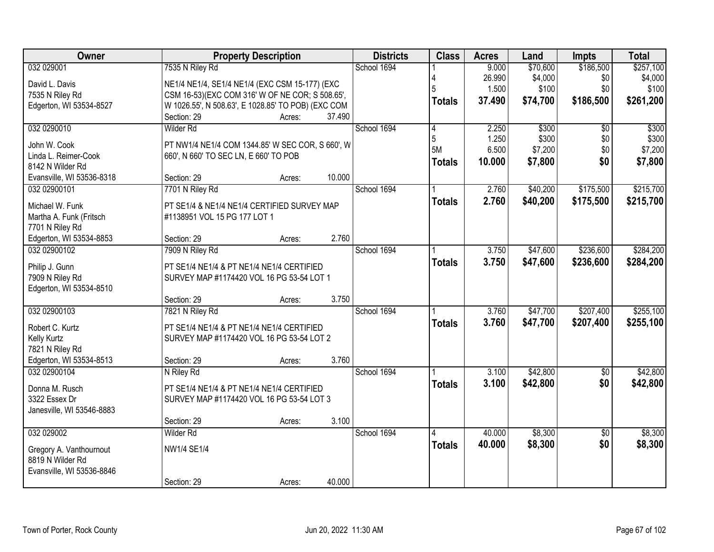| Owner                     | <b>Property Description</b>                        |        | <b>Districts</b> | <b>Class</b>  | <b>Acres</b> | Land     | <b>Impts</b>    | <b>Total</b> |
|---------------------------|----------------------------------------------------|--------|------------------|---------------|--------------|----------|-----------------|--------------|
| 032 029001                | 7535 N Riley Rd                                    |        | School 1694      |               | 9.000        | \$70,600 | \$186,500       | \$257,100    |
| David L. Davis            | NE1/4 NE1/4, SE1/4 NE1/4 (EXC CSM 15-177) (EXC     |        |                  |               | 26.990       | \$4,000  | \$0             | \$4,000      |
| 7535 N Riley Rd           | CSM 16-53)(EXC COM 316' W OF NE COR; S 508.65',    |        |                  | 5             | 1.500        | \$100    | \$0             | \$100        |
| Edgerton, WI 53534-8527   | W 1026.55', N 508.63', E 1028.85' TO POB) (EXC COM |        |                  | <b>Totals</b> | 37,490       | \$74,700 | \$186,500       | \$261,200    |
|                           | Section: 29<br>Acres:                              | 37.490 |                  |               |              |          |                 |              |
| 032 0290010               | Wilder Rd                                          |        | School 1694      | 4             | 2.250        | \$300    | $\overline{50}$ | \$300        |
|                           |                                                    |        |                  | 5             | 1.250        | \$300    | \$0             | \$300        |
| John W. Cook              | PT NW1/4 NE1/4 COM 1344.85' W SEC COR, S 660', W   |        |                  | 5M            | 6.500        | \$7,200  | \$0             | \$7,200      |
| Linda L. Reimer-Cook      | 660', N 660' TO SEC LN, E 660' TO POB              |        |                  | <b>Totals</b> | 10.000       | \$7,800  | \$0             | \$7,800      |
| 8142 N Wilder Rd          |                                                    |        |                  |               |              |          |                 |              |
| Evansville, WI 53536-8318 | Section: 29<br>Acres:                              | 10.000 |                  |               |              |          |                 |              |
| 032 02900101              | 7701 N Riley Rd                                    |        | School 1694      |               | 2.760        | \$40,200 | \$175,500       | \$215,700    |
| Michael W. Funk           | PT SE1/4 & NE1/4 NE1/4 CERTIFIED SURVEY MAP        |        |                  | <b>Totals</b> | 2.760        | \$40,200 | \$175,500       | \$215,700    |
| Martha A. Funk (Fritsch   | #1138951 VOL 15 PG 177 LOT 1                       |        |                  |               |              |          |                 |              |
| 7701 N Riley Rd           |                                                    |        |                  |               |              |          |                 |              |
| Edgerton, WI 53534-8853   | Section: 29<br>Acres:                              | 2.760  |                  |               |              |          |                 |              |
| 032 02900102              | 7909 N Riley Rd                                    |        | School 1694      |               | 3.750        | \$47,600 | \$236,600       | \$284,200    |
|                           |                                                    |        |                  | <b>Totals</b> | 3.750        | \$47,600 | \$236,600       | \$284,200    |
| Philip J. Gunn            | PT SE1/4 NE1/4 & PT NE1/4 NE1/4 CERTIFIED          |        |                  |               |              |          |                 |              |
| 7909 N Riley Rd           | SURVEY MAP #1174420 VOL 16 PG 53-54 LOT 1          |        |                  |               |              |          |                 |              |
| Edgerton, WI 53534-8510   |                                                    |        |                  |               |              |          |                 |              |
|                           | Section: 29<br>Acres:                              | 3.750  |                  |               |              |          |                 |              |
| 032 02900103              | 7821 N Riley Rd                                    |        | School 1694      |               | 3.760        | \$47,700 | \$207,400       | \$255,100    |
| Robert C. Kurtz           | PT SE1/4 NE1/4 & PT NE1/4 NE1/4 CERTIFIED          |        |                  | <b>Totals</b> | 3.760        | \$47,700 | \$207,400       | \$255,100    |
| Kelly Kurtz               | SURVEY MAP #1174420 VOL 16 PG 53-54 LOT 2          |        |                  |               |              |          |                 |              |
| 7821 N Riley Rd           |                                                    |        |                  |               |              |          |                 |              |
| Edgerton, WI 53534-8513   | Section: 29<br>Acres:                              | 3.760  |                  |               |              |          |                 |              |
| 032 02900104              | N Riley Rd                                         |        | School 1694      |               | 3.100        | \$42,800 | $\sqrt{6}$      | \$42,800     |
|                           |                                                    |        |                  | <b>Totals</b> | 3.100        | \$42,800 | \$0             | \$42,800     |
| Donna M. Rusch            | PT SE1/4 NE1/4 & PT NE1/4 NE1/4 CERTIFIED          |        |                  |               |              |          |                 |              |
| 3322 Essex Dr             | SURVEY MAP #1174420 VOL 16 PG 53-54 LOT 3          |        |                  |               |              |          |                 |              |
| Janesville, WI 53546-8883 |                                                    |        |                  |               |              |          |                 |              |
|                           | Section: 29<br>Acres:                              | 3.100  |                  |               |              |          |                 |              |
| 032 029002                | Wilder Rd                                          |        | School 1694      | 4             | 40.000       | \$8,300  | $\overline{50}$ | \$8,300      |
| Gregory A. Vanthournout   | NW1/4 SE1/4                                        |        |                  | <b>Totals</b> | 40.000       | \$8,300  | \$0             | \$8,300      |
| 8819 N Wilder Rd          |                                                    |        |                  |               |              |          |                 |              |
| Evansville, WI 53536-8846 |                                                    |        |                  |               |              |          |                 |              |
|                           | Section: 29<br>Acres:                              | 40.000 |                  |               |              |          |                 |              |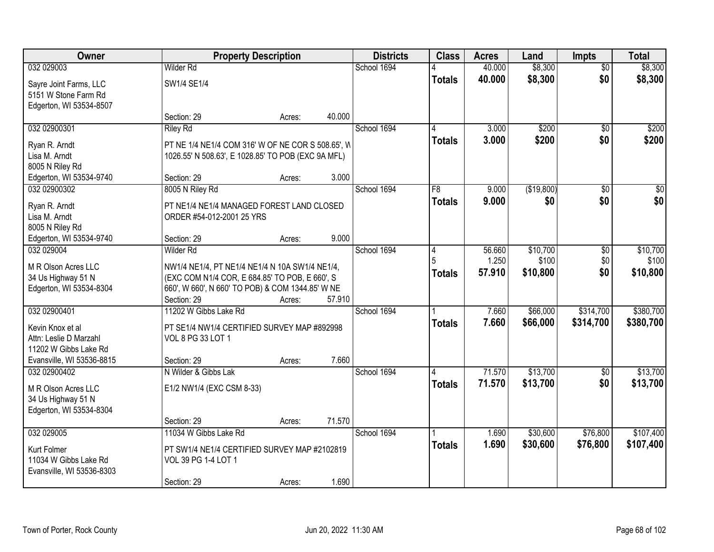| <b>Owner</b>                                       |                                                    | <b>Property Description</b> |        | <b>Districts</b> | <b>Class</b>  | <b>Acres</b>    | Land              | <b>Impts</b>         | <b>Total</b>      |
|----------------------------------------------------|----------------------------------------------------|-----------------------------|--------|------------------|---------------|-----------------|-------------------|----------------------|-------------------|
| 032 029003                                         | <b>Wilder Rd</b>                                   |                             |        | School 1694      |               | 40.000          | \$8,300           | $\overline{50}$      | \$8,300           |
| Sayre Joint Farms, LLC<br>5151 W Stone Farm Rd     | SW1/4 SE1/4                                        |                             |        |                  | <b>Totals</b> | 40.000          | \$8,300           | \$0                  | \$8,300           |
| Edgerton, WI 53534-8507                            |                                                    |                             |        |                  |               |                 |                   |                      |                   |
|                                                    | Section: 29                                        | Acres:                      | 40.000 |                  |               |                 |                   |                      |                   |
| 032 02900301                                       | <b>Riley Rd</b>                                    |                             |        | School 1694      |               | 3.000           | \$200             | $\overline{50}$      | \$200             |
| Ryan R. Arndt                                      | PT NE 1/4 NE1/4 COM 316' W OF NE COR S 508.65', W  |                             |        |                  | <b>Totals</b> | 3.000           | \$200             | \$0                  | \$200             |
| Lisa M. Arndt                                      | 1026.55' N 508.63', E 1028.85' TO POB (EXC 9A MFL) |                             |        |                  |               |                 |                   |                      |                   |
| 8005 N Riley Rd                                    |                                                    |                             |        |                  |               |                 |                   |                      |                   |
| Edgerton, WI 53534-9740                            | Section: 29                                        | Acres:                      | 3.000  |                  |               |                 |                   |                      |                   |
| 032 02900302                                       | 8005 N Riley Rd                                    |                             |        | School 1694      | F8            | 9.000           | (\$19,800)        | \$0                  | $\overline{50}$   |
| Ryan R. Arndt                                      | PT NE1/4 NE1/4 MANAGED FOREST LAND CLOSED          |                             |        |                  | <b>Totals</b> | 9.000           | \$0               | \$0                  | \$0               |
| Lisa M. Arndt                                      | ORDER #54-012-2001 25 YRS                          |                             |        |                  |               |                 |                   |                      |                   |
| 8005 N Riley Rd                                    |                                                    |                             |        |                  |               |                 |                   |                      |                   |
| Edgerton, WI 53534-9740                            | Section: 29                                        | Acres:                      | 9.000  |                  |               |                 |                   |                      |                   |
| 032 029004                                         | <b>Wilder Rd</b>                                   |                             |        | School 1694      | 14            | 56.660<br>1.250 | \$10,700<br>\$100 | $\sqrt[6]{3}$<br>\$0 | \$10,700<br>\$100 |
| M R Olson Acres LLC                                | NW1/4 NE1/4, PT NE1/4 NE1/4 N 10A SW1/4 NE1/4,     |                             |        |                  | <b>Totals</b> | 57.910          | \$10,800          | \$0                  | \$10,800          |
| 34 Us Highway 51 N                                 | (EXC COM N1/4 COR, E 684.85' TO POB, E 660', S     |                             |        |                  |               |                 |                   |                      |                   |
| Edgerton, WI 53534-8304                            | 660', W 660', N 660' TO POB) & COM 1344.85' W NE   |                             |        |                  |               |                 |                   |                      |                   |
| 032 02900401                                       | Section: 29<br>11202 W Gibbs Lake Rd               | Acres:                      | 57.910 | School 1694      |               | 7.660           | \$66,000          | \$314,700            | \$380,700         |
|                                                    |                                                    |                             |        |                  |               | 7.660           | \$66,000          | \$314,700            | \$380,700         |
| Kevin Knox et al                                   | PT SE1/4 NW1/4 CERTIFIED SURVEY MAP #892998        |                             |        |                  | <b>Totals</b> |                 |                   |                      |                   |
| Attn: Leslie D Marzahl                             | <b>VOL 8 PG 33 LOT 1</b>                           |                             |        |                  |               |                 |                   |                      |                   |
| 11202 W Gibbs Lake Rd                              |                                                    |                             | 7.660  |                  |               |                 |                   |                      |                   |
| Evansville, WI 53536-8815<br>032 02900402          | Section: 29<br>N Wilder & Gibbs Lak                | Acres:                      |        | School 1694      |               | 71.570          | \$13,700          | \$0                  | \$13,700          |
|                                                    |                                                    |                             |        |                  | <b>Totals</b> | 71.570          | \$13,700          | \$0                  | \$13,700          |
| M R Olson Acres LLC                                | E1/2 NW1/4 (EXC CSM 8-33)                          |                             |        |                  |               |                 |                   |                      |                   |
| 34 Us Highway 51 N                                 |                                                    |                             |        |                  |               |                 |                   |                      |                   |
| Edgerton, WI 53534-8304                            | Section: 29                                        | Acres:                      | 71.570 |                  |               |                 |                   |                      |                   |
| 032 029005                                         | 11034 W Gibbs Lake Rd                              |                             |        | School 1694      |               | 1.690           | \$30,600          | \$76,800             | \$107,400         |
|                                                    |                                                    |                             |        |                  | <b>Totals</b> | 1.690           | \$30,600          | \$76,800             | \$107,400         |
| Kurt Folmer                                        | PT SW1/4 NE1/4 CERTIFIED SURVEY MAP #2102819       |                             |        |                  |               |                 |                   |                      |                   |
| 11034 W Gibbs Lake Rd<br>Evansville, WI 53536-8303 | VOL 39 PG 1-4 LOT 1                                |                             |        |                  |               |                 |                   |                      |                   |
|                                                    | Section: 29                                        | Acres:                      | 1.690  |                  |               |                 |                   |                      |                   |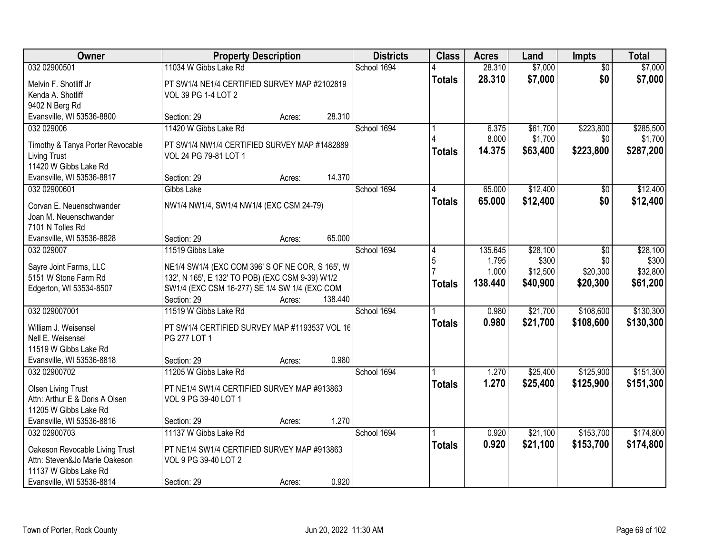| Owner                                        | <b>Property Description</b>                                           |        |         | <b>Districts</b> | <b>Class</b>  | <b>Acres</b> | Land     | <b>Impts</b>    | <b>Total</b> |
|----------------------------------------------|-----------------------------------------------------------------------|--------|---------|------------------|---------------|--------------|----------|-----------------|--------------|
| 032 02900501                                 | 11034 W Gibbs Lake Rd                                                 |        |         | School 1694      |               | 28.310       | \$7,000  | $\overline{30}$ | \$7,000      |
| Melvin F. Shotliff Jr                        | PT SW1/4 NE1/4 CERTIFIED SURVEY MAP #2102819                          |        |         |                  | <b>Totals</b> | 28.310       | \$7,000  | \$0             | \$7,000      |
| Kenda A. Shotliff                            | VOL 39 PG 1-4 LOT 2                                                   |        |         |                  |               |              |          |                 |              |
| 9402 N Berg Rd                               |                                                                       |        |         |                  |               |              |          |                 |              |
| Evansville, WI 53536-8800                    | Section: 29                                                           | Acres: | 28.310  |                  |               |              |          |                 |              |
| 032 029006                                   | 11420 W Gibbs Lake Rd                                                 |        |         | School 1694      |               | 6.375        | \$61,700 | \$223,800       | \$285,500    |
|                                              |                                                                       |        |         |                  |               | 8.000        | \$1,700  | \$0             | \$1,700      |
| Timothy & Tanya Porter Revocable             | PT SW1/4 NW1/4 CERTIFIED SURVEY MAP #1482889<br>VOL 24 PG 79-81 LOT 1 |        |         |                  | <b>Totals</b> | 14.375       | \$63,400 | \$223,800       | \$287,200    |
| <b>Living Trust</b><br>11420 W Gibbs Lake Rd |                                                                       |        |         |                  |               |              |          |                 |              |
| Evansville, WI 53536-8817                    | Section: 29                                                           | Acres: | 14.370  |                  |               |              |          |                 |              |
| 032 02900601                                 | Gibbs Lake                                                            |        |         | School 1694      |               | 65.000       | \$12,400 | $\sqrt[6]{}$    | \$12,400     |
|                                              |                                                                       |        |         |                  | <b>Totals</b> | 65.000       | \$12,400 | \$0             | \$12,400     |
| Corvan E. Neuenschwander                     | NW1/4 NW1/4, SW1/4 NW1/4 (EXC CSM 24-79)                              |        |         |                  |               |              |          |                 |              |
| Joan M. Neuenschwander                       |                                                                       |        |         |                  |               |              |          |                 |              |
| 7101 N Tolles Rd                             |                                                                       |        |         |                  |               |              |          |                 |              |
| Evansville, WI 53536-8828                    | Section: 29                                                           | Acres: | 65.000  |                  |               |              |          |                 |              |
| 032 029007                                   | 11519 Gibbs Lake                                                      |        |         | School 1694      | 4             | 135.645      | \$28,100 | \$0             | \$28,100     |
| Sayre Joint Farms, LLC                       | NE1/4 SW1/4 (EXC COM 396' S OF NE COR, S 165', W                      |        |         |                  | 5             | 1.795        | \$300    | \$0             | \$300        |
| 5151 W Stone Farm Rd                         | 132', N 165', E 132' TO POB) (EXC CSM 9-39) W1/2                      |        |         |                  |               | 1.000        | \$12,500 | \$20,300        | \$32,800     |
| Edgerton, WI 53534-8507                      | SW1/4 (EXC CSM 16-277) SE 1/4 SW 1/4 (EXC COM                         |        |         |                  | <b>Totals</b> | 138.440      | \$40,900 | \$20,300        | \$61,200     |
|                                              | Section: 29                                                           | Acres: | 138.440 |                  |               |              |          |                 |              |
| 032 029007001                                | 11519 W Gibbs Lake Rd                                                 |        |         | School 1694      |               | 0.980        | \$21,700 | \$108,600       | \$130,300    |
|                                              |                                                                       |        |         |                  | <b>Totals</b> | 0.980        | \$21,700 | \$108,600       | \$130,300    |
| William J. Weisensel                         | PT SW1/4 CERTIFIED SURVEY MAP #1193537 VOL 16                         |        |         |                  |               |              |          |                 |              |
| Nell E. Weisensel<br>11519 W Gibbs Lake Rd   | PG 277 LOT 1                                                          |        |         |                  |               |              |          |                 |              |
| Evansville, WI 53536-8818                    | Section: 29                                                           |        | 0.980   |                  |               |              |          |                 |              |
| 032 02900702                                 | 11205 W Gibbs Lake Rd                                                 | Acres: |         | School 1694      |               | 1.270        | \$25,400 | \$125,900       | \$151,300    |
|                                              |                                                                       |        |         |                  |               | 1.270        | \$25,400 | \$125,900       |              |
| <b>Olsen Living Trust</b>                    | PT NE1/4 SW1/4 CERTIFIED SURVEY MAP #913863                           |        |         |                  | <b>Totals</b> |              |          |                 | \$151,300    |
| Attn: Arthur E & Doris A Olsen               | VOL 9 PG 39-40 LOT 1                                                  |        |         |                  |               |              |          |                 |              |
| 11205 W Gibbs Lake Rd                        |                                                                       |        |         |                  |               |              |          |                 |              |
| Evansville, WI 53536-8816                    | Section: 29                                                           | Acres: | 1.270   |                  |               |              |          |                 |              |
| 032 02900703                                 | 11137 W Gibbs Lake Rd                                                 |        |         | School 1694      |               | 0.920        | \$21,100 | \$153,700       | \$174,800    |
| Oakeson Revocable Living Trust               | PT NE1/4 SW1/4 CERTIFIED SURVEY MAP #913863                           |        |         |                  | <b>Totals</b> | 0.920        | \$21,100 | \$153,700       | \$174,800    |
| Attn: Steven&Jo Marie Oakeson                | VOL 9 PG 39-40 LOT 2                                                  |        |         |                  |               |              |          |                 |              |
| 11137 W Gibbs Lake Rd                        |                                                                       |        |         |                  |               |              |          |                 |              |
| Evansville, WI 53536-8814                    | Section: 29                                                           | Acres: | 0.920   |                  |               |              |          |                 |              |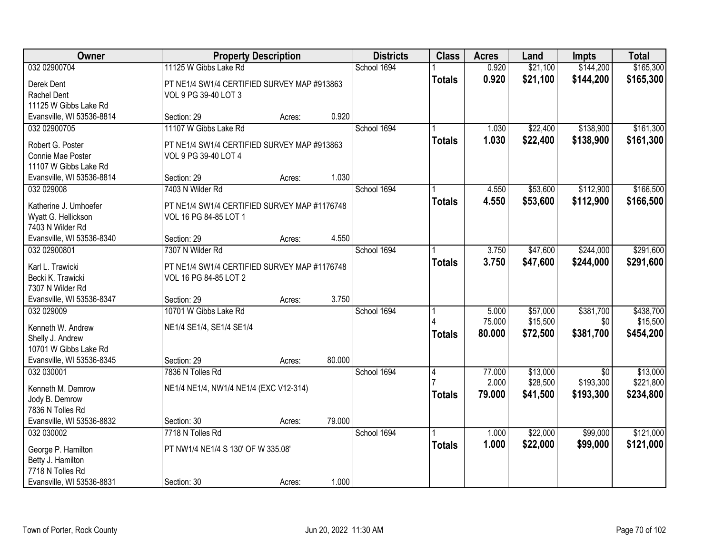| Owner                                 |                                              | <b>Property Description</b> |        | <b>Districts</b> | <b>Class</b>  | <b>Acres</b>    | Land                 | <b>Impts</b>                 | <b>Total</b>          |
|---------------------------------------|----------------------------------------------|-----------------------------|--------|------------------|---------------|-----------------|----------------------|------------------------------|-----------------------|
| 032 02900704                          | 11125 W Gibbs Lake Rd                        |                             |        | School 1694      |               | 0.920           | \$21,100             | \$144,200                    | \$165,300             |
| Derek Dent                            | PT NE1/4 SW1/4 CERTIFIED SURVEY MAP #913863  |                             |        |                  | <b>Totals</b> | 0.920           | \$21,100             | \$144,200                    | \$165,300             |
| Rachel Dent                           | VOL 9 PG 39-40 LOT 3                         |                             |        |                  |               |                 |                      |                              |                       |
| 11125 W Gibbs Lake Rd                 |                                              |                             |        |                  |               |                 |                      |                              |                       |
| Evansville, WI 53536-8814             | Section: 29                                  | Acres:                      | 0.920  |                  |               |                 |                      |                              |                       |
| 032 02900705                          | 11107 W Gibbs Lake Rd                        |                             |        | School 1694      |               | 1.030           | \$22,400             | \$138,900                    | \$161,300             |
| Robert G. Poster                      | PT NE1/4 SW1/4 CERTIFIED SURVEY MAP #913863  |                             |        |                  | <b>Totals</b> | 1.030           | \$22,400             | \$138,900                    | \$161,300             |
| Connie Mae Poster                     | VOL 9 PG 39-40 LOT 4                         |                             |        |                  |               |                 |                      |                              |                       |
| 11107 W Gibbs Lake Rd                 |                                              |                             |        |                  |               |                 |                      |                              |                       |
| Evansville, WI 53536-8814             | Section: 29                                  | Acres:                      | 1.030  |                  |               |                 |                      |                              |                       |
| 032 029008                            | 7403 N Wilder Rd                             |                             |        | School 1694      |               | 4.550           | \$53,600             | \$112,900                    | \$166,500             |
| Katherine J. Umhoefer                 | PT NE1/4 SW1/4 CERTIFIED SURVEY MAP #1176748 |                             |        |                  | <b>Totals</b> | 4.550           | \$53,600             | \$112,900                    | \$166,500             |
| Wyatt G. Hellickson                   | VOL 16 PG 84-85 LOT 1                        |                             |        |                  |               |                 |                      |                              |                       |
| 7403 N Wilder Rd                      |                                              |                             |        |                  |               |                 |                      |                              |                       |
| Evansville, WI 53536-8340             | Section: 29                                  | Acres:                      | 4.550  |                  |               |                 |                      |                              |                       |
| 032 02900801                          | 7307 N Wilder Rd                             |                             |        | School 1694      |               | 3.750           | \$47,600             | \$244,000                    | \$291,600             |
|                                       |                                              |                             |        |                  | <b>Totals</b> | 3.750           | \$47,600             | \$244,000                    | \$291,600             |
| Karl L. Trawicki                      | PT NE1/4 SW1/4 CERTIFIED SURVEY MAP #1176748 |                             |        |                  |               |                 |                      |                              |                       |
| Becki K. Trawicki<br>7307 N Wilder Rd | VOL 16 PG 84-85 LOT 2                        |                             |        |                  |               |                 |                      |                              |                       |
| Evansville, WI 53536-8347             | Section: 29                                  | Acres:                      | 3.750  |                  |               |                 |                      |                              |                       |
| 032 029009                            | 10701 W Gibbs Lake Rd                        |                             |        | School 1694      |               | 5.000           | \$57,000             | \$381,700                    | \$438,700             |
|                                       |                                              |                             |        |                  |               | 75.000          | \$15,500             | \$0                          | \$15,500              |
| Kenneth W. Andrew                     | NE1/4 SE1/4, SE1/4 SE1/4                     |                             |        |                  | <b>Totals</b> | 80.000          | \$72,500             | \$381,700                    | \$454,200             |
| Shelly J. Andrew                      |                                              |                             |        |                  |               |                 |                      |                              |                       |
| 10701 W Gibbs Lake Rd                 |                                              |                             |        |                  |               |                 |                      |                              |                       |
| Evansville, WI 53536-8345             | Section: 29                                  | Acres:                      | 80.000 |                  |               |                 |                      |                              |                       |
| 032 030001                            | 7836 N Tolles Rd                             |                             |        | School 1694      | 4             | 77.000<br>2.000 | \$13,000<br>\$28,500 | $\overline{50}$<br>\$193,300 | \$13,000<br>\$221,800 |
| Kenneth M. Demrow                     | NE1/4 NE1/4, NW1/4 NE1/4 (EXC V12-314)       |                             |        |                  |               | 79.000          |                      |                              |                       |
| Jody B. Demrow                        |                                              |                             |        |                  | <b>Totals</b> |                 | \$41,500             | \$193,300                    | \$234,800             |
| 7836 N Tolles Rd                      |                                              |                             |        |                  |               |                 |                      |                              |                       |
| Evansville, WI 53536-8832             | Section: 30                                  | Acres:                      | 79.000 |                  |               |                 |                      |                              |                       |
| 032 030002                            | 7718 N Tolles Rd                             |                             |        | School 1694      |               | 1.000           | \$22,000             | \$99,000                     | \$121,000             |
| George P. Hamilton                    | PT NW1/4 NE1/4 S 130' OF W 335.08'           |                             |        |                  | <b>Totals</b> | 1.000           | \$22,000             | \$99,000                     | \$121,000             |
| Betty J. Hamilton                     |                                              |                             |        |                  |               |                 |                      |                              |                       |
| 7718 N Tolles Rd                      |                                              |                             |        |                  |               |                 |                      |                              |                       |
| Evansville, WI 53536-8831             | Section: 30                                  | Acres:                      | 1.000  |                  |               |                 |                      |                              |                       |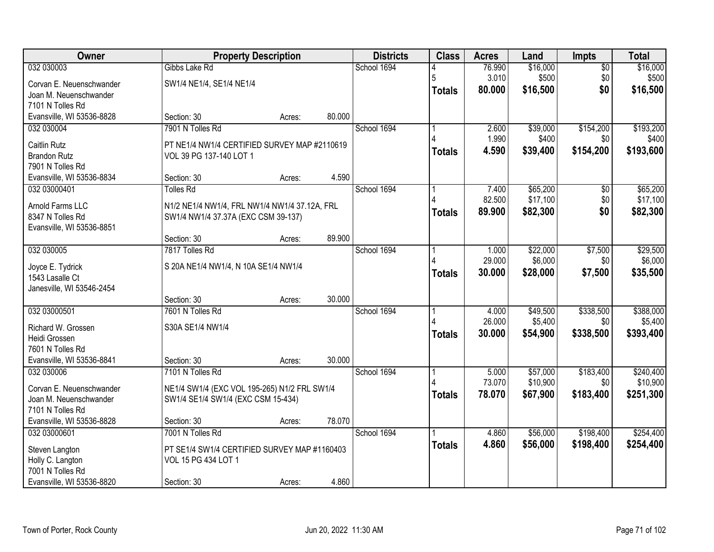| Owner                     |                                               | <b>Property Description</b> |        | <b>Districts</b> | <b>Class</b>  | <b>Acres</b> | Land     | Impts           | <b>Total</b> |
|---------------------------|-----------------------------------------------|-----------------------------|--------|------------------|---------------|--------------|----------|-----------------|--------------|
| 032 030003                | Gibbs Lake Rd                                 |                             |        | School 1694      |               | 76.990       | \$16,000 | $\overline{50}$ | \$16,000     |
| Corvan E. Neuenschwander  | SW1/4 NE1/4, SE1/4 NE1/4                      |                             |        |                  | 5             | 3.010        | \$500    | \$0             | \$500        |
| Joan M. Neuenschwander    |                                               |                             |        |                  | <b>Totals</b> | 80.000       | \$16,500 | \$0             | \$16,500     |
| 7101 N Tolles Rd          |                                               |                             |        |                  |               |              |          |                 |              |
| Evansville, WI 53536-8828 | Section: 30                                   | Acres:                      | 80.000 |                  |               |              |          |                 |              |
| 032 030004                | 7901 N Tolles Rd                              |                             |        | School 1694      |               | 2.600        | \$39,000 | \$154,200       | \$193,200    |
| <b>Caitlin Rutz</b>       | PT NE1/4 NW1/4 CERTIFIED SURVEY MAP #2110619  |                             |        |                  |               | 1.990        | \$400    | \$0             | \$400        |
| <b>Brandon Rutz</b>       | VOL 39 PG 137-140 LOT 1                       |                             |        |                  | <b>Totals</b> | 4.590        | \$39,400 | \$154,200       | \$193,600    |
| 7901 N Tolles Rd          |                                               |                             |        |                  |               |              |          |                 |              |
| Evansville, WI 53536-8834 | Section: 30                                   | Acres:                      | 4.590  |                  |               |              |          |                 |              |
| 032 03000401              | <b>Tolles Rd</b>                              |                             |        | School 1694      |               | 7.400        | \$65,200 | \$0             | \$65,200     |
| Arnold Farms LLC          | N1/2 NE1/4 NW1/4, FRL NW1/4 NW1/4 37.12A, FRL |                             |        |                  |               | 82.500       | \$17,100 | \$0             | \$17,100     |
| 8347 N Tolles Rd          | SW1/4 NW1/4 37.37A (EXC CSM 39-137)           |                             |        |                  | <b>Totals</b> | 89.900       | \$82,300 | \$0             | \$82,300     |
| Evansville, WI 53536-8851 |                                               |                             |        |                  |               |              |          |                 |              |
|                           | Section: 30                                   | Acres:                      | 89.900 |                  |               |              |          |                 |              |
| 032 030005                | 7817 Tolles Rd                                |                             |        | School 1694      |               | 1.000        | \$22,000 | \$7,500         | \$29,500     |
| Joyce E. Tydrick          | S 20A NE1/4 NW1/4, N 10A SE1/4 NW1/4          |                             |        |                  |               | 29.000       | \$6,000  | \$0             | \$6,000      |
| 1543 Lasalle Ct           |                                               |                             |        |                  | <b>Totals</b> | 30.000       | \$28,000 | \$7,500         | \$35,500     |
| Janesville, WI 53546-2454 |                                               |                             |        |                  |               |              |          |                 |              |
|                           | Section: 30                                   | Acres:                      | 30.000 |                  |               |              |          |                 |              |
| 032 03000501              | 7601 N Tolles Rd                              |                             |        | School 1694      |               | 4.000        | \$49,500 | \$338,500       | \$388,000    |
| Richard W. Grossen        | S30A SE1/4 NW1/4                              |                             |        |                  |               | 26.000       | \$5,400  | \$0             | \$5,400      |
| Heidi Grossen             |                                               |                             |        |                  | <b>Totals</b> | 30.000       | \$54,900 | \$338,500       | \$393,400    |
| 7601 N Tolles Rd          |                                               |                             |        |                  |               |              |          |                 |              |
| Evansville, WI 53536-8841 | Section: 30                                   | Acres:                      | 30.000 |                  |               |              |          |                 |              |
| 032 030006                | 7101 N Tolles Rd                              |                             |        | School 1694      |               | 5.000        | \$57,000 | \$183,400       | \$240,400    |
| Corvan E. Neuenschwander  | NE1/4 SW1/4 (EXC VOL 195-265) N1/2 FRL SW1/4  |                             |        |                  |               | 73.070       | \$10,900 | \$0             | \$10,900     |
| Joan M. Neuenschwander    | SW1/4 SE1/4 SW1/4 (EXC CSM 15-434)            |                             |        |                  | <b>Totals</b> | 78.070       | \$67,900 | \$183,400       | \$251,300    |
| 7101 N Tolles Rd          |                                               |                             |        |                  |               |              |          |                 |              |
| Evansville, WI 53536-8828 | Section: 30                                   | Acres:                      | 78.070 |                  |               |              |          |                 |              |
| 032 03000601              | 7001 N Tolles Rd                              |                             |        | School 1694      |               | 4.860        | \$56,000 | \$198,400       | \$254,400    |
| Steven Langton            | PT SE1/4 SW1/4 CERTIFIED SURVEY MAP #1160403  |                             |        |                  | <b>Totals</b> | 4.860        | \$56,000 | \$198,400       | \$254,400    |
| Holly C. Langton          | VOL 15 PG 434 LOT 1                           |                             |        |                  |               |              |          |                 |              |
| 7001 N Tolles Rd          |                                               |                             |        |                  |               |              |          |                 |              |
| Evansville, WI 53536-8820 | Section: 30                                   | Acres:                      | 4.860  |                  |               |              |          |                 |              |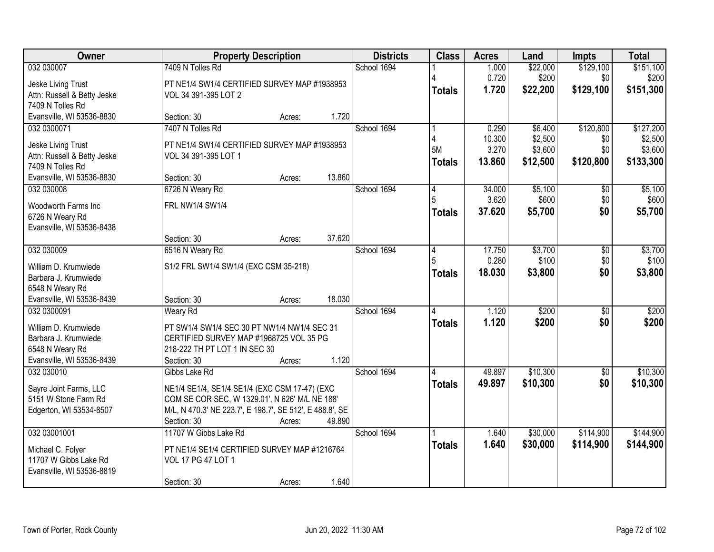| Owner                                              | <b>Property Description</b>                                                                                |        | <b>Districts</b> | <b>Class</b>  | <b>Acres</b> | Land     | <b>Impts</b>    | <b>Total</b> |
|----------------------------------------------------|------------------------------------------------------------------------------------------------------------|--------|------------------|---------------|--------------|----------|-----------------|--------------|
| 032 030007                                         | 7409 N Tolles Rd                                                                                           |        | School 1694      |               | 1.000        | \$22,000 | \$129,100       | \$151,100    |
| Jeske Living Trust                                 | PT NE1/4 SW1/4 CERTIFIED SURVEY MAP #1938953                                                               |        |                  |               | 0.720        | \$200    | \$0             | \$200        |
| Attn: Russell & Betty Jeske                        | VOL 34 391-395 LOT 2                                                                                       |        |                  | <b>Totals</b> | 1.720        | \$22,200 | \$129,100       | \$151,300    |
| 7409 N Tolles Rd                                   |                                                                                                            |        |                  |               |              |          |                 |              |
| Evansville, WI 53536-8830                          | Section: 30<br>Acres:                                                                                      | 1.720  |                  |               |              |          |                 |              |
| 032 0300071                                        | 7407 N Tolles Rd                                                                                           |        | School 1694      |               | 0.290        | \$6,400  | \$120,800       | \$127,200    |
| Jeske Living Trust                                 | PT NE1/4 SW1/4 CERTIFIED SURVEY MAP #1938953                                                               |        |                  |               | 10.300       | \$2,500  | \$0             | \$2,500      |
| Attn: Russell & Betty Jeske                        | VOL 34 391-395 LOT 1                                                                                       |        |                  | 5M            | 3.270        | \$3,600  | \$0             | \$3,600      |
| 7409 N Tolles Rd                                   |                                                                                                            |        |                  | <b>Totals</b> | 13.860       | \$12,500 | \$120,800       | \$133,300    |
| Evansville, WI 53536-8830                          | Section: 30<br>Acres:                                                                                      | 13.860 |                  |               |              |          |                 |              |
| 032 030008                                         | 6726 N Weary Rd                                                                                            |        | School 1694      | 4             | 34.000       | \$5,100  | $\overline{50}$ | \$5,100      |
| Woodworth Farms Inc                                | FRL NW1/4 SW1/4                                                                                            |        |                  | 5             | 3.620        | \$600    | \$0             | \$600        |
| 6726 N Weary Rd                                    |                                                                                                            |        |                  | <b>Totals</b> | 37.620       | \$5,700  | \$0             | \$5,700      |
| Evansville, WI 53536-8438                          |                                                                                                            |        |                  |               |              |          |                 |              |
|                                                    | Section: 30<br>Acres:                                                                                      | 37.620 |                  |               |              |          |                 |              |
| 032 030009                                         | 6516 N Weary Rd                                                                                            |        | School 1694      | 4             | 17.750       | \$3,700  | $\overline{50}$ | \$3,700      |
| William D. Krumwiede                               | S1/2 FRL SW1/4 SW1/4 (EXC CSM 35-218)                                                                      |        |                  | 5             | 0.280        | \$100    | \$0             | \$100        |
| Barbara J. Krumwiede                               |                                                                                                            |        |                  | <b>Totals</b> | 18.030       | \$3,800  | \$0             | \$3,800      |
| 6548 N Weary Rd                                    |                                                                                                            |        |                  |               |              |          |                 |              |
| Evansville, WI 53536-8439                          | Section: 30<br>Acres:                                                                                      | 18.030 |                  |               |              |          |                 |              |
| 032 0300091                                        | <b>Weary Rd</b>                                                                                            |        | School 1694      |               | 1.120        | \$200    | $\overline{50}$ | \$200        |
|                                                    |                                                                                                            |        |                  | <b>Totals</b> | 1.120        | \$200    | \$0             | \$200        |
| William D. Krumwiede<br>Barbara J. Krumwiede       | PT SW1/4 SW1/4 SEC 30 PT NW1/4 NW1/4 SEC 31<br>CERTIFIED SURVEY MAP #1968725 VOL 35 PG                     |        |                  |               |              |          |                 |              |
| 6548 N Weary Rd                                    | 218-222 TH PT LOT 1 IN SEC 30                                                                              |        |                  |               |              |          |                 |              |
| Evansville, WI 53536-8439                          | Section: 30<br>Acres:                                                                                      | 1.120  |                  |               |              |          |                 |              |
| 032 030010                                         | Gibbs Lake Rd                                                                                              |        | School 1694      |               | 49.897       | \$10,300 | $\overline{50}$ | \$10,300     |
|                                                    |                                                                                                            |        |                  | <b>Totals</b> | 49.897       | \$10,300 | \$0             | \$10,300     |
| Sayre Joint Farms, LLC                             | NE1/4 SE1/4, SE1/4 SE1/4 (EXC CSM 17-47) (EXC                                                              |        |                  |               |              |          |                 |              |
| 5151 W Stone Farm Rd<br>Edgerton, WI 53534-8507    | COM SE COR SEC, W 1329.01', N 626' M/L NE 188'<br>M/L, N 470.3' NE 223.7', E 198.7', SE 512', E 488.8', SE |        |                  |               |              |          |                 |              |
|                                                    | Section: 30<br>Acres:                                                                                      | 49.890 |                  |               |              |          |                 |              |
| 032 03001001                                       | 11707 W Gibbs Lake Rd                                                                                      |        | School 1694      |               | 1.640        | \$30,000 | \$114,900       | \$144,900    |
|                                                    |                                                                                                            |        |                  | <b>Totals</b> | 1.640        | \$30,000 | \$114,900       | \$144,900    |
| Michael C. Folyer                                  | PT NE1/4 SE1/4 CERTIFIED SURVEY MAP #1216764                                                               |        |                  |               |              |          |                 |              |
| 11707 W Gibbs Lake Rd<br>Evansville, WI 53536-8819 | VOL 17 PG 47 LOT 1                                                                                         |        |                  |               |              |          |                 |              |
|                                                    | Section: 30<br>Acres:                                                                                      | 1.640  |                  |               |              |          |                 |              |
|                                                    |                                                                                                            |        |                  |               |              |          |                 |              |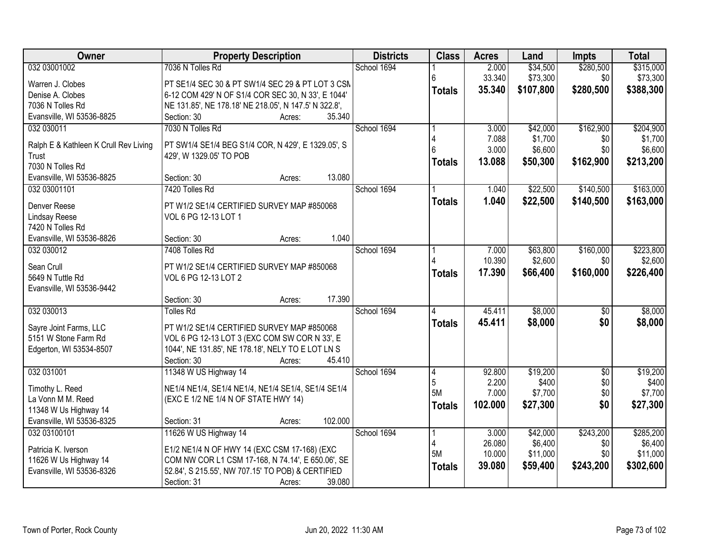| Owner                                          | <b>Property Description</b>                                 | <b>Districts</b> | <b>Class</b>        | <b>Acres</b>    | Land              | <b>Impts</b>           | <b>Total</b>      |
|------------------------------------------------|-------------------------------------------------------------|------------------|---------------------|-----------------|-------------------|------------------------|-------------------|
| 032 03001002                                   | 7036 N Tolles Rd                                            | School 1694      |                     | 2.000           | \$34,500          | \$280,500              | \$315,000         |
| Warren J. Clobes                               | PT SE1/4 SEC 30 & PT SW1/4 SEC 29 & PT LOT 3 CSN            |                  | 6                   | 33.340          | \$73,300          | \$0                    | \$73,300          |
| Denise A. Clobes                               | 6-12 COM 429' N OF S1/4 COR SEC 30, N 33', E 1044'          |                  | <b>Totals</b>       | 35.340          | \$107,800         | \$280,500              | \$388,300         |
| 7036 N Tolles Rd                               | NE 131.85', NE 178.18' NE 218.05', N 147.5' N 322.8',       |                  |                     |                 |                   |                        |                   |
| Evansville, WI 53536-8825                      | Section: 30<br>35.340<br>Acres:                             |                  |                     |                 |                   |                        |                   |
| 032 030011                                     | 7030 N Tolles Rd                                            | School 1694      |                     | 3.000           | \$42,000          | \$162,900              | \$204,900         |
|                                                |                                                             |                  |                     | 7.088           | \$1,700           | \$0                    | \$1,700           |
| Ralph E & Kathleen K Crull Rev Living<br>Trust | PT SW1/4 SE1/4 BEG S1/4 COR, N 429', E 1329.05', S          |                  |                     | 3.000           | \$6,600           | \$0                    | \$6,600           |
| 7030 N Tolles Rd                               | 429', W 1329.05' TO POB                                     |                  | <b>Totals</b>       | 13.088          | \$50,300          | \$162,900              | \$213,200         |
| Evansville, WI 53536-8825                      | 13.080<br>Section: 30<br>Acres:                             |                  |                     |                 |                   |                        |                   |
| 032 03001101                                   | 7420 Tolles Rd                                              | School 1694      |                     | 1.040           | \$22,500          | \$140,500              | \$163,000         |
|                                                |                                                             |                  |                     |                 |                   |                        |                   |
| Denver Reese                                   | PT W1/2 SE1/4 CERTIFIED SURVEY MAP #850068                  |                  | <b>Totals</b>       | 1.040           | \$22,500          | \$140,500              | \$163,000         |
| Lindsay Reese                                  | VOL 6 PG 12-13 LOT 1                                        |                  |                     |                 |                   |                        |                   |
| 7420 N Tolles Rd                               |                                                             |                  |                     |                 |                   |                        |                   |
| Evansville, WI 53536-8826                      | 1.040<br>Section: 30<br>Acres:                              |                  |                     |                 |                   |                        |                   |
| 032 030012                                     | 7408 Tolles Rd                                              | School 1694      |                     | 7.000           | \$63,800          | \$160,000              | \$223,800         |
| Sean Crull                                     | PT W1/2 SE1/4 CERTIFIED SURVEY MAP #850068                  |                  |                     | 10.390          | \$2,600           | \$0                    | \$2,600           |
| 5649 N Tuttle Rd                               | VOL 6 PG 12-13 LOT 2                                        |                  | <b>Totals</b>       | 17.390          | \$66,400          | \$160,000              | \$226,400         |
| Evansville, WI 53536-9442                      |                                                             |                  |                     |                 |                   |                        |                   |
|                                                | 17.390<br>Section: 30<br>Acres:                             |                  |                     |                 |                   |                        |                   |
| 032 030013                                     | <b>Tolles Rd</b>                                            | School 1694      | Δ                   | 45.411          | \$8,000           | $\overline{50}$        | \$8,000           |
|                                                |                                                             |                  | <b>Totals</b>       | 45.411          | \$8,000           | \$0                    | \$8,000           |
| Sayre Joint Farms, LLC                         | PT W1/2 SE1/4 CERTIFIED SURVEY MAP #850068                  |                  |                     |                 |                   |                        |                   |
| 5151 W Stone Farm Rd                           | VOL 6 PG 12-13 LOT 3 (EXC COM SW COR N 33', E               |                  |                     |                 |                   |                        |                   |
| Edgerton, WI 53534-8507                        | 1044', NE 131.85', NE 178.18', NELY TO E LOT LN S<br>45.410 |                  |                     |                 |                   |                        |                   |
| 032 031001                                     | Section: 30<br>Acres:                                       |                  |                     |                 |                   |                        |                   |
|                                                | 11348 W US Highway 14                                       | School 1694      | 4<br>$\overline{5}$ | 92.800<br>2.200 | \$19,200<br>\$400 | $\overline{60}$<br>\$0 | \$19,200<br>\$400 |
| Timothy L. Reed                                | NE1/4 NE1/4, SE1/4 NE1/4, NE1/4 SE1/4, SE1/4 SE1/4          |                  | 5M                  | 7.000           | \$7,700           | \$0                    | \$7,700           |
| La Vonn M M. Reed                              | (EXC E 1/2 NE 1/4 N OF STATE HWY 14)                        |                  |                     | 102.000         | \$27,300          | \$0                    |                   |
| 11348 W Us Highway 14                          |                                                             |                  | <b>Totals</b>       |                 |                   |                        | \$27,300          |
| Evansville, WI 53536-8325                      | 102.000<br>Section: 31<br>Acres:                            |                  |                     |                 |                   |                        |                   |
| 032 03100101                                   | 11626 W US Highway 14                                       | School 1694      |                     | 3.000           | \$42,000          | \$243,200              | \$285,200         |
| Patricia K. Iverson                            | E1/2 NE1/4 N OF HWY 14 (EXC CSM 17-168) (EXC                |                  |                     | 26.080          | \$6,400           | \$0                    | \$6,400           |
| 11626 W Us Highway 14                          | COM NW COR L1 CSM 17-168, N 74.14', E 650.06', SE           |                  | 5M                  | 10.000          | \$11,000          | \$0                    | \$11,000          |
| Evansville, WI 53536-8326                      | 52.84', S 215.55', NW 707.15' TO POB) & CERTIFIED           |                  | <b>Totals</b>       | 39.080          | \$59,400          | \$243,200              | \$302,600         |
|                                                | 39.080<br>Section: 31<br>Acres:                             |                  |                     |                 |                   |                        |                   |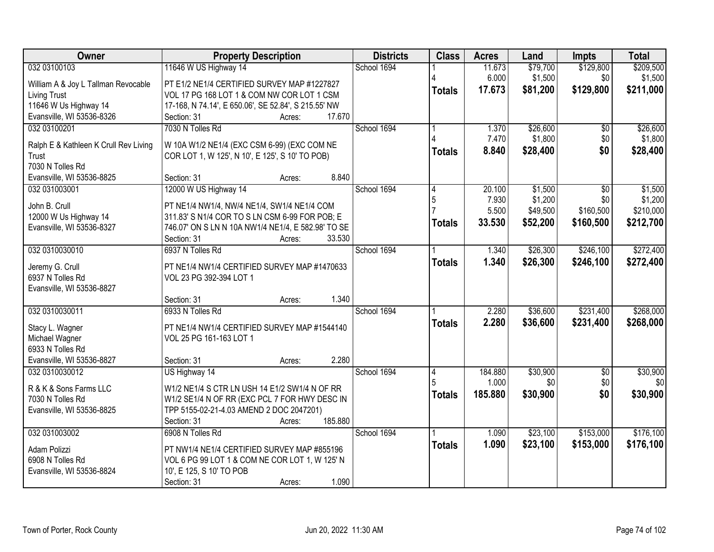| Owner                                 | <b>Property Description</b>                          | <b>Districts</b> | <b>Class</b>  | <b>Acres</b> | Land     | <b>Impts</b>    | <b>Total</b> |
|---------------------------------------|------------------------------------------------------|------------------|---------------|--------------|----------|-----------------|--------------|
| 032 03100103                          | 11646 W US Highway 14                                | School 1694      |               | 11.673       | \$79,700 | \$129,800       | \$209,500    |
| William A & Joy L Tallman Revocable   | PT E1/2 NE1/4 CERTIFIED SURVEY MAP #1227827          |                  |               | 6.000        | \$1,500  | \$0             | \$1,500      |
| <b>Living Trust</b>                   | VOL 17 PG 168 LOT 1 & COM NW COR LOT 1 CSM           |                  | <b>Totals</b> | 17.673       | \$81,200 | \$129,800       | \$211,000    |
| 11646 W Us Highway 14                 | 17-168, N 74.14', E 650.06', SE 52.84', S 215.55' NW |                  |               |              |          |                 |              |
| Evansville, WI 53536-8326             | 17.670<br>Section: 31<br>Acres:                      |                  |               |              |          |                 |              |
| 032 03100201                          | 7030 N Tolles Rd                                     | School 1694      |               | 1.370        | \$26,600 | $\overline{50}$ | \$26,600     |
|                                       |                                                      |                  |               | 7.470        | \$1,800  | \$0             | \$1,800      |
| Ralph E & Kathleen K Crull Rev Living | W 10A W1/2 NE1/4 (EXC CSM 6-99) (EXC COM NE          |                  | <b>Totals</b> | 8.840        | \$28,400 | \$0             | \$28,400     |
| Trust                                 | COR LOT 1, W 125', N 10', E 125', S 10' TO POB)      |                  |               |              |          |                 |              |
| 7030 N Tolles Rd                      |                                                      |                  |               |              |          |                 |              |
| Evansville, WI 53536-8825             | 8.840<br>Section: 31<br>Acres:                       |                  |               |              |          |                 |              |
| 032 031003001                         | 12000 W US Highway 14                                | School 1694      |               | 20.100       | \$1,500  | $\overline{50}$ | \$1,500      |
| John B. Crull                         | PT NE1/4 NW1/4, NW/4 NE1/4, SW1/4 NE1/4 COM          |                  | 5             | 7.930        | \$1,200  | \$0             | \$1,200      |
| 12000 W Us Highway 14                 | 311.83' S N1/4 COR TO S LN CSM 6-99 FOR POB; E       |                  |               | 5.500        | \$49,500 | \$160,500       | \$210,000    |
| Evansville, WI 53536-8327             | 746.07' ON S LN N 10A NW1/4 NE1/4, E 582.98' TO SE   |                  | Totals        | 33.530       | \$52,200 | \$160,500       | \$212,700    |
|                                       | 33.530<br>Section: 31<br>Acres:                      |                  |               |              |          |                 |              |
| 032 0310030010                        | 6937 N Tolles Rd                                     | School 1694      |               | 1.340        | \$26,300 | \$246,100       | \$272,400    |
|                                       |                                                      |                  | <b>Totals</b> | 1.340        | \$26,300 | \$246,100       | \$272,400    |
| Jeremy G. Crull                       | PT NE1/4 NW1/4 CERTIFIED SURVEY MAP #1470633         |                  |               |              |          |                 |              |
| 6937 N Tolles Rd                      | VOL 23 PG 392-394 LOT 1                              |                  |               |              |          |                 |              |
| Evansville, WI 53536-8827             |                                                      |                  |               |              |          |                 |              |
|                                       | 1.340<br>Section: 31<br>Acres:                       |                  |               |              |          |                 |              |
| 032 0310030011                        | 6933 N Tolles Rd                                     | School 1694      |               | 2.280        | \$36,600 | \$231,400       | \$268,000    |
| Stacy L. Wagner                       | PT NE1/4 NW1/4 CERTIFIED SURVEY MAP #1544140         |                  | <b>Totals</b> | 2.280        | \$36,600 | \$231,400       | \$268,000    |
| Michael Wagner                        | VOL 25 PG 161-163 LOT 1                              |                  |               |              |          |                 |              |
| 6933 N Tolles Rd                      |                                                      |                  |               |              |          |                 |              |
| Evansville, WI 53536-8827             | 2.280<br>Section: 31<br>Acres:                       |                  |               |              |          |                 |              |
| 032 0310030012                        | US Highway 14                                        | School 1694      | 4             | 184.880      | \$30,900 | $\overline{50}$ | \$30,900     |
|                                       |                                                      |                  |               | 1.000        | \$0      | \$0             | \$0          |
| R & K & Sons Farms LLC                | W1/2 NE1/4 S CTR LN USH 14 E1/2 SW1/4 N OF RR        |                  | <b>Totals</b> | 185.880      | \$30,900 | \$0             | \$30,900     |
| 7030 N Tolles Rd                      | W1/2 SE1/4 N OF RR (EXC PCL 7 FOR HWY DESC IN        |                  |               |              |          |                 |              |
| Evansville, WI 53536-8825             | TPP 5155-02-21-4.03 AMEND 2 DOC 2047201)             |                  |               |              |          |                 |              |
|                                       | 185.880<br>Section: 31<br>Acres:                     |                  |               |              |          |                 |              |
| 032 031003002                         | 6908 N Tolles Rd                                     | School 1694      |               | 1.090        | \$23,100 | \$153,000       | \$176,100    |
| Adam Polizzi                          | PT NW1/4 NE1/4 CERTIFIED SURVEY MAP #855196          |                  | Totals        | 1.090        | \$23,100 | \$153,000       | \$176,100    |
| 6908 N Tolles Rd                      | VOL 6 PG 99 LOT 1 & COM NE COR LOT 1, W 125' N       |                  |               |              |          |                 |              |
| Evansville, WI 53536-8824             | 10', E 125, S 10' TO POB                             |                  |               |              |          |                 |              |
|                                       | 1.090<br>Section: 31<br>Acres:                       |                  |               |              |          |                 |              |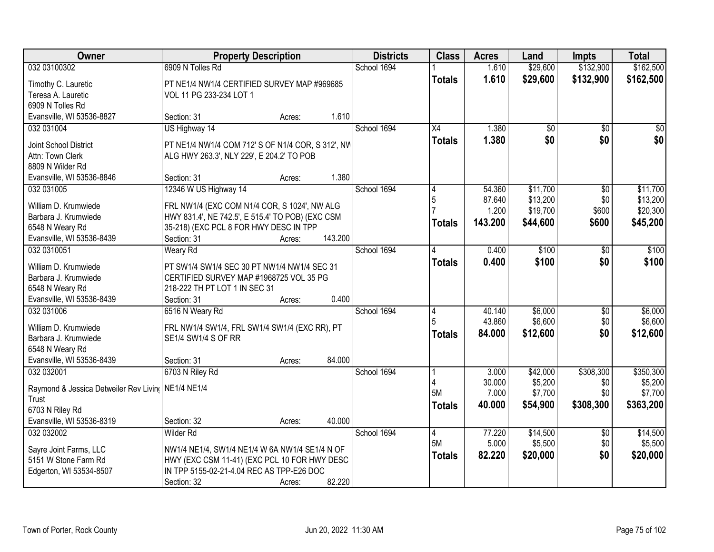| Owner                                              | <b>Property Description</b>                       |        |         | <b>Districts</b> | <b>Class</b>    | <b>Acres</b> | Land            | <b>Impts</b>    | <b>Total</b> |
|----------------------------------------------------|---------------------------------------------------|--------|---------|------------------|-----------------|--------------|-----------------|-----------------|--------------|
| 032 03100302                                       | 6909 N Tolles Rd                                  |        |         | School 1694      |                 | 1.610        | \$29,600        | \$132,900       | \$162,500    |
| Timothy C. Lauretic                                | PT NE1/4 NW1/4 CERTIFIED SURVEY MAP #969685       |        |         |                  | <b>Totals</b>   | 1.610        | \$29,600        | \$132,900       | \$162,500    |
| Teresa A. Lauretic                                 | VOL 11 PG 233-234 LOT 1                           |        |         |                  |                 |              |                 |                 |              |
| 6909 N Tolles Rd                                   |                                                   |        |         |                  |                 |              |                 |                 |              |
| Evansville, WI 53536-8827                          | Section: 31                                       | Acres: | 1.610   |                  |                 |              |                 |                 |              |
| 032 031004                                         | US Highway 14                                     |        |         | School 1694      | $\overline{X4}$ | 1.380        | $\overline{50}$ | \$0             | \$0          |
|                                                    |                                                   |        |         |                  | <b>Totals</b>   | 1.380        | \$0             | \$0             | \$0          |
| Joint School District                              | PT NE1/4 NW1/4 COM 712' S OF N1/4 COR, S 312', NW |        |         |                  |                 |              |                 |                 |              |
| Attn: Town Clerk                                   | ALG HWY 263.3', NLY 229', E 204.2' TO POB         |        |         |                  |                 |              |                 |                 |              |
| 8809 N Wilder Rd                                   | Section: 31                                       |        | 1.380   |                  |                 |              |                 |                 |              |
| Evansville, WI 53536-8846<br>032 031005            | 12346 W US Highway 14                             | Acres: |         | School 1694      |                 | 54.360       | \$11,700        |                 | \$11,700     |
|                                                    |                                                   |        |         |                  | 4<br>5          | 87.640       | \$13,200        | \$0<br>\$0      | \$13,200     |
| William D. Krumwiede                               | FRL NW1/4 (EXC COM N1/4 COR, S 1024', NW ALG      |        |         |                  |                 | 1.200        | \$19,700        | \$600           | \$20,300     |
| Barbara J. Krumwiede                               | HWY 831.4', NE 742.5', E 515.4' TO POB) (EXC CSM  |        |         |                  |                 |              |                 |                 |              |
| 6548 N Weary Rd                                    | 35-218) (EXC PCL 8 FOR HWY DESC IN TPP            |        |         |                  | <b>Totals</b>   | 143.200      | \$44,600        | \$600           | \$45,200     |
| Evansville, WI 53536-8439                          | Section: 31                                       | Acres: | 143.200 |                  |                 |              |                 |                 |              |
| 032 0310051                                        | <b>Weary Rd</b>                                   |        |         | School 1694      |                 | 0.400        | \$100           | \$0             | \$100        |
| William D. Krumwiede                               | PT SW1/4 SW1/4 SEC 30 PT NW1/4 NW1/4 SEC 31       |        |         |                  | <b>Totals</b>   | 0.400        | \$100           | \$0             | \$100        |
| Barbara J. Krumwiede                               | CERTIFIED SURVEY MAP #1968725 VOL 35 PG           |        |         |                  |                 |              |                 |                 |              |
| 6548 N Weary Rd                                    | 218-222 TH PT LOT 1 IN SEC 31                     |        |         |                  |                 |              |                 |                 |              |
| Evansville, WI 53536-8439                          | Section: 31                                       | Acres: | 0.400   |                  |                 |              |                 |                 |              |
| 032 031006                                         | 6516 N Weary Rd                                   |        |         | School 1694      | 4               | 40.140       | \$6,000         | $\overline{50}$ | \$6,000      |
|                                                    |                                                   |        |         |                  | 5               | 43.860       | \$6,600         | \$0             | \$6,600      |
| William D. Krumwiede                               | FRL NW1/4 SW1/4, FRL SW1/4 SW1/4 (EXC RR), PT     |        |         |                  |                 | 84.000       | \$12,600        | \$0             | \$12,600     |
| Barbara J. Krumwiede                               | SE1/4 SW1/4 S OF RR                               |        |         |                  | <b>Totals</b>   |              |                 |                 |              |
| 6548 N Weary Rd                                    |                                                   |        |         |                  |                 |              |                 |                 |              |
| Evansville, WI 53536-8439                          | Section: 31                                       | Acres: | 84.000  |                  |                 |              |                 |                 |              |
| 032 032001                                         | 6703 N Riley Rd                                   |        |         | School 1694      |                 | 3.000        | \$42,000        | \$308,300       | \$350,300    |
| Raymond & Jessica Detweiler Rev Livin( NE1/4 NE1/4 |                                                   |        |         |                  |                 | 30.000       | \$5,200         | \$0             | \$5,200      |
| Trust                                              |                                                   |        |         |                  | 5M              | 7.000        | \$7,700         | \$0             | \$7,700      |
| 6703 N Riley Rd                                    |                                                   |        |         |                  | <b>Totals</b>   | 40.000       | \$54,900        | \$308,300       | \$363,200    |
| Evansville, WI 53536-8319                          | Section: 32                                       | Acres: | 40.000  |                  |                 |              |                 |                 |              |
| 032 032002                                         | Wilder Rd                                         |        |         | School 1694      | 4               | 77.220       | \$14,500        | $\overline{60}$ | \$14,500     |
|                                                    |                                                   |        |         |                  | 5M              | 5.000        | \$5,500         | \$0             | \$5,500      |
| Sayre Joint Farms, LLC                             | NW1/4 NE1/4, SW1/4 NE1/4 W 6A NW1/4 SE1/4 N OF    |        |         |                  | <b>Totals</b>   | 82.220       | \$20,000        | \$0             | \$20,000     |
| 5151 W Stone Farm Rd                               | HWY (EXC CSM 11-41) (EXC PCL 10 FOR HWY DESC      |        |         |                  |                 |              |                 |                 |              |
| Edgerton, WI 53534-8507                            | IN TPP 5155-02-21-4.04 REC AS TPP-E26 DOC         |        |         |                  |                 |              |                 |                 |              |
|                                                    | Section: 32                                       | Acres: | 82.220  |                  |                 |              |                 |                 |              |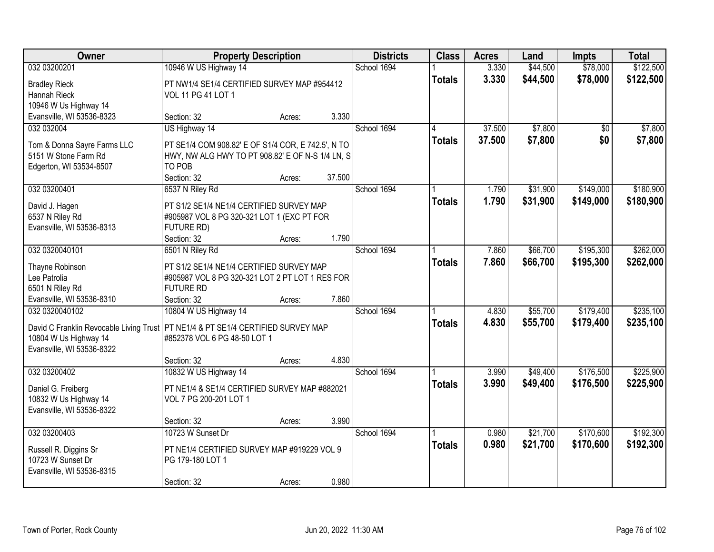| Owner                                                                              | <b>Property Description</b>                        |        |        | <b>Districts</b> | <b>Class</b>  | <b>Acres</b> | Land     | <b>Impts</b>    | <b>Total</b> |
|------------------------------------------------------------------------------------|----------------------------------------------------|--------|--------|------------------|---------------|--------------|----------|-----------------|--------------|
| 032 03200201                                                                       | 10946 W US Highway 14                              |        |        | School 1694      |               | 3.330        | \$44,500 | \$78,000        | \$122,500    |
| <b>Bradley Rieck</b>                                                               | PT NW1/4 SE1/4 CERTIFIED SURVEY MAP #954412        |        |        |                  | <b>Totals</b> | 3.330        | \$44,500 | \$78,000        | \$122,500    |
| Hannah Rieck                                                                       | VOL 11 PG 41 LOT 1                                 |        |        |                  |               |              |          |                 |              |
| 10946 W Us Highway 14                                                              |                                                    |        |        |                  |               |              |          |                 |              |
| Evansville, WI 53536-8323                                                          | Section: 32                                        | Acres: | 3.330  |                  |               |              |          |                 |              |
| 032 032004                                                                         | US Highway 14                                      |        |        | School 1694      |               | 37.500       | \$7,800  | $\overline{50}$ | \$7,800      |
|                                                                                    |                                                    |        |        |                  | <b>Totals</b> | 37.500       | \$7,800  | \$0             | \$7,800      |
| Tom & Donna Sayre Farms LLC                                                        | PT SE1/4 COM 908.82' E OF S1/4 COR, E 742.5', N TO |        |        |                  |               |              |          |                 |              |
| 5151 W Stone Farm Rd                                                               | HWY, NW ALG HWY TO PT 908.82' E OF N-S 1/4 LN, S   |        |        |                  |               |              |          |                 |              |
| Edgerton, WI 53534-8507                                                            | TO POB                                             |        | 37.500 |                  |               |              |          |                 |              |
|                                                                                    | Section: 32                                        | Acres: |        |                  |               |              |          |                 |              |
| 032 03200401                                                                       | 6537 N Riley Rd                                    |        |        | School 1694      |               | 1.790        | \$31,900 | \$149,000       | \$180,900    |
| David J. Hagen                                                                     | PT S1/2 SE1/4 NE1/4 CERTIFIED SURVEY MAP           |        |        |                  | <b>Totals</b> | 1.790        | \$31,900 | \$149,000       | \$180,900    |
| 6537 N Riley Rd                                                                    | #905987 VOL 8 PG 320-321 LOT 1 (EXC PT FOR         |        |        |                  |               |              |          |                 |              |
| Evansville, WI 53536-8313                                                          | FUTURE RD)                                         |        |        |                  |               |              |          |                 |              |
|                                                                                    | Section: 32                                        | Acres: | 1.790  |                  |               |              |          |                 |              |
| 032 0320040101                                                                     | 6501 N Riley Rd                                    |        |        | School 1694      |               | 7.860        | \$66,700 | \$195,300       | \$262,000    |
| Thayne Robinson                                                                    | PT S1/2 SE1/4 NE1/4 CERTIFIED SURVEY MAP           |        |        |                  | <b>Totals</b> | 7.860        | \$66,700 | \$195,300       | \$262,000    |
| Lee Patrolia                                                                       | #905987 VOL 8 PG 320-321 LOT 2 PT LOT 1 RES FOR    |        |        |                  |               |              |          |                 |              |
| 6501 N Riley Rd                                                                    | <b>FUTURE RD</b>                                   |        |        |                  |               |              |          |                 |              |
| Evansville, WI 53536-8310                                                          | Section: 32                                        | Acres: | 7.860  |                  |               |              |          |                 |              |
| 032 0320040102                                                                     | 10804 W US Highway 14                              |        |        | School 1694      |               | 4.830        | \$55,700 | \$179,400       | \$235,100    |
|                                                                                    |                                                    |        |        |                  | <b>Totals</b> | 4.830        | \$55,700 | \$179,400       | \$235,100    |
| David C Franklin Revocable Living Trust   PT NE1/4 & PT SE1/4 CERTIFIED SURVEY MAP |                                                    |        |        |                  |               |              |          |                 |              |
| 10804 W Us Highway 14                                                              | #852378 VOL 6 PG 48-50 LOT 1                       |        |        |                  |               |              |          |                 |              |
| Evansville, WI 53536-8322                                                          |                                                    |        |        |                  |               |              |          |                 |              |
|                                                                                    | Section: 32                                        | Acres: | 4.830  |                  |               |              |          |                 |              |
| 032 03200402                                                                       | 10832 W US Highway 14                              |        |        | School 1694      |               | 3.990        | \$49,400 | \$176,500       | \$225,900    |
| Daniel G. Freiberg                                                                 | PT NE1/4 & SE1/4 CERTIFIED SURVEY MAP #882021      |        |        |                  | <b>Totals</b> | 3.990        | \$49,400 | \$176,500       | \$225,900    |
| 10832 W Us Highway 14                                                              | VOL 7 PG 200-201 LOT 1                             |        |        |                  |               |              |          |                 |              |
| Evansville, WI 53536-8322                                                          |                                                    |        |        |                  |               |              |          |                 |              |
|                                                                                    | Section: 32                                        | Acres: | 3.990  |                  |               |              |          |                 |              |
| 032 03200403                                                                       | 10723 W Sunset Dr                                  |        |        | School 1694      |               | 0.980        | \$21,700 | \$170,600       | \$192,300    |
|                                                                                    |                                                    |        |        |                  | <b>Totals</b> | 0.980        | \$21,700 | \$170,600       | \$192,300    |
| Russell R. Diggins Sr                                                              | PT NE1/4 CERTIFIED SURVEY MAP #919229 VOL 9        |        |        |                  |               |              |          |                 |              |
| 10723 W Sunset Dr                                                                  | PG 179-180 LOT 1                                   |        |        |                  |               |              |          |                 |              |
| Evansville, WI 53536-8315                                                          |                                                    |        |        |                  |               |              |          |                 |              |
|                                                                                    | Section: 32                                        | Acres: | 0.980  |                  |               |              |          |                 |              |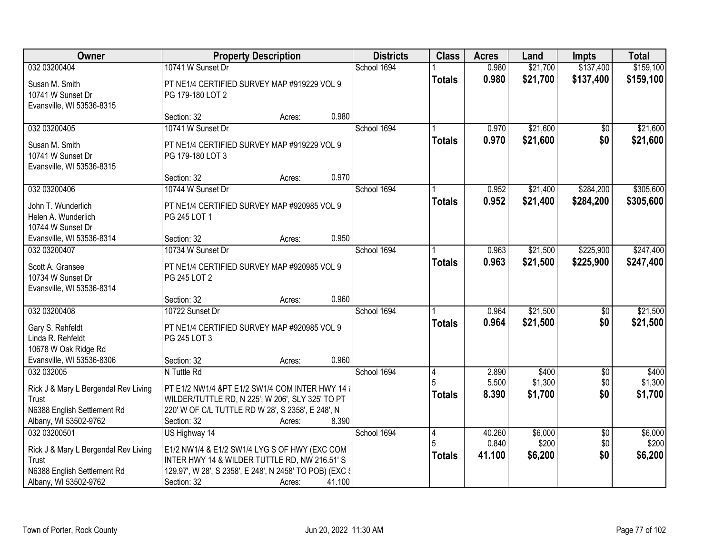| Owner                                                                                                                 | <b>Property Description</b>                                                                                                                                                              |        |        | <b>Districts</b> | <b>Class</b>       | <b>Acres</b>              | Land                        | <b>Impts</b>                  | <b>Total</b>                |
|-----------------------------------------------------------------------------------------------------------------------|------------------------------------------------------------------------------------------------------------------------------------------------------------------------------------------|--------|--------|------------------|--------------------|---------------------------|-----------------------------|-------------------------------|-----------------------------|
| 032 03200404                                                                                                          | 10741 W Sunset Dr                                                                                                                                                                        |        |        | School 1694      |                    | 0.980                     | \$21,700                    | \$137,400                     | \$159,100                   |
| Susan M. Smith<br>10741 W Sunset Dr<br>Evansville, WI 53536-8315                                                      | PT NE1/4 CERTIFIED SURVEY MAP #919229 VOL 9<br>PG 179-180 LOT 2                                                                                                                          |        |        |                  | <b>Totals</b>      | 0.980                     | \$21,700                    | \$137,400                     | \$159,100                   |
|                                                                                                                       | Section: 32                                                                                                                                                                              | Acres: | 0.980  |                  |                    |                           |                             |                               |                             |
| 032 03200405                                                                                                          | 10741 W Sunset Dr                                                                                                                                                                        |        |        | School 1694      |                    | 0.970                     | \$21,600                    | $\overline{50}$               | \$21,600                    |
| Susan M. Smith<br>10741 W Sunset Dr<br>Evansville, WI 53536-8315                                                      | PT NE1/4 CERTIFIED SURVEY MAP #919229 VOL 9<br>PG 179-180 LOT 3                                                                                                                          |        |        |                  | Totals             | 0.970                     | \$21,600                    | \$0                           | \$21,600                    |
|                                                                                                                       | Section: 32                                                                                                                                                                              | Acres: | 0.970  |                  |                    |                           |                             |                               |                             |
| 032 03200406                                                                                                          | 10744 W Sunset Dr                                                                                                                                                                        |        |        | School 1694      |                    | 0.952                     | \$21,400                    | \$284,200                     | \$305,600                   |
| John T. Wunderlich<br>Helen A. Wunderlich<br>10744 W Sunset Dr                                                        | PT NE1/4 CERTIFIED SURVEY MAP #920985 VOL 9<br>PG 245 LOT 1                                                                                                                              |        |        |                  | <b>Totals</b>      | 0.952                     | \$21,400                    | \$284,200                     | \$305,600                   |
| Evansville, WI 53536-8314                                                                                             | Section: 32                                                                                                                                                                              | Acres: | 0.950  |                  |                    |                           |                             |                               |                             |
| 032 03200407                                                                                                          | 10734 W Sunset Dr                                                                                                                                                                        |        |        | School 1694      |                    | 0.963                     | \$21,500                    | \$225,900                     | \$247,400                   |
| Scott A. Gransee<br>10734 W Sunset Dr<br>Evansville, WI 53536-8314                                                    | PT NE1/4 CERTIFIED SURVEY MAP #920985 VOL 9<br>PG 245 LOT 2                                                                                                                              |        |        |                  | <b>Totals</b>      | 0.963                     | \$21,500                    | \$225,900                     | \$247,400                   |
|                                                                                                                       | Section: 32                                                                                                                                                                              | Acres: | 0.960  |                  |                    |                           |                             |                               |                             |
| 032 03200408<br>Gary S. Rehfeldt<br>Linda R. Rehfeldt<br>10678 W Oak Ridge Rd                                         | 10722 Sunset Dr<br>PT NE1/4 CERTIFIED SURVEY MAP #920985 VOL 9<br>PG 245 LOT 3                                                                                                           |        |        | School 1694      | <b>Totals</b>      | 0.964<br>0.964            | \$21,500<br>\$21,500        | \$0<br>\$0                    | \$21,500<br>\$21,500        |
| Evansville, WI 53536-8306                                                                                             | Section: 32                                                                                                                                                                              | Acres: | 0.960  |                  |                    |                           |                             |                               |                             |
| 032 032005<br>Rick J & Mary L Bergendal Rev Living<br>Trust<br>N6388 English Settlement Rd<br>Albany, WI 53502-9762   | N Tuttle Rd<br>PT E1/2 NW1/4 &PT E1/2 SW1/4 COM INTER HWY 14 &<br>WILDER/TUTTLE RD, N 225', W 206', SLY 325' TO PT<br>220' W OF C/L TUTTLE RD W 28', S 2358', E 248', N<br>Section: 32   | Acres: | 8.390  | School 1694      | 4<br><b>Totals</b> | 2.890<br>5.500<br>8.390   | \$400<br>\$1,300<br>\$1,700 | $\sqrt{6}$<br>\$0<br>\$0      | \$400<br>\$1,300<br>\$1,700 |
| 032 03200501<br>Rick J & Mary L Bergendal Rev Living<br>Trust<br>N6388 English Settlement Rd<br>Albany, WI 53502-9762 | US Highway 14<br>E1/2 NW1/4 & E1/2 SW1/4 LYG S OF HWY (EXC COM<br>INTER HWY 14 & WILDER TUTTLE RD, NW 216.51'S<br>129.97', W 28', S 2358', E 248', N 2458' TO POB) (EXC {<br>Section: 32 | Acres: | 41.100 | School 1694      | 4<br><b>Totals</b> | 40.260<br>0.840<br>41.100 | \$6,000<br>\$200<br>\$6,200 | $\overline{30}$<br>\$0<br>\$0 | \$6,000<br>\$200<br>\$6,200 |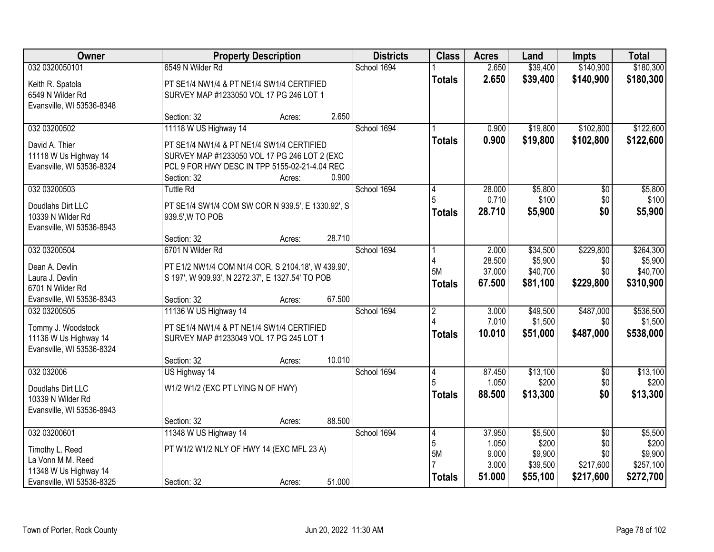| Owner                     | <b>Property Description</b>                        | <b>Districts</b> | <b>Class</b>   | <b>Acres</b>     | Land                 | Impts                  | <b>Total</b>          |
|---------------------------|----------------------------------------------------|------------------|----------------|------------------|----------------------|------------------------|-----------------------|
| 032 0320050101            | 6549 N Wilder Rd                                   | School 1694      |                | 2.650            | \$39,400             | \$140,900              | \$180,300             |
| Keith R. Spatola          | PT SE1/4 NW1/4 & PT NE1/4 SW1/4 CERTIFIED          |                  | <b>Totals</b>  | 2.650            | \$39,400             | \$140,900              | \$180,300             |
| 6549 N Wilder Rd          | SURVEY MAP #1233050 VOL 17 PG 246 LOT 1            |                  |                |                  |                      |                        |                       |
| Evansville, WI 53536-8348 |                                                    |                  |                |                  |                      |                        |                       |
|                           | 2.650<br>Section: 32<br>Acres:                     |                  |                |                  |                      |                        |                       |
| 032 03200502              | 11118 W US Highway 14                              | School 1694      |                | 0.900            | \$19,800             | \$102,800              | \$122,600             |
| David A. Thier            | PT SE1/4 NW1/4 & PT NE1/4 SW1/4 CERTIFIED          |                  | <b>Totals</b>  | 0.900            | \$19,800             | \$102,800              | \$122,600             |
| 11118 W Us Highway 14     | SURVEY MAP #1233050 VOL 17 PG 246 LOT 2 (EXC       |                  |                |                  |                      |                        |                       |
| Evansville, WI 53536-8324 | PCL 9 FOR HWY DESC IN TPP 5155-02-21-4.04 REC      |                  |                |                  |                      |                        |                       |
|                           | 0.900<br>Section: 32<br>Acres:                     |                  |                |                  |                      |                        |                       |
| 032 03200503              | <b>Tuttle Rd</b>                                   | School 1694      |                | 28.000           | \$5,800              | \$0                    | \$5,800               |
| Doudlahs Dirt LLC         | PT SE1/4 SW1/4 COM SW COR N 939.5', E 1330.92', S  |                  |                | 0.710            | \$100                | \$0                    | \$100                 |
| 10339 N Wilder Rd         | 939.5', W TO POB                                   |                  | <b>Totals</b>  | 28.710           | \$5,900              | \$0                    | \$5,900               |
| Evansville, WI 53536-8943 |                                                    |                  |                |                  |                      |                        |                       |
|                           | 28.710<br>Section: 32<br>Acres:                    |                  |                |                  |                      |                        |                       |
| 032 03200504              | 6701 N Wilder Rd                                   | School 1694      |                | 2.000            | \$34,500             | \$229,800              | \$264,300             |
| Dean A. Devlin            | PT E1/2 NW1/4 COM N1/4 COR, S 2104.18', W 439.90', |                  | 5M             | 28.500<br>37.000 | \$5,900              | \$0<br>\$0             | \$5,900               |
| Laura J. Devlin           | S 197', W 909.93', N 2272.37', E 1327.54' TO POB   |                  | <b>Totals</b>  | 67.500           | \$40,700<br>\$81,100 | \$229,800              | \$40,700<br>\$310,900 |
| 6701 N Wilder Rd          |                                                    |                  |                |                  |                      |                        |                       |
| Evansville, WI 53536-8343 | 67.500<br>Section: 32<br>Acres:                    |                  |                |                  |                      |                        |                       |
| 032 03200505              | 11136 W US Highway 14                              | School 1694      | $\overline{2}$ | 3.000            | \$49,500             | \$487,000              | \$536,500             |
| Tommy J. Woodstock        | PT SE1/4 NW1/4 & PT NE1/4 SW1/4 CERTIFIED          |                  |                | 7.010            | \$1,500              | \$0                    | \$1,500               |
| 11136 W Us Highway 14     | SURVEY MAP #1233049 VOL 17 PG 245 LOT 1            |                  | <b>Totals</b>  | 10.010           | \$51,000             | \$487,000              | \$538,000             |
| Evansville, WI 53536-8324 |                                                    |                  |                |                  |                      |                        |                       |
|                           | 10.010<br>Section: 32<br>Acres:                    |                  |                |                  |                      |                        |                       |
| 032 032006                | US Highway 14                                      | School 1694      | 4              | 87.450<br>1.050  | \$13,100<br>\$200    | $\overline{50}$<br>\$0 | \$13,100<br>\$200     |
| Doudlahs Dirt LLC         | W1/2 W1/2 (EXC PT LYING N OF HWY)                  |                  |                | 88.500           | \$13,300             | \$0                    | \$13,300              |
| 10339 N Wilder Rd         |                                                    |                  | <b>Totals</b>  |                  |                      |                        |                       |
| Evansville, WI 53536-8943 |                                                    |                  |                |                  |                      |                        |                       |
|                           | 88.500<br>Section: 32<br>Acres:                    |                  |                |                  |                      |                        |                       |
| 032 03200601              | 11348 W US Highway 14                              | School 1694      | 14<br>5        | 37,950<br>1.050  | \$5,500<br>\$200     | $\overline{30}$<br>\$0 | \$5,500<br>\$200      |
| Timothy L. Reed           | PT W1/2 W1/2 NLY OF HWY 14 (EXC MFL 23 A)          |                  | <b>5M</b>      | 9.000            | \$9,900              | \$0                    | \$9,900               |
| La Vonn M M. Reed         |                                                    |                  |                | 3.000            | \$39,500             | \$217,600              | \$257,100             |
| 11348 W Us Highway 14     |                                                    |                  | <b>Totals</b>  | 51.000           | \$55,100             | \$217,600              | \$272,700             |
| Evansville, WI 53536-8325 | 51.000<br>Section: 32<br>Acres:                    |                  |                |                  |                      |                        |                       |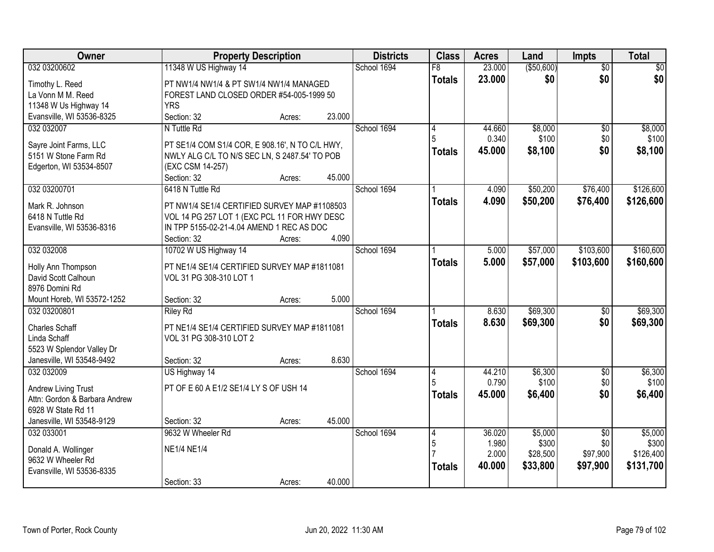| Owner                                                  | <b>Property Description</b>                                                                  | <b>Districts</b> | <b>Class</b> | <b>Acres</b>    | Land            | Impts            | <b>Total</b>           |                  |
|--------------------------------------------------------|----------------------------------------------------------------------------------------------|------------------|--------------|-----------------|-----------------|------------------|------------------------|------------------|
| 032 03200602                                           | 11348 W US Highway 14                                                                        |                  | School 1694  | $\overline{F8}$ | 23.000          | ( \$50,600)      | $\overline{50}$        | $\sqrt{30}$      |
| Timothy L. Reed                                        | PT NW1/4 NW1/4 & PT SW1/4 NW1/4 MANAGED                                                      |                  |              | <b>Totals</b>   | 23,000          | \$0              | \$0                    | \$0              |
| La Vonn M M. Reed                                      | FOREST LAND CLOSED ORDER #54-005-1999 50                                                     |                  |              |                 |                 |                  |                        |                  |
| 11348 W Us Highway 14                                  | <b>YRS</b>                                                                                   |                  |              |                 |                 |                  |                        |                  |
| Evansville, WI 53536-8325                              | Section: 32<br>Acres:                                                                        | 23.000           |              |                 |                 |                  |                        |                  |
| 032 032007                                             | N Tuttle Rd                                                                                  |                  | School 1694  | 4               | 44.660          | \$8,000          | \$0                    | \$8,000          |
| Sayre Joint Farms, LLC                                 | PT SE1/4 COM S1/4 COR, E 908.16', N TO C/L HWY,                                              |                  |              |                 | 0.340           | \$100            | \$0                    | \$100            |
| 5151 W Stone Farm Rd                                   | NWLY ALG C/L TO N/S SEC LN, S 2487.54' TO POB                                                |                  |              | <b>Totals</b>   | 45.000          | \$8,100          | \$0                    | \$8,100          |
| Edgerton, WI 53534-8507                                | (EXC CSM 14-257)                                                                             |                  |              |                 |                 |                  |                        |                  |
|                                                        | Section: 32<br>Acres:                                                                        | 45.000           |              |                 |                 |                  |                        |                  |
| 032 03200701                                           | 6418 N Tuttle Rd                                                                             |                  | School 1694  |                 | 4.090           | \$50,200         | \$76,400               | \$126,600        |
| Mark R. Johnson                                        |                                                                                              |                  |              | <b>Totals</b>   | 4.090           | \$50,200         | \$76,400               | \$126,600        |
| 6418 N Tuttle Rd                                       | PT NW1/4 SE1/4 CERTIFIED SURVEY MAP #1108503<br>VOL 14 PG 257 LOT 1 (EXC PCL 11 FOR HWY DESC |                  |              |                 |                 |                  |                        |                  |
| Evansville, WI 53536-8316                              | IN TPP 5155-02-21-4.04 AMEND 1 REC AS DOC                                                    |                  |              |                 |                 |                  |                        |                  |
|                                                        | Section: 32<br>Acres:                                                                        | 4.090            |              |                 |                 |                  |                        |                  |
| 032 032008                                             | 10702 W US Highway 14                                                                        |                  | School 1694  |                 | 5.000           | \$57,000         | \$103,600              | \$160,600        |
|                                                        |                                                                                              |                  |              | <b>Totals</b>   | 5.000           | \$57,000         | \$103,600              | \$160,600        |
| Holly Ann Thompson<br>David Scott Calhoun              | PT NE1/4 SE1/4 CERTIFIED SURVEY MAP #1811081<br>VOL 31 PG 308-310 LOT 1                      |                  |              |                 |                 |                  |                        |                  |
| 8976 Domini Rd                                         |                                                                                              |                  |              |                 |                 |                  |                        |                  |
| Mount Horeb, WI 53572-1252                             | Section: 32<br>Acres:                                                                        | 5.000            |              |                 |                 |                  |                        |                  |
| 032 03200801                                           | <b>Riley Rd</b>                                                                              |                  | School 1694  |                 | 8.630           | \$69,300         | $\overline{50}$        | \$69,300         |
|                                                        |                                                                                              |                  |              | <b>Totals</b>   | 8.630           | \$69,300         | \$0                    | \$69,300         |
| <b>Charles Schaff</b>                                  | PT NE1/4 SE1/4 CERTIFIED SURVEY MAP #1811081                                                 |                  |              |                 |                 |                  |                        |                  |
| Linda Schaff                                           | VOL 31 PG 308-310 LOT 2                                                                      |                  |              |                 |                 |                  |                        |                  |
| 5523 W Splendor Valley Dr<br>Janesville, WI 53548-9492 | Section: 32                                                                                  | 8.630            |              |                 |                 |                  |                        |                  |
| 032 032009                                             | Acres:<br>US Highway 14                                                                      |                  | School 1694  | $\overline{4}$  | 44.210          | \$6,300          | $\overline{50}$        | \$6,300          |
|                                                        |                                                                                              |                  |              |                 | 0.790           | \$100            | \$0                    | \$100            |
| Andrew Living Trust                                    | PT OF E 60 A E1/2 SE1/4 LY S OF USH 14                                                       |                  |              | <b>Totals</b>   | 45.000          | \$6,400          | \$0                    | \$6,400          |
| Attn: Gordon & Barbara Andrew                          |                                                                                              |                  |              |                 |                 |                  |                        |                  |
| 6928 W State Rd 11                                     |                                                                                              |                  |              |                 |                 |                  |                        |                  |
| Janesville, WI 53548-9129                              | Section: 32<br>Acres:                                                                        | 45.000           |              |                 |                 |                  |                        |                  |
| 032 033001                                             | 9632 W Wheeler Rd                                                                            |                  | School 1694  | 4<br>5          | 36.020<br>1.980 | \$5,000<br>\$300 | $\overline{50}$<br>\$0 | \$5,000<br>\$300 |
| Donald A. Wollinger                                    | <b>NE1/4 NE1/4</b>                                                                           |                  |              |                 | 2.000           | \$28,500         | \$97,900               | \$126,400        |
| 9632 W Wheeler Rd                                      |                                                                                              |                  |              | <b>Totals</b>   | 40.000          | \$33,800         | \$97,900               | \$131,700        |
| Evansville, WI 53536-8335                              |                                                                                              |                  |              |                 |                 |                  |                        |                  |
|                                                        | Section: 33<br>Acres:                                                                        | 40.000           |              |                 |                 |                  |                        |                  |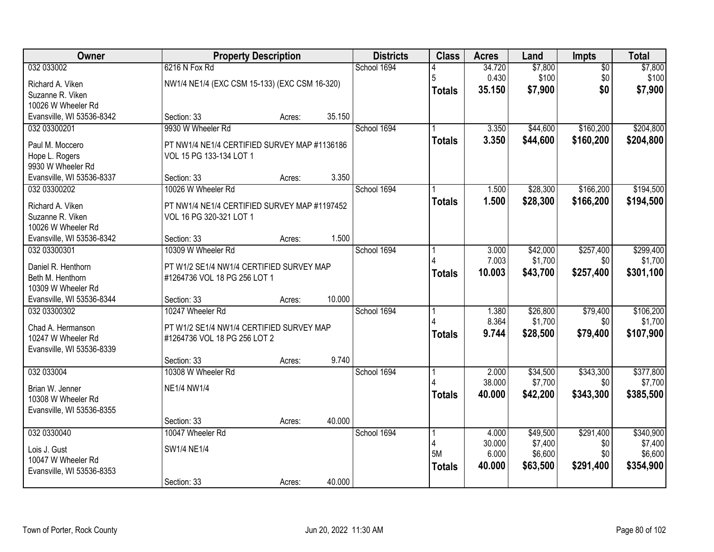| Owner                                     |                                                                          | <b>Property Description</b> |        |             | <b>Class</b>  | <b>Acres</b>    | Land                | Impts                  | <b>Total</b>         |
|-------------------------------------------|--------------------------------------------------------------------------|-----------------------------|--------|-------------|---------------|-----------------|---------------------|------------------------|----------------------|
| 032 033002                                | 6216 N Fox Rd                                                            |                             |        | School 1694 |               | 34.720<br>0.430 | \$7,800<br>\$100    | $\overline{50}$<br>\$0 | \$7,800<br>\$100     |
| Richard A. Viken<br>Suzanne R. Viken      | NW1/4 NE1/4 (EXC CSM 15-133) (EXC CSM 16-320)                            |                             |        |             | <b>Totals</b> | 35.150          | \$7,900             | \$0                    | \$7,900              |
| 10026 W Wheeler Rd                        |                                                                          |                             |        |             |               |                 |                     |                        |                      |
| Evansville, WI 53536-8342                 | Section: 33                                                              | Acres:                      | 35.150 |             |               |                 |                     |                        |                      |
| 032 03300201                              | 9930 W Wheeler Rd                                                        |                             |        | School 1694 |               | 3.350           | \$44,600            | \$160,200              | \$204,800            |
| Paul M. Moccero                           | PT NW1/4 NE1/4 CERTIFIED SURVEY MAP #1136186                             |                             |        |             | <b>Totals</b> | 3.350           | \$44,600            | \$160,200              | \$204,800            |
| Hope L. Rogers                            | VOL 15 PG 133-134 LOT 1                                                  |                             |        |             |               |                 |                     |                        |                      |
| 9930 W Wheeler Rd                         |                                                                          |                             |        |             |               |                 |                     |                        |                      |
| Evansville, WI 53536-8337                 | Section: 33                                                              | Acres:                      | 3.350  |             |               |                 |                     |                        |                      |
| 032 03300202                              | 10026 W Wheeler Rd                                                       |                             |        | School 1694 |               | 1.500           | \$28,300            | \$166,200              | \$194,500            |
| Richard A. Viken                          | PT NW1/4 NE1/4 CERTIFIED SURVEY MAP #1197452                             |                             |        |             | <b>Totals</b> | 1.500           | \$28,300            | \$166,200              | \$194,500            |
| Suzanne R. Viken                          | VOL 16 PG 320-321 LOT 1                                                  |                             |        |             |               |                 |                     |                        |                      |
| 10026 W Wheeler Rd                        |                                                                          |                             | 1.500  |             |               |                 |                     |                        |                      |
| Evansville, WI 53536-8342<br>032 03300301 | Section: 33<br>10309 W Wheeler Rd                                        | Acres:                      |        | School 1694 |               | 3.000           | \$42,000            | \$257,400              | \$299,400            |
|                                           |                                                                          |                             |        |             |               | 7.003           | \$1,700             | \$0                    | \$1,700              |
| Daniel R. Henthorn                        | PT W1/2 SE1/4 NW1/4 CERTIFIED SURVEY MAP                                 |                             |        |             | <b>Totals</b> | 10.003          | \$43,700            | \$257,400              | \$301,100            |
| Beth M. Henthorn<br>10309 W Wheeler Rd    | #1264736 VOL 18 PG 256 LOT 1                                             |                             |        |             |               |                 |                     |                        |                      |
| Evansville, WI 53536-8344                 | Section: 33                                                              | Acres:                      | 10.000 |             |               |                 |                     |                        |                      |
| 032 03300302                              | 10247 Wheeler Rd                                                         |                             |        | School 1694 |               | 1.380           | \$26,800            | \$79,400               | \$106,200            |
|                                           |                                                                          |                             |        |             |               | 8.364           | \$1,700             | \$0                    | \$1,700              |
| Chad A. Hermanson<br>10247 W Wheeler Rd   | PT W1/2 SE1/4 NW1/4 CERTIFIED SURVEY MAP<br>#1264736 VOL 18 PG 256 LOT 2 |                             |        |             | <b>Totals</b> | 9.744           | \$28,500            | \$79,400               | \$107,900            |
| Evansville, WI 53536-8339                 |                                                                          |                             |        |             |               |                 |                     |                        |                      |
|                                           | Section: 33                                                              | Acres:                      | 9.740  |             |               |                 |                     |                        |                      |
| 032 033004                                | 10308 W Wheeler Rd                                                       |                             |        | School 1694 |               | 2.000           | \$34,500            | \$343,300              | \$377,800            |
| Brian W. Jenner                           | <b>NE1/4 NW1/4</b>                                                       |                             |        |             |               | 38.000          | \$7,700             | \$0                    | \$7,700              |
| 10308 W Wheeler Rd                        |                                                                          |                             |        |             | <b>Totals</b> | 40.000          | \$42,200            | \$343,300              | \$385,500            |
| Evansville, WI 53536-8355                 |                                                                          |                             |        |             |               |                 |                     |                        |                      |
|                                           | Section: 33                                                              | Acres:                      | 40.000 |             |               |                 |                     |                        |                      |
| 032 0330040                               | 10047 Wheeler Rd                                                         |                             |        | School 1694 |               | 4.000<br>30.000 | \$49,500<br>\$7,400 | \$291,400<br>\$0       | \$340,900<br>\$7,400 |
| Lois J. Gust                              | SW1/4 NE1/4                                                              |                             |        |             | 5M            | 6.000           | \$6,600             | \$0                    | \$6,600              |
| 10047 W Wheeler Rd                        |                                                                          |                             |        |             | <b>Totals</b> | 40.000          | \$63,500            | \$291,400              | \$354,900            |
| Evansville, WI 53536-8353                 |                                                                          |                             |        |             |               |                 |                     |                        |                      |
|                                           | Section: 33                                                              | Acres:                      | 40.000 |             |               |                 |                     |                        |                      |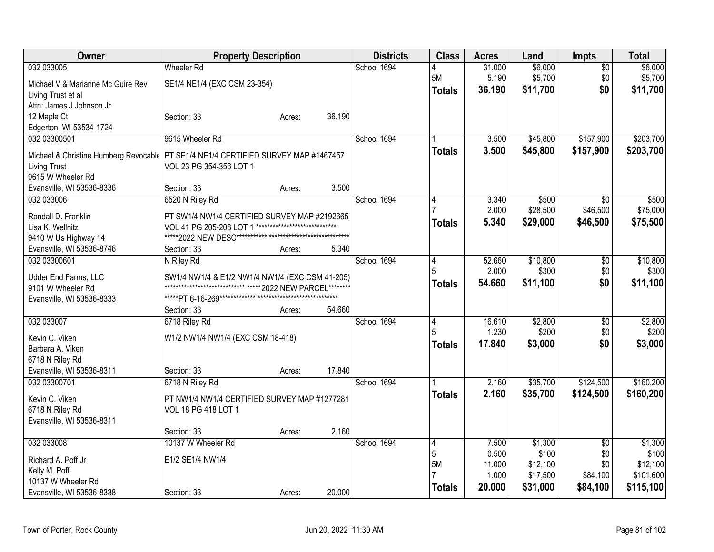| Owner                                                                                | <b>Property Description</b>                                 |                                |        | <b>Districts</b> | <b>Class</b>   | <b>Acres</b> | Land     | <b>Impts</b>    | <b>Total</b> |
|--------------------------------------------------------------------------------------|-------------------------------------------------------------|--------------------------------|--------|------------------|----------------|--------------|----------|-----------------|--------------|
| 032 033005                                                                           | <b>Wheeler Rd</b>                                           |                                |        | School 1694      |                | 31.000       | \$6,000  | $\overline{50}$ | \$6,000      |
| Michael V & Marianne Mc Guire Rev                                                    | SE1/4 NE1/4 (EXC CSM 23-354)                                |                                |        |                  | 5M             | 5.190        | \$5,700  | \$0             | \$5,700      |
| Living Trust et al                                                                   |                                                             |                                |        |                  | <b>Totals</b>  | 36.190       | \$11,700 | \$0             | \$11,700     |
| Attn: James J Johnson Jr                                                             |                                                             |                                |        |                  |                |              |          |                 |              |
| 12 Maple Ct                                                                          | Section: 33                                                 | Acres:                         | 36.190 |                  |                |              |          |                 |              |
| Edgerton, WI 53534-1724                                                              |                                                             |                                |        |                  |                |              |          |                 |              |
| 032 03300501                                                                         | 9615 Wheeler Rd                                             |                                |        | School 1694      |                | 3.500        | \$45,800 | \$157,900       | \$203,700    |
| Michael & Christine Humberg Revocable   PT SE1/4 NE1/4 CERTIFIED SURVEY MAP #1467457 |                                                             |                                |        |                  | <b>Totals</b>  | 3.500        | \$45,800 | \$157,900       | \$203,700    |
| <b>Living Trust</b>                                                                  | VOL 23 PG 354-356 LOT 1                                     |                                |        |                  |                |              |          |                 |              |
| 9615 W Wheeler Rd                                                                    |                                                             |                                |        |                  |                |              |          |                 |              |
| Evansville, WI 53536-8336                                                            | Section: 33                                                 | Acres:                         | 3.500  |                  |                |              |          |                 |              |
| 032 033006                                                                           | 6520 N Riley Rd                                             |                                |        | School 1694      | 4              | 3.340        | \$500    | $\overline{50}$ | \$500        |
|                                                                                      |                                                             |                                |        |                  |                | 2.000        | \$28,500 | \$46,500        | \$75,000     |
| Randall D. Franklin                                                                  | PT SW1/4 NW1/4 CERTIFIED SURVEY MAP #2192665                | ****************************** |        |                  | <b>Totals</b>  | 5.340        | \$29,000 | \$46,500        | \$75,500     |
| Lisa K. Wellnitz                                                                     | VOL 41 PG 205-208 LOT 1                                     |                                |        |                  |                |              |          |                 |              |
| 9410 W Us Highway 14                                                                 |                                                             |                                | 5.340  |                  |                |              |          |                 |              |
| Evansville, WI 53536-8746<br>032 03300601                                            | Section: 33                                                 | Acres:                         |        | School 1694      |                | 52.660       | \$10,800 |                 | \$10,800     |
|                                                                                      | N Riley Rd                                                  |                                |        |                  | 4<br>5         | 2.000        | \$300    | \$0<br>\$0      | \$300        |
| Udder End Farms, LLC                                                                 | SW1/4 NW1/4 & E1/2 NW1/4 NW1/4 (EXC CSM 41-205)             |                                |        |                  |                | 54.660       | \$11,100 | \$0             | \$11,100     |
| 9101 W Wheeler Rd                                                                    | ***************************** ***** 2022 NEW PARCEL******** |                                |        |                  | <b>Totals</b>  |              |          |                 |              |
| Evansville, WI 53536-8333                                                            |                                                             |                                |        |                  |                |              |          |                 |              |
|                                                                                      | Section: 33                                                 | Acres:                         | 54.660 |                  |                |              |          |                 |              |
| 032 033007                                                                           | 6718 Riley Rd                                               |                                |        | School 1694      | 4              | 16.610       | \$2,800  | \$0             | \$2,800      |
| Kevin C. Viken                                                                       | W1/2 NW1/4 NW1/4 (EXC CSM 18-418)                           |                                |        |                  | 5              | 1.230        | \$200    | \$0             | \$200        |
| Barbara A. Viken                                                                     |                                                             |                                |        |                  | Totals         | 17.840       | \$3,000  | \$0             | \$3,000      |
| 6718 N Riley Rd                                                                      |                                                             |                                |        |                  |                |              |          |                 |              |
| Evansville, WI 53536-8311                                                            | Section: 33                                                 | Acres:                         | 17.840 |                  |                |              |          |                 |              |
| 032 03300701                                                                         | 6718 N Riley Rd                                             |                                |        | School 1694      |                | 2.160        | \$35,700 | \$124,500       | \$160,200    |
| Kevin C. Viken                                                                       | PT NW1/4 NW1/4 CERTIFIED SURVEY MAP #1277281                |                                |        |                  | <b>Totals</b>  | 2.160        | \$35,700 | \$124,500       | \$160,200    |
| 6718 N Riley Rd                                                                      | VOL 18 PG 418 LOT 1                                         |                                |        |                  |                |              |          |                 |              |
| Evansville, WI 53536-8311                                                            |                                                             |                                |        |                  |                |              |          |                 |              |
|                                                                                      | Section: 33                                                 | Acres:                         | 2.160  |                  |                |              |          |                 |              |
| 032 033008                                                                           | 10137 W Wheeler Rd                                          |                                |        | School 1694      | $\overline{4}$ | 7.500        | \$1,300  | $\overline{50}$ | \$1,300      |
|                                                                                      |                                                             |                                |        |                  | 5              | 0.500        | \$100    | \$0             | \$100        |
| Richard A. Poff Jr                                                                   | E1/2 SE1/4 NW1/4                                            |                                |        |                  | <b>5M</b>      | 11.000       | \$12,100 | \$0             | \$12,100     |
| Kelly M. Poff                                                                        |                                                             |                                |        |                  |                | 1.000        | \$17,500 | \$84,100        | \$101,600    |
| 10137 W Wheeler Rd                                                                   |                                                             |                                |        |                  | Totals         | 20.000       | \$31,000 | \$84,100        | \$115,100    |
| Evansville, WI 53536-8338                                                            | Section: 33                                                 | Acres:                         | 20.000 |                  |                |              |          |                 |              |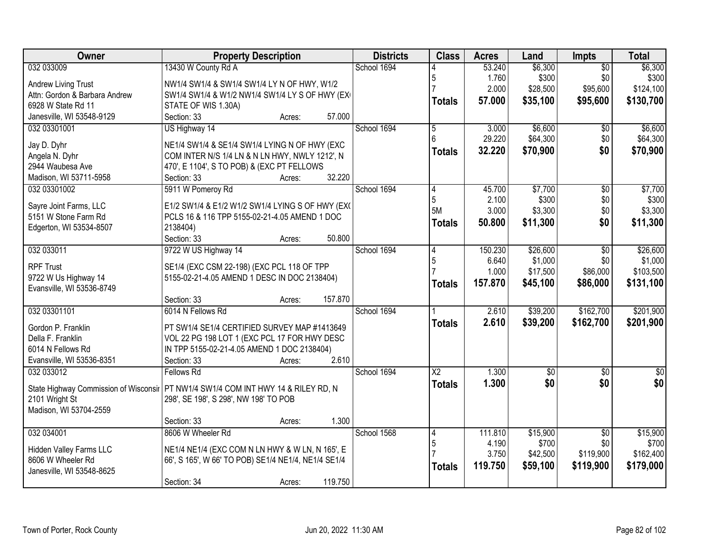| Owner                         | <b>Property Description</b>                                                         | <b>Districts</b> | <b>Class</b>           | <b>Acres</b>    | Land             | <b>Impts</b>          | <b>Total</b>     |
|-------------------------------|-------------------------------------------------------------------------------------|------------------|------------------------|-----------------|------------------|-----------------------|------------------|
| 032 033009                    | 13430 W County Rd A                                                                 | School 1694      |                        | 53.240          | \$6,300          | $\overline{50}$       | \$6,300          |
| <b>Andrew Living Trust</b>    | NW1/4 SW1/4 & SW1/4 SW1/4 LY N OF HWY, W1/2                                         |                  | 5                      | 1.760           | \$300            | \$0                   | \$300            |
| Attn: Gordon & Barbara Andrew | SW1/4 SW1/4 & W1/2 NW1/4 SW1/4 LY S OF HWY (EX)                                     |                  |                        | 2.000           | \$28,500         | \$95,600              | \$124,100        |
| 6928 W State Rd 11            | STATE OF WIS 1.30A)                                                                 |                  | <b>Totals</b>          | 57.000          | \$35,100         | \$95,600              | \$130,700        |
| Janesville, WI 53548-9129     | 57.000<br>Section: 33<br>Acres:                                                     |                  |                        |                 |                  |                       |                  |
| 032 03301001                  | US Highway 14                                                                       | School 1694      | 5                      | 3.000           | \$6,600          | \$0                   | \$6,600          |
|                               |                                                                                     |                  |                        | 29.220          | \$64,300         | \$0                   | \$64,300         |
| Jay D. Dyhr                   | NE1/4 SW1/4 & SE1/4 SW1/4 LYING N OF HWY (EXC                                       |                  | <b>Totals</b>          | 32.220          | \$70,900         | \$0                   | \$70,900         |
| Angela N. Dyhr                | COM INTER N/S 1/4 LN & N LN HWY, NWLY 1212', N                                      |                  |                        |                 |                  |                       |                  |
| 2944 Waubesa Ave              | 470', E 1104', S TO POB) & (EXC PT FELLOWS<br>32.220                                |                  |                        |                 |                  |                       |                  |
| Madison, WI 53711-5958        | Section: 33<br>Acres:                                                               |                  |                        |                 |                  |                       |                  |
| 032 03301002                  | 5911 W Pomeroy Rd                                                                   | School 1694      | 14<br>5                | 45.700<br>2.100 | \$7,700<br>\$300 | $\sqrt[6]{30}$<br>\$0 | \$7,700<br>\$300 |
| Sayre Joint Farms, LLC        | E1/2 SW1/4 & E1/2 W1/2 SW1/4 LYING S OF HWY (EXC                                    |                  | 5M                     | 3.000           | \$3,300          | \$0                   | \$3,300          |
| 5151 W Stone Farm Rd          | PCLS 16 & 116 TPP 5155-02-21-4.05 AMEND 1 DOC                                       |                  |                        | 50.800          | \$11,300         | \$0                   | \$11,300         |
| Edgerton, WI 53534-8507       | 2138404)                                                                            |                  | <b>Totals</b>          |                 |                  |                       |                  |
|                               | 50.800<br>Section: 33<br>Acres:                                                     |                  |                        |                 |                  |                       |                  |
| 032 033011                    | 9722 W US Highway 14                                                                | School 1694      | 14                     | 150.230         | \$26,600         | \$0                   | \$26,600         |
| <b>RPF Trust</b>              | SE1/4 (EXC CSM 22-198) (EXC PCL 118 OF TPP                                          |                  | 5                      | 6.640           | \$1,000          | \$0                   | \$1,000          |
| 9722 W Us Highway 14          | 5155-02-21-4.05 AMEND 1 DESC IN DOC 2138404)                                        |                  |                        | 1.000           | \$17,500         | \$86,000              | \$103,500        |
| Evansville, WI 53536-8749     |                                                                                     |                  | <b>Totals</b>          | 157.870         | \$45,100         | \$86,000              | \$131,100        |
|                               | 157.870<br>Section: 33<br>Acres:                                                    |                  |                        |                 |                  |                       |                  |
| 032 03301101                  | 6014 N Fellows Rd                                                                   | School 1694      |                        | 2.610           | \$39,200         | \$162,700             | \$201,900        |
|                               |                                                                                     |                  | <b>Totals</b>          | 2.610           | \$39,200         | \$162,700             | \$201,900        |
| Gordon P. Franklin            | PT SW1/4 SE1/4 CERTIFIED SURVEY MAP #1413649                                        |                  |                        |                 |                  |                       |                  |
| Della F. Franklin             | VOL 22 PG 198 LOT 1 (EXC PCL 17 FOR HWY DESC                                        |                  |                        |                 |                  |                       |                  |
| 6014 N Fellows Rd             | IN TPP 5155-02-21-4.05 AMEND 1 DOC 2138404)                                         |                  |                        |                 |                  |                       |                  |
| Evansville, WI 53536-8351     | 2.610<br>Section: 33<br>Acres:                                                      |                  |                        |                 |                  |                       |                  |
| 032 033012                    | <b>Fellows Rd</b>                                                                   | School 1694      | $\overline{\text{X2}}$ | 1.300           | $\sqrt{50}$      | $\overline{50}$       | $\overline{50}$  |
|                               | State Highway Commission of Wisconsir   PT NW1/4 SW1/4 COM INT HWY 14 & RILEY RD, N |                  | <b>Totals</b>          | 1.300           | \$0              | \$0                   | \$0              |
| 2101 Wright St                | 298', SE 198', S 298', NW 198' TO POB                                               |                  |                        |                 |                  |                       |                  |
| Madison, WI 53704-2559        |                                                                                     |                  |                        |                 |                  |                       |                  |
|                               | 1.300<br>Section: 33<br>Acres:                                                      |                  |                        |                 |                  |                       |                  |
| 032 034001                    | 8606 W Wheeler Rd                                                                   | School 1568      | 14                     | 111.810         | \$15,900         | $\overline{30}$       | \$15,900         |
| Hidden Valley Farms LLC       | NE1/4 NE1/4 (EXC COM N LN HWY & W LN, N 165', E                                     |                  | $\overline{5}$         | 4.190           | \$700            | \$0                   | \$700            |
| 8606 W Wheeler Rd             | 66', S 165', W 66' TO POB) SE1/4 NE1/4, NE1/4 SE1/4                                 |                  |                        | 3.750           | \$42,500         | \$119,900             | \$162,400        |
| Janesville, WI 53548-8625     |                                                                                     |                  | <b>Totals</b>          | 119.750         | \$59,100         | \$119,900             | \$179,000        |
|                               | 119.750<br>Section: 34<br>Acres:                                                    |                  |                        |                 |                  |                       |                  |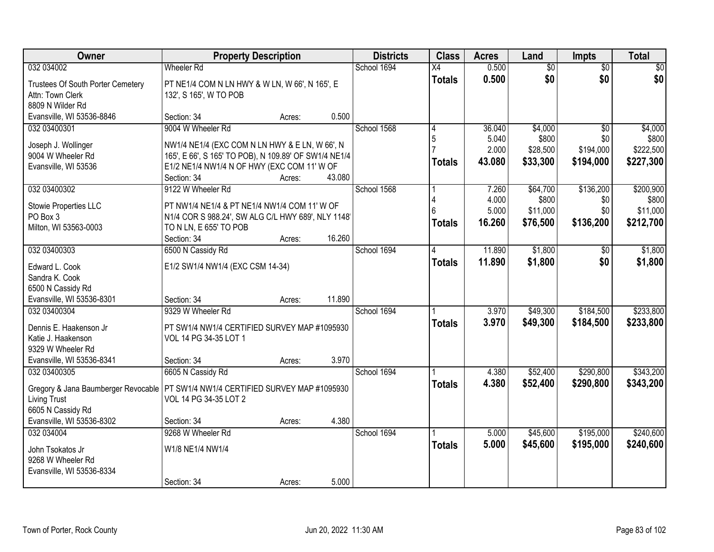| Owner                                     | <b>Property Description</b>                           |        |        | <b>Districts</b> | <b>Class</b>    | <b>Acres</b> | Land            | Impts           | <b>Total</b> |
|-------------------------------------------|-------------------------------------------------------|--------|--------|------------------|-----------------|--------------|-----------------|-----------------|--------------|
| 032 034002                                | <b>Wheeler Rd</b>                                     |        |        | School 1694      | $\overline{X4}$ | 0.500        | $\overline{60}$ | $\overline{50}$ | \$0          |
| Trustees Of South Porter Cemetery         | PT NE1/4 COM N LN HWY & W LN, W 66', N 165', E        |        |        |                  | <b>Totals</b>   | 0.500        | \$0             | \$0             | \$0          |
| Attn: Town Clerk                          | 132', S 165', W TO POB                                |        |        |                  |                 |              |                 |                 |              |
| 8809 N Wilder Rd                          |                                                       |        |        |                  |                 |              |                 |                 |              |
| Evansville, WI 53536-8846                 | Section: 34                                           | Acres: | 0.500  |                  |                 |              |                 |                 |              |
| 032 03400301                              | 9004 W Wheeler Rd                                     |        |        | School 1568      | 14              | 36.040       | \$4,000         | $\overline{50}$ | \$4,000      |
| Joseph J. Wollinger                       | NW1/4 NE1/4 (EXC COM N LN HWY & E LN, W 66', N        |        |        |                  | 5               | 5.040        | \$800           | \$0             | \$800        |
| 9004 W Wheeler Rd                         | 165', E 66', S 165' TO POB), N 109.89' OF SW1/4 NE1/4 |        |        |                  |                 | 2.000        | \$28,500        | \$194,000       | \$222,500    |
| Evansville, WI 53536                      | E1/2 NE1/4 NW1/4 N OF HWY (EXC COM 11' W OF           |        |        |                  | <b>Totals</b>   | 43.080       | \$33,300        | \$194,000       | \$227,300    |
|                                           | Section: 34                                           | Acres: | 43.080 |                  |                 |              |                 |                 |              |
| 032 03400302                              | 9122 W Wheeler Rd                                     |        |        | School 1568      |                 | 7.260        | \$64,700        | \$136,200       | \$200,900    |
| Stowie Properties LLC                     | PT NW1/4 NE1/4 & PT NE1/4 NW1/4 COM 11' W OF          |        |        |                  |                 | 4.000        | \$800           | \$0             | \$800        |
| PO Box 3                                  | N1/4 COR S 988.24', SW ALG C/L HWY 689', NLY 1148'    |        |        |                  |                 | 5.000        | \$11,000        | \$0             | \$11,000     |
| Milton, WI 53563-0003                     | TO N LN, E 655' TO POB                                |        |        |                  | <b>Totals</b>   | 16.260       | \$76,500        | \$136,200       | \$212,700    |
|                                           | Section: 34                                           | Acres: | 16.260 |                  |                 |              |                 |                 |              |
| 032 03400303                              | 6500 N Cassidy Rd                                     |        |        | School 1694      | 4               | 11.890       | \$1,800         | $\frac{1}{20}$  | \$1,800      |
|                                           |                                                       |        |        |                  | <b>Totals</b>   | 11.890       | \$1,800         | \$0             | \$1,800      |
| Edward L. Cook                            | E1/2 SW1/4 NW1/4 (EXC CSM 14-34)                      |        |        |                  |                 |              |                 |                 |              |
| Sandra K. Cook<br>6500 N Cassidy Rd       |                                                       |        |        |                  |                 |              |                 |                 |              |
| Evansville, WI 53536-8301                 | Section: 34                                           | Acres: | 11.890 |                  |                 |              |                 |                 |              |
| 032 03400304                              | 9329 W Wheeler Rd                                     |        |        | School 1694      |                 | 3.970        | \$49,300        | \$184,500       | \$233,800    |
|                                           |                                                       |        |        |                  | <b>Totals</b>   | 3.970        | \$49,300        | \$184,500       | \$233,800    |
| Dennis E. Haakenson Jr                    | PT SW1/4 NW1/4 CERTIFIED SURVEY MAP #1095930          |        |        |                  |                 |              |                 |                 |              |
| Katie J. Haakenson                        | VOL 14 PG 34-35 LOT 1                                 |        |        |                  |                 |              |                 |                 |              |
| 9329 W Wheeler Rd                         |                                                       |        | 3.970  |                  |                 |              |                 |                 |              |
| Evansville, WI 53536-8341<br>032 03400305 | Section: 34<br>6605 N Cassidy Rd                      | Acres: |        | School 1694      |                 | 4.380        | \$52,400        | \$290,800       | \$343,200    |
|                                           |                                                       |        |        |                  |                 | 4.380        | \$52,400        | \$290,800       |              |
| Gregory & Jana Baumberger Revocable       | PT SW1/4 NW1/4 CERTIFIED SURVEY MAP #1095930          |        |        |                  | <b>Totals</b>   |              |                 |                 | \$343,200    |
| Living Trust                              | VOL 14 PG 34-35 LOT 2                                 |        |        |                  |                 |              |                 |                 |              |
| 6605 N Cassidy Rd                         |                                                       |        |        |                  |                 |              |                 |                 |              |
| Evansville, WI 53536-8302                 | Section: 34                                           | Acres: | 4.380  |                  |                 |              |                 |                 |              |
| 032 034004                                | 9268 W Wheeler Rd                                     |        |        | School 1694      |                 | 5.000        | \$45,600        | \$195,000       | \$240,600    |
| John Tsokatos Jr                          | W1/8 NE1/4 NW1/4                                      |        |        |                  | <b>Totals</b>   | 5.000        | \$45,600        | \$195,000       | \$240,600    |
| 9268 W Wheeler Rd                         |                                                       |        |        |                  |                 |              |                 |                 |              |
| Evansville, WI 53536-8334                 |                                                       |        |        |                  |                 |              |                 |                 |              |
|                                           | Section: 34                                           | Acres: | 5.000  |                  |                 |              |                 |                 |              |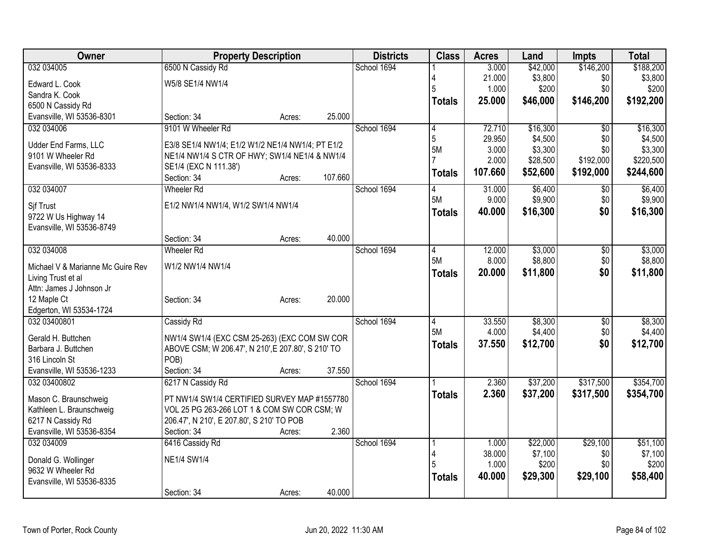| Owner                                          |                                                    | <b>Property Description</b> |         | <b>Districts</b> | <b>Class</b>   | <b>Acres</b> | Land     | <b>Impts</b>  | <b>Total</b> |
|------------------------------------------------|----------------------------------------------------|-----------------------------|---------|------------------|----------------|--------------|----------|---------------|--------------|
| 032 034005                                     | 6500 N Cassidy Rd                                  |                             |         | School 1694      |                | 3.000        | \$42,000 | \$146,200     | \$188,200    |
| Edward L. Cook                                 | W5/8 SE1/4 NW1/4                                   |                             |         |                  |                | 21.000       | \$3,800  | \$0           | \$3,800      |
| Sandra K. Cook                                 |                                                    |                             |         |                  | 5              | 1.000        | \$200    | \$0           | \$200        |
| 6500 N Cassidy Rd                              |                                                    |                             |         |                  | <b>Totals</b>  | 25.000       | \$46,000 | \$146,200     | \$192,200    |
| Evansville, WI 53536-8301                      | Section: 34                                        | Acres:                      | 25.000  |                  |                |              |          |               |              |
| 032 034006                                     | 9101 W Wheeler Rd                                  |                             |         | School 1694      | $\overline{4}$ | 72.710       | \$16,300 | \$0           | \$16,300     |
| Udder End Farms, LLC                           | E3/8 SE1/4 NW1/4; E1/2 W1/2 NE1/4 NW1/4; PT E1/2   |                             |         |                  | $\overline{5}$ | 29.950       | \$4,500  | \$0           | \$4,500      |
| 9101 W Wheeler Rd                              | NE1/4 NW1/4 S CTR OF HWY; SW1/4 NE1/4 & NW1/4      |                             |         |                  | 5M             | 3.000        | \$3,300  | \$0           | \$3,300      |
| Evansville, WI 53536-8333                      | SE1/4 (EXC N 111.38')                              |                             |         |                  |                | 2.000        | \$28,500 | \$192,000     | \$220,500    |
|                                                | Section: 34                                        | Acres:                      | 107.660 |                  | <b>Totals</b>  | 107.660      | \$52,600 | \$192,000     | \$244,600    |
| 032 034007                                     | <b>Wheeler Rd</b>                                  |                             |         | School 1694      | 14             | 31.000       | \$6,400  | \$0           | \$6,400      |
|                                                | E1/2 NW1/4 NW1/4, W1/2 SW1/4 NW1/4                 |                             |         |                  | 5M             | 9.000        | \$9,900  | \$0           | \$9,900      |
| Sif Trust<br>9722 W Us Highway 14              |                                                    |                             |         |                  | <b>Totals</b>  | 40.000       | \$16,300 | \$0           | \$16,300     |
| Evansville, WI 53536-8749                      |                                                    |                             |         |                  |                |              |          |               |              |
|                                                | Section: 34                                        | Acres:                      | 40.000  |                  |                |              |          |               |              |
| 032 034008                                     | <b>Wheeler Rd</b>                                  |                             |         | School 1694      | 4              | 12.000       | \$3,000  | \$0           | \$3,000      |
|                                                |                                                    |                             |         |                  | 5M             | 8.000        | \$8,800  | \$0           | \$8,800      |
| Michael V & Marianne Mc Guire Rev              | W1/2 NW1/4 NW1/4                                   |                             |         |                  | <b>Totals</b>  | 20.000       | \$11,800 | \$0           | \$11,800     |
| Living Trust et al<br>Attn: James J Johnson Jr |                                                    |                             |         |                  |                |              |          |               |              |
| 12 Maple Ct                                    | Section: 34                                        | Acres:                      | 20.000  |                  |                |              |          |               |              |
| Edgerton, WI 53534-1724                        |                                                    |                             |         |                  |                |              |          |               |              |
| 032 03400801                                   | Cassidy Rd                                         |                             |         | School 1694      | 14             | 33.550       | \$8,300  | $\sqrt[6]{3}$ | \$8,300      |
|                                                |                                                    |                             |         |                  | 5M             | 4.000        | \$4,400  | \$0           | \$4,400      |
| Gerald H. Buttchen                             | NW1/4 SW1/4 (EXC CSM 25-263) (EXC COM SW COR       |                             |         |                  | <b>Totals</b>  | 37.550       | \$12,700 | \$0           | \$12,700     |
| Barbara J. Buttchen                            | ABOVE CSM; W 206.47', N 210', E 207.80', S 210' TO |                             |         |                  |                |              |          |               |              |
| 316 Lincoln St                                 | POB)                                               |                             | 37.550  |                  |                |              |          |               |              |
| Evansville, WI 53536-1233<br>032 03400802      | Section: 34<br>6217 N Cassidy Rd                   | Acres:                      |         | School 1694      |                | 2.360        | \$37,200 | \$317,500     | \$354,700    |
|                                                |                                                    |                             |         |                  | <b>Totals</b>  | 2.360        | \$37,200 | \$317,500     | \$354,700    |
| Mason C. Braunschweig                          | PT NW1/4 SW1/4 CERTIFIED SURVEY MAP #1557780       |                             |         |                  |                |              |          |               |              |
| Kathleen L. Braunschweig                       | VOL 25 PG 263-266 LOT 1 & COM SW COR CSM; W        |                             |         |                  |                |              |          |               |              |
| 6217 N Cassidy Rd                              | 206.47', N 210', E 207.80', S 210' TO POB          |                             |         |                  |                |              |          |               |              |
| Evansville, WI 53536-8354                      | Section: 34                                        | Acres:                      | 2.360   |                  |                |              |          |               |              |
| 032 034009                                     | 6416 Cassidy Rd                                    |                             |         | School 1694      |                | 1.000        | \$22,000 | \$29,100      | \$51,100     |
| Donald G. Wollinger                            | <b>NE1/4 SW1/4</b>                                 |                             |         |                  | 4              | 38.000       | \$7,100  | \$0           | \$7,100      |
| 9632 W Wheeler Rd                              |                                                    |                             |         |                  | 5              | 1.000        | \$200    | \$0           | \$200        |
| Evansville, WI 53536-8335                      |                                                    |                             |         |                  | <b>Totals</b>  | 40,000       | \$29,300 | \$29,100      | \$58,400     |
|                                                | Section: 34                                        | Acres:                      | 40.000  |                  |                |              |          |               |              |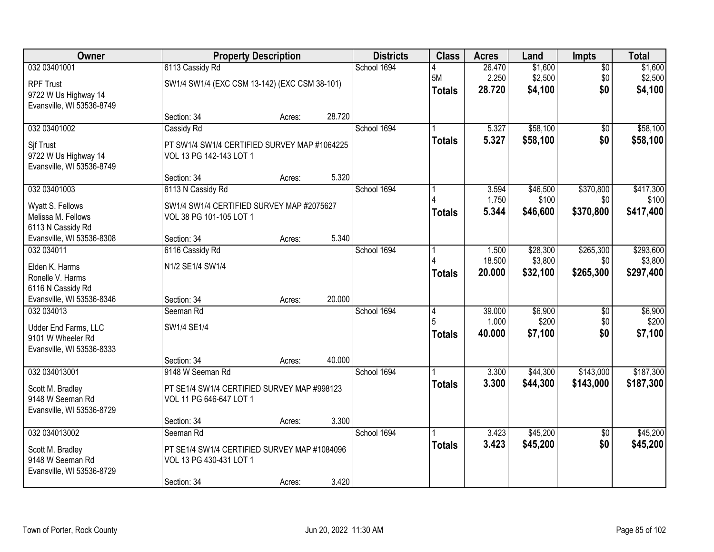| Owner                                                                                 |                                                                                                     | <b>Property Description</b> |        | <b>Districts</b> | <b>Class</b>            | <b>Acres</b>              | Land                            | Impts                         | <b>Total</b>                      |
|---------------------------------------------------------------------------------------|-----------------------------------------------------------------------------------------------------|-----------------------------|--------|------------------|-------------------------|---------------------------|---------------------------------|-------------------------------|-----------------------------------|
| 032 03401001<br><b>RPF Trust</b><br>9722 W Us Highway 14<br>Evansville, WI 53536-8749 | 6113 Cassidy Rd<br>SW1/4 SW1/4 (EXC CSM 13-142) (EXC CSM 38-101)                                    |                             |        | School 1694      | 5M<br><b>Totals</b>     | 26.470<br>2.250<br>28.720 | \$1,600<br>\$2,500<br>\$4,100   | $\overline{50}$<br>\$0<br>\$0 | \$1,600<br>\$2,500<br>\$4,100     |
|                                                                                       | Section: 34                                                                                         | Acres:                      | 28.720 |                  |                         |                           |                                 |                               |                                   |
| 032 03401002<br>Sif Trust<br>9722 W Us Highway 14<br>Evansville, WI 53536-8749        | Cassidy Rd<br>PT SW1/4 SW1/4 CERTIFIED SURVEY MAP #1064225<br>VOL 13 PG 142-143 LOT 1               |                             |        | School 1694      | <b>Totals</b>           | 5.327<br>5.327            | \$58,100<br>\$58,100            | $\overline{50}$<br>\$0        | \$58,100<br>\$58,100              |
|                                                                                       | Section: 34                                                                                         | Acres:                      | 5.320  |                  |                         |                           |                                 |                               |                                   |
| 032 03401003<br>Wyatt S. Fellows<br>Melissa M. Fellows<br>6113 N Cassidy Rd           | 6113 N Cassidy Rd<br>SW1/4 SW1/4 CERTIFIED SURVEY MAP #2075627<br>VOL 38 PG 101-105 LOT 1           |                             |        | School 1694      | <b>Totals</b>           | 3.594<br>1.750<br>5.344   | \$46,500<br>\$100<br>\$46,600   | \$370,800<br>\$0<br>\$370,800 | \$417,300<br>\$100<br>\$417,400   |
| Evansville, WI 53536-8308                                                             | Section: 34                                                                                         | Acres:                      | 5.340  |                  |                         |                           |                                 |                               |                                   |
| 032 034011<br>Elden K. Harms<br>Ronelle V. Harms<br>6116 N Cassidy Rd                 | 6116 Cassidy Rd<br>N1/2 SE1/4 SW1/4                                                                 |                             |        | School 1694      | <b>Totals</b>           | 1.500<br>18.500<br>20.000 | \$28,300<br>\$3,800<br>\$32,100 | \$265,300<br>\$0<br>\$265,300 | \$293,600<br>\$3,800<br>\$297,400 |
| Evansville, WI 53536-8346                                                             | Section: 34                                                                                         | Acres:                      | 20.000 |                  |                         |                           |                                 |                               |                                   |
| 032 034013<br>Udder End Farms, LLC<br>9101 W Wheeler Rd<br>Evansville, WI 53536-8333  | Seeman Rd<br>SW1/4 SE1/4<br>Section: 34                                                             | Acres:                      | 40.000 | School 1694      | 4<br>5<br><b>Totals</b> | 39.000<br>1.000<br>40.000 | \$6,900<br>\$200<br>\$7,100     | $\overline{50}$<br>\$0<br>\$0 | \$6,900<br>\$200<br>\$7,100       |
| 032 034013001                                                                         | 9148 W Seeman Rd                                                                                    |                             |        | School 1694      |                         | 3.300                     | \$44,300                        | \$143,000                     | \$187,300                         |
| Scott M. Bradley<br>9148 W Seeman Rd<br>Evansville, WI 53536-8729                     | PT SE1/4 SW1/4 CERTIFIED SURVEY MAP #998123<br>VOL 11 PG 646-647 LOT 1                              |                             |        |                  | <b>Totals</b>           | 3.300                     | \$44,300                        | \$143,000                     | \$187,300                         |
|                                                                                       | Section: 34                                                                                         | Acres:                      | 3.300  |                  |                         |                           |                                 |                               |                                   |
| 032 034013002<br>Scott M. Bradley<br>9148 W Seeman Rd<br>Evansville, WI 53536-8729    | Seeman Rd<br>PT SE1/4 SW1/4 CERTIFIED SURVEY MAP #1084096<br>VOL 13 PG 430-431 LOT 1<br>Section: 34 | Acres:                      | 3.420  | School 1694      | <b>Totals</b>           | 3.423<br>3.423            | \$45,200<br>\$45,200            | $\overline{50}$<br>\$0        | \$45,200<br>\$45,200              |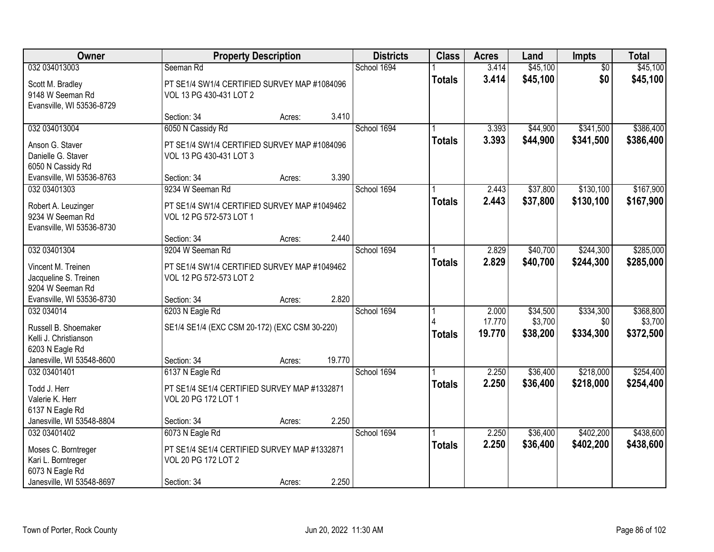| Owner                                                                |                                                                         | <b>Property Description</b> |        | <b>Districts</b> | <b>Class</b>  | <b>Acres</b>   | Land                 | Impts                  | <b>Total</b>           |
|----------------------------------------------------------------------|-------------------------------------------------------------------------|-----------------------------|--------|------------------|---------------|----------------|----------------------|------------------------|------------------------|
| 032 034013003                                                        | Seeman Rd                                                               |                             |        | School 1694      |               | 3.414          | \$45,100             | $\overline{50}$        | \$45,100               |
| Scott M. Bradley<br>9148 W Seeman Rd<br>Evansville, WI 53536-8729    | PT SE1/4 SW1/4 CERTIFIED SURVEY MAP #1084096<br>VOL 13 PG 430-431 LOT 2 |                             |        |                  | <b>Totals</b> | 3.414          | \$45,100             | \$0                    | \$45,100               |
|                                                                      | Section: 34                                                             | Acres:                      | 3.410  |                  |               |                |                      |                        |                        |
| 032 034013004<br>Anson G. Staver                                     | 6050 N Cassidy Rd<br>PT SE1/4 SW1/4 CERTIFIED SURVEY MAP #1084096       |                             |        | School 1694      | <b>Totals</b> | 3.393<br>3.393 | \$44,900<br>\$44,900 | \$341,500<br>\$341,500 | \$386,400<br>\$386,400 |
| Danielle G. Staver<br>6050 N Cassidy Rd                              | VOL 13 PG 430-431 LOT 3                                                 |                             |        |                  |               |                |                      |                        |                        |
| Evansville, WI 53536-8763                                            | Section: 34                                                             | Acres:                      | 3.390  |                  |               |                |                      |                        |                        |
| 032 03401303                                                         | 9234 W Seeman Rd                                                        |                             |        | School 1694      |               | 2.443          | \$37,800             | \$130,100              | \$167,900              |
| Robert A. Leuzinger<br>9234 W Seeman Rd<br>Evansville, WI 53536-8730 | PT SE1/4 SW1/4 CERTIFIED SURVEY MAP #1049462<br>VOL 12 PG 572-573 LOT 1 |                             |        |                  | <b>Totals</b> | 2.443          | \$37,800             | \$130,100              | \$167,900              |
|                                                                      | Section: 34                                                             | Acres:                      | 2.440  |                  |               |                |                      |                        |                        |
| 032 03401304                                                         | 9204 W Seeman Rd                                                        |                             |        | School 1694      |               | 2.829          | \$40,700             | \$244,300              | \$285,000              |
| Vincent M. Treinen<br>Jacqueline S. Treinen<br>9204 W Seeman Rd      | PT SE1/4 SW1/4 CERTIFIED SURVEY MAP #1049462<br>VOL 12 PG 572-573 LOT 2 |                             |        |                  | <b>Totals</b> | 2.829          | \$40,700             | \$244,300              | \$285,000              |
| Evansville, WI 53536-8730                                            | Section: 34                                                             | Acres:                      | 2.820  |                  |               |                |                      |                        |                        |
| 032 034014                                                           | 6203 N Eagle Rd                                                         |                             |        | School 1694      |               | 2.000          | \$34,500             | \$334,300              | \$368,800              |
| Russell B. Shoemaker                                                 | SE1/4 SE1/4 (EXC CSM 20-172) (EXC CSM 30-220)                           |                             |        |                  |               | 17.770         | \$3,700              | \$0                    | \$3,700                |
| Kelli J. Christianson                                                |                                                                         |                             |        |                  | <b>Totals</b> | 19.770         | \$38,200             | \$334,300              | \$372,500              |
| 6203 N Eagle Rd                                                      |                                                                         |                             |        |                  |               |                |                      |                        |                        |
| Janesville, WI 53548-8600                                            | Section: 34                                                             | Acres:                      | 19.770 |                  |               |                |                      |                        |                        |
| 032 03401401                                                         | 6137 N Eagle Rd                                                         |                             |        | School 1694      |               | 2.250          | \$36,400             | \$218,000              | \$254,400              |
| Todd J. Herr                                                         | PT SE1/4 SE1/4 CERTIFIED SURVEY MAP #1332871                            |                             |        |                  | <b>Totals</b> | 2.250          | \$36,400             | \$218,000              | \$254,400              |
| Valerie K. Herr                                                      | VOL 20 PG 172 LOT 1                                                     |                             |        |                  |               |                |                      |                        |                        |
| 6137 N Eagle Rd                                                      |                                                                         |                             |        |                  |               |                |                      |                        |                        |
| Janesville, WI 53548-8804                                            | Section: 34                                                             | Acres:                      | 2.250  |                  |               |                |                      |                        |                        |
| 032 03401402                                                         | 6073 N Eagle Rd                                                         |                             |        | School 1694      |               | 2.250          | \$36,400             | \$402,200              | \$438,600              |
| Moses C. Borntreger                                                  | PT SE1/4 SE1/4 CERTIFIED SURVEY MAP #1332871                            |                             |        |                  | <b>Totals</b> | 2.250          | \$36,400             | \$402,200              | \$438,600              |
| Kari L. Borntreger                                                   | VOL 20 PG 172 LOT 2                                                     |                             |        |                  |               |                |                      |                        |                        |
| 6073 N Eagle Rd                                                      |                                                                         |                             |        |                  |               |                |                      |                        |                        |
| Janesville, WI 53548-8697                                            | Section: 34                                                             | Acres:                      | 2.250  |                  |               |                |                      |                        |                        |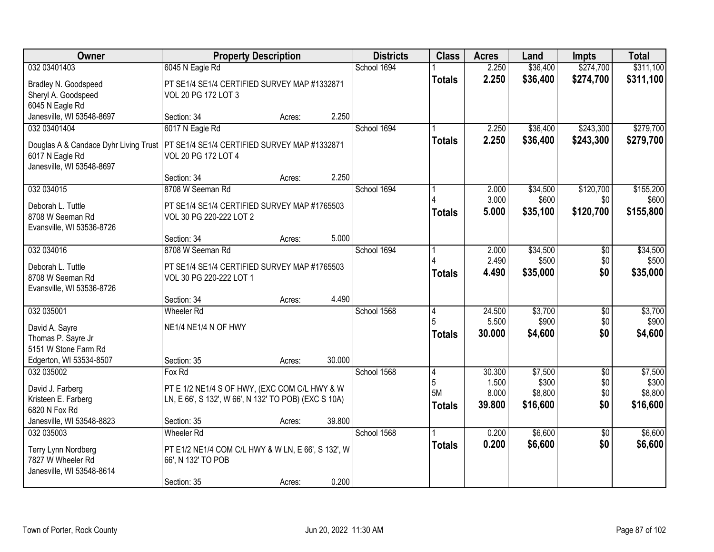| Owner                                                                                                 | <b>Property Description</b>                                                                                                              |        | <b>Districts</b> | <b>Class</b>                  | <b>Acres</b>                       | Land                                    | <b>Impts</b>                         | <b>Total</b>                            |
|-------------------------------------------------------------------------------------------------------|------------------------------------------------------------------------------------------------------------------------------------------|--------|------------------|-------------------------------|------------------------------------|-----------------------------------------|--------------------------------------|-----------------------------------------|
| 032 03401403                                                                                          | 6045 N Eagle Rd                                                                                                                          |        | School 1694      |                               | 2.250                              | \$36,400                                | \$274,700                            | \$311,100                               |
| Bradley N. Goodspeed<br>Sheryl A. Goodspeed<br>6045 N Eagle Rd                                        | PT SE1/4 SE1/4 CERTIFIED SURVEY MAP #1332871<br>VOL 20 PG 172 LOT 3                                                                      |        |                  | <b>Totals</b>                 | 2.250                              | \$36,400                                | \$274,700                            | \$311,100                               |
| Janesville, WI 53548-8697                                                                             | Section: 34<br>Acres:                                                                                                                    | 2.250  |                  |                               |                                    |                                         |                                      |                                         |
| 032 03401404<br>Douglas A & Candace Dyhr Living Trust<br>6017 N Eagle Rd<br>Janesville, WI 53548-8697 | 6017 N Eagle Rd<br>PT SE1/4 SE1/4 CERTIFIED SURVEY MAP #1332871<br>VOL 20 PG 172 LOT 4                                                   |        | School 1694      | <b>Totals</b>                 | 2.250<br>2.250                     | \$36,400<br>\$36,400                    | \$243,300<br>\$243,300               | \$279,700<br>\$279,700                  |
|                                                                                                       | Section: 34<br>Acres:                                                                                                                    | 2.250  |                  |                               |                                    |                                         |                                      |                                         |
| 032 034015<br>Deborah L. Tuttle<br>8708 W Seeman Rd<br>Evansville, WI 53536-8726                      | 8708 W Seeman Rd<br>PT SE1/4 SE1/4 CERTIFIED SURVEY MAP #1765503<br>VOL 30 PG 220-222 LOT 2                                              |        | School 1694      | <b>Totals</b>                 | 2.000<br>3.000<br>5.000            | \$34,500<br>\$600<br>\$35,100           | \$120,700<br>\$0<br>\$120,700        | \$155,200<br>\$600<br>\$155,800         |
|                                                                                                       | Section: 34<br>Acres:                                                                                                                    | 5.000  |                  |                               |                                    |                                         |                                      |                                         |
| 032 034016<br>Deborah L. Tuttle<br>8708 W Seeman Rd<br>Evansville, WI 53536-8726                      | 8708 W Seeman Rd<br>PT SE1/4 SE1/4 CERTIFIED SURVEY MAP #1765503<br>VOL 30 PG 220-222 LOT 1                                              |        | School 1694      | <b>Totals</b>                 | 2.000<br>2.490<br>4.490            | \$34,500<br>\$500<br>\$35,000           | \$0<br>\$0<br>\$0                    | \$34,500<br>\$500<br>\$35,000           |
|                                                                                                       | Section: 34<br>Acres:                                                                                                                    | 4.490  |                  |                               |                                    |                                         |                                      |                                         |
| 032 035001<br>David A. Sayre<br>Thomas P. Sayre Jr<br>5151 W Stone Farm Rd<br>Edgerton, WI 53534-8507 | <b>Wheeler Rd</b><br>NE1/4 NE1/4 N OF HWY<br>Section: 35<br>Acres:                                                                       | 30.000 | School 1568      | 4<br>5<br><b>Totals</b>       | 24.500<br>5.500<br>30.000          | \$3,700<br>\$900<br>\$4,600             | $\overline{50}$<br>\$0<br>\$0        | \$3,700<br>\$900<br>\$4,600             |
| 032 035002<br>David J. Farberg<br>Kristeen E. Farberg<br>6820 N Fox Rd<br>Janesville, WI 53548-8823   | Fox Rd<br>PT E 1/2 NE1/4 S OF HWY, (EXC COM C/L HWY & W<br>LN, E 66', S 132', W 66', N 132' TO POB) (EXC S 10A)<br>Section: 35<br>Acres: | 39.800 | School 1568      | 4<br>5<br>5M<br><b>Totals</b> | 30.300<br>1.500<br>8.000<br>39.800 | \$7,500<br>\$300<br>\$8,800<br>\$16,600 | $\overline{50}$<br>\$0<br>\$0<br>\$0 | \$7,500<br>\$300<br>\$8,800<br>\$16,600 |
| 032 035003<br><b>Terry Lynn Nordberg</b><br>7827 W Wheeler Rd<br>Janesville, WI 53548-8614            | <b>Wheeler Rd</b><br>PT E1/2 NE1/4 COM C/L HWY & W LN, E 66', S 132', W<br>66', N 132' TO POB<br>Section: 35<br>Acres:                   | 0.200  | School 1568      | <b>Totals</b>                 | 0.200<br>0.200                     | \$6,600<br>\$6,600                      | $\overline{50}$<br>\$0               | \$6,600<br>\$6,600                      |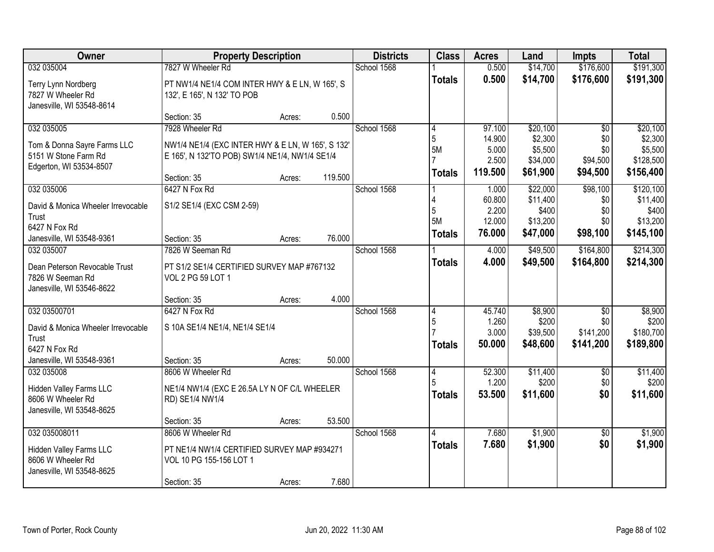| Owner                              | <b>Property Description</b>                        |        |         | <b>Districts</b> | <b>Class</b>   | <b>Acres</b>    | Land                 | <b>Impts</b>     | <b>Total</b>           |
|------------------------------------|----------------------------------------------------|--------|---------|------------------|----------------|-----------------|----------------------|------------------|------------------------|
| 032 035004                         | 7827 W Wheeler Rd                                  |        |         | School 1568      |                | 0.500           | \$14,700             | \$176,600        | \$191,300              |
| Terry Lynn Nordberg                | PT NW1/4 NE1/4 COM INTER HWY & E LN, W 165', S     |        |         |                  | <b>Totals</b>  | 0.500           | \$14,700             | \$176,600        | \$191,300              |
| 7827 W Wheeler Rd                  | 132', E 165', N 132' TO POB                        |        |         |                  |                |                 |                      |                  |                        |
| Janesville, WI 53548-8614          |                                                    |        |         |                  |                |                 |                      |                  |                        |
|                                    | Section: 35                                        | Acres: | 0.500   |                  |                |                 |                      |                  |                        |
| 032 035005                         | 7928 Wheeler Rd                                    |        |         | School 1568      | 4              | 97.100          | \$20,100             | $\overline{30}$  | \$20,100               |
| Tom & Donna Sayre Farms LLC        | NW1/4 NE1/4 (EXC INTER HWY & E LN, W 165', S 132'. |        |         |                  | 5              | 14.900          | \$2,300              | \$0              | \$2,300                |
| 5151 W Stone Farm Rd               | E 165', N 132'TO POB) SW1/4 NE1/4, NW1/4 SE1/4     |        |         |                  | <b>5M</b>      | 5.000<br>2.500  | \$5,500<br>\$34,000  | \$0<br>\$94,500  | \$5,500<br>\$128,500   |
| Edgerton, WI 53534-8507            |                                                    |        |         |                  |                | 119.500         | \$61,900             | \$94,500         | \$156,400              |
|                                    | Section: 35                                        | Acres: | 119.500 |                  | <b>Totals</b>  |                 |                      |                  |                        |
| 032 035006                         | 6427 N Fox Rd                                      |        |         | School 1568      |                | 1.000           | \$22,000             | \$98,100         | \$120,100              |
| David & Monica Wheeler Irrevocable | S1/2 SE1/4 (EXC CSM 2-59)                          |        |         |                  |                | 60.800          | \$11,400             | \$0              | \$11,400               |
| Trust                              |                                                    |        |         |                  | 5<br><b>5M</b> | 2.200<br>12.000 | \$400<br>\$13,200    | \$0<br>\$0       | \$400<br>\$13,200      |
| 6427 N Fox Rd                      |                                                    |        |         |                  |                | 76.000          | \$47,000             | \$98,100         | \$145,100              |
| Janesville, WI 53548-9361          | Section: 35                                        | Acres: | 76.000  |                  | <b>Totals</b>  |                 |                      |                  |                        |
| 032 035007                         | 7826 W Seeman Rd                                   |        |         | School 1568      |                | 4.000           | \$49,500             | \$164,800        | \$214,300              |
| Dean Peterson Revocable Trust      | PT S1/2 SE1/4 CERTIFIED SURVEY MAP #767132         |        |         |                  | <b>Totals</b>  | 4.000           | \$49,500             | \$164,800        | \$214,300              |
| 7826 W Seeman Rd                   | VOL 2 PG 59 LOT 1                                  |        |         |                  |                |                 |                      |                  |                        |
| Janesville, WI 53546-8622          |                                                    |        |         |                  |                |                 |                      |                  |                        |
|                                    | Section: 35                                        | Acres: | 4.000   |                  |                |                 |                      |                  |                        |
| 032 03500701                       | 6427 N Fox Rd                                      |        |         | School 1568      | 4              | 45.740          | \$8,900              | $\overline{30}$  | \$8,900                |
| David & Monica Wheeler Irrevocable | S 10A SE1/4 NE1/4, NE1/4 SE1/4                     |        |         |                  | 5              | 1.260           | \$200                | \$0<br>\$141,200 | \$200                  |
| Trust                              |                                                    |        |         |                  |                | 3.000<br>50.000 | \$39,500<br>\$48,600 | \$141,200        | \$180,700<br>\$189,800 |
| 6427 N Fox Rd                      |                                                    |        |         |                  | <b>Totals</b>  |                 |                      |                  |                        |
| Janesville, WI 53548-9361          | Section: 35                                        | Acres: | 50.000  |                  |                |                 |                      |                  |                        |
| 032 035008                         | 8606 W Wheeler Rd                                  |        |         | School 1568      | 14             | 52.300          | \$11,400             | $\overline{50}$  | \$11,400               |
| Hidden Valley Farms LLC            | NE1/4 NW1/4 (EXC E 26.5A LY N OF C/L WHEELER       |        |         |                  | 5              | 1.200           | \$200                | \$0              | \$200                  |
| 8606 W Wheeler Rd                  | RD) SE1/4 NW1/4                                    |        |         |                  | <b>Totals</b>  | 53.500          | \$11,600             | \$0              | \$11,600               |
| Janesville, WI 53548-8625          |                                                    |        |         |                  |                |                 |                      |                  |                        |
|                                    | Section: 35                                        | Acres: | 53.500  |                  |                |                 |                      |                  |                        |
| 032 035008011                      | 8606 W Wheeler Rd                                  |        |         | School 1568      | 4              | 7.680           | \$1,900              | $\overline{50}$  | \$1,900                |
| Hidden Valley Farms LLC            | PT NE1/4 NW1/4 CERTIFIED SURVEY MAP #934271        |        |         |                  | Totals         | 7.680           | \$1,900              | \$0              | \$1,900                |
| 8606 W Wheeler Rd                  | VOL 10 PG 155-156 LOT 1                            |        |         |                  |                |                 |                      |                  |                        |
| Janesville, WI 53548-8625          |                                                    |        |         |                  |                |                 |                      |                  |                        |
|                                    | Section: 35                                        | Acres: | 7.680   |                  |                |                 |                      |                  |                        |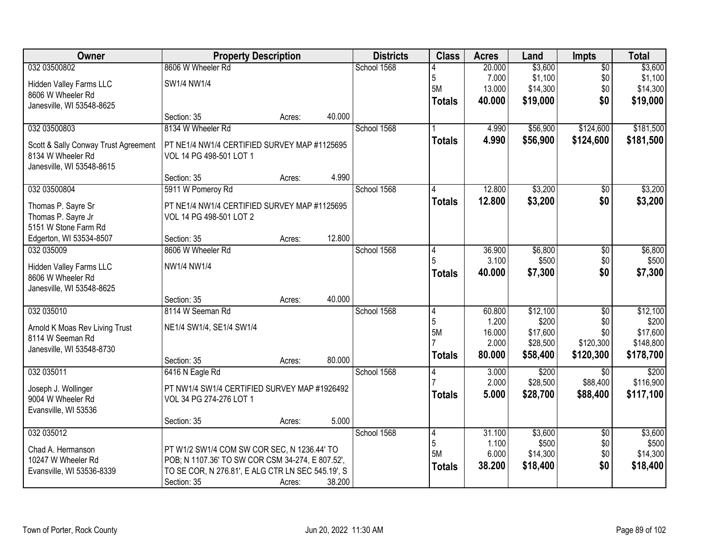| Owner                                | <b>Property Description</b>                       |        |        | <b>Districts</b> | <b>Class</b>   | <b>Acres</b> | Land     | <b>Impts</b>    | <b>Total</b> |
|--------------------------------------|---------------------------------------------------|--------|--------|------------------|----------------|--------------|----------|-----------------|--------------|
| 032 03500802                         | 8606 W Wheeler Rd                                 |        |        | School 1568      |                | 20.000       | \$3,600  | $\overline{50}$ | \$3,600      |
| Hidden Valley Farms LLC              | SW1/4 NW1/4                                       |        |        |                  | 5              | 7.000        | \$1,100  | \$0             | \$1,100      |
| 8606 W Wheeler Rd                    |                                                   |        |        |                  | 5M             | 13.000       | \$14,300 | \$0             | \$14,300     |
| Janesville, WI 53548-8625            |                                                   |        |        |                  | <b>Totals</b>  | 40.000       | \$19,000 | \$0             | \$19,000     |
|                                      | Section: 35                                       | Acres: | 40.000 |                  |                |              |          |                 |              |
| 032 03500803                         | 8134 W Wheeler Rd                                 |        |        | School 1568      |                | 4.990        | \$56,900 | \$124,600       | \$181,500    |
| Scott & Sally Conway Trust Agreement | PT NE1/4 NW1/4 CERTIFIED SURVEY MAP #1125695      |        |        |                  | <b>Totals</b>  | 4.990        | \$56,900 | \$124,600       | \$181,500    |
| 8134 W Wheeler Rd                    | VOL 14 PG 498-501 LOT 1                           |        |        |                  |                |              |          |                 |              |
| Janesville, WI 53548-8615            |                                                   |        |        |                  |                |              |          |                 |              |
|                                      | Section: 35                                       | Acres: | 4.990  |                  |                |              |          |                 |              |
| 032 03500804                         | 5911 W Pomeroy Rd                                 |        |        | School 1568      |                | 12.800       | \$3,200  | \$0             | \$3,200      |
| Thomas P. Sayre Sr                   | PT NE1/4 NW1/4 CERTIFIED SURVEY MAP #1125695      |        |        |                  | <b>Totals</b>  | 12.800       | \$3,200  | \$0             | \$3,200      |
| Thomas P. Sayre Jr                   | VOL 14 PG 498-501 LOT 2                           |        |        |                  |                |              |          |                 |              |
| 5151 W Stone Farm Rd                 |                                                   |        |        |                  |                |              |          |                 |              |
| Edgerton, WI 53534-8507              | Section: 35                                       | Acres: | 12.800 |                  |                |              |          |                 |              |
| 032 035009                           | 8606 W Wheeler Rd                                 |        |        | School 1568      | 4              | 36.900       | \$6,800  | $\sqrt[6]{3}$   | \$6,800      |
| Hidden Valley Farms LLC              | NW1/4 NW1/4                                       |        |        |                  |                | 3.100        | \$500    | \$0             | \$500        |
| 8606 W Wheeler Rd                    |                                                   |        |        |                  | <b>Totals</b>  | 40.000       | \$7,300  | \$0             | \$7,300      |
| Janesville, WI 53548-8625            |                                                   |        |        |                  |                |              |          |                 |              |
|                                      | Section: 35                                       | Acres: | 40.000 |                  |                |              |          |                 |              |
| 032 035010                           | 8114 W Seeman Rd                                  |        |        | School 1568      | $\overline{4}$ | 60.800       | \$12,100 | $\overline{50}$ | \$12,100     |
| Arnold K Moas Rev Living Trust       | NE1/4 SW1/4, SE1/4 SW1/4                          |        |        |                  | 5              | 1.200        | \$200    | \$0             | \$200        |
| 8114 W Seeman Rd                     |                                                   |        |        |                  | 5M             | 16.000       | \$17,600 | \$0             | \$17,600     |
| Janesville, WI 53548-8730            |                                                   |        |        |                  |                | 2.000        | \$28,500 | \$120,300       | \$148,800    |
|                                      | Section: 35                                       | Acres: | 80.000 |                  | <b>Totals</b>  | 80.000       | \$58,400 | \$120,300       | \$178,700    |
| 032 035011                           | 6416 N Eagle Rd                                   |        |        | School 1568      | 4              | 3.000        | \$200    | \$0             | \$200        |
| Joseph J. Wollinger                  | PT NW1/4 SW1/4 CERTIFIED SURVEY MAP #1926492      |        |        |                  |                | 2.000        | \$28,500 | \$88,400        | \$116,900    |
| 9004 W Wheeler Rd                    | VOL 34 PG 274-276 LOT 1                           |        |        |                  | <b>Totals</b>  | 5.000        | \$28,700 | \$88,400        | \$117,100    |
| Evansville, WI 53536                 |                                                   |        |        |                  |                |              |          |                 |              |
|                                      | Section: 35                                       | Acres: | 5.000  |                  |                |              |          |                 |              |
| 032 035012                           |                                                   |        |        | School 1568      | 4              | 31.100       | \$3,600  | $\overline{60}$ | \$3,600      |
| Chad A. Hermanson                    | PT W1/2 SW1/4 COM SW COR SEC, N 1236.44' TO       |        |        |                  | 5              | 1.100        | \$500    | \$0             | \$500        |
| 10247 W Wheeler Rd                   | POB; N 1107.36' TO SW COR CSM 34-274, E 807.52',  |        |        |                  | 5M             | 6.000        | \$14,300 | \$0             | \$14,300     |
| Evansville, WI 53536-8339            | TO SE COR, N 276.81', E ALG CTR LN SEC 545.19', S |        |        |                  | <b>Totals</b>  | 38.200       | \$18,400 | \$0             | \$18,400     |
|                                      | Section: 35                                       | Acres: | 38.200 |                  |                |              |          |                 |              |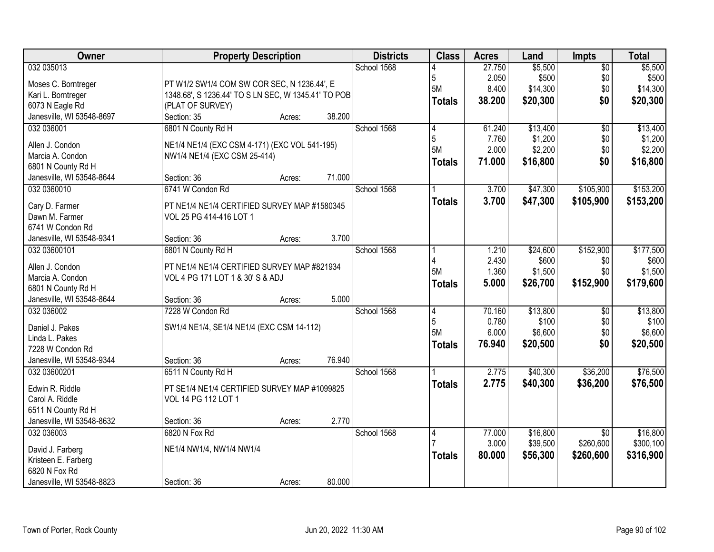| Owner                     | <b>Property Description</b>                         | <b>Districts</b> | <b>Class</b>   | <b>Acres</b> | Land     | <b>Impts</b>    | <b>Total</b> |
|---------------------------|-----------------------------------------------------|------------------|----------------|--------------|----------|-----------------|--------------|
| 032 035013                |                                                     | School 1568      |                | 27.750       | \$5,500  | $\overline{50}$ | \$5,500      |
| Moses C. Borntreger       | PT W1/2 SW1/4 COM SW COR SEC, N 1236.44', E         |                  | 5              | 2.050        | \$500    | \$0             | \$500        |
| Kari L. Borntreger        | 1348.68', S 1236.44' TO S LN SEC, W 1345.41' TO POB |                  | 5M             | 8.400        | \$14,300 | \$0             | \$14,300     |
| 6073 N Eagle Rd           | (PLAT OF SURVEY)                                    |                  | <b>Totals</b>  | 38.200       | \$20,300 | \$0             | \$20,300     |
| Janesville, WI 53548-8697 | 38.200<br>Section: 35<br>Acres:                     |                  |                |              |          |                 |              |
| 032 036001                | 6801 N County Rd H                                  | School 1568      | 4              | 61.240       | \$13,400 | $\overline{50}$ | \$13,400     |
|                           |                                                     |                  | 5              | 7.760        | \$1,200  | \$0             | \$1,200      |
| Allen J. Condon           | NE1/4 NE1/4 (EXC CSM 4-171) (EXC VOL 541-195)       |                  | <b>5M</b>      | 2.000        | \$2,200  | \$0             | \$2,200      |
| Marcia A. Condon          | NW1/4 NE1/4 (EXC CSM 25-414)                        |                  | <b>Totals</b>  | 71.000       | \$16,800 | \$0             | \$16,800     |
| 6801 N County Rd H        |                                                     |                  |                |              |          |                 |              |
| Janesville, WI 53548-8644 | 71.000<br>Section: 36<br>Acres:                     |                  |                |              |          |                 |              |
| 032 0360010               | 6741 W Condon Rd                                    | School 1568      |                | 3.700        | \$47,300 | \$105,900       | \$153,200    |
| Cary D. Farmer            | PT NE1/4 NE1/4 CERTIFIED SURVEY MAP #1580345        |                  | <b>Totals</b>  | 3.700        | \$47,300 | \$105,900       | \$153,200    |
| Dawn M. Farmer            | VOL 25 PG 414-416 LOT 1                             |                  |                |              |          |                 |              |
| 6741 W Condon Rd          |                                                     |                  |                |              |          |                 |              |
| Janesville, WI 53548-9341 | 3.700<br>Section: 36<br>Acres:                      |                  |                |              |          |                 |              |
| 032 03600101              | 6801 N County Rd H                                  | School 1568      |                | 1.210        | \$24,600 | \$152,900       | \$177,500    |
|                           |                                                     |                  | 4              | 2.430        | \$600    | \$0             | \$600        |
| Allen J. Condon           | PT NE1/4 NE1/4 CERTIFIED SURVEY MAP #821934         |                  | <b>5M</b>      | 1.360        | \$1,500  | \$0             | \$1,500      |
| Marcia A. Condon          | VOL 4 PG 171 LOT 1 & 30' S & ADJ                    |                  | <b>Totals</b>  | 5.000        | \$26,700 | \$152,900       | \$179,600    |
| 6801 N County Rd H        |                                                     |                  |                |              |          |                 |              |
| Janesville, WI 53548-8644 | 5.000<br>Section: 36<br>Acres:                      |                  |                |              |          |                 |              |
| 032 036002                | 7228 W Condon Rd                                    | School 1568      | $\overline{4}$ | 70.160       | \$13,800 | $\overline{50}$ | \$13,800     |
| Daniel J. Pakes           | SW1/4 NE1/4, SE1/4 NE1/4 (EXC CSM 14-112)           |                  | 5              | 0.780        | \$100    | \$0             | \$100        |
| Linda L. Pakes            |                                                     |                  | 5M             | 6.000        | \$6,600  | \$0             | \$6,600      |
| 7228 W Condon Rd          |                                                     |                  | <b>Totals</b>  | 76.940       | \$20,500 | \$0             | \$20,500     |
| Janesville, WI 53548-9344 | 76.940<br>Section: 36<br>Acres:                     |                  |                |              |          |                 |              |
| 032 03600201              | 6511 N County Rd H                                  | School 1568      |                | 2.775        | \$40,300 | \$36,200        | \$76,500     |
|                           |                                                     |                  | <b>Totals</b>  | 2.775        | \$40,300 | \$36,200        | \$76,500     |
| Edwin R. Riddle           | PT SE1/4 NE1/4 CERTIFIED SURVEY MAP #1099825        |                  |                |              |          |                 |              |
| Carol A. Riddle           | VOL 14 PG 112 LOT 1                                 |                  |                |              |          |                 |              |
| 6511 N County Rd H        |                                                     |                  |                |              |          |                 |              |
| Janesville, WI 53548-8632 | 2.770<br>Section: 36<br>Acres:                      |                  |                |              |          |                 |              |
| 032 036003                | 6820 N Fox Rd                                       | School 1568      | 4              | 77.000       | \$16,800 | $\overline{30}$ | \$16,800     |
| David J. Farberg          | NE1/4 NW1/4, NW1/4 NW1/4                            |                  |                | 3.000        | \$39,500 | \$260,600       | \$300,100    |
| Kristeen E. Farberg       |                                                     |                  | <b>Totals</b>  | 80.000       | \$56,300 | \$260,600       | \$316,900    |
| 6820 N Fox Rd             |                                                     |                  |                |              |          |                 |              |
| Janesville, WI 53548-8823 | 80.000<br>Section: 36<br>Acres:                     |                  |                |              |          |                 |              |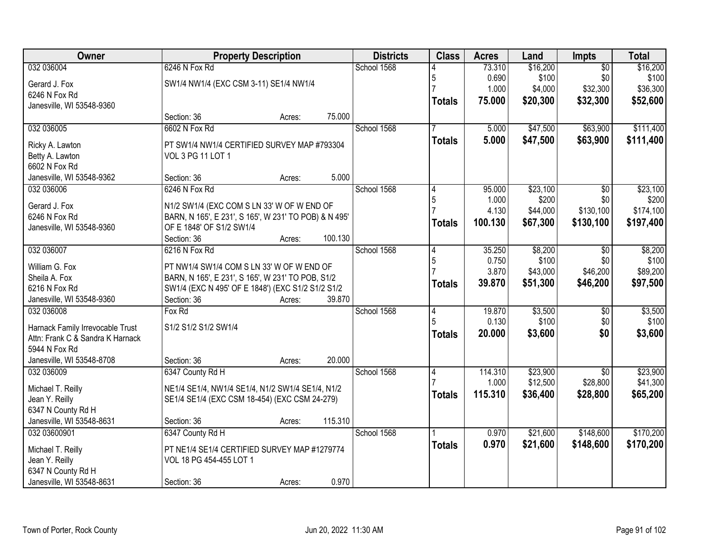| Owner                            | <b>Property Description</b>                           |        |         | <b>Districts</b> | <b>Class</b>  | <b>Acres</b>    | Land             | Impts                  | <b>Total</b>     |
|----------------------------------|-------------------------------------------------------|--------|---------|------------------|---------------|-----------------|------------------|------------------------|------------------|
| 032 036004                       | 6246 N Fox Rd                                         |        |         | School 1568      |               | 73.310          | \$16,200         | $\overline{50}$        | \$16,200         |
| Gerard J. Fox                    | SW1/4 NW1/4 (EXC CSM 3-11) SE1/4 NW1/4                |        |         |                  | 5             | 0.690           | \$100            | \$0                    | \$100            |
| 6246 N Fox Rd                    |                                                       |        |         |                  |               | 1.000           | \$4,000          | \$32,300               | \$36,300         |
| Janesville, WI 53548-9360        |                                                       |        |         |                  | <b>Totals</b> | 75.000          | \$20,300         | \$32,300               | \$52,600         |
|                                  | Section: 36                                           | Acres: | 75.000  |                  |               |                 |                  |                        |                  |
| 032 036005                       | 6602 N Fox Rd                                         |        |         | School 1568      |               | 5.000           | \$47,500         | \$63,900               | \$111,400        |
| Ricky A. Lawton                  | PT SW1/4 NW1/4 CERTIFIED SURVEY MAP #793304           |        |         |                  | <b>Totals</b> | 5.000           | \$47,500         | \$63,900               | \$111,400        |
| Betty A. Lawton                  | VOL 3 PG 11 LOT 1                                     |        |         |                  |               |                 |                  |                        |                  |
| 6602 N Fox Rd                    |                                                       |        |         |                  |               |                 |                  |                        |                  |
| Janesville, WI 53548-9362        | Section: 36                                           | Acres: | 5.000   |                  |               |                 |                  |                        |                  |
| 032 036006                       | 6246 N Fox Rd                                         |        |         | School 1568      | 4             | 95.000          | \$23,100         | \$0                    | \$23,100         |
| Gerard J. Fox                    | N1/2 SW1/4 (EXC COM S LN 33' W OF W END OF            |        |         |                  | 5             | 1.000           | \$200            | \$0                    | \$200            |
| 6246 N Fox Rd                    | BARN, N 165', E 231', S 165', W 231' TO POB) & N 495' |        |         |                  |               | 4.130           | \$44,000         | \$130,100              | \$174,100        |
| Janesville, WI 53548-9360        | OF E 1848' OF S1/2 SW1/4                              |        |         |                  | <b>Totals</b> | 100.130         | \$67,300         | \$130,100              | \$197,400        |
|                                  | Section: 36                                           | Acres: | 100.130 |                  |               |                 |                  |                        |                  |
| 032 036007                       | 6216 N Fox Rd                                         |        |         | School 1568      | 4             | 35.250          | \$8,200          | $\sqrt{6}$             | \$8,200          |
|                                  |                                                       |        |         |                  | 5             | 0.750           | \$100            | \$0                    | \$100            |
| William G. Fox                   | PT NW1/4 SW1/4 COM S LN 33' W OF W END OF             |        |         |                  |               | 3.870           | \$43,000         | \$46,200               | \$89,200         |
| Sheila A. Fox                    | BARN, N 165', E 231', S 165', W 231' TO POB, S1/2     |        |         |                  | <b>Totals</b> | 39.870          | \$51,300         | \$46,200               | \$97,500         |
| 6216 N Fox Rd                    | SW1/4 (EXC N 495' OF E 1848') (EXC S1/2 S1/2 S1/2     |        |         |                  |               |                 |                  |                        |                  |
| Janesville, WI 53548-9360        | Section: 36                                           | Acres: | 39.870  |                  |               |                 |                  |                        |                  |
| 032 036008                       | Fox Rd                                                |        |         | School 1568      | 4<br>5        | 19.870<br>0.130 | \$3,500<br>\$100 | $\overline{50}$<br>\$0 | \$3,500<br>\$100 |
| Harnack Family Irrevocable Trust | S1/2 S1/2 S1/2 SW1/4                                  |        |         |                  |               | 20.000          | \$3,600          | \$0                    |                  |
| Attn: Frank C & Sandra K Harnack |                                                       |        |         |                  | <b>Totals</b> |                 |                  |                        | \$3,600          |
| 5944 N Fox Rd                    |                                                       |        |         |                  |               |                 |                  |                        |                  |
| Janesville, WI 53548-8708        | Section: 36                                           | Acres: | 20.000  |                  |               |                 |                  |                        |                  |
| 032 036009                       | 6347 County Rd H                                      |        |         | School 1568      | 4             | 114.310         | \$23,900         | $\overline{50}$        | \$23,900         |
| Michael T. Reilly                | NE1/4 SE1/4, NW1/4 SE1/4, N1/2 SW1/4 SE1/4, N1/2      |        |         |                  |               | 1.000           | \$12,500         | \$28,800               | \$41,300         |
| Jean Y. Reilly                   | SE1/4 SE1/4 (EXC CSM 18-454) (EXC CSM 24-279)         |        |         |                  | <b>Totals</b> | 115.310         | \$36,400         | \$28,800               | \$65,200         |
| 6347 N County Rd H               |                                                       |        |         |                  |               |                 |                  |                        |                  |
| Janesville, WI 53548-8631        | Section: 36                                           | Acres: | 115.310 |                  |               |                 |                  |                        |                  |
| 032 03600901                     | 6347 County Rd H                                      |        |         | School 1568      |               | 0.970           | \$21,600         | \$148,600              | \$170,200        |
| Michael T. Reilly                | PT NE1/4 SE1/4 CERTIFIED SURVEY MAP #1279774          |        |         |                  | <b>Totals</b> | 0.970           | \$21,600         | \$148,600              | \$170,200        |
| Jean Y. Reilly                   | VOL 18 PG 454-455 LOT 1                               |        |         |                  |               |                 |                  |                        |                  |
| 6347 N County Rd H               |                                                       |        |         |                  |               |                 |                  |                        |                  |
| Janesville, WI 53548-8631        | Section: 36                                           | Acres: | 0.970   |                  |               |                 |                  |                        |                  |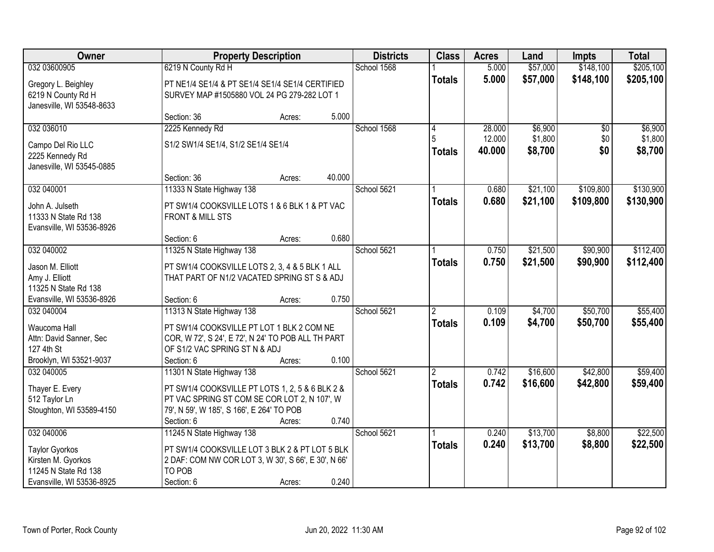| <b>Owner</b>                                                                                     |                                                                                                                                                                             | <b>Property Description</b> |        | <b>Districts</b> | <b>Class</b>       | <b>Acres</b>     | Land               | <b>Impts</b>         | <b>Total</b>         |
|--------------------------------------------------------------------------------------------------|-----------------------------------------------------------------------------------------------------------------------------------------------------------------------------|-----------------------------|--------|------------------|--------------------|------------------|--------------------|----------------------|----------------------|
| 032 03600905                                                                                     | 6219 N County Rd H                                                                                                                                                          |                             |        | School 1568      |                    | 5.000            | \$57,000           | \$148,100            | \$205,100            |
| Gregory L. Beighley<br>6219 N County Rd H<br>Janesville, WI 53548-8633                           | PT NE1/4 SE1/4 & PT SE1/4 SE1/4 SE1/4 CERTIFIED<br>SURVEY MAP #1505880 VOL 24 PG 279-282 LOT 1                                                                              |                             |        |                  | <b>Totals</b>      | 5.000            | \$57,000           | \$148,100            | \$205,100            |
|                                                                                                  | Section: 36                                                                                                                                                                 | Acres:                      | 5.000  |                  |                    |                  |                    |                      |                      |
| 032 036010                                                                                       | 2225 Kennedy Rd                                                                                                                                                             |                             |        | School 1568      | 4                  | 28.000           | \$6,900            | $\overline{50}$      | \$6,900              |
| Campo Del Rio LLC<br>2225 Kennedy Rd<br>Janesville, WI 53545-0885                                | S1/2 SW1/4 SE1/4, S1/2 SE1/4 SE1/4                                                                                                                                          |                             |        |                  | 5<br><b>Totals</b> | 12.000<br>40.000 | \$1,800<br>\$8,700 | \$0<br>\$0           | \$1,800<br>\$8,700   |
|                                                                                                  | Section: 36                                                                                                                                                                 | Acres:                      | 40.000 |                  |                    |                  |                    |                      |                      |
| 032 040001                                                                                       | 11333 N State Highway 138                                                                                                                                                   |                             |        | School 5621      |                    | 0.680            | \$21,100           | \$109,800            | \$130,900            |
| John A. Julseth<br>11333 N State Rd 138<br>Evansville, WI 53536-8926                             | PT SW1/4 COOKSVILLE LOTS 1 & 6 BLK 1 & PT VAC<br><b>FRONT &amp; MILL STS</b>                                                                                                |                             |        |                  | <b>Totals</b>      | 0.680            | \$21,100           | \$109,800            | \$130,900            |
|                                                                                                  | Section: 6                                                                                                                                                                  | Acres:                      | 0.680  |                  |                    |                  |                    |                      |                      |
| 032 040002                                                                                       | 11325 N State Highway 138                                                                                                                                                   |                             |        | School 5621      |                    | 0.750            | \$21,500           | \$90,900             | \$112,400            |
| Jason M. Elliott<br>Amy J. Elliott<br>11325 N State Rd 138                                       | PT SW1/4 COOKSVILLE LOTS 2, 3, 4 & 5 BLK 1 ALL<br>THAT PART OF N1/2 VACATED SPRING ST S & ADJ                                                                               |                             |        |                  | <b>Totals</b>      | 0.750            | \$21,500           | \$90,900             | \$112,400            |
| Evansville, WI 53536-8926                                                                        | Section: 6                                                                                                                                                                  | Acres:                      | 0.750  |                  |                    |                  |                    |                      |                      |
| 032 040004<br>Waucoma Hall<br>Attn: David Sanner, Sec<br>127 4th St<br>Brooklyn, WI 53521-9037   | 11313 N State Highway 138<br>PT SW1/4 COOKSVILLE PT LOT 1 BLK 2 COM NE<br>COR, W 72', S 24', E 72', N 24' TO POB ALL TH PART<br>OF S1/2 VAC SPRING ST N & ADJ<br>Section: 6 | Acres:                      | 0.100  | School 5621      | 2<br><b>Totals</b> | 0.109<br>0.109   | \$4,700<br>\$4,700 | \$50,700<br>\$50,700 | \$55,400<br>\$55,400 |
| 032 040005                                                                                       | 11301 N State Highway 138                                                                                                                                                   |                             |        | School 5621      | $\overline{2}$     | 0.742            | \$16,600           | \$42,800             | \$59,400             |
| Thayer E. Every<br>512 Taylor Ln<br>Stoughton, WI 53589-4150                                     | PT SW1/4 COOKSVILLE PT LOTS 1, 2, 5 & 6 BLK 2 &<br>PT VAC SPRING ST COM SE COR LOT 2, N 107', W<br>79', N 59', W 185', S 166', E 264' TO POB<br>Section: 6                  | Acres:                      | 0.740  |                  | <b>Totals</b>      | 0.742            | \$16,600           | \$42,800             | \$59,400             |
| 032 040006                                                                                       | 11245 N State Highway 138                                                                                                                                                   |                             |        | School 5621      |                    | 0.240            | \$13,700           | \$8,800              | \$22,500             |
| <b>Taylor Gyorkos</b><br>Kirsten M. Gyorkos<br>11245 N State Rd 138<br>Evansville, WI 53536-8925 | PT SW1/4 COOKSVILLE LOT 3 BLK 2 & PT LOT 5 BLK<br>2 DAF: COM NW COR LOT 3, W 30', S 66', E 30', N 66'<br>TO POB<br>Section: 6                                               | Acres:                      | 0.240  |                  | <b>Totals</b>      | 0.240            | \$13,700           | \$8,800              | \$22,500             |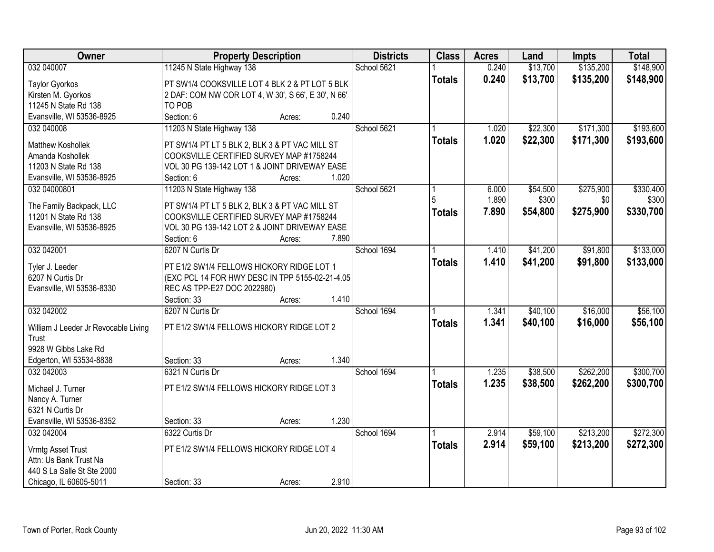| Owner                                | <b>Property Description</b>                         | <b>Districts</b> | <b>Class</b>  | <b>Acres</b> | Land     | <b>Impts</b> | <b>Total</b> |
|--------------------------------------|-----------------------------------------------------|------------------|---------------|--------------|----------|--------------|--------------|
| 032 040007                           | 11245 N State Highway 138                           | School 5621      |               | 0.240        | \$13,700 | \$135,200    | \$148,900    |
| <b>Taylor Gyorkos</b>                | PT SW1/4 COOKSVILLE LOT 4 BLK 2 & PT LOT 5 BLK      |                  | <b>Totals</b> | 0.240        | \$13,700 | \$135,200    | \$148,900    |
| Kirsten M. Gyorkos                   | 2 DAF: COM NW COR LOT 4, W 30', S 66', E 30', N 66' |                  |               |              |          |              |              |
| 11245 N State Rd 138                 | TO POB                                              |                  |               |              |          |              |              |
| Evansville, WI 53536-8925            | 0.240<br>Section: 6<br>Acres:                       |                  |               |              |          |              |              |
| 032 040008                           | 11203 N State Highway 138                           | School 5621      |               | 1.020        | \$22,300 | \$171,300    | \$193,600    |
| Matthew Koshollek                    | PT SW1/4 PT LT 5 BLK 2, BLK 3 & PT VAC MILL ST      |                  | <b>Totals</b> | 1.020        | \$22,300 | \$171,300    | \$193,600    |
| Amanda Koshollek                     | COOKSVILLE CERTIFIED SURVEY MAP #1758244            |                  |               |              |          |              |              |
| 11203 N State Rd 138                 | VOL 30 PG 139-142 LOT 1 & JOINT DRIVEWAY EASE       |                  |               |              |          |              |              |
| Evansville, WI 53536-8925            | 1.020<br>Section: 6<br>Acres:                       |                  |               |              |          |              |              |
| 032 04000801                         | 11203 N State Highway 138                           | School 5621      |               | 6.000        | \$54,500 | \$275,900    | \$330,400    |
|                                      |                                                     |                  |               | 1.890        | \$300    | \$0          | \$300        |
| The Family Backpack, LLC             | PT SW1/4 PT LT 5 BLK 2, BLK 3 & PT VAC MILL ST      |                  | <b>Totals</b> | 7.890        | \$54,800 | \$275,900    | \$330,700    |
| 11201 N State Rd 138                 | COOKSVILLE CERTIFIED SURVEY MAP #1758244            |                  |               |              |          |              |              |
| Evansville, WI 53536-8925            | VOL 30 PG 139-142 LOT 2 & JOINT DRIVEWAY EASE       |                  |               |              |          |              |              |
|                                      | Section: 6<br>7.890<br>Acres:                       |                  |               |              |          |              |              |
| 032 042001                           | 6207 N Curtis Dr                                    | School 1694      |               | 1.410        | \$41,200 | \$91,800     | \$133,000    |
| Tyler J. Leeder                      | PT E1/2 SW1/4 FELLOWS HICKORY RIDGE LOT 1           |                  | <b>Totals</b> | 1.410        | \$41,200 | \$91,800     | \$133,000    |
| 6207 N Curtis Dr                     | (EXC PCL 14 FOR HWY DESC IN TPP 5155-02-21-4.05     |                  |               |              |          |              |              |
| Evansville, WI 53536-8330            | REC AS TPP-E27 DOC 2022980)                         |                  |               |              |          |              |              |
|                                      | 1.410<br>Section: 33<br>Acres:                      |                  |               |              |          |              |              |
| 032 042002                           | 6207 N Curtis Dr                                    | School 1694      |               | 1.341        | \$40,100 | \$16,000     | \$56,100     |
| William J Leeder Jr Revocable Living | PT E1/2 SW1/4 FELLOWS HICKORY RIDGE LOT 2           |                  | <b>Totals</b> | 1.341        | \$40,100 | \$16,000     | \$56,100     |
| Trust                                |                                                     |                  |               |              |          |              |              |
| 9928 W Gibbs Lake Rd                 |                                                     |                  |               |              |          |              |              |
| Edgerton, WI 53534-8838              | 1.340<br>Section: 33<br>Acres:                      |                  |               |              |          |              |              |
| 032 042003                           | 6321 N Curtis Dr                                    | School 1694      |               | 1.235        | \$38,500 | \$262,200    | \$300,700    |
| Michael J. Turner                    | PT E1/2 SW1/4 FELLOWS HICKORY RIDGE LOT 3           |                  | <b>Totals</b> | 1.235        | \$38,500 | \$262,200    | \$300,700    |
| Nancy A. Turner                      |                                                     |                  |               |              |          |              |              |
| 6321 N Curtis Dr                     |                                                     |                  |               |              |          |              |              |
| Evansville, WI 53536-8352            | 1.230<br>Section: 33<br>Acres:                      |                  |               |              |          |              |              |
| 032 042004                           | 6322 Curtis Dr                                      | School 1694      |               | 2.914        | \$59,100 | \$213,200    | \$272,300    |
|                                      |                                                     |                  | <b>Totals</b> | 2.914        | \$59,100 | \$213,200    | \$272,300    |
| Vrmtg Asset Trust                    | PT E1/2 SW1/4 FELLOWS HICKORY RIDGE LOT 4           |                  |               |              |          |              |              |
| Attn: Us Bank Trust Na               |                                                     |                  |               |              |          |              |              |
| 440 S La Salle St Ste 2000           |                                                     |                  |               |              |          |              |              |
| Chicago, IL 60605-5011               | 2.910<br>Section: 33<br>Acres:                      |                  |               |              |          |              |              |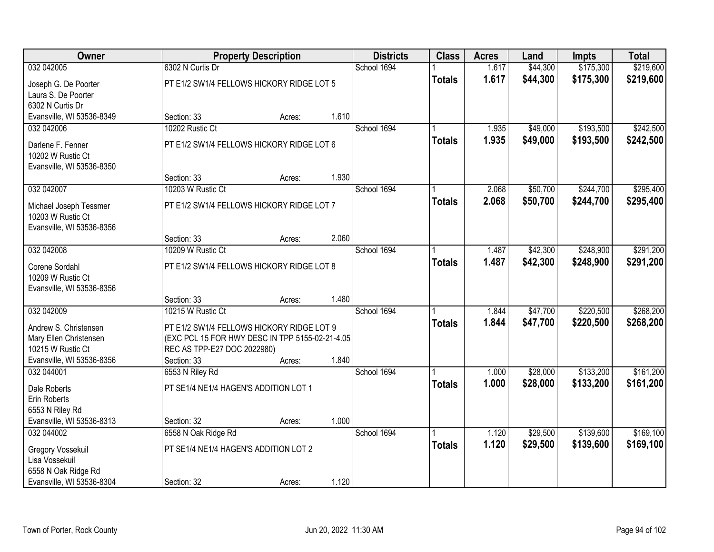| <b>Owner</b>                                                             |                                                                                | <b>Property Description</b> |       | <b>Districts</b> | <b>Class</b>  | <b>Acres</b>   | Land                 | <b>Impts</b>           | <b>Total</b>           |
|--------------------------------------------------------------------------|--------------------------------------------------------------------------------|-----------------------------|-------|------------------|---------------|----------------|----------------------|------------------------|------------------------|
| 032 042005                                                               | 6302 N Curtis Dr                                                               |                             |       | School 1694      |               | 1.617          | \$44,300             | \$175,300              | \$219,600              |
| Joseph G. De Poorter<br>Laura S. De Poorter<br>6302 N Curtis Dr          | PT E1/2 SW1/4 FELLOWS HICKORY RIDGE LOT 5                                      |                             |       |                  | <b>Totals</b> | 1.617          | \$44,300             | \$175,300              | \$219,600              |
| Evansville, WI 53536-8349                                                | Section: 33                                                                    | Acres:                      | 1.610 |                  |               |                |                      |                        |                        |
| 032 042006                                                               | 10202 Rustic Ct                                                                |                             |       | School 1694      |               | 1.935          | \$49,000             | \$193,500              | \$242,500              |
| Darlene F. Fenner<br>10202 W Rustic Ct<br>Evansville, WI 53536-8350      | PT E1/2 SW1/4 FELLOWS HICKORY RIDGE LOT 6                                      |                             |       |                  | <b>Totals</b> | 1.935          | \$49,000             | \$193,500              | \$242,500              |
|                                                                          | Section: 33                                                                    | Acres:                      | 1.930 |                  |               |                |                      |                        |                        |
| 032 042007                                                               | 10203 W Rustic Ct                                                              |                             |       | School 1694      |               | 2.068          | \$50,700             | \$244,700              | \$295,400              |
| Michael Joseph Tessmer<br>10203 W Rustic Ct<br>Evansville, WI 53536-8356 | PT E1/2 SW1/4 FELLOWS HICKORY RIDGE LOT 7                                      |                             |       |                  | <b>Totals</b> | 2.068          | \$50,700             | \$244,700              | \$295,400              |
|                                                                          | Section: 33                                                                    | Acres:                      | 2.060 |                  |               |                |                      |                        |                        |
| 032 042008                                                               | 10209 W Rustic Ct                                                              |                             |       | School 1694      |               | 1.487          | \$42,300             | \$248,900              | \$291,200              |
| Corene Sordahl<br>10209 W Rustic Ct<br>Evansville, WI 53536-8356         | PT E1/2 SW1/4 FELLOWS HICKORY RIDGE LOT 8                                      |                             |       |                  | <b>Totals</b> | 1.487          | \$42,300             | \$248,900              | \$291,200              |
|                                                                          | Section: 33                                                                    | Acres:                      | 1.480 |                  |               |                |                      |                        |                        |
| 032 042009<br>Andrew S. Christensen                                      | 10215 W Rustic Ct<br>PT E1/2 SW1/4 FELLOWS HICKORY RIDGE LOT 9                 |                             |       | School 1694      | <b>Totals</b> | 1.844<br>1.844 | \$47,700<br>\$47,700 | \$220,500<br>\$220,500 | \$268,200<br>\$268,200 |
| Mary Ellen Christensen<br>10215 W Rustic Ct                              | (EXC PCL 15 FOR HWY DESC IN TPP 5155-02-21-4.05<br>REC AS TPP-E27 DOC 2022980) |                             |       |                  |               |                |                      |                        |                        |
| Evansville, WI 53536-8356                                                | Section: 33                                                                    | Acres:                      | 1.840 |                  |               |                |                      |                        |                        |
| 032 044001                                                               | 6553 N Riley Rd                                                                |                             |       | School 1694      |               | 1.000          | \$28,000             | \$133,200              | \$161,200              |
| Dale Roberts<br>Erin Roberts<br>6553 N Riley Rd                          | PT SE1/4 NE1/4 HAGEN'S ADDITION LOT 1                                          |                             |       |                  | <b>Totals</b> | 1.000          | \$28,000             | \$133,200              | \$161,200              |
| Evansville, WI 53536-8313                                                | Section: 32                                                                    | Acres:                      | 1.000 |                  |               |                |                      |                        |                        |
| 032 044002                                                               | 6558 N Oak Ridge Rd                                                            |                             |       | School 1694      |               | 1.120          | \$29,500             | \$139,600              | \$169,100              |
| Gregory Vossekuil<br>Lisa Vossekuil<br>6558 N Oak Ridge Rd               | PT SE1/4 NE1/4 HAGEN'S ADDITION LOT 2                                          |                             |       |                  | <b>Totals</b> | 1.120          | \$29,500             | \$139,600              | \$169,100              |
| Evansville, WI 53536-8304                                                | Section: 32                                                                    | Acres:                      | 1.120 |                  |               |                |                      |                        |                        |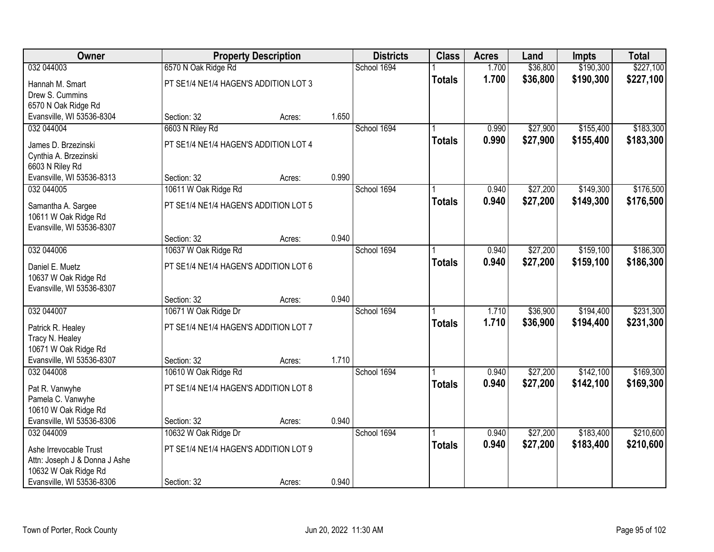| Owner                                     |                                       | <b>Property Description</b> |       | <b>Districts</b> | <b>Class</b>  | <b>Acres</b> | Land     | <b>Impts</b> | <b>Total</b> |
|-------------------------------------------|---------------------------------------|-----------------------------|-------|------------------|---------------|--------------|----------|--------------|--------------|
| 032 044003                                | 6570 N Oak Ridge Rd                   |                             |       | School 1694      |               | 1.700        | \$36,800 | \$190,300    | \$227,100    |
| Hannah M. Smart                           | PT SE1/4 NE1/4 HAGEN'S ADDITION LOT 3 |                             |       |                  | <b>Totals</b> | 1.700        | \$36,800 | \$190,300    | \$227,100    |
| Drew S. Cummins                           |                                       |                             |       |                  |               |              |          |              |              |
| 6570 N Oak Ridge Rd                       |                                       |                             |       |                  |               |              |          |              |              |
| Evansville, WI 53536-8304                 | Section: 32                           | Acres:                      | 1.650 |                  |               |              |          |              |              |
| 032 044004                                | 6603 N Riley Rd                       |                             |       | School 1694      |               | 0.990        | \$27,900 | \$155,400    | \$183,300    |
| James D. Brzezinski                       | PT SE1/4 NE1/4 HAGEN'S ADDITION LOT 4 |                             |       |                  | <b>Totals</b> | 0.990        | \$27,900 | \$155,400    | \$183,300    |
| Cynthia A. Brzezinski                     |                                       |                             |       |                  |               |              |          |              |              |
| 6603 N Riley Rd                           |                                       |                             |       |                  |               |              |          |              |              |
| Evansville, WI 53536-8313                 | Section: 32                           | Acres:                      | 0.990 |                  |               |              |          |              |              |
| 032 044005                                | 10611 W Oak Ridge Rd                  |                             |       | School 1694      |               | 0.940        | \$27,200 | \$149,300    | \$176,500    |
| Samantha A. Sargee                        | PT SE1/4 NE1/4 HAGEN'S ADDITION LOT 5 |                             |       |                  | <b>Totals</b> | 0.940        | \$27,200 | \$149,300    | \$176,500    |
| 10611 W Oak Ridge Rd                      |                                       |                             |       |                  |               |              |          |              |              |
| Evansville, WI 53536-8307                 |                                       |                             |       |                  |               |              |          |              |              |
|                                           | Section: 32                           | Acres:                      | 0.940 |                  |               |              |          |              |              |
| 032 044006                                | 10637 W Oak Ridge Rd                  |                             |       | School 1694      |               | 0.940        | \$27,200 | \$159,100    | \$186,300    |
| Daniel E. Muetz                           | PT SE1/4 NE1/4 HAGEN'S ADDITION LOT 6 |                             |       |                  | <b>Totals</b> | 0.940        | \$27,200 | \$159,100    | \$186,300    |
| 10637 W Oak Ridge Rd                      |                                       |                             |       |                  |               |              |          |              |              |
| Evansville, WI 53536-8307                 |                                       |                             |       |                  |               |              |          |              |              |
|                                           | Section: 32                           | Acres:                      | 0.940 |                  |               |              |          |              |              |
| 032 044007                                | 10671 W Oak Ridge Dr                  |                             |       | School 1694      |               | 1.710        | \$36,900 | \$194,400    | \$231,300    |
|                                           |                                       |                             |       |                  | <b>Totals</b> | 1.710        | \$36,900 | \$194,400    | \$231,300    |
| Patrick R. Healey<br>Tracy N. Healey      | PT SE1/4 NE1/4 HAGEN'S ADDITION LOT 7 |                             |       |                  |               |              |          |              |              |
| 10671 W Oak Ridge Rd                      |                                       |                             |       |                  |               |              |          |              |              |
| Evansville, WI 53536-8307                 | Section: 32                           | Acres:                      | 1.710 |                  |               |              |          |              |              |
| 032 044008                                | 10610 W Oak Ridge Rd                  |                             |       | School 1694      |               | 0.940        | \$27,200 | \$142,100    | \$169,300    |
|                                           |                                       |                             |       |                  | <b>Totals</b> | 0.940        | \$27,200 | \$142,100    | \$169,300    |
| Pat R. Vanwyhe                            | PT SE1/4 NE1/4 HAGEN'S ADDITION LOT 8 |                             |       |                  |               |              |          |              |              |
| Pamela C. Vanwyhe<br>10610 W Oak Ridge Rd |                                       |                             |       |                  |               |              |          |              |              |
| Evansville, WI 53536-8306                 | Section: 32                           | Acres:                      | 0.940 |                  |               |              |          |              |              |
| 032 044009                                | 10632 W Oak Ridge Dr                  |                             |       | School 1694      |               | 0.940        | \$27,200 | \$183,400    | \$210,600    |
|                                           |                                       |                             |       |                  | <b>Totals</b> | 0.940        | \$27,200 | \$183,400    | \$210,600    |
| Ashe Irrevocable Trust                    | PT SE1/4 NE1/4 HAGEN'S ADDITION LOT 9 |                             |       |                  |               |              |          |              |              |
| Attn: Joseph J & Donna J Ashe             |                                       |                             |       |                  |               |              |          |              |              |
| 10632 W Oak Ridge Rd                      |                                       |                             |       |                  |               |              |          |              |              |
| Evansville, WI 53536-8306                 | Section: 32                           | Acres:                      | 0.940 |                  |               |              |          |              |              |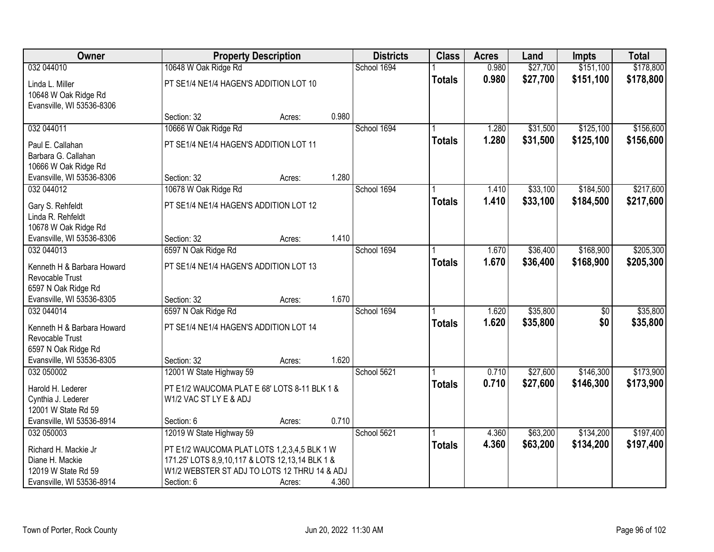| Owner                                                                |                                                 | <b>Property Description</b> |       | <b>Districts</b> | <b>Class</b>  | <b>Acres</b> | Land     | <b>Impts</b>    | <b>Total</b> |
|----------------------------------------------------------------------|-------------------------------------------------|-----------------------------|-------|------------------|---------------|--------------|----------|-----------------|--------------|
| 032 044010                                                           | 10648 W Oak Ridge Rd                            |                             |       | School 1694      |               | 0.980        | \$27,700 | \$151,100       | \$178,800    |
| Linda L. Miller<br>10648 W Oak Ridge Rd<br>Evansville, WI 53536-8306 | PT SE1/4 NE1/4 HAGEN'S ADDITION LOT 10          |                             |       |                  | <b>Totals</b> | 0.980        | \$27,700 | \$151,100       | \$178,800    |
|                                                                      | Section: 32                                     | Acres:                      | 0.980 |                  |               |              |          |                 |              |
| 032 044011                                                           | 10666 W Oak Ridge Rd                            |                             |       | School 1694      |               | 1.280        | \$31,500 | \$125,100       | \$156,600    |
| Paul E. Callahan                                                     | PT SE1/4 NE1/4 HAGEN'S ADDITION LOT 11          |                             |       |                  | <b>Totals</b> | 1.280        | \$31,500 | \$125,100       | \$156,600    |
| Barbara G. Callahan                                                  |                                                 |                             |       |                  |               |              |          |                 |              |
| 10666 W Oak Ridge Rd                                                 |                                                 |                             |       |                  |               |              |          |                 |              |
| Evansville, WI 53536-8306                                            | Section: 32                                     | Acres:                      | 1.280 |                  |               |              |          |                 |              |
| 032 044012                                                           | 10678 W Oak Ridge Rd                            |                             |       | School 1694      |               | 1.410        | \$33,100 | \$184,500       | \$217,600    |
| Gary S. Rehfeldt                                                     | PT SE1/4 NE1/4 HAGEN'S ADDITION LOT 12          |                             |       |                  | <b>Totals</b> | 1.410        | \$33,100 | \$184,500       | \$217,600    |
| Linda R. Rehfeldt                                                    |                                                 |                             |       |                  |               |              |          |                 |              |
| 10678 W Oak Ridge Rd                                                 |                                                 |                             |       |                  |               |              |          |                 |              |
| Evansville, WI 53536-8306                                            | Section: 32                                     | Acres:                      | 1.410 |                  |               |              |          |                 |              |
| 032 044013                                                           | 6597 N Oak Ridge Rd                             |                             |       | School 1694      |               | 1.670        | \$36,400 | \$168,900       | \$205,300    |
| Kenneth H & Barbara Howard                                           | PT SE1/4 NE1/4 HAGEN'S ADDITION LOT 13          |                             |       |                  | <b>Totals</b> | 1.670        | \$36,400 | \$168,900       | \$205,300    |
| Revocable Trust                                                      |                                                 |                             |       |                  |               |              |          |                 |              |
| 6597 N Oak Ridge Rd                                                  |                                                 |                             |       |                  |               |              |          |                 |              |
| Evansville, WI 53536-8305                                            | Section: 32                                     | Acres:                      | 1.670 |                  |               |              |          |                 |              |
| 032 044014                                                           | 6597 N Oak Ridge Rd                             |                             |       | School 1694      |               | 1.620        | \$35,800 | $\overline{50}$ | \$35,800     |
| Kenneth H & Barbara Howard                                           | PT SE1/4 NE1/4 HAGEN'S ADDITION LOT 14          |                             |       |                  | <b>Totals</b> | 1.620        | \$35,800 | \$0             | \$35,800     |
| Revocable Trust                                                      |                                                 |                             |       |                  |               |              |          |                 |              |
| 6597 N Oak Ridge Rd                                                  |                                                 |                             |       |                  |               |              |          |                 |              |
| Evansville, WI 53536-8305                                            | Section: 32                                     | Acres:                      | 1.620 |                  |               |              |          |                 |              |
| 032 050002                                                           | 12001 W State Highway 59                        |                             |       | School 5621      |               | 0.710        | \$27,600 | \$146,300       | \$173,900    |
| Harold H. Lederer                                                    | PT E1/2 WAUCOMA PLAT E 68' LOTS 8-11 BLK 1 &    |                             |       |                  | <b>Totals</b> | 0.710        | \$27,600 | \$146,300       | \$173,900    |
| Cynthia J. Lederer                                                   | W1/2 VAC ST LY E & ADJ                          |                             |       |                  |               |              |          |                 |              |
| 12001 W State Rd 59                                                  |                                                 |                             |       |                  |               |              |          |                 |              |
| Evansville, WI 53536-8914                                            | Section: 6                                      | Acres:                      | 0.710 |                  |               |              |          |                 |              |
| 032 050003                                                           | 12019 W State Highway 59                        |                             |       | School 5621      |               | 4.360        | \$63,200 | \$134,200       | \$197,400    |
| Richard H. Mackie Jr                                                 | PT E1/2 WAUCOMA PLAT LOTS 1,2,3,4,5 BLK 1 W     |                             |       |                  | <b>Totals</b> | 4.360        | \$63,200 | \$134,200       | \$197,400    |
| Diane H. Mackie                                                      | 171.25' LOTS 8,9,10,117 & LOTS 12,13,14 BLK 1 & |                             |       |                  |               |              |          |                 |              |
| 12019 W State Rd 59                                                  | W1/2 WEBSTER ST ADJ TO LOTS 12 THRU 14 & ADJ    |                             |       |                  |               |              |          |                 |              |
| Evansville, WI 53536-8914                                            | Section: 6                                      | Acres:                      | 4.360 |                  |               |              |          |                 |              |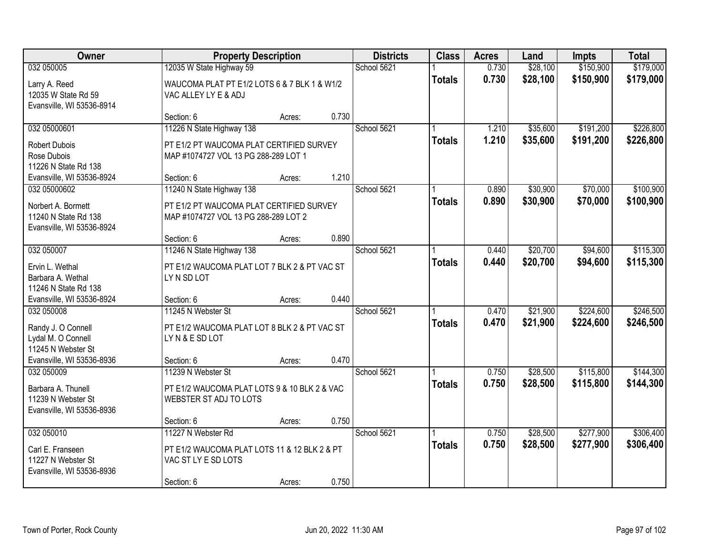| Owner                                                                                                     |                                                                                                               | <b>Property Description</b> |       |             | <b>Class</b>  | <b>Acres</b>   | Land                 | <b>Impts</b>           | <b>Total</b>           |
|-----------------------------------------------------------------------------------------------------------|---------------------------------------------------------------------------------------------------------------|-----------------------------|-------|-------------|---------------|----------------|----------------------|------------------------|------------------------|
| 032 050005<br>Larry A. Reed<br>12035 W State Rd 59<br>Evansville, WI 53536-8914                           | 12035 W State Highway 59<br>WAUCOMA PLAT PT E1/2 LOTS 6 & 7 BLK 1 & W1/2<br>VAC ALLEY LY E & ADJ              |                             |       | School 5621 | <b>Totals</b> | 0.730<br>0.730 | \$28,100<br>\$28,100 | \$150,900<br>\$150,900 | \$179,000<br>\$179,000 |
|                                                                                                           | Section: 6                                                                                                    | Acres:                      | 0.730 |             |               |                |                      |                        |                        |
| 032 05000601<br><b>Robert Dubois</b><br>Rose Dubois<br>11226 N State Rd 138                               | 11226 N State Highway 138<br>PT E1/2 PT WAUCOMA PLAT CERTIFIED SURVEY<br>MAP #1074727 VOL 13 PG 288-289 LOT 1 |                             |       | School 5621 | <b>Totals</b> | 1.210<br>1.210 | \$35,600<br>\$35,600 | \$191,200<br>\$191,200 | \$226,800<br>\$226,800 |
| Evansville, WI 53536-8924                                                                                 | Section: 6                                                                                                    | Acres:                      | 1.210 |             |               |                |                      |                        |                        |
| 032 05000602<br>Norbert A. Bormett<br>11240 N State Rd 138<br>Evansville, WI 53536-8924                   | 11240 N State Highway 138<br>PT E1/2 PT WAUCOMA PLAT CERTIFIED SURVEY<br>MAP #1074727 VOL 13 PG 288-289 LOT 2 |                             |       | School 5621 | <b>Totals</b> | 0.890<br>0.890 | \$30,900<br>\$30,900 | \$70,000<br>\$70,000   | \$100,900<br>\$100,900 |
|                                                                                                           | Section: 6                                                                                                    | Acres:                      | 0.890 |             |               |                |                      |                        |                        |
| 032 050007<br>Ervin L. Wethal<br>Barbara A. Wethal<br>11246 N State Rd 138                                | 11246 N State Highway 138<br>PT E1/2 WAUCOMA PLAT LOT 7 BLK 2 & PT VAC ST<br>LY N SD LOT                      |                             |       | School 5621 | <b>Totals</b> | 0.440<br>0.440 | \$20,700<br>\$20,700 | \$94,600<br>\$94,600   | \$115,300<br>\$115,300 |
| Evansville, WI 53536-8924                                                                                 | Section: 6                                                                                                    | Acres:                      | 0.440 |             |               |                |                      |                        |                        |
| 032 050008<br>Randy J. O Connell<br>Lydal M. O Connell<br>11245 N Webster St<br>Evansville, WI 53536-8936 | 11245 N Webster St<br>PT E1/2 WAUCOMA PLAT LOT 8 BLK 2 & PT VAC ST<br>LYN&E SD LOT<br>Section: 6              |                             | 0.470 | School 5621 | <b>Totals</b> | 0.470<br>0.470 | \$21,900<br>\$21,900 | \$224,600<br>\$224,600 | \$246,500<br>\$246,500 |
| 032 050009                                                                                                | 11239 N Webster St                                                                                            | Acres:                      |       | School 5621 |               | 0.750          | \$28,500             | \$115,800              | \$144,300              |
| Barbara A. Thunell<br>11239 N Webster St<br>Evansville, WI 53536-8936                                     | PT E1/2 WAUCOMA PLAT LOTS 9 & 10 BLK 2 & VAC<br>WEBSTER ST ADJ TO LOTS                                        |                             |       |             | <b>Totals</b> | 0.750          | \$28,500             | \$115,800              | \$144,300              |
|                                                                                                           | Section: 6                                                                                                    | Acres:                      | 0.750 |             |               |                |                      |                        |                        |
| 032 050010<br>Carl E. Franseen<br>11227 N Webster St<br>Evansville, WI 53536-8936                         | 11227 N Webster Rd<br>PT E1/2 WAUCOMA PLAT LOTS 11 & 12 BLK 2 & PT<br>VAC ST LY E SD LOTS<br>Section: 6       | Acres:                      | 0.750 | School 5621 | <b>Totals</b> | 0.750<br>0.750 | \$28,500<br>\$28,500 | \$277,900<br>\$277,900 | \$306,400<br>\$306,400 |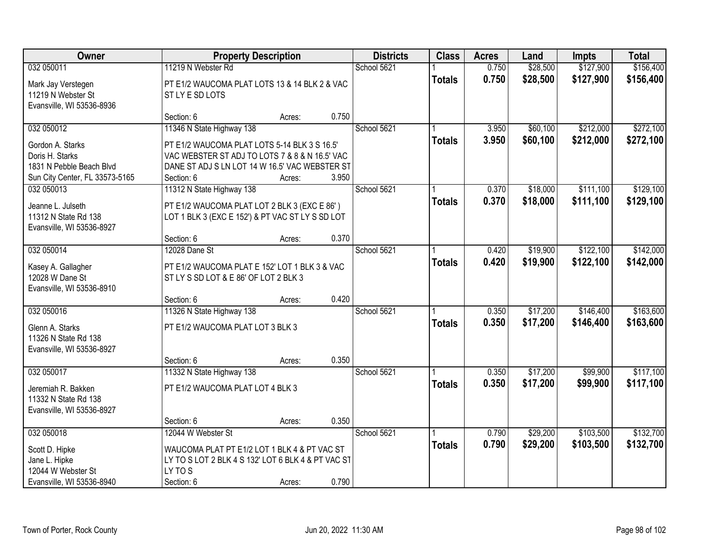| Owner                                                                   |                                                                                                               | <b>Property Description</b> |       | <b>Districts</b> | <b>Class</b>  | <b>Acres</b>   | Land                 | <b>Impts</b>           | <b>Total</b>           |
|-------------------------------------------------------------------------|---------------------------------------------------------------------------------------------------------------|-----------------------------|-------|------------------|---------------|----------------|----------------------|------------------------|------------------------|
| 032 050011                                                              | 11219 N Webster Rd                                                                                            |                             |       | School 5621      |               | 0.750          | \$28,500             | \$127,900              | \$156,400              |
| Mark Jay Verstegen<br>11219 N Webster St<br>Evansville, WI 53536-8936   | PT E1/2 WAUCOMA PLAT LOTS 13 & 14 BLK 2 & VAC<br>ST LY E SD LOTS                                              |                             |       |                  | <b>Totals</b> | 0.750          | \$28,500             | \$127,900              | \$156,400              |
|                                                                         | Section: 6                                                                                                    | Acres:                      | 0.750 |                  |               |                |                      |                        |                        |
| 032 050012                                                              | 11346 N State Highway 138                                                                                     |                             |       | School 5621      | <b>Totals</b> | 3.950<br>3.950 | \$60,100<br>\$60,100 | \$212,000<br>\$212,000 | \$272,100<br>\$272,100 |
| Gordon A. Starks                                                        | PT E1/2 WAUCOMA PLAT LOTS 5-14 BLK 3 S 16.5'                                                                  |                             |       |                  |               |                |                      |                        |                        |
| Doris H. Starks<br>1831 N Pebble Beach Blvd                             | VAC WEBSTER ST ADJ TO LOTS 7 & 8 & N 16.5' VAC<br>DANE ST ADJ S LN LOT 14 W 16.5' VAC WEBSTER ST              |                             |       |                  |               |                |                      |                        |                        |
| Sun City Center, FL 33573-5165                                          | Section: 6                                                                                                    | Acres:                      | 3.950 |                  |               |                |                      |                        |                        |
| 032 050013                                                              | 11312 N State Highway 138                                                                                     |                             |       | School 5621      |               | 0.370          | \$18,000             | \$111,100              | \$129,100              |
| Jeanne L. Julseth<br>11312 N State Rd 138<br>Evansville, WI 53536-8927  | PT E1/2 WAUCOMA PLAT LOT 2 BLK 3 (EXC E 86')<br>LOT 1 BLK 3 (EXC E 152') & PT VAC ST LY S SD LOT              |                             |       |                  | <b>Totals</b> | 0.370          | \$18,000             | \$111,100              | \$129,100              |
|                                                                         | Section: 6                                                                                                    | Acres:                      | 0.370 |                  |               |                |                      |                        |                        |
| 032 050014                                                              | 12028 Dane St                                                                                                 |                             |       | School 5621      |               | 0.420          | \$19,900             | \$122,100              | \$142,000              |
| Kasey A. Gallagher<br>12028 W Dane St<br>Evansville, WI 53536-8910      | PT E1/2 WAUCOMA PLAT E 152' LOT 1 BLK 3 & VAC<br>ST LY S SD LOT & E 86' OF LOT 2 BLK 3                        |                             |       |                  | <b>Totals</b> | 0.420          | \$19,900             | \$122,100              | \$142,000              |
|                                                                         | Section: 6                                                                                                    | Acres:                      | 0.420 |                  |               |                |                      |                        |                        |
| 032 050016                                                              | 11326 N State Highway 138                                                                                     |                             |       | School 5621      |               | 0.350          | \$17,200             | \$146,400              | \$163,600              |
| Glenn A. Starks<br>11326 N State Rd 138<br>Evansville, WI 53536-8927    | PT E1/2 WAUCOMA PLAT LOT 3 BLK 3                                                                              |                             |       |                  | <b>Totals</b> | 0.350          | \$17,200             | \$146,400              | \$163,600              |
|                                                                         | Section: 6                                                                                                    | Acres:                      | 0.350 |                  |               |                |                      |                        |                        |
| 032 050017                                                              | 11332 N State Highway 138                                                                                     |                             |       | School 5621      |               | 0.350          | \$17,200             | \$99,900               | \$117,100              |
| Jeremiah R. Bakken<br>11332 N State Rd 138<br>Evansville, WI 53536-8927 | PT E1/2 WAUCOMA PLAT LOT 4 BLK 3                                                                              |                             |       |                  | <b>Totals</b> | 0.350          | \$17,200             | \$99,900               | \$117,100              |
|                                                                         | Section: 6                                                                                                    | Acres:                      | 0.350 |                  |               |                |                      |                        |                        |
| 032 050018                                                              | 12044 W Webster St                                                                                            |                             |       | School 5621      |               | 0.790          | \$29,200             | \$103,500              | \$132,700              |
| Scott D. Hipke<br>Jane L. Hipke<br>12044 W Webster St                   | WAUCOMA PLAT PT E1/2 LOT 1 BLK 4 & PT VAC ST<br>LY TO S LOT 2 BLK 4 S 132' LOT 6 BLK 4 & PT VAC ST<br>LY TO S |                             |       |                  | <b>Totals</b> | 0.790          | \$29,200             | \$103,500              | \$132,700              |
| Evansville, WI 53536-8940                                               | Section: 6                                                                                                    | Acres:                      | 0.790 |                  |               |                |                      |                        |                        |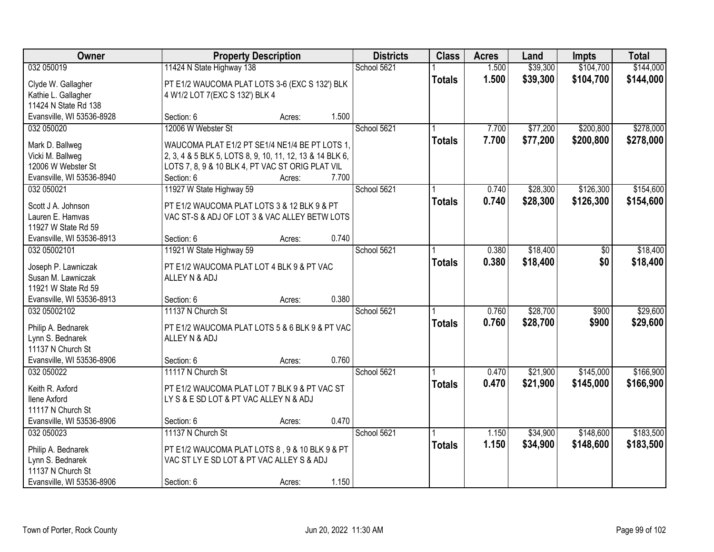| School 5621<br>\$39,300<br>\$104,700<br>032 050019<br>11424 N State Highway 138<br>1.500<br>1.500<br>\$39,300<br>\$104,700<br><b>Totals</b><br>PT E1/2 WAUCOMA PLAT LOTS 3-6 (EXC S 132') BLK<br>Clyde W. Gallagher<br>Kathie L. Gallagher<br>4 W1/2 LOT 7(EXC S 132') BLK 4<br>11424 N State Rd 138<br>Evansville, WI 53536-8928<br>1.500<br>Section: 6<br>Acres:<br>12006 W Webster St<br>School 5621<br>\$77,200<br>\$200,800<br>032 050020<br>7.700<br>7.700<br>\$77,200<br>\$200,800<br><b>Totals</b><br>WAUCOMA PLAT E1/2 PT SE1/4 NE1/4 BE PT LOTS 1,<br>Mark D. Ballweg<br>Vicki M. Ballweg<br>2, 3, 4 & 5 BLK 5, LOTS 8, 9, 10, 11, 12, 13 & 14 BLK 6,<br>12006 W Webster St<br>LOTS 7, 8, 9 & 10 BLK 4, PT VAC ST ORIG PLAT VIL<br>7.700<br>Evansville, WI 53536-8940<br>Section: 6<br>Acres:<br>11927 W State Highway 59<br>School 5621<br>\$126,300<br>0.740<br>\$28,300<br>032 050021<br>0.740<br>\$28,300<br>\$126,300<br><b>Totals</b><br>Scott J A. Johnson<br>PT E1/2 WAUCOMA PLAT LOTS 3 & 12 BLK 9 & PT<br>Lauren E. Hamvas<br>VAC ST-S & ADJ OF LOT 3 & VAC ALLEY BETW LOTS<br>11927 W State Rd 59<br>0.740<br>Evansville, WI 53536-8913<br>Section: 6<br>Acres:<br>\$18,400<br>032 05002101<br>11921 W State Highway 59<br>School 5621<br>0.380<br>\$0<br>0.380<br>\$0<br>\$18,400<br><b>Totals</b><br>Joseph P. Lawniczak<br>PT E1/2 WAUCOMA PLAT LOT 4 BLK 9 & PT VAC<br>Susan M. Lawniczak<br>ALLEY N & ADJ<br>11921 W State Rd 59<br>0.380<br>Evansville, WI 53536-8913<br>Section: 6<br>Acres:<br>\$28,700<br>11137 N Church St<br>School 5621<br>\$900<br>032 05002102<br>0.760<br>\$28,700<br>0.760<br>\$900<br><b>Totals</b><br>Philip A. Bednarek<br>PT E1/2 WAUCOMA PLAT LOTS 5 & 6 BLK 9 & PT VAC<br>ALLEY N & ADJ<br>Lynn S. Bednarek<br>11137 N Church St<br>Evansville, WI 53536-8906<br>0.760<br>Section: 6<br>Acres:<br>032 050022<br>11117 N Church St<br>School 5621<br>\$21,900<br>\$145,000<br>0.470<br>0.470<br>\$21,900<br>\$145,000<br><b>Totals</b><br>Keith R. Axford<br>PT E1/2 WAUCOMA PLAT LOT 7 BLK 9 & PT VAC ST<br>LY S & E SD LOT & PT VAC ALLEY N & ADJ<br><b>Ilene Axford</b><br>11117 N Church St<br>0.470<br>Evansville, WI 53536-8906<br>Section: 6<br>Acres:<br>032 050023<br>11137 N Church St<br>School 5621<br>\$34,900<br>\$148,600<br>1.150<br>1.150<br>\$34,900<br>\$148,600<br><b>Totals</b><br>PT E1/2 WAUCOMA PLAT LOTS 8, 9 & 10 BLK 9 & PT<br>Philip A. Bednarek<br>Lynn S. Bednarek<br>VAC ST LY E SD LOT & PT VAC ALLEY S & ADJ<br>11137 N Church St | Owner                     |            | <b>Property Description</b> |       |  | <b>Districts</b><br><b>Class</b> | <b>Acres</b> | Land | <b>Impts</b> | <b>Total</b> |
|------------------------------------------------------------------------------------------------------------------------------------------------------------------------------------------------------------------------------------------------------------------------------------------------------------------------------------------------------------------------------------------------------------------------------------------------------------------------------------------------------------------------------------------------------------------------------------------------------------------------------------------------------------------------------------------------------------------------------------------------------------------------------------------------------------------------------------------------------------------------------------------------------------------------------------------------------------------------------------------------------------------------------------------------------------------------------------------------------------------------------------------------------------------------------------------------------------------------------------------------------------------------------------------------------------------------------------------------------------------------------------------------------------------------------------------------------------------------------------------------------------------------------------------------------------------------------------------------------------------------------------------------------------------------------------------------------------------------------------------------------------------------------------------------------------------------------------------------------------------------------------------------------------------------------------------------------------------------------------------------------------------------------------------------------------------------------------------------------------------------------------------------------------------------------------------------------------------------------------------------------------------------------------------------------------------------------------------------------------------------------------------------------------------------------------------------------------------------------------------------------------------------------|---------------------------|------------|-----------------------------|-------|--|----------------------------------|--------------|------|--------------|--------------|
| \$144,000                                                                                                                                                                                                                                                                                                                                                                                                                                                                                                                                                                                                                                                                                                                                                                                                                                                                                                                                                                                                                                                                                                                                                                                                                                                                                                                                                                                                                                                                                                                                                                                                                                                                                                                                                                                                                                                                                                                                                                                                                                                                                                                                                                                                                                                                                                                                                                                                                                                                                                                    |                           |            |                             |       |  |                                  |              |      |              | \$144,000    |
|                                                                                                                                                                                                                                                                                                                                                                                                                                                                                                                                                                                                                                                                                                                                                                                                                                                                                                                                                                                                                                                                                                                                                                                                                                                                                                                                                                                                                                                                                                                                                                                                                                                                                                                                                                                                                                                                                                                                                                                                                                                                                                                                                                                                                                                                                                                                                                                                                                                                                                                              |                           |            |                             |       |  |                                  |              |      |              |              |
| \$278,000<br>\$278,000<br>\$154,600<br>\$154,600<br>\$18,400<br>\$29,600<br>\$29,600<br>\$166,900<br>\$183,500                                                                                                                                                                                                                                                                                                                                                                                                                                                                                                                                                                                                                                                                                                                                                                                                                                                                                                                                                                                                                                                                                                                                                                                                                                                                                                                                                                                                                                                                                                                                                                                                                                                                                                                                                                                                                                                                                                                                                                                                                                                                                                                                                                                                                                                                                                                                                                                                               |                           |            |                             |       |  |                                  |              |      |              |              |
|                                                                                                                                                                                                                                                                                                                                                                                                                                                                                                                                                                                                                                                                                                                                                                                                                                                                                                                                                                                                                                                                                                                                                                                                                                                                                                                                                                                                                                                                                                                                                                                                                                                                                                                                                                                                                                                                                                                                                                                                                                                                                                                                                                                                                                                                                                                                                                                                                                                                                                                              |                           |            |                             |       |  |                                  |              |      |              |              |
|                                                                                                                                                                                                                                                                                                                                                                                                                                                                                                                                                                                                                                                                                                                                                                                                                                                                                                                                                                                                                                                                                                                                                                                                                                                                                                                                                                                                                                                                                                                                                                                                                                                                                                                                                                                                                                                                                                                                                                                                                                                                                                                                                                                                                                                                                                                                                                                                                                                                                                                              |                           |            |                             |       |  |                                  |              |      |              |              |
|                                                                                                                                                                                                                                                                                                                                                                                                                                                                                                                                                                                                                                                                                                                                                                                                                                                                                                                                                                                                                                                                                                                                                                                                                                                                                                                                                                                                                                                                                                                                                                                                                                                                                                                                                                                                                                                                                                                                                                                                                                                                                                                                                                                                                                                                                                                                                                                                                                                                                                                              |                           |            |                             |       |  |                                  |              |      |              |              |
|                                                                                                                                                                                                                                                                                                                                                                                                                                                                                                                                                                                                                                                                                                                                                                                                                                                                                                                                                                                                                                                                                                                                                                                                                                                                                                                                                                                                                                                                                                                                                                                                                                                                                                                                                                                                                                                                                                                                                                                                                                                                                                                                                                                                                                                                                                                                                                                                                                                                                                                              |                           |            |                             |       |  |                                  |              |      |              |              |
|                                                                                                                                                                                                                                                                                                                                                                                                                                                                                                                                                                                                                                                                                                                                                                                                                                                                                                                                                                                                                                                                                                                                                                                                                                                                                                                                                                                                                                                                                                                                                                                                                                                                                                                                                                                                                                                                                                                                                                                                                                                                                                                                                                                                                                                                                                                                                                                                                                                                                                                              |                           |            |                             |       |  |                                  |              |      |              |              |
|                                                                                                                                                                                                                                                                                                                                                                                                                                                                                                                                                                                                                                                                                                                                                                                                                                                                                                                                                                                                                                                                                                                                                                                                                                                                                                                                                                                                                                                                                                                                                                                                                                                                                                                                                                                                                                                                                                                                                                                                                                                                                                                                                                                                                                                                                                                                                                                                                                                                                                                              |                           |            |                             |       |  |                                  |              |      |              |              |
|                                                                                                                                                                                                                                                                                                                                                                                                                                                                                                                                                                                                                                                                                                                                                                                                                                                                                                                                                                                                                                                                                                                                                                                                                                                                                                                                                                                                                                                                                                                                                                                                                                                                                                                                                                                                                                                                                                                                                                                                                                                                                                                                                                                                                                                                                                                                                                                                                                                                                                                              |                           |            |                             |       |  |                                  |              |      |              |              |
|                                                                                                                                                                                                                                                                                                                                                                                                                                                                                                                                                                                                                                                                                                                                                                                                                                                                                                                                                                                                                                                                                                                                                                                                                                                                                                                                                                                                                                                                                                                                                                                                                                                                                                                                                                                                                                                                                                                                                                                                                                                                                                                                                                                                                                                                                                                                                                                                                                                                                                                              |                           |            |                             |       |  |                                  |              |      |              |              |
|                                                                                                                                                                                                                                                                                                                                                                                                                                                                                                                                                                                                                                                                                                                                                                                                                                                                                                                                                                                                                                                                                                                                                                                                                                                                                                                                                                                                                                                                                                                                                                                                                                                                                                                                                                                                                                                                                                                                                                                                                                                                                                                                                                                                                                                                                                                                                                                                                                                                                                                              |                           |            |                             |       |  |                                  |              |      |              |              |
|                                                                                                                                                                                                                                                                                                                                                                                                                                                                                                                                                                                                                                                                                                                                                                                                                                                                                                                                                                                                                                                                                                                                                                                                                                                                                                                                                                                                                                                                                                                                                                                                                                                                                                                                                                                                                                                                                                                                                                                                                                                                                                                                                                                                                                                                                                                                                                                                                                                                                                                              |                           |            |                             |       |  |                                  |              |      |              |              |
|                                                                                                                                                                                                                                                                                                                                                                                                                                                                                                                                                                                                                                                                                                                                                                                                                                                                                                                                                                                                                                                                                                                                                                                                                                                                                                                                                                                                                                                                                                                                                                                                                                                                                                                                                                                                                                                                                                                                                                                                                                                                                                                                                                                                                                                                                                                                                                                                                                                                                                                              |                           |            |                             |       |  |                                  |              |      |              |              |
|                                                                                                                                                                                                                                                                                                                                                                                                                                                                                                                                                                                                                                                                                                                                                                                                                                                                                                                                                                                                                                                                                                                                                                                                                                                                                                                                                                                                                                                                                                                                                                                                                                                                                                                                                                                                                                                                                                                                                                                                                                                                                                                                                                                                                                                                                                                                                                                                                                                                                                                              |                           |            |                             |       |  |                                  |              |      |              |              |
| \$18,400<br>\$166,900<br>\$183,500                                                                                                                                                                                                                                                                                                                                                                                                                                                                                                                                                                                                                                                                                                                                                                                                                                                                                                                                                                                                                                                                                                                                                                                                                                                                                                                                                                                                                                                                                                                                                                                                                                                                                                                                                                                                                                                                                                                                                                                                                                                                                                                                                                                                                                                                                                                                                                                                                                                                                           |                           |            |                             |       |  |                                  |              |      |              |              |
|                                                                                                                                                                                                                                                                                                                                                                                                                                                                                                                                                                                                                                                                                                                                                                                                                                                                                                                                                                                                                                                                                                                                                                                                                                                                                                                                                                                                                                                                                                                                                                                                                                                                                                                                                                                                                                                                                                                                                                                                                                                                                                                                                                                                                                                                                                                                                                                                                                                                                                                              |                           |            |                             |       |  |                                  |              |      |              |              |
|                                                                                                                                                                                                                                                                                                                                                                                                                                                                                                                                                                                                                                                                                                                                                                                                                                                                                                                                                                                                                                                                                                                                                                                                                                                                                                                                                                                                                                                                                                                                                                                                                                                                                                                                                                                                                                                                                                                                                                                                                                                                                                                                                                                                                                                                                                                                                                                                                                                                                                                              |                           |            |                             |       |  |                                  |              |      |              |              |
|                                                                                                                                                                                                                                                                                                                                                                                                                                                                                                                                                                                                                                                                                                                                                                                                                                                                                                                                                                                                                                                                                                                                                                                                                                                                                                                                                                                                                                                                                                                                                                                                                                                                                                                                                                                                                                                                                                                                                                                                                                                                                                                                                                                                                                                                                                                                                                                                                                                                                                                              |                           |            |                             |       |  |                                  |              |      |              |              |
|                                                                                                                                                                                                                                                                                                                                                                                                                                                                                                                                                                                                                                                                                                                                                                                                                                                                                                                                                                                                                                                                                                                                                                                                                                                                                                                                                                                                                                                                                                                                                                                                                                                                                                                                                                                                                                                                                                                                                                                                                                                                                                                                                                                                                                                                                                                                                                                                                                                                                                                              |                           |            |                             |       |  |                                  |              |      |              |              |
|                                                                                                                                                                                                                                                                                                                                                                                                                                                                                                                                                                                                                                                                                                                                                                                                                                                                                                                                                                                                                                                                                                                                                                                                                                                                                                                                                                                                                                                                                                                                                                                                                                                                                                                                                                                                                                                                                                                                                                                                                                                                                                                                                                                                                                                                                                                                                                                                                                                                                                                              |                           |            |                             |       |  |                                  |              |      |              |              |
|                                                                                                                                                                                                                                                                                                                                                                                                                                                                                                                                                                                                                                                                                                                                                                                                                                                                                                                                                                                                                                                                                                                                                                                                                                                                                                                                                                                                                                                                                                                                                                                                                                                                                                                                                                                                                                                                                                                                                                                                                                                                                                                                                                                                                                                                                                                                                                                                                                                                                                                              |                           |            |                             |       |  |                                  |              |      |              |              |
|                                                                                                                                                                                                                                                                                                                                                                                                                                                                                                                                                                                                                                                                                                                                                                                                                                                                                                                                                                                                                                                                                                                                                                                                                                                                                                                                                                                                                                                                                                                                                                                                                                                                                                                                                                                                                                                                                                                                                                                                                                                                                                                                                                                                                                                                                                                                                                                                                                                                                                                              |                           |            |                             |       |  |                                  |              |      |              |              |
|                                                                                                                                                                                                                                                                                                                                                                                                                                                                                                                                                                                                                                                                                                                                                                                                                                                                                                                                                                                                                                                                                                                                                                                                                                                                                                                                                                                                                                                                                                                                                                                                                                                                                                                                                                                                                                                                                                                                                                                                                                                                                                                                                                                                                                                                                                                                                                                                                                                                                                                              |                           |            |                             |       |  |                                  |              |      |              |              |
|                                                                                                                                                                                                                                                                                                                                                                                                                                                                                                                                                                                                                                                                                                                                                                                                                                                                                                                                                                                                                                                                                                                                                                                                                                                                                                                                                                                                                                                                                                                                                                                                                                                                                                                                                                                                                                                                                                                                                                                                                                                                                                                                                                                                                                                                                                                                                                                                                                                                                                                              |                           |            |                             |       |  |                                  |              |      |              |              |
|                                                                                                                                                                                                                                                                                                                                                                                                                                                                                                                                                                                                                                                                                                                                                                                                                                                                                                                                                                                                                                                                                                                                                                                                                                                                                                                                                                                                                                                                                                                                                                                                                                                                                                                                                                                                                                                                                                                                                                                                                                                                                                                                                                                                                                                                                                                                                                                                                                                                                                                              |                           |            |                             |       |  |                                  |              |      |              |              |
|                                                                                                                                                                                                                                                                                                                                                                                                                                                                                                                                                                                                                                                                                                                                                                                                                                                                                                                                                                                                                                                                                                                                                                                                                                                                                                                                                                                                                                                                                                                                                                                                                                                                                                                                                                                                                                                                                                                                                                                                                                                                                                                                                                                                                                                                                                                                                                                                                                                                                                                              |                           |            |                             |       |  |                                  |              |      |              |              |
|                                                                                                                                                                                                                                                                                                                                                                                                                                                                                                                                                                                                                                                                                                                                                                                                                                                                                                                                                                                                                                                                                                                                                                                                                                                                                                                                                                                                                                                                                                                                                                                                                                                                                                                                                                                                                                                                                                                                                                                                                                                                                                                                                                                                                                                                                                                                                                                                                                                                                                                              |                           |            |                             |       |  |                                  |              |      |              |              |
|                                                                                                                                                                                                                                                                                                                                                                                                                                                                                                                                                                                                                                                                                                                                                                                                                                                                                                                                                                                                                                                                                                                                                                                                                                                                                                                                                                                                                                                                                                                                                                                                                                                                                                                                                                                                                                                                                                                                                                                                                                                                                                                                                                                                                                                                                                                                                                                                                                                                                                                              |                           |            |                             |       |  |                                  |              |      |              |              |
|                                                                                                                                                                                                                                                                                                                                                                                                                                                                                                                                                                                                                                                                                                                                                                                                                                                                                                                                                                                                                                                                                                                                                                                                                                                                                                                                                                                                                                                                                                                                                                                                                                                                                                                                                                                                                                                                                                                                                                                                                                                                                                                                                                                                                                                                                                                                                                                                                                                                                                                              |                           |            |                             |       |  |                                  |              |      |              |              |
|                                                                                                                                                                                                                                                                                                                                                                                                                                                                                                                                                                                                                                                                                                                                                                                                                                                                                                                                                                                                                                                                                                                                                                                                                                                                                                                                                                                                                                                                                                                                                                                                                                                                                                                                                                                                                                                                                                                                                                                                                                                                                                                                                                                                                                                                                                                                                                                                                                                                                                                              |                           |            |                             |       |  |                                  |              |      |              |              |
|                                                                                                                                                                                                                                                                                                                                                                                                                                                                                                                                                                                                                                                                                                                                                                                                                                                                                                                                                                                                                                                                                                                                                                                                                                                                                                                                                                                                                                                                                                                                                                                                                                                                                                                                                                                                                                                                                                                                                                                                                                                                                                                                                                                                                                                                                                                                                                                                                                                                                                                              |                           |            |                             |       |  |                                  |              |      |              |              |
|                                                                                                                                                                                                                                                                                                                                                                                                                                                                                                                                                                                                                                                                                                                                                                                                                                                                                                                                                                                                                                                                                                                                                                                                                                                                                                                                                                                                                                                                                                                                                                                                                                                                                                                                                                                                                                                                                                                                                                                                                                                                                                                                                                                                                                                                                                                                                                                                                                                                                                                              |                           |            |                             |       |  |                                  |              |      |              |              |
|                                                                                                                                                                                                                                                                                                                                                                                                                                                                                                                                                                                                                                                                                                                                                                                                                                                                                                                                                                                                                                                                                                                                                                                                                                                                                                                                                                                                                                                                                                                                                                                                                                                                                                                                                                                                                                                                                                                                                                                                                                                                                                                                                                                                                                                                                                                                                                                                                                                                                                                              |                           |            |                             |       |  |                                  |              |      |              |              |
|                                                                                                                                                                                                                                                                                                                                                                                                                                                                                                                                                                                                                                                                                                                                                                                                                                                                                                                                                                                                                                                                                                                                                                                                                                                                                                                                                                                                                                                                                                                                                                                                                                                                                                                                                                                                                                                                                                                                                                                                                                                                                                                                                                                                                                                                                                                                                                                                                                                                                                                              |                           |            |                             |       |  |                                  |              |      |              |              |
|                                                                                                                                                                                                                                                                                                                                                                                                                                                                                                                                                                                                                                                                                                                                                                                                                                                                                                                                                                                                                                                                                                                                                                                                                                                                                                                                                                                                                                                                                                                                                                                                                                                                                                                                                                                                                                                                                                                                                                                                                                                                                                                                                                                                                                                                                                                                                                                                                                                                                                                              |                           |            |                             |       |  |                                  |              |      |              |              |
|                                                                                                                                                                                                                                                                                                                                                                                                                                                                                                                                                                                                                                                                                                                                                                                                                                                                                                                                                                                                                                                                                                                                                                                                                                                                                                                                                                                                                                                                                                                                                                                                                                                                                                                                                                                                                                                                                                                                                                                                                                                                                                                                                                                                                                                                                                                                                                                                                                                                                                                              | Evansville, WI 53536-8906 | Section: 6 | Acres:                      | 1.150 |  |                                  |              |      |              |              |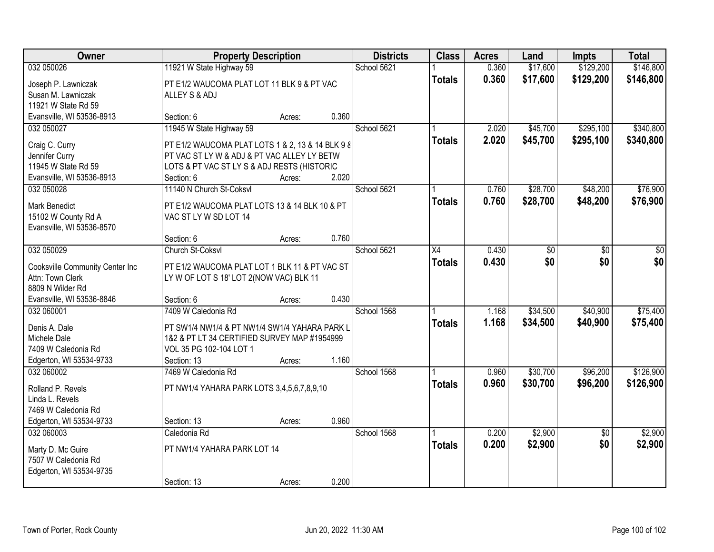| Owner                                               | <b>Property Description</b>                                             |        |       | <b>Districts</b><br><b>Class</b> | <b>Acres</b>    | Land  | <b>Impts</b> | <b>Total</b>    |           |
|-----------------------------------------------------|-------------------------------------------------------------------------|--------|-------|----------------------------------|-----------------|-------|--------------|-----------------|-----------|
| 032 050026                                          | 11921 W State Highway 59                                                |        |       | School 5621                      |                 | 0.360 | \$17,600     | \$129,200       | \$146,800 |
| Joseph P. Lawniczak                                 | PT E1/2 WAUCOMA PLAT LOT 11 BLK 9 & PT VAC                              |        |       |                                  | <b>Totals</b>   | 0.360 | \$17,600     | \$129,200       | \$146,800 |
| Susan M. Lawniczak                                  | ALLEY S & ADJ                                                           |        |       |                                  |                 |       |              |                 |           |
| 11921 W State Rd 59                                 |                                                                         |        |       |                                  |                 |       |              |                 |           |
| Evansville, WI 53536-8913                           | Section: 6                                                              | Acres: | 0.360 |                                  |                 |       |              |                 |           |
| 032 050027                                          | 11945 W State Highway 59                                                |        |       | School 5621                      |                 | 2.020 | \$45,700     | \$295,100       | \$340,800 |
| Craig C. Curry                                      | PT E1/2 WAUCOMA PLAT LOTS 1 & 2, 13 & 14 BLK 9 &                        |        |       |                                  | <b>Totals</b>   | 2.020 | \$45,700     | \$295,100       | \$340,800 |
| Jennifer Curry                                      | PT VAC ST LY W & ADJ & PT VAC ALLEY LY BETW                             |        |       |                                  |                 |       |              |                 |           |
| 11945 W State Rd 59                                 | LOTS & PT VAC ST LY S & ADJ RESTS (HISTORIC                             |        |       |                                  |                 |       |              |                 |           |
| Evansville, WI 53536-8913                           | Section: 6                                                              | Acres: | 2.020 |                                  |                 |       |              |                 |           |
| 032 050028                                          | 11140 N Church St-Coksvl                                                |        |       | School 5621                      |                 | 0.760 | \$28,700     | \$48,200        | \$76,900  |
| Mark Benedict                                       | PT E1/2 WAUCOMA PLAT LOTS 13 & 14 BLK 10 & PT                           |        |       |                                  | <b>Totals</b>   | 0.760 | \$28,700     | \$48,200        | \$76,900  |
| 15102 W County Rd A                                 | VAC ST LY W SD LOT 14                                                   |        |       |                                  |                 |       |              |                 |           |
| Evansville, WI 53536-8570                           |                                                                         |        |       |                                  |                 |       |              |                 |           |
|                                                     | Section: 6                                                              | Acres: | 0.760 |                                  |                 |       |              |                 |           |
| 032 050029                                          | <b>Church St-Coksvl</b>                                                 |        |       | School 5621                      | $\overline{X4}$ | 0.430 | \$0          | \$0             | \$0       |
|                                                     | PT E1/2 WAUCOMA PLAT LOT 1 BLK 11 & PT VAC ST                           |        |       |                                  | <b>Totals</b>   | 0.430 | \$0          | \$0             | \$0       |
| Cooksville Community Center Inc<br>Attn: Town Clerk | LY W OF LOT S 18' LOT 2(NOW VAC) BLK 11                                 |        |       |                                  |                 |       |              |                 |           |
| 8809 N Wilder Rd                                    |                                                                         |        |       |                                  |                 |       |              |                 |           |
| Evansville, WI 53536-8846                           | Section: 6                                                              | Acres: | 0.430 |                                  |                 |       |              |                 |           |
| 032 060001                                          | 7409 W Caledonia Rd                                                     |        |       | School 1568                      |                 | 1.168 | \$34,500     | \$40,900        | \$75,400  |
|                                                     |                                                                         |        |       |                                  | <b>Totals</b>   | 1.168 | \$34,500     | \$40,900        | \$75,400  |
| Denis A. Dale<br>Michele Dale                       | PT SW1/4 NW1/4 & PT NW1/4 SW1/4 YAHARA PARK L                           |        |       |                                  |                 |       |              |                 |           |
| 7409 W Caledonia Rd                                 | 1&2 & PT LT 34 CERTIFIED SURVEY MAP #1954999<br>VOL 35 PG 102-104 LOT 1 |        |       |                                  |                 |       |              |                 |           |
| Edgerton, WI 53534-9733                             | Section: 13                                                             | Acres: | 1.160 |                                  |                 |       |              |                 |           |
| 032 060002                                          | 7469 W Caledonia Rd                                                     |        |       | School 1568                      |                 | 0.960 | \$30,700     | \$96,200        | \$126,900 |
|                                                     |                                                                         |        |       |                                  | <b>Totals</b>   | 0.960 | \$30,700     | \$96,200        | \$126,900 |
| Rolland P. Revels                                   | PT NW1/4 YAHARA PARK LOTS 3,4,5,6,7,8,9,10                              |        |       |                                  |                 |       |              |                 |           |
| Linda L. Revels                                     |                                                                         |        |       |                                  |                 |       |              |                 |           |
| 7469 W Caledonia Rd<br>Edgerton, WI 53534-9733      | Section: 13                                                             | Acres: | 0.960 |                                  |                 |       |              |                 |           |
| 032 060003                                          | Caledonia Rd                                                            |        |       | School 1568                      |                 | 0.200 | \$2,900      | $\overline{50}$ | \$2,900   |
|                                                     |                                                                         |        |       |                                  | <b>Totals</b>   | 0.200 | \$2,900      | \$0             | \$2,900   |
| Marty D. Mc Guire                                   | PT NW1/4 YAHARA PARK LOT 14                                             |        |       |                                  |                 |       |              |                 |           |
| 7507 W Caledonia Rd                                 |                                                                         |        |       |                                  |                 |       |              |                 |           |
| Edgerton, WI 53534-9735                             |                                                                         |        |       |                                  |                 |       |              |                 |           |
|                                                     | Section: 13                                                             | Acres: | 0.200 |                                  |                 |       |              |                 |           |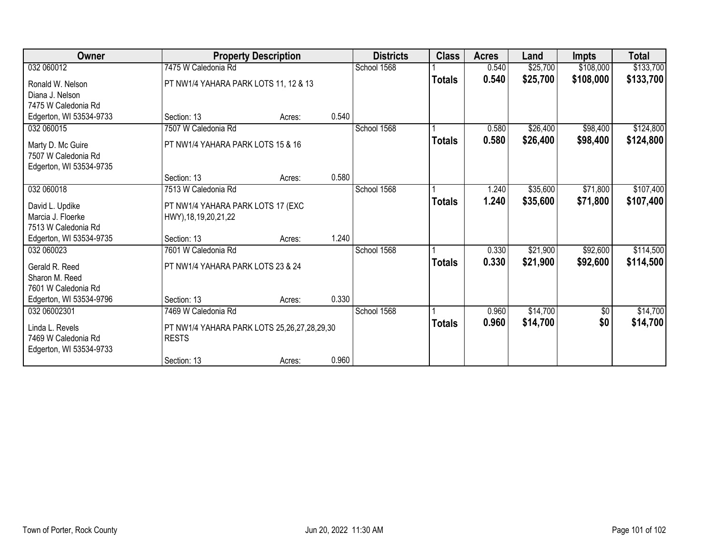| Owner                                                                                            |                                                                         | <b>Property Description</b> |       | <b>Districts</b> | <b>Class</b>  | <b>Acres</b>   | Land                 | <b>Impts</b>         | <b>Total</b>           |
|--------------------------------------------------------------------------------------------------|-------------------------------------------------------------------------|-----------------------------|-------|------------------|---------------|----------------|----------------------|----------------------|------------------------|
| 032 060012                                                                                       | 7475 W Caledonia Rd                                                     |                             |       | School 1568      |               | 0.540          | \$25,700             | \$108,000            | \$133,700              |
| Ronald W. Nelson<br>Diana J. Nelson                                                              | PT NW1/4 YAHARA PARK LOTS 11, 12 & 13                                   |                             |       |                  | <b>Totals</b> | 0.540          | \$25,700             | \$108,000            | \$133,700              |
| 7475 W Caledonia Rd<br>Edgerton, WI 53534-9733                                                   | Section: 13                                                             | Acres:                      | 0.540 |                  |               |                |                      |                      |                        |
| 032 060015                                                                                       | 7507 W Caledonia Rd                                                     |                             |       | School 1568      |               | 0.580          | \$26,400             | \$98,400             | \$124,800              |
| Marty D. Mc Guire<br>7507 W Caledonia Rd<br>Edgerton, WI 53534-9735                              | PT NW1/4 YAHARA PARK LOTS 15 & 16                                       |                             |       |                  | <b>Totals</b> | 0.580          | \$26,400             | \$98,400             | \$124,800              |
|                                                                                                  | Section: 13                                                             | Acres:                      | 0.580 |                  |               |                |                      |                      |                        |
| 032 060018                                                                                       | 7513 W Caledonia Rd                                                     |                             |       | School 1568      |               | 1.240          | \$35,600             | \$71,800             | \$107,400              |
| David L. Updike<br>Marcia J. Floerke<br>7513 W Caledonia Rd                                      | PT NW1/4 YAHARA PARK LOTS 17 (EXC<br>HWY), 18, 19, 20, 21, 22           |                             |       |                  | <b>Totals</b> | 1.240          | \$35,600             | \$71,800             | \$107,400              |
| Edgerton, WI 53534-9735                                                                          | Section: 13                                                             | Acres:                      | 1.240 |                  |               |                |                      |                      |                        |
| 032 060023<br>Gerald R. Reed<br>Sharon M. Reed<br>7601 W Caledonia Rd<br>Edgerton, WI 53534-9796 | 7601 W Caledonia Rd<br>PT NW1/4 YAHARA PARK LOTS 23 & 24<br>Section: 13 | Acres:                      | 0.330 | School 1568      | <b>Totals</b> | 0.330<br>0.330 | \$21,900<br>\$21,900 | \$92,600<br>\$92,600 | \$114,500<br>\$114,500 |
| 032 06002301                                                                                     | 7469 W Caledonia Rd                                                     |                             |       | School 1568      |               | 0.960          | \$14,700             | \$0                  | \$14,700               |
| Linda L. Revels<br>7469 W Caledonia Rd<br>Edgerton, WI 53534-9733                                | PT NW1/4 YAHARA PARK LOTS 25,26,27,28,29,30<br><b>RESTS</b>             |                             |       |                  | <b>Totals</b> | 0.960          | \$14,700             | \$0                  | \$14,700               |
|                                                                                                  | Section: 13                                                             | Acres:                      | 0.960 |                  |               |                |                      |                      |                        |